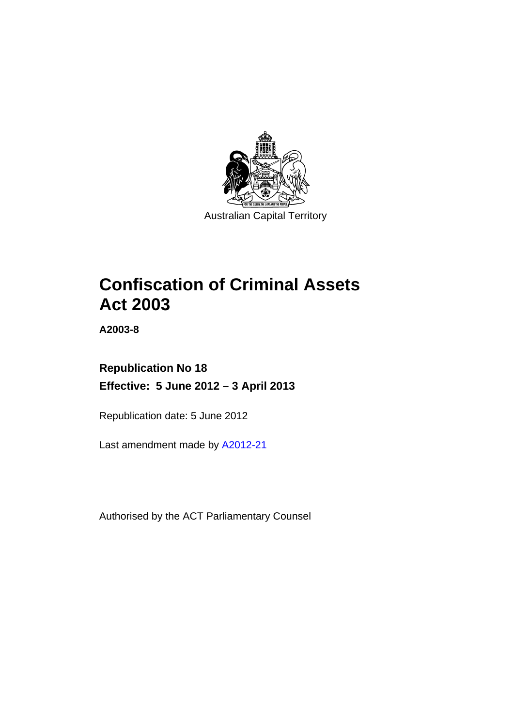

# **Confiscation of Criminal Assets Act 2003**

**A2003-8** 

# **Republication No 18 Effective: 5 June 2012 – 3 April 2013**

Republication date: 5 June 2012

Last amendment made by [A2012-21](http://www.legislation.act.gov.au/a/2012-21)

Authorised by the ACT Parliamentary Counsel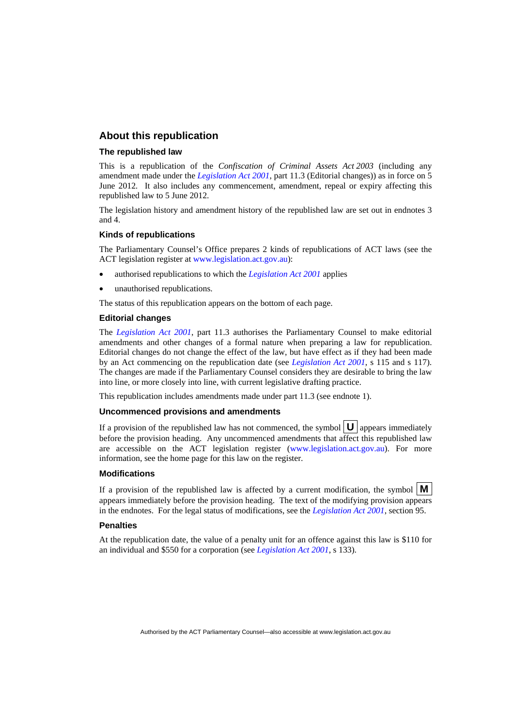### **About this republication**

### **The republished law**

This is a republication of the *Confiscation of Criminal Assets Act 2003* (including any amendment made under the *[Legislation Act 2001](http://www.legislation.act.gov.au/a/2001-14)*, part 11.3 (Editorial changes)) as in force on 5 June 2012*.* It also includes any commencement, amendment, repeal or expiry affecting this republished law to 5 June 2012.

The legislation history and amendment history of the republished law are set out in endnotes 3 and 4.

### **Kinds of republications**

The Parliamentary Counsel's Office prepares 2 kinds of republications of ACT laws (see the ACT legislation register at [www.legislation.act.gov.au](http://www.legislation.act.gov.au/)):

- authorised republications to which the *[Legislation Act 2001](http://www.legislation.act.gov.au/a/2001-14)* applies
- unauthorised republications.

The status of this republication appears on the bottom of each page.

### **Editorial changes**

The *[Legislation Act 2001](http://www.legislation.act.gov.au/a/2001-14)*, part 11.3 authorises the Parliamentary Counsel to make editorial amendments and other changes of a formal nature when preparing a law for republication. Editorial changes do not change the effect of the law, but have effect as if they had been made by an Act commencing on the republication date (see *[Legislation Act 2001](http://www.legislation.act.gov.au/a/2001-14)*, s 115 and s 117). The changes are made if the Parliamentary Counsel considers they are desirable to bring the law into line, or more closely into line, with current legislative drafting practice.

This republication includes amendments made under part 11.3 (see endnote 1).

### **Uncommenced provisions and amendments**

If a provision of the republished law has not commenced, the symbol  $\mathbf{U}$  appears immediately before the provision heading. Any uncommenced amendments that affect this republished law are accessible on the ACT legislation register [\(www.legislation.act.gov.au\)](http://www.legislation.act.gov.au/). For more information, see the home page for this law on the register.

#### **Modifications**

If a provision of the republished law is affected by a current modification, the symbol  $\mathbf{M}$ appears immediately before the provision heading. The text of the modifying provision appears in the endnotes. For the legal status of modifications, see the *[Legislation Act 2001](http://www.legislation.act.gov.au/a/2001-14)*, section 95.

#### **Penalties**

At the republication date, the value of a penalty unit for an offence against this law is \$110 for an individual and \$550 for a corporation (see *[Legislation Act 2001](http://www.legislation.act.gov.au/a/2001-14)*, s 133).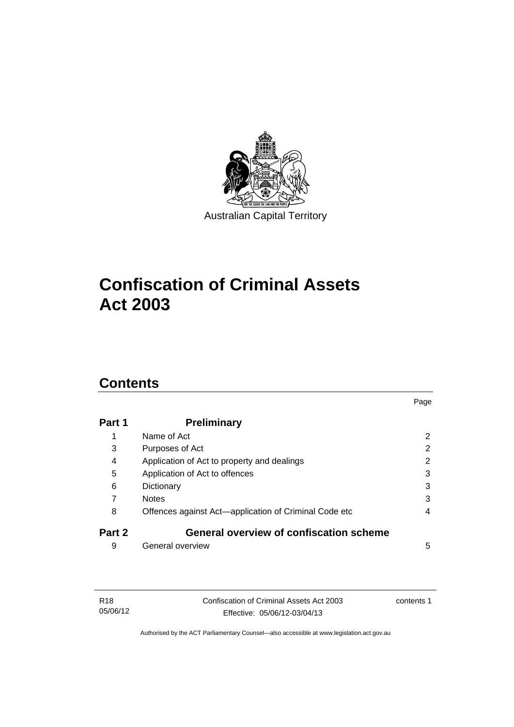

# **Confiscation of Criminal Assets Act 2003**

# **Contents**

| Part 1 | <b>Preliminary</b>                                    |   |
|--------|-------------------------------------------------------|---|
| 1      | Name of Act                                           | 2 |
| 3      | Purposes of Act                                       | 2 |
| 4      | Application of Act to property and dealings           | 2 |
| 5      | Application of Act to offences                        | 3 |
| 6      | Dictionary                                            | 3 |
| 7      | <b>Notes</b>                                          | 3 |
| 8      | Offences against Act-application of Criminal Code etc | 4 |
| Part 2 | <b>General overview of confiscation scheme</b>        |   |
| 9      | General overview                                      | 5 |

Page

| R <sub>18</sub> | Confiscation of Criminal Assets Act 2003 | contents 1 |
|-----------------|------------------------------------------|------------|
| 05/06/12        | Effective: 05/06/12-03/04/13             |            |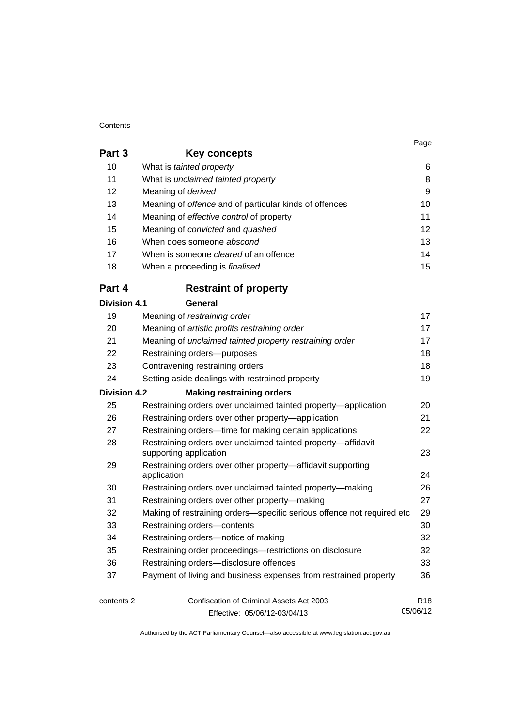#### **Contents**

05/06/12

| Part 3              | Key concepts                                                               |                 |  |  |
|---------------------|----------------------------------------------------------------------------|-----------------|--|--|
| 10                  | What is tainted property                                                   | 6               |  |  |
| 11                  | What is unclaimed tainted property                                         |                 |  |  |
| 12                  | Meaning of derived                                                         | 9               |  |  |
| 13                  | Meaning of offence and of particular kinds of offences                     | 10              |  |  |
| 14                  | Meaning of effective control of property                                   | 11              |  |  |
| 15                  | Meaning of convicted and quashed                                           | 12              |  |  |
| 16                  | When does someone abscond                                                  | 13              |  |  |
| 17                  | When is someone <i>cleared</i> of an offence                               | 14              |  |  |
| 18                  | When a proceeding is <i>finalised</i>                                      | 15              |  |  |
| Part 4              | <b>Restraint of property</b>                                               |                 |  |  |
| <b>Division 4.1</b> | General                                                                    |                 |  |  |
| 19                  | Meaning of restraining order                                               | 17              |  |  |
| 20                  | Meaning of artistic profits restraining order                              | 17              |  |  |
| 21                  | Meaning of unclaimed tainted property restraining order                    | 17              |  |  |
| 22                  | Restraining orders-purposes                                                | 18              |  |  |
| 23                  | Contravening restraining orders                                            | 18              |  |  |
| 24                  | Setting aside dealings with restrained property                            | 19              |  |  |
| <b>Division 4.2</b> | <b>Making restraining orders</b>                                           |                 |  |  |
| 25                  | Restraining orders over unclaimed tainted property-application             | 20              |  |  |
| 26                  | Restraining orders over other property-application                         | 21              |  |  |
| 27                  | Restraining orders—time for making certain applications                    | 22              |  |  |
| 28                  | Restraining orders over unclaimed tainted property-affidavit               |                 |  |  |
|                     | supporting application                                                     | 23              |  |  |
| 29                  | Restraining orders over other property-affidavit supporting<br>application | 24              |  |  |
| 30                  | Restraining orders over unclaimed tainted property-making                  | 26              |  |  |
| 31                  | Restraining orders over other property-making                              | 27              |  |  |
| 32                  | Making of restraining orders-specific serious offence not required etc     | 29              |  |  |
| 33                  | Restraining orders-contents                                                | 30              |  |  |
| 34                  | Restraining orders-notice of making                                        | 32              |  |  |
| 35                  | Restraining order proceedings-restrictions on disclosure                   | 32              |  |  |
| 36                  | Restraining orders-disclosure offences                                     | 33              |  |  |
| 37                  | Payment of living and business expenses from restrained property           | 36              |  |  |
| contents 2          | Confiscation of Criminal Assets Act 2003                                   | R <sub>18</sub> |  |  |

Effective: 05/06/12-03/04/13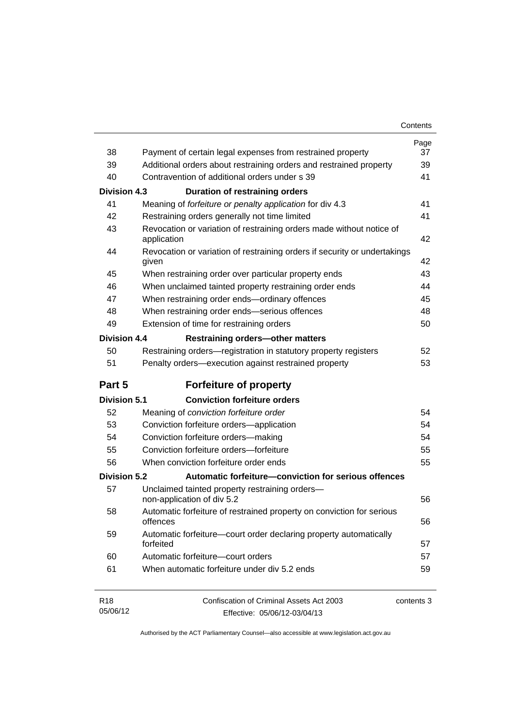| Contents |
|----------|
|----------|

| 38                          | Payment of certain legal expenses from restrained property                         | Page<br>37 |
|-----------------------------|------------------------------------------------------------------------------------|------------|
| 39                          | Additional orders about restraining orders and restrained property                 | 39         |
| 40                          | Contravention of additional orders under s 39                                      | 41         |
| <b>Division 4.3</b>         | <b>Duration of restraining orders</b>                                              |            |
| 41                          | Meaning of forfeiture or penalty application for div 4.3                           | 41         |
| 42                          | Restraining orders generally not time limited                                      | 41         |
| 43                          | Revocation or variation of restraining orders made without notice of               |            |
|                             | application                                                                        | 42         |
| 44                          | Revocation or variation of restraining orders if security or undertakings<br>given | 42         |
| 45                          | When restraining order over particular property ends                               | 43         |
| 46                          | When unclaimed tainted property restraining order ends                             | 44         |
| 47                          | When restraining order ends-ordinary offences                                      | 45         |
| 48                          | When restraining order ends-serious offences                                       | 48         |
| 49                          | Extension of time for restraining orders                                           | 50         |
| <b>Division 4.4</b>         | <b>Restraining orders-other matters</b>                                            |            |
| 50                          | Restraining orders—registration in statutory property registers                    | 52         |
| 51                          | Penalty orders-execution against restrained property                               | 53         |
| Part 5                      | <b>Forfeiture of property</b>                                                      |            |
| <b>Division 5.1</b>         | <b>Conviction forfeiture orders</b>                                                |            |
| 52                          | Meaning of conviction forfeiture order                                             | 54         |
| 53                          | Conviction forfeiture orders-application                                           | 54         |
| 54                          | Conviction forfeiture orders-making                                                | 54         |
| 55                          | Conviction forfeiture orders-forfeiture                                            | 55         |
| 56                          | When conviction forfeiture order ends                                              | 55         |
| <b>Division 5.2</b>         | Automatic forfeiture-conviction for serious offences                               |            |
| 57                          | Unclaimed tainted property restraining orders-<br>non-application of div 5.2       | 56         |
| 58                          | Automatic forfeiture of restrained property on conviction for serious<br>offences  | 56         |
| 59                          | Automatic forfeiture-court order declaring property automatically<br>forfeited     | 57         |
| 60                          | Automatic forfeiture-court orders                                                  | 57         |
| 61                          | When automatic forfeiture under div 5.2 ends                                       | 59         |
| R <sub>18</sub><br>05/06/12 | Confiscation of Criminal Assets Act 2003<br>Effective: 05/06/12-03/04/13           | contents 3 |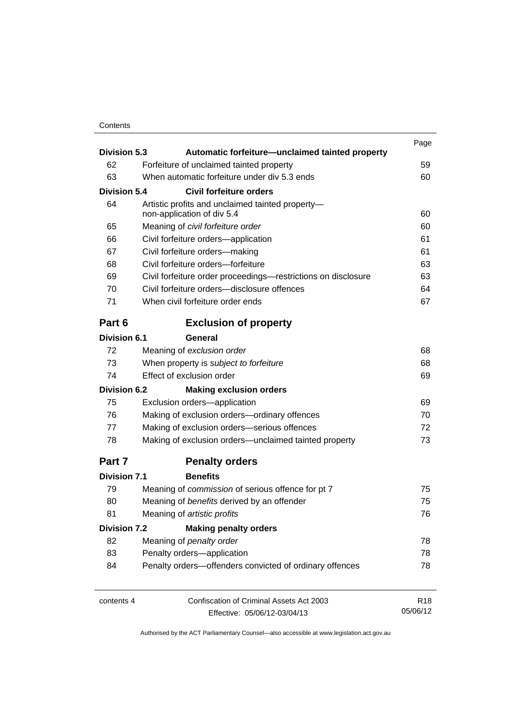## **Contents**

| <b>Division 5.3</b> |                                                                                                      | Automatic forfeiture—unclaimed tainted property                                |                 |  |  |
|---------------------|------------------------------------------------------------------------------------------------------|--------------------------------------------------------------------------------|-----------------|--|--|
| 62                  | Forfeiture of unclaimed tainted property                                                             |                                                                                |                 |  |  |
| 63                  |                                                                                                      | When automatic forfeiture under div 5.3 ends                                   | 59<br>60        |  |  |
| <b>Division 5.4</b> |                                                                                                      |                                                                                |                 |  |  |
| 64                  |                                                                                                      | Civil forfeiture orders                                                        |                 |  |  |
|                     |                                                                                                      | Artistic profits and unclaimed tainted property-<br>non-application of div 5.4 |                 |  |  |
| 65                  | Meaning of civil forfeiture order<br>Civil forfeiture orders-application                             | 60                                                                             |                 |  |  |
| 66                  |                                                                                                      | 61                                                                             |                 |  |  |
| 67                  | Civil forfeiture orders-making<br>Civil forfeiture orders-forfeiture                                 |                                                                                |                 |  |  |
| 68                  |                                                                                                      |                                                                                |                 |  |  |
| 69                  | Civil forfeiture order proceedings-restrictions on disclosure                                        |                                                                                |                 |  |  |
| 70                  |                                                                                                      | Civil forfeiture orders-disclosure offences                                    | 64              |  |  |
| 71                  |                                                                                                      | When civil forfeiture order ends                                               | 67              |  |  |
| Part 6              |                                                                                                      | <b>Exclusion of property</b>                                                   |                 |  |  |
| <b>Division 6.1</b> |                                                                                                      | General                                                                        |                 |  |  |
| 72                  |                                                                                                      | Meaning of exclusion order                                                     | 68              |  |  |
| 73                  | When property is subject to forfeiture<br>Effect of exclusion order                                  | 68                                                                             |                 |  |  |
| 74                  |                                                                                                      | 69                                                                             |                 |  |  |
| <b>Division 6.2</b> |                                                                                                      | <b>Making exclusion orders</b>                                                 |                 |  |  |
| 75                  | Exclusion orders-application<br>Making of exclusion orders-ordinary offences                         | 69                                                                             |                 |  |  |
| 76                  |                                                                                                      | 70                                                                             |                 |  |  |
| 77                  | Making of exclusion orders-serious offences<br>Making of exclusion orders—unclaimed tainted property |                                                                                |                 |  |  |
| 78                  |                                                                                                      |                                                                                |                 |  |  |
| Part 7              |                                                                                                      | <b>Penalty orders</b>                                                          |                 |  |  |
| <b>Division 7.1</b> |                                                                                                      | <b>Benefits</b>                                                                |                 |  |  |
| 79                  |                                                                                                      | Meaning of commission of serious offence for pt 7                              | 75              |  |  |
| 80                  |                                                                                                      | Meaning of benefits derived by an offender                                     | 75              |  |  |
| 81                  | Meaning of artistic profits                                                                          | 76                                                                             |                 |  |  |
| <b>Division 7.2</b> |                                                                                                      | <b>Making penalty orders</b>                                                   |                 |  |  |
| 82                  |                                                                                                      | Meaning of penalty order                                                       | 78              |  |  |
| 83                  |                                                                                                      | Penalty orders-application                                                     | 78<br>78        |  |  |
| 84                  |                                                                                                      | Penalty orders-offenders convicted of ordinary offences                        |                 |  |  |
| contents 4          |                                                                                                      | Confiscation of Criminal Assets Act 2003                                       | R <sub>18</sub> |  |  |
|                     |                                                                                                      | Effective: 05/06/12-03/04/13                                                   | 05/06/12        |  |  |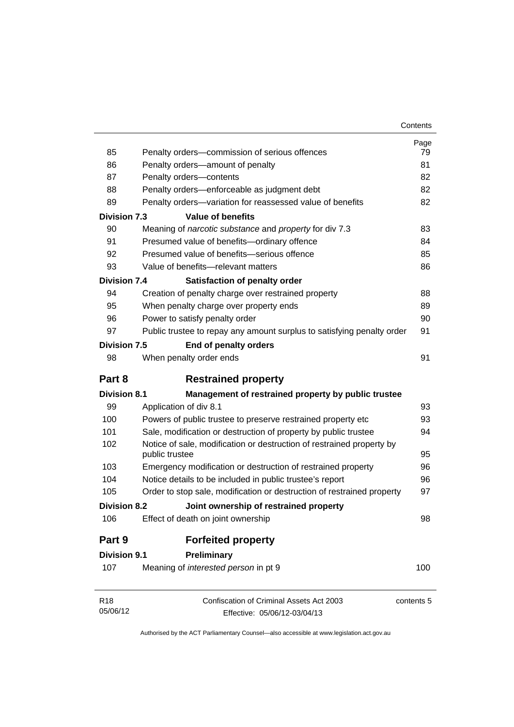| Contents |
|----------|
|----------|

|                             |                                                                          | Page       |
|-----------------------------|--------------------------------------------------------------------------|------------|
| 85                          | Penalty orders-commission of serious offences                            | 79         |
| 86                          | Penalty orders-amount of penalty                                         | 81         |
| 87                          | Penalty orders-contents                                                  | 82         |
| 88                          | Penalty orders-enforceable as judgment debt                              | 82         |
| 89                          | Penalty orders-variation for reassessed value of benefits                | 82         |
| <b>Division 7.3</b>         | <b>Value of benefits</b>                                                 |            |
| 90                          | Meaning of narcotic substance and property for div 7.3                   | 83         |
| 91                          | Presumed value of benefits-ordinary offence                              | 84         |
| 92                          | Presumed value of benefits-serious offence                               | 85         |
| 93                          | Value of benefits-relevant matters                                       | 86         |
| <b>Division 7.4</b>         | Satisfaction of penalty order                                            |            |
| 94                          | Creation of penalty charge over restrained property                      | 88         |
| 95                          | When penalty charge over property ends                                   | 89         |
| 96                          | Power to satisfy penalty order                                           | 90         |
| 97                          | Public trustee to repay any amount surplus to satisfying penalty order   | 91         |
| <b>Division 7.5</b>         | End of penalty orders                                                    |            |
| 98                          | When penalty order ends                                                  | 91         |
| Part 8                      | <b>Restrained property</b>                                               |            |
| <b>Division 8.1</b>         | Management of restrained property by public trustee                      |            |
| 99                          | Application of div 8.1                                                   | 93         |
| 100                         | Powers of public trustee to preserve restrained property etc             | 93         |
| 101                         | Sale, modification or destruction of property by public trustee          |            |
| 102                         | Notice of sale, modification or destruction of restrained property by    |            |
|                             | public trustee                                                           | 95         |
| 103                         | Emergency modification or destruction of restrained property             | 96         |
| 104                         | Notice details to be included in public trustee's report                 | 96         |
| 105                         | Order to stop sale, modification or destruction of restrained property   | 97         |
| <b>Division 8.2</b>         | Joint ownership of restrained property                                   |            |
| 106                         | Effect of death on joint ownership                                       | 98         |
| Part 9                      | <b>Forfeited property</b>                                                |            |
| <b>Division 9.1</b>         | Preliminary                                                              |            |
| 107                         | Meaning of interested person in pt 9                                     | 100        |
| R <sub>18</sub><br>05/06/12 | Confiscation of Criminal Assets Act 2003<br>Effective: 05/06/12-03/04/13 | contents 5 |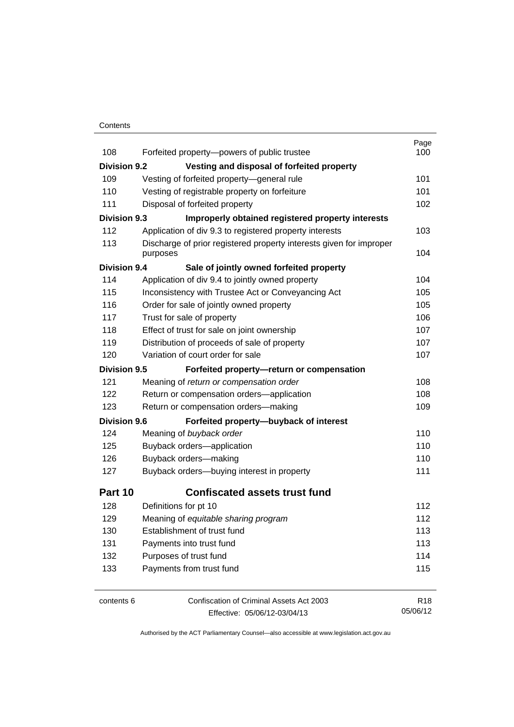### **Contents**

| 108                 | Forfeited property-powers of public trustee                         | Page<br>100     |
|---------------------|---------------------------------------------------------------------|-----------------|
| <b>Division 9.2</b> | Vesting and disposal of forfeited property                          |                 |
| 109                 | Vesting of forfeited property-general rule                          | 101             |
| 110                 | Vesting of registrable property on forfeiture                       | 101             |
| 111                 | Disposal of forfeited property                                      | 102             |
| <b>Division 9.3</b> | Improperly obtained registered property interests                   |                 |
| 112                 | Application of div 9.3 to registered property interests             | 103             |
| 113                 | Discharge of prior registered property interests given for improper |                 |
|                     | purposes                                                            | 104             |
| <b>Division 9.4</b> | Sale of jointly owned forfeited property                            |                 |
| 114                 | Application of div 9.4 to jointly owned property                    | 104             |
| 115                 | Inconsistency with Trustee Act or Conveyancing Act                  | 105             |
| 116                 | Order for sale of jointly owned property                            | 105             |
| 117                 | Trust for sale of property                                          | 106             |
| 118                 | Effect of trust for sale on joint ownership                         | 107             |
| 119                 | Distribution of proceeds of sale of property                        | 107             |
| 120                 | Variation of court order for sale                                   | 107             |
| <b>Division 9.5</b> | Forfeited property-return or compensation                           |                 |
| 121                 | Meaning of return or compensation order                             | 108             |
| 122                 | Return or compensation orders-application                           | 108             |
| 123                 | Return or compensation orders-making                                | 109             |
| <b>Division 9.6</b> | Forfeited property-buyback of interest                              |                 |
| 124                 | Meaning of buyback order                                            | 110             |
| 125                 | Buyback orders-application                                          | 110             |
| 126                 | Buyback orders-making                                               | 110             |
| 127                 | Buyback orders-buying interest in property                          | 111             |
| Part 10             | <b>Confiscated assets trust fund</b>                                |                 |
| 128                 | Definitions for pt 10                                               | 112             |
| 129                 | Meaning of equitable sharing program                                | 112             |
| 130                 | Establishment of trust fund                                         | 113             |
| 131                 | Payments into trust fund                                            | 113             |
| 132                 | Purposes of trust fund                                              | 114             |
| 133                 | Payments from trust fund                                            | 115             |
| contents 6          | Confiscation of Criminal Assets Act 2003                            | R <sub>18</sub> |

Effective: 05/06/12-03/04/13

05/06/12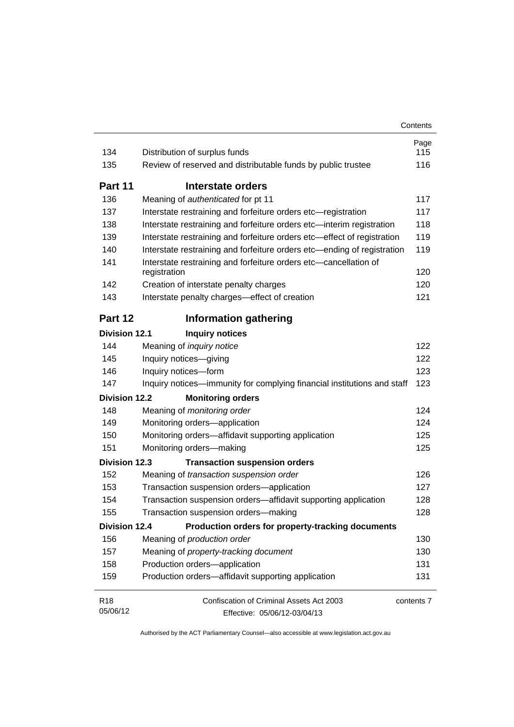| 134                  | Distribution of surplus funds                                                    | Page<br>115 |  |
|----------------------|----------------------------------------------------------------------------------|-------------|--|
| 135                  | Review of reserved and distributable funds by public trustee                     | 116         |  |
|                      |                                                                                  |             |  |
| Part 11              | Interstate orders                                                                |             |  |
| 136                  | Meaning of authenticated for pt 11                                               | 117         |  |
| 137                  | Interstate restraining and forfeiture orders etc-registration                    | 117         |  |
| 138                  | Interstate restraining and forfeiture orders etc-interim registration            | 118         |  |
| 139                  | Interstate restraining and forfeiture orders etc-effect of registration          | 119         |  |
| 140                  | Interstate restraining and forfeiture orders etc-ending of registration          | 119         |  |
| 141                  | Interstate restraining and forfeiture orders etc-cancellation of<br>registration | 120         |  |
| 142                  | Creation of interstate penalty charges                                           | 120         |  |
| 143                  | Interstate penalty charges-effect of creation                                    | 121         |  |
| Part 12              | <b>Information gathering</b>                                                     |             |  |
| <b>Division 12.1</b> | <b>Inquiry notices</b>                                                           |             |  |
| 144                  | Meaning of inquiry notice                                                        | 122         |  |
| 145                  | Inquiry notices-giving                                                           | 122         |  |
| 146                  | Inquiry notices-form                                                             |             |  |
| 147                  | Inquiry notices—immunity for complying financial institutions and staff          | 123<br>123  |  |
| <b>Division 12.2</b> | <b>Monitoring orders</b>                                                         |             |  |
| 148                  | Meaning of monitoring order                                                      | 124         |  |
| 149                  | Monitoring orders-application                                                    | 124         |  |
| 150                  | Monitoring orders-affidavit supporting application                               | 125         |  |
| 151                  | Monitoring orders-making                                                         | 125         |  |
| <b>Division 12.3</b> | <b>Transaction suspension orders</b>                                             |             |  |
| 152                  | Meaning of transaction suspension order                                          | 126         |  |
| 153                  | Transaction suspension orders-application                                        | 127         |  |
| 154                  | Transaction suspension orders-affidavit supporting application                   | 128         |  |
| 155                  | Transaction suspension orders-making                                             | 128         |  |
|                      | <b>Division 12.4</b><br>Production orders for property-tracking documents        |             |  |
| 156                  | Meaning of production order                                                      | 130         |  |
| 157                  | Meaning of property-tracking document                                            | 130         |  |
| 158                  | Production orders-application                                                    | 131         |  |
| 159                  | Production orders-affidavit supporting application                               | 131         |  |
| R <sub>18</sub>      | Confiscation of Criminal Assets Act 2003                                         | contents 7  |  |
| 05/06/12             | Effective: 05/06/12-03/04/13                                                     |             |  |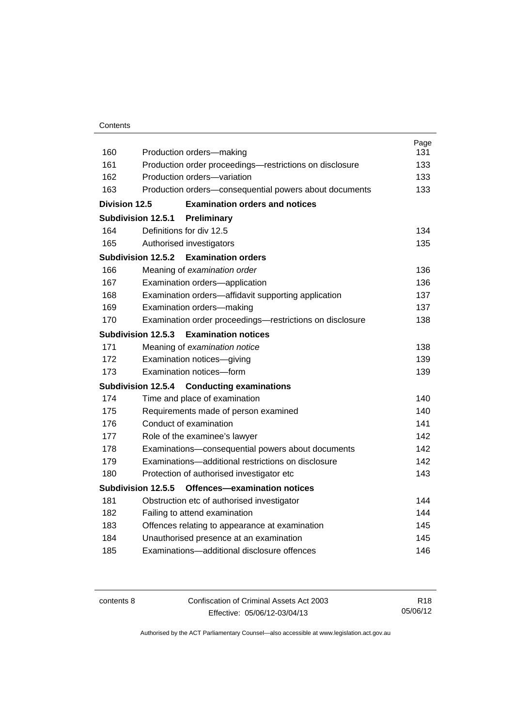|               |                                                             | Page |
|---------------|-------------------------------------------------------------|------|
| 160           | Production orders-making                                    | 131  |
| 161           | Production order proceedings—restrictions on disclosure     | 133  |
| 162           | Production orders-variation                                 | 133  |
| 163           | Production orders-consequential powers about documents      | 133  |
| Division 12.5 | <b>Examination orders and notices</b>                       |      |
|               | Subdivision 12.5.1<br>Preliminary                           |      |
| 164           | Definitions for div 12.5                                    | 134  |
| 165           | Authorised investigators                                    | 135  |
|               | <b>Examination orders</b><br>Subdivision 12.5.2             |      |
| 166           | Meaning of examination order                                | 136  |
| 167           | Examination orders-application                              | 136  |
| 168           | Examination orders—affidavit supporting application         | 137  |
| 169           | Examination orders-making                                   | 137  |
| 170           | Examination order proceedings-restrictions on disclosure    | 138  |
|               | Subdivision 12.5.3<br><b>Examination notices</b>            |      |
| 171           | Meaning of examination notice                               | 138  |
| 172           | Examination notices-giving                                  | 139  |
| 173           | Examination notices-form                                    | 139  |
|               | <b>Subdivision 12.5.4</b><br><b>Conducting examinations</b> |      |
| 174           | Time and place of examination                               | 140  |
| 175           | Requirements made of person examined                        | 140  |
| 176           | Conduct of examination                                      | 141  |
| 177           | Role of the examinee's lawyer                               | 142  |
| 178           | Examinations-consequential powers about documents           | 142  |
| 179           | Examinations—additional restrictions on disclosure          | 142  |
| 180           | Protection of authorised investigator etc                   | 143  |
|               | Subdivision 12.5.5<br>Offences-examination notices          |      |
| 181           | Obstruction etc of authorised investigator                  | 144  |
| 182           | Failing to attend examination                               | 144  |
| 183           | Offences relating to appearance at examination              | 145  |
| 184           | Unauthorised presence at an examination                     | 145  |
| 185           | Examinations-additional disclosure offences                 | 146  |
|               |                                                             |      |

contents 8 Confiscation of Criminal Assets Act 2003 Effective: 05/06/12-03/04/13

R18 05/06/12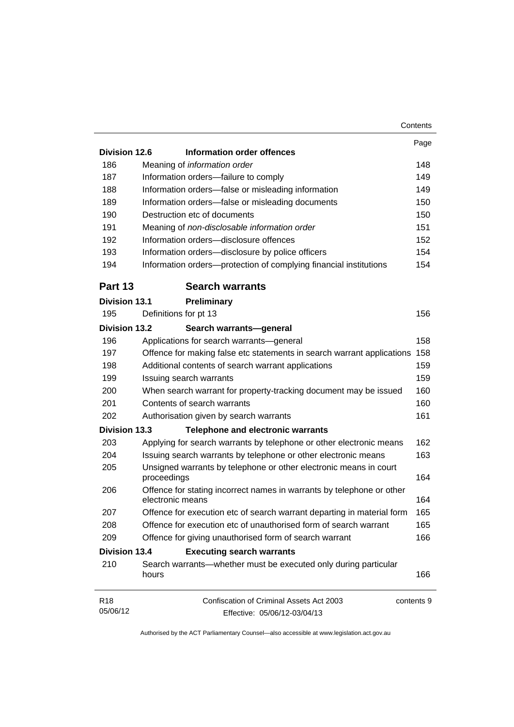|                             | Contents                                                                                        |  |
|-----------------------------|-------------------------------------------------------------------------------------------------|--|
| <b>Division 12.6</b>        | Information order offences                                                                      |  |
| 186                         | Meaning of information order                                                                    |  |
| 187                         |                                                                                                 |  |
|                             | Information orders-failure to comply                                                            |  |
| 188                         | Information orders-false or misleading information                                              |  |
| 189                         | Information orders-false or misleading documents                                                |  |
| 190                         | Destruction etc of documents                                                                    |  |
| 191                         | Meaning of non-disclosable information order                                                    |  |
| 192                         | Information orders-disclosure offences                                                          |  |
| 193                         | Information orders-disclosure by police officers                                                |  |
| 194                         | Information orders-protection of complying financial institutions                               |  |
| Part 13                     | <b>Search warrants</b>                                                                          |  |
| <b>Division 13.1</b>        | Preliminary                                                                                     |  |
| 195                         | Definitions for pt 13                                                                           |  |
| <b>Division 13.2</b>        | Search warrants-general                                                                         |  |
| 196                         | Applications for search warrants-general                                                        |  |
| 197                         | Offence for making false etc statements in search warrant applications                          |  |
| 198                         | Additional contents of search warrant applications                                              |  |
| 199                         | Issuing search warrants                                                                         |  |
| 200                         | When search warrant for property-tracking document may be issued<br>Contents of search warrants |  |
| 201                         |                                                                                                 |  |
| 202                         | Authorisation given by search warrants                                                          |  |
| <b>Division 13.3</b>        | <b>Telephone and electronic warrants</b>                                                        |  |
| 203                         | Applying for search warrants by telephone or other electronic means                             |  |
| 204                         | Issuing search warrants by telephone or other electronic means                                  |  |
| 205                         | Unsigned warrants by telephone or other electronic means in court<br>proceedings                |  |
| 206                         | Offence for stating incorrect names in warrants by telephone or other<br>electronic means       |  |
| 207                         | Offence for execution etc of search warrant departing in material form                          |  |
| 208                         | Offence for execution etc of unauthorised form of search warrant                                |  |
| 209                         | Offence for giving unauthorised form of search warrant                                          |  |
| <b>Division 13.4</b>        | <b>Executing search warrants</b>                                                                |  |
| 210                         | Search warrants—whether must be executed only during particular<br>hours                        |  |
| R <sub>18</sub><br>05/06/12 | Confiscation of Criminal Assets Act 2003<br>contents 9<br>Effective: 05/06/12-03/04/13          |  |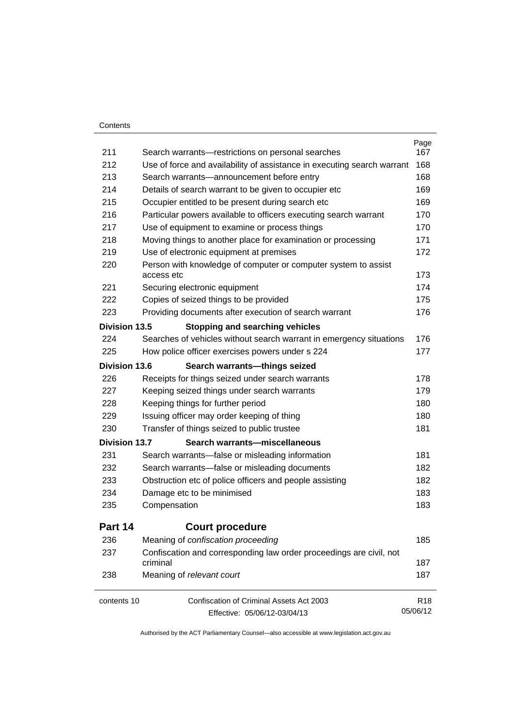### **Contents**

| 211                  |                                                                                                                              | Page<br>167     |  |
|----------------------|------------------------------------------------------------------------------------------------------------------------------|-----------------|--|
| 212                  | Search warrants-restrictions on personal searches<br>Use of force and availability of assistance in executing search warrant |                 |  |
| 213                  | Search warrants-announcement before entry                                                                                    |                 |  |
| 214                  | Details of search warrant to be given to occupier etc                                                                        | 168<br>169      |  |
| 215                  | Occupier entitled to be present during search etc                                                                            | 169             |  |
| 216                  | Particular powers available to officers executing search warrant                                                             | 170             |  |
| 217                  | Use of equipment to examine or process things                                                                                |                 |  |
| 218                  | Moving things to another place for examination or processing                                                                 |                 |  |
| 219                  | Use of electronic equipment at premises                                                                                      |                 |  |
| 220                  | Person with knowledge of computer or computer system to assist<br>access etc                                                 |                 |  |
| 221                  | Securing electronic equipment                                                                                                | 174             |  |
| 222                  | Copies of seized things to be provided                                                                                       | 175             |  |
| 223                  | Providing documents after execution of search warrant                                                                        | 176             |  |
| <b>Division 13.5</b> | <b>Stopping and searching vehicles</b>                                                                                       |                 |  |
| 224                  | Searches of vehicles without search warrant in emergency situations                                                          | 176             |  |
| 225                  | How police officer exercises powers under s 224                                                                              | 177             |  |
| Division 13.6        | Search warrants-things seized                                                                                                |                 |  |
| 226                  | Receipts for things seized under search warrants                                                                             | 178             |  |
| 227                  | Keeping seized things under search warrants                                                                                  | 179             |  |
| 228                  | Keeping things for further period                                                                                            | 180             |  |
| 229                  | Issuing officer may order keeping of thing                                                                                   | 180             |  |
| 230                  | Transfer of things seized to public trustee                                                                                  | 181             |  |
| <b>Division 13.7</b> | Search warrants-miscellaneous                                                                                                |                 |  |
| 231                  | Search warrants-false or misleading information                                                                              | 181             |  |
| 232                  | Search warrants—false or misleading documents                                                                                | 182             |  |
| 233                  | Obstruction etc of police officers and people assisting                                                                      |                 |  |
| 234                  | Damage etc to be minimised                                                                                                   |                 |  |
| 235                  | Compensation                                                                                                                 | 183             |  |
| Part 14              | <b>Court procedure</b>                                                                                                       |                 |  |
| 236                  | Meaning of confiscation proceeding                                                                                           | 185             |  |
| 237                  | Confiscation and corresponding law order proceedings are civil, not<br>criminal                                              | 187             |  |
| 238                  | Meaning of relevant court                                                                                                    | 187             |  |
| contents 10          | Confiscation of Criminal Assets Act 2003                                                                                     | R <sub>18</sub> |  |
|                      | Effective: 05/06/12-03/04/13                                                                                                 | 05/06/12        |  |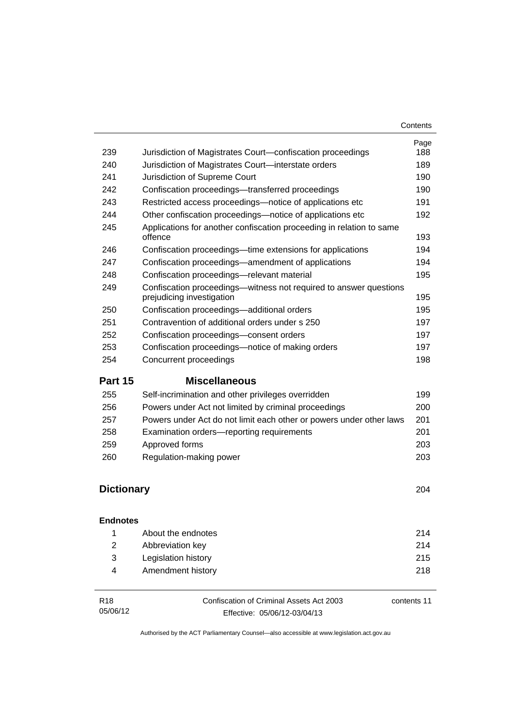| 239               | Jurisdiction of Magistrates Court-confiscation proceedings                                     | Page<br>188 |
|-------------------|------------------------------------------------------------------------------------------------|-------------|
| 240               | Jurisdiction of Magistrates Court-interstate orders                                            | 189         |
| 241               | Jurisdiction of Supreme Court                                                                  | 190         |
| 242               | Confiscation proceedings—transferred proceedings                                               | 190         |
| 243               | Restricted access proceedings—notice of applications etc                                       | 191         |
| 244               | Other confiscation proceedings—notice of applications etc                                      | 192         |
| 245               | Applications for another confiscation proceeding in relation to same<br>offence                | 193         |
| 246               | Confiscation proceedings—time extensions for applications                                      | 194         |
| 247               | Confiscation proceedings—amendment of applications                                             | 194         |
| 248               | Confiscation proceedings-relevant material                                                     | 195         |
| 249               | Confiscation proceedings—witness not required to answer questions<br>prejudicing investigation | 195         |
| 250               | Confiscation proceedings-additional orders                                                     | 195         |
| 251               | Contravention of additional orders under s 250                                                 | 197         |
| 252               | Confiscation proceedings-consent orders                                                        | 197         |
| 253               | Confiscation proceedings—notice of making orders                                               | 197         |
| 254               | Concurrent proceedings                                                                         | 198         |
| Part 15           | <b>Miscellaneous</b>                                                                           |             |
| 255               | Self-incrimination and other privileges overridden                                             | 199         |
| 256               | Powers under Act not limited by criminal proceedings                                           | 200         |
| 257               | Powers under Act do not limit each other or powers under other laws                            | 201         |
| 258               | Examination orders-reporting requirements                                                      | 201         |
| 259               | Approved forms                                                                                 | 203         |
| 260               | Regulation-making power                                                                        | 203         |
| <b>Dictionary</b> |                                                                                                | 204         |

### **[Endnotes](#page-227-0)**

|              | About the endnotes  | 214 |
|--------------|---------------------|-----|
| <sup>2</sup> | Abbreviation key    | 214 |
| -3-          | Legislation history | 215 |
| 4            | Amendment history   | 218 |
|              |                     |     |

| R18      | Confiscation of Criminal Assets Act 2003 | contents 11 |
|----------|------------------------------------------|-------------|
| 05/06/12 | Effective: 05/06/12-03/04/13             |             |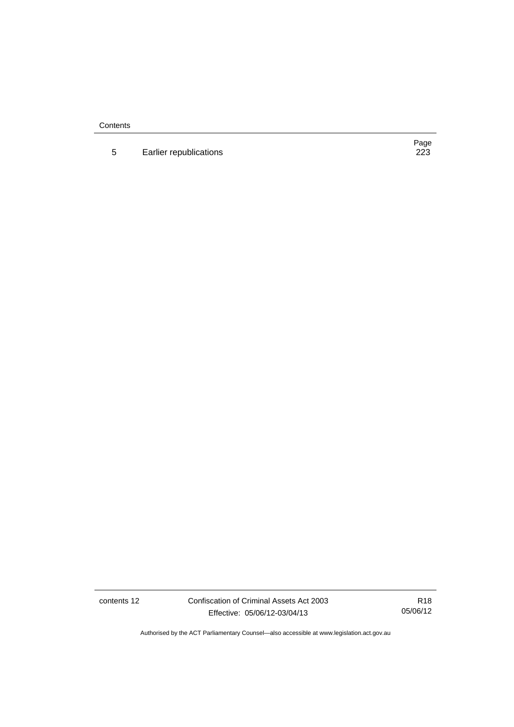**Contents** 

5 Earlier republications

Page<br>223

contents 12 Confiscation of Criminal Assets Act 2003 Effective: 05/06/12-03/04/13

R18 05/06/12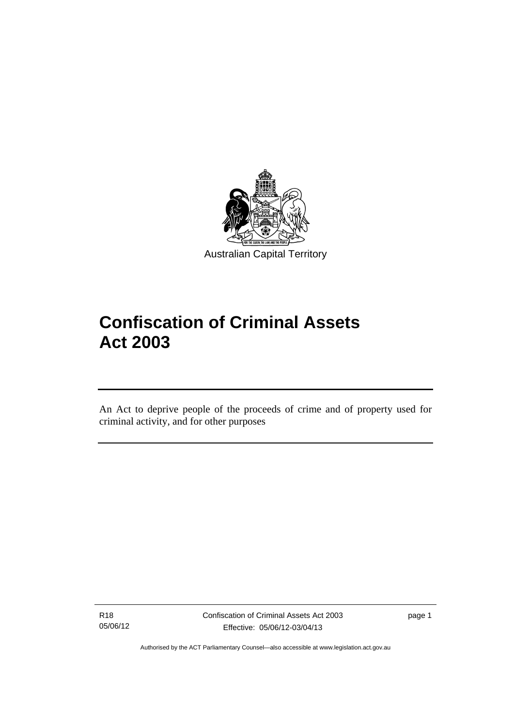

# **Confiscation of Criminal Assets Act 2003**

An Act to deprive people of the proceeds of crime and of property used for criminal activity, and for other purposes

R18 05/06/12

l

page 1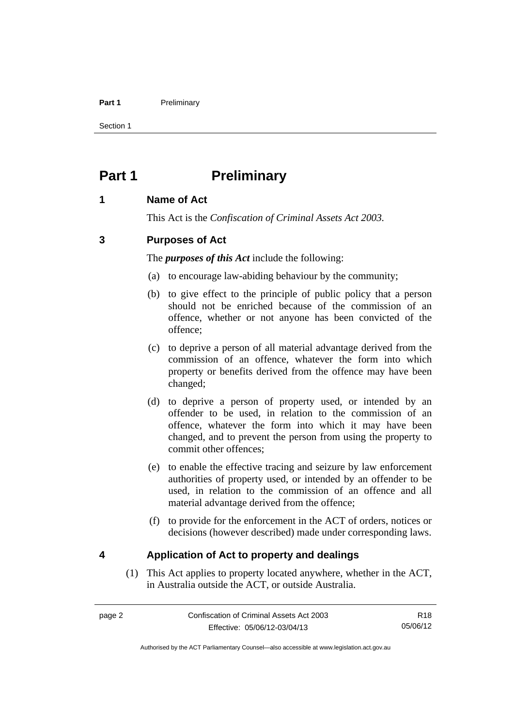### Part 1 **Preliminary**

Section 1

# <span id="page-15-0"></span>**Part 1** Preliminary

# <span id="page-15-1"></span>**1 Name of Act**

This Act is the *Confiscation of Criminal Assets Act 2003.*

# <span id="page-15-2"></span>**3 Purposes of Act**

The *purposes of this Act* include the following:

- (a) to encourage law-abiding behaviour by the community;
- (b) to give effect to the principle of public policy that a person should not be enriched because of the commission of an offence, whether or not anyone has been convicted of the offence;
- (c) to deprive a person of all material advantage derived from the commission of an offence, whatever the form into which property or benefits derived from the offence may have been changed;
- (d) to deprive a person of property used, or intended by an offender to be used, in relation to the commission of an offence, whatever the form into which it may have been changed, and to prevent the person from using the property to commit other offences;
- (e) to enable the effective tracing and seizure by law enforcement authorities of property used, or intended by an offender to be used, in relation to the commission of an offence and all material advantage derived from the offence;
- (f) to provide for the enforcement in the ACT of orders, notices or decisions (however described) made under corresponding laws.

# <span id="page-15-3"></span>**4 Application of Act to property and dealings**

(1) This Act applies to property located anywhere, whether in the ACT, in Australia outside the ACT, or outside Australia.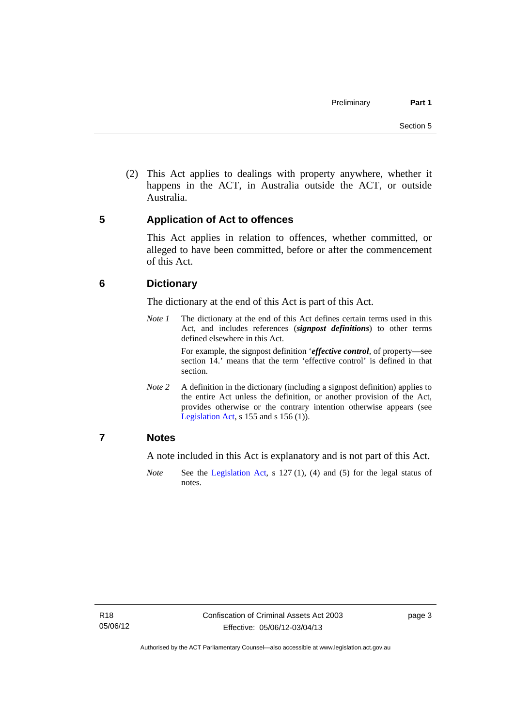(2) This Act applies to dealings with property anywhere, whether it happens in the ACT, in Australia outside the ACT, or outside Australia.

# <span id="page-16-0"></span>**5 Application of Act to offences**

This Act applies in relation to offences, whether committed, or alleged to have been committed, before or after the commencement of this Act.

# <span id="page-16-1"></span>**6 Dictionary**

The dictionary at the end of this Act is part of this Act.

*Note 1* The dictionary at the end of this Act defines certain terms used in this Act, and includes references (*signpost definitions*) to other terms defined elsewhere in this Act.

> For example, the signpost definition '*effective control*, of property—see section 14.' means that the term 'effective control' is defined in that section.

*Note* 2 A definition in the dictionary (including a signpost definition) applies to the entire Act unless the definition, or another provision of the Act, provides otherwise or the contrary intention otherwise appears (see [Legislation Act,](http://www.legislation.act.gov.au/a/2001-14)  $s$  155 and  $s$  156 (1)).

# <span id="page-16-2"></span>**7 Notes**

A note included in this Act is explanatory and is not part of this Act.

*Note* See the [Legislation Act,](http://www.legislation.act.gov.au/a/2001-14) s 127 (1), (4) and (5) for the legal status of notes.

page 3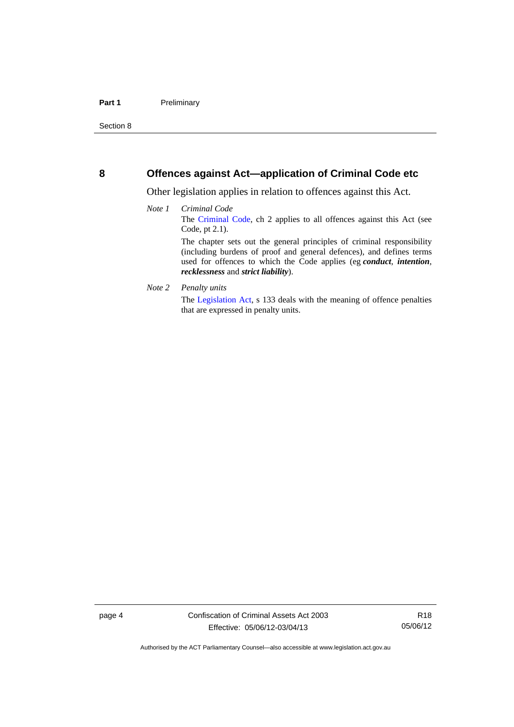## <span id="page-17-0"></span>**8 Offences against Act—application of Criminal Code etc**

Other legislation applies in relation to offences against this Act.

- *Note 1 Criminal Code* The [Criminal Code](http://www.legislation.act.gov.au/a/2002-51), ch 2 applies to all offences against this Act (see Code, pt 2.1). The chapter sets out the general principles of criminal responsibility (including burdens of proof and general defences), and defines terms used for offences to which the Code applies (eg *conduct*, *intention*, *recklessness* and *strict liability*).
- *Note 2 Penalty units*

The [Legislation Act](http://www.legislation.act.gov.au/a/2001-14), s 133 deals with the meaning of offence penalties that are expressed in penalty units.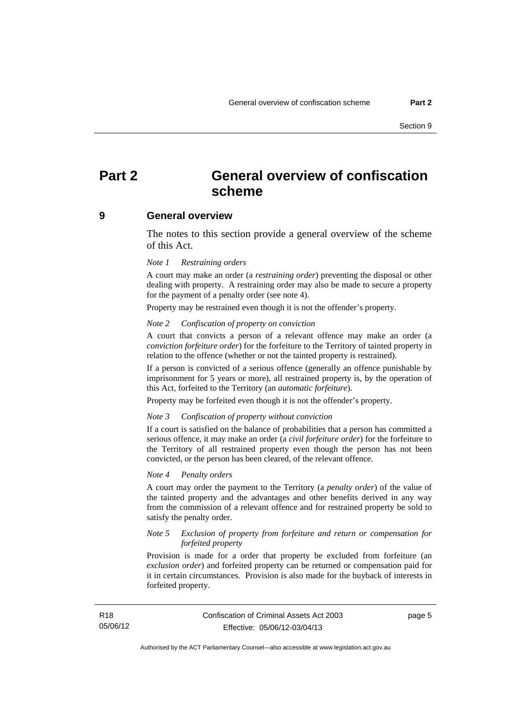# <span id="page-18-0"></span>**Part 2 General overview of confiscation scheme**

### <span id="page-18-1"></span>**9 General overview**

The notes to this section provide a general overview of the scheme of this Act.

### *Note 1 Restraining orders*

A court may make an order (a *restraining order*) preventing the disposal or other dealing with property. A restraining order may also be made to secure a property for the payment of a penalty order (see note 4).

Property may be restrained even though it is not the offender's property.

#### *Note 2 Confiscation of property on conviction*

A court that convicts a person of a relevant offence may make an order (a *conviction forfeiture order*) for the forfeiture to the Territory of tainted property in relation to the offence (whether or not the tainted property is restrained).

If a person is convicted of a serious offence (generally an offence punishable by imprisonment for 5 years or more), all restrained property is, by the operation of this Act, forfeited to the Territory (an *automatic forfeiture*).

Property may be forfeited even though it is not the offender's property.

#### *Note 3 Confiscation of property without conviction*

If a court is satisfied on the balance of probabilities that a person has committed a serious offence, it may make an order (a *civil forfeiture order*) for the forfeiture to the Territory of all restrained property even though the person has not been convicted, or the person has been cleared, of the relevant offence.

### *Note 4 Penalty orders*

A court may order the payment to the Territory (a *penalty order*) of the value of the tainted property and the advantages and other benefits derived in any way from the commission of a relevant offence and for restrained property be sold to satisfy the penalty order.

### *Note 5 Exclusion of property from forfeiture and return or compensation for forfeited property*

Provision is made for a order that property be excluded from forfeiture (an *exclusion order*) and forfeited property can be returned or compensation paid for it in certain circumstances. Provision is also made for the buyback of interests in forfeited property.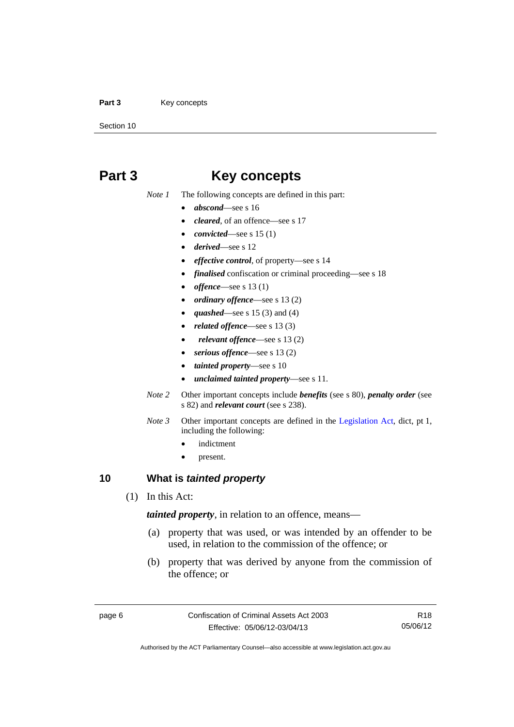### Part 3 **Key concepts**

Section 10

# <span id="page-19-0"></span>**Part 3 Key concepts**

*Note 1* The following concepts are defined in this part:

- *abscond*—see s 16
- *cleared*, of an offence—see s 17
- *convicted*—see s 15 (1)
- *derived*—see s 12
- *effective control*, of property—see s 14
- *finalised* confiscation or criminal proceeding—see s 18
- *offence*—see s 13 (1)
- *ordinary offence*—see s 13 (2)
- *quashed*—see s 15 (3) and (4)
- *related offence*—see s 13 (3)
- *relevant offence*—see s 13 (2)
- *serious offence*—see s 13 (2)
- *tainted property*—see s 10
- *unclaimed tainted property*—see s 11.
- *Note 2* Other important concepts include *benefits* (see s 80), *penalty order* (see s 82) and *relevant court* (see s 238).
- *Note 3* Other important concepts are defined in the [Legislation Act,](http://www.legislation.act.gov.au/a/2001-14) dict, pt 1, including the following:
	- indictment
	- present.

# <span id="page-19-1"></span>**10 What is** *tainted property*

(1) In this Act:

*tainted property*, in relation to an offence, means—

- (a) property that was used, or was intended by an offender to be used, in relation to the commission of the offence; or
- (b) property that was derived by anyone from the commission of the offence; or

Authorised by the ACT Parliamentary Counsel—also accessible at www.legislation.act.gov.au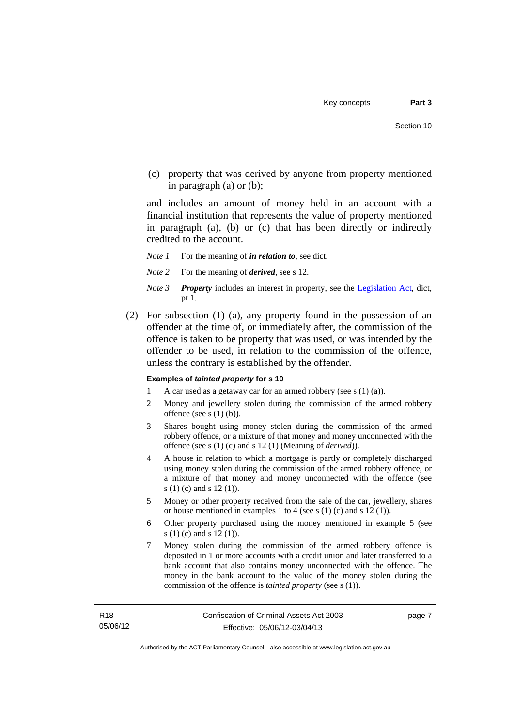(c) property that was derived by anyone from property mentioned in paragraph (a) or (b);

and includes an amount of money held in an account with a financial institution that represents the value of property mentioned in paragraph (a), (b) or (c) that has been directly or indirectly credited to the account.

- *Note 1* For the meaning of *in relation to*, see dict.
- *Note 2* For the meaning of *derived*, see s 12.
- *Note 3 Property* includes an interest in property, see the [Legislation Act,](http://www.legislation.act.gov.au/a/2001-14) dict, pt 1.
- (2) For subsection (1) (a), any property found in the possession of an offender at the time of, or immediately after, the commission of the offence is taken to be property that was used, or was intended by the offender to be used, in relation to the commission of the offence, unless the contrary is established by the offender.

### **Examples of** *tainted property* **for s 10**

- 1 A car used as a getaway car for an armed robbery (see s (1) (a)).
- 2 Money and jewellery stolen during the commission of the armed robbery offence (see s (1) (b)).
- 3 Shares bought using money stolen during the commission of the armed robbery offence, or a mixture of that money and money unconnected with the offence (see s (1) (c) and s 12 (1) (Meaning of *derived*)).
- 4 A house in relation to which a mortgage is partly or completely discharged using money stolen during the commission of the armed robbery offence, or a mixture of that money and money unconnected with the offence (see s (1) (c) and s 12 (1)).
- 5 Money or other property received from the sale of the car, jewellery, shares or house mentioned in examples 1 to 4 (see s (1) (c) and s 12 (1)).
- 6 Other property purchased using the money mentioned in example 5 (see s (1) (c) and s 12 (1)).
- 7 Money stolen during the commission of the armed robbery offence is deposited in 1 or more accounts with a credit union and later transferred to a bank account that also contains money unconnected with the offence. The money in the bank account to the value of the money stolen during the commission of the offence is *tainted property* (see s (1)).

page 7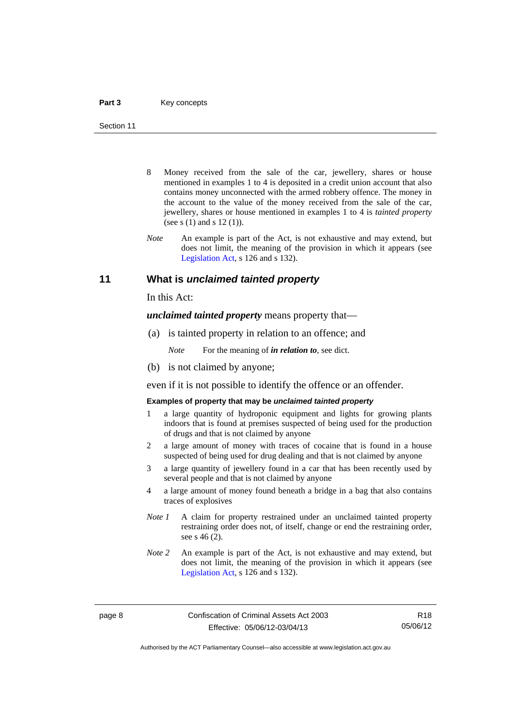- 8 Money received from the sale of the car, jewellery, shares or house mentioned in examples 1 to 4 is deposited in a credit union account that also contains money unconnected with the armed robbery offence. The money in the account to the value of the money received from the sale of the car, jewellery, shares or house mentioned in examples 1 to 4 is *tainted property* (see s (1) and s 12 (1)).
- *Note* An example is part of the Act, is not exhaustive and may extend, but does not limit, the meaning of the provision in which it appears (see [Legislation Act,](http://www.legislation.act.gov.au/a/2001-14) s 126 and s 132).

### <span id="page-21-0"></span>**11 What is** *unclaimed tainted property*

In this Act:

*unclaimed tainted property* means property that—

(a) is tainted property in relation to an offence; and

*Note* For the meaning of *in relation to*, see dict.

(b) is not claimed by anyone;

even if it is not possible to identify the offence or an offender.

### **Examples of property that may be** *unclaimed tainted property*

- 1 a large quantity of hydroponic equipment and lights for growing plants indoors that is found at premises suspected of being used for the production of drugs and that is not claimed by anyone
- 2 a large amount of money with traces of cocaine that is found in a house suspected of being used for drug dealing and that is not claimed by anyone
- 3 a large quantity of jewellery found in a car that has been recently used by several people and that is not claimed by anyone
- 4 a large amount of money found beneath a bridge in a bag that also contains traces of explosives
- *Note 1* A claim for property restrained under an unclaimed tainted property restraining order does not, of itself, change or end the restraining order, see s 46 (2).
- *Note 2* An example is part of the Act, is not exhaustive and may extend, but does not limit, the meaning of the provision in which it appears (see [Legislation Act,](http://www.legislation.act.gov.au/a/2001-14) s 126 and s 132).

R18 05/06/12

Authorised by the ACT Parliamentary Counsel—also accessible at www.legislation.act.gov.au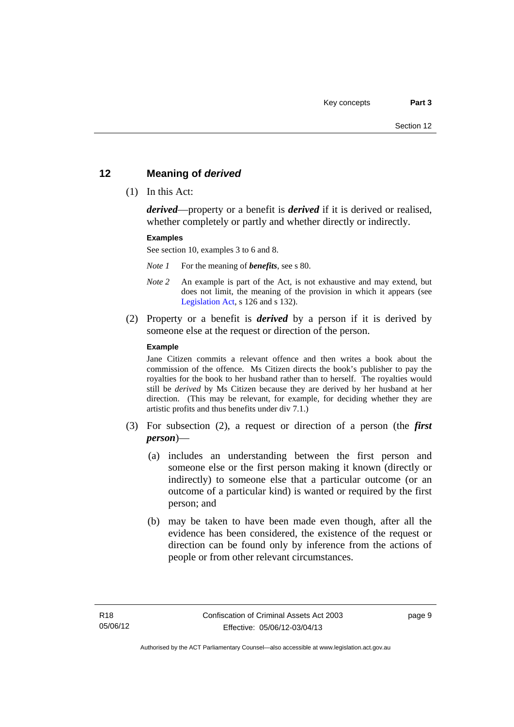# <span id="page-22-0"></span>**12 Meaning of** *derived*

(1) In this Act:

*derived*—property or a benefit is *derived* if it is derived or realised, whether completely or partly and whether directly or indirectly.

### **Examples**

See section 10, examples 3 to 6 and 8.

*Note 1* For the meaning of *benefits*, see s 80.

- *Note 2* An example is part of the Act, is not exhaustive and may extend, but does not limit, the meaning of the provision in which it appears (see [Legislation Act,](http://www.legislation.act.gov.au/a/2001-14) s 126 and s 132).
- (2) Property or a benefit is *derived* by a person if it is derived by someone else at the request or direction of the person.

### **Example**

Jane Citizen commits a relevant offence and then writes a book about the commission of the offence. Ms Citizen directs the book's publisher to pay the royalties for the book to her husband rather than to herself. The royalties would still be *derived* by Ms Citizen because they are derived by her husband at her direction. (This may be relevant, for example, for deciding whether they are artistic profits and thus benefits under div 7.1.)

- (3) For subsection (2), a request or direction of a person (the *first person*)—
	- (a) includes an understanding between the first person and someone else or the first person making it known (directly or indirectly) to someone else that a particular outcome (or an outcome of a particular kind) is wanted or required by the first person; and
	- (b) may be taken to have been made even though, after all the evidence has been considered, the existence of the request or direction can be found only by inference from the actions of people or from other relevant circumstances.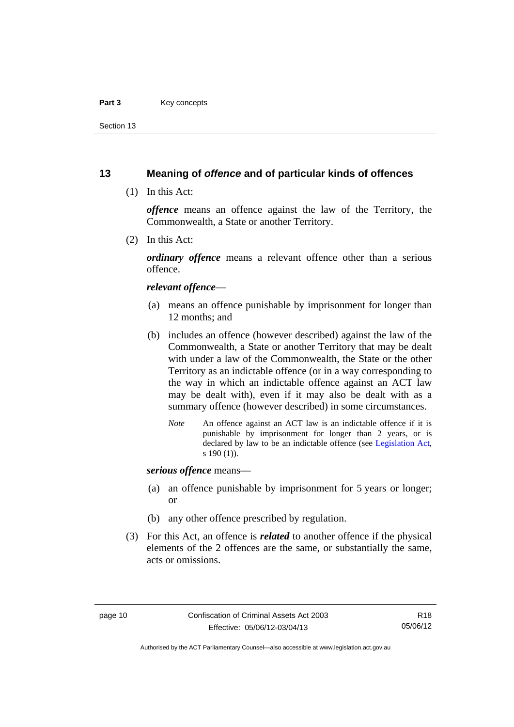### Part 3 **Key concepts**

Section 13

# <span id="page-23-0"></span>**13 Meaning of** *offence* **and of particular kinds of offences**

(1) In this Act:

*offence* means an offence against the law of the Territory, the Commonwealth, a State or another Territory.

(2) In this Act:

*ordinary offence* means a relevant offence other than a serious offence.

### *relevant offence*—

- (a) means an offence punishable by imprisonment for longer than 12 months; and
- (b) includes an offence (however described) against the law of the Commonwealth, a State or another Territory that may be dealt with under a law of the Commonwealth, the State or the other Territory as an indictable offence (or in a way corresponding to the way in which an indictable offence against an ACT law may be dealt with), even if it may also be dealt with as a summary offence (however described) in some circumstances.
	- *Note* An offence against an ACT law is an indictable offence if it is punishable by imprisonment for longer than 2 years, or is declared by law to be an indictable offence (see [Legislation Act,](http://www.legislation.act.gov.au/a/2001-14) s 190 (1)).

*serious offence* means—

- (a) an offence punishable by imprisonment for 5 years or longer; or
- (b) any other offence prescribed by regulation.
- (3) For this Act, an offence is *related* to another offence if the physical elements of the 2 offences are the same, or substantially the same, acts or omissions.

Authorised by the ACT Parliamentary Counsel—also accessible at www.legislation.act.gov.au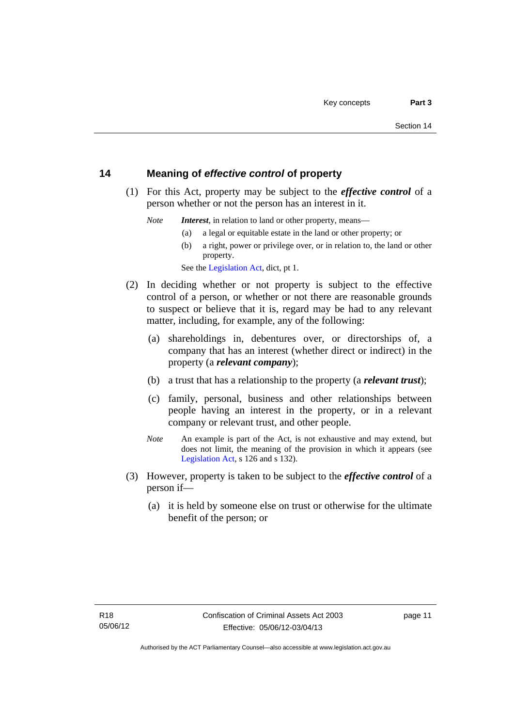# <span id="page-24-0"></span>**14 Meaning of** *effective control* **of property**

 (1) For this Act, property may be subject to the *effective control* of a person whether or not the person has an interest in it.

*Note Interest*, in relation to land or other property, means—

- (a) a legal or equitable estate in the land or other property; or
- (b) a right, power or privilege over, or in relation to, the land or other property.

See the [Legislation Act,](http://www.legislation.act.gov.au/a/2001-14) dict, pt 1.

- (2) In deciding whether or not property is subject to the effective control of a person, or whether or not there are reasonable grounds to suspect or believe that it is, regard may be had to any relevant matter, including, for example, any of the following:
	- (a) shareholdings in, debentures over, or directorships of, a company that has an interest (whether direct or indirect) in the property (a *relevant company*);
	- (b) a trust that has a relationship to the property (a *relevant trust*);
	- (c) family, personal, business and other relationships between people having an interest in the property, or in a relevant company or relevant trust, and other people.
	- *Note* An example is part of the Act, is not exhaustive and may extend, but does not limit, the meaning of the provision in which it appears (see [Legislation Act,](http://www.legislation.act.gov.au/a/2001-14) s 126 and s 132).
- (3) However, property is taken to be subject to the *effective control* of a person if—
	- (a) it is held by someone else on trust or otherwise for the ultimate benefit of the person; or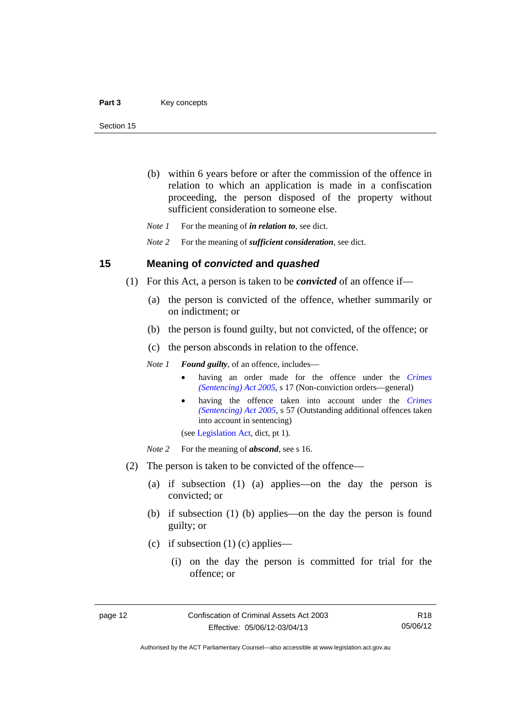- (b) within 6 years before or after the commission of the offence in relation to which an application is made in a confiscation proceeding, the person disposed of the property without sufficient consideration to someone else.
- *Note 1* For the meaning of *in relation to*, see dict.

*Note 2* For the meaning of *sufficient consideration*, see dict.

## <span id="page-25-0"></span>**15 Meaning of** *convicted* **and** *quashed*

- (1) For this Act, a person is taken to be *convicted* of an offence if—
	- (a) the person is convicted of the offence, whether summarily or on indictment; or
	- (b) the person is found guilty, but not convicted, of the offence; or
	- (c) the person absconds in relation to the offence.

*Note 1 Found guilty*, of an offence, includes—

- having an order made for the offence under the *[Crimes](http://www.legislation.act.gov.au/a/2005-58)  [\(Sentencing\) Act 2005](http://www.legislation.act.gov.au/a/2005-58)*, s 17 (Non-conviction orders—general)
- having the offence taken into account under the *[Crimes](http://www.legislation.act.gov.au/a/2005-58)  [\(Sentencing\) Act 2005](http://www.legislation.act.gov.au/a/2005-58)*, s 57 (Outstanding additional offences taken into account in sentencing)

(see [Legislation Act,](http://www.legislation.act.gov.au/a/2001-14) dict, pt 1).

*Note* 2 For the meaning of *abscond*, see s 16.

- (2) The person is taken to be convicted of the offence—
	- (a) if subsection (1) (a) applies—on the day the person is convicted; or
	- (b) if subsection (1) (b) applies—on the day the person is found guilty; or
	- (c) if subsection  $(1)$  (c) applies—
		- (i) on the day the person is committed for trial for the offence; or

R18 05/06/12

Authorised by the ACT Parliamentary Counsel—also accessible at www.legislation.act.gov.au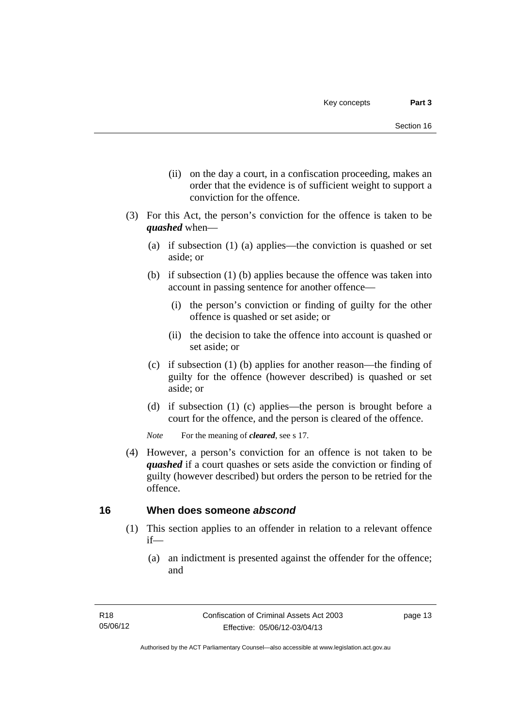- (ii) on the day a court, in a confiscation proceeding, makes an order that the evidence is of sufficient weight to support a conviction for the offence.
- (3) For this Act, the person's conviction for the offence is taken to be *quashed* when—
	- (a) if subsection (1) (a) applies—the conviction is quashed or set aside; or
	- (b) if subsection (1) (b) applies because the offence was taken into account in passing sentence for another offence—
		- (i) the person's conviction or finding of guilty for the other offence is quashed or set aside; or
		- (ii) the decision to take the offence into account is quashed or set aside; or
	- (c) if subsection (1) (b) applies for another reason—the finding of guilty for the offence (however described) is quashed or set aside; or
	- (d) if subsection (1) (c) applies—the person is brought before a court for the offence, and the person is cleared of the offence.

*Note* For the meaning of *cleared*, see s 17.

 (4) However, a person's conviction for an offence is not taken to be *quashed* if a court quashes or sets aside the conviction or finding of guilty (however described) but orders the person to be retried for the offence.

# <span id="page-26-0"></span>**16 When does someone** *abscond*

- (1) This section applies to an offender in relation to a relevant offence if—
	- (a) an indictment is presented against the offender for the offence; and

page 13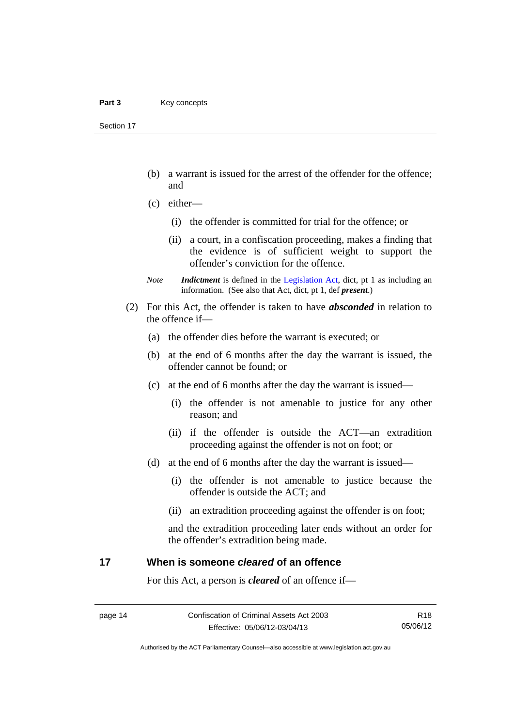Section 17

- (b) a warrant is issued for the arrest of the offender for the offence; and
- (c) either—
	- (i) the offender is committed for trial for the offence; or
	- (ii) a court, in a confiscation proceeding, makes a finding that the evidence is of sufficient weight to support the offender's conviction for the offence.
- *Note Indictment* is defined in the [Legislation Act,](http://www.legislation.act.gov.au/a/2001-14) dict, pt 1 as including an information. (See also that Act, dict, pt 1, def *present*.)
- (2) For this Act, the offender is taken to have *absconded* in relation to the offence if—
	- (a) the offender dies before the warrant is executed; or
	- (b) at the end of 6 months after the day the warrant is issued, the offender cannot be found; or
	- (c) at the end of 6 months after the day the warrant is issued—
		- (i) the offender is not amenable to justice for any other reason; and
		- (ii) if the offender is outside the ACT—an extradition proceeding against the offender is not on foot; or
	- (d) at the end of 6 months after the day the warrant is issued—
		- (i) the offender is not amenable to justice because the offender is outside the ACT; and
		- (ii) an extradition proceeding against the offender is on foot;

and the extradition proceeding later ends without an order for the offender's extradition being made.

# <span id="page-27-0"></span>**17 When is someone** *cleared* **of an offence**

For this Act, a person is *cleared* of an offence if—

R18 05/06/12

Authorised by the ACT Parliamentary Counsel—also accessible at www.legislation.act.gov.au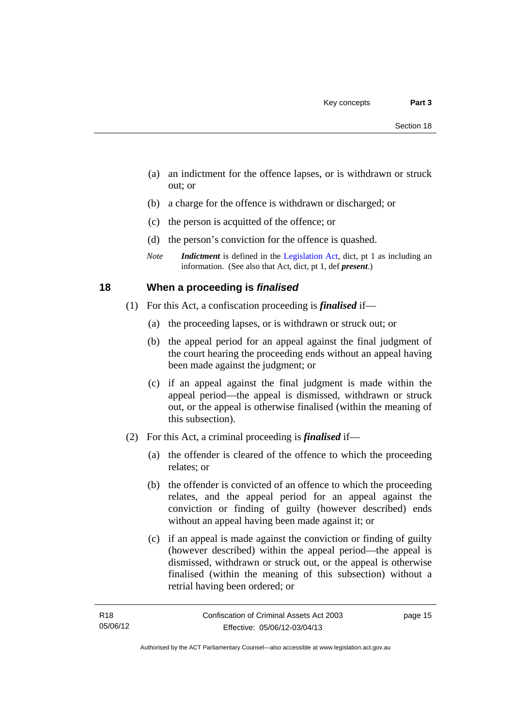- (a) an indictment for the offence lapses, or is withdrawn or struck out; or
- (b) a charge for the offence is withdrawn or discharged; or
- (c) the person is acquitted of the offence; or
- (d) the person's conviction for the offence is quashed.
- *Note Indictment* is defined in the [Legislation Act,](http://www.legislation.act.gov.au/a/2001-14) dict, pt 1 as including an information. (See also that Act, dict, pt 1, def *present*.)

# <span id="page-28-0"></span>**18 When a proceeding is** *finalised*

- (1) For this Act, a confiscation proceeding is *finalised* if—
	- (a) the proceeding lapses, or is withdrawn or struck out; or
	- (b) the appeal period for an appeal against the final judgment of the court hearing the proceeding ends without an appeal having been made against the judgment; or
	- (c) if an appeal against the final judgment is made within the appeal period—the appeal is dismissed, withdrawn or struck out, or the appeal is otherwise finalised (within the meaning of this subsection).
- (2) For this Act, a criminal proceeding is *finalised* if—
	- (a) the offender is cleared of the offence to which the proceeding relates; or
	- (b) the offender is convicted of an offence to which the proceeding relates, and the appeal period for an appeal against the conviction or finding of guilty (however described) ends without an appeal having been made against it; or
	- (c) if an appeal is made against the conviction or finding of guilty (however described) within the appeal period—the appeal is dismissed, withdrawn or struck out, or the appeal is otherwise finalised (within the meaning of this subsection) without a retrial having been ordered; or

page 15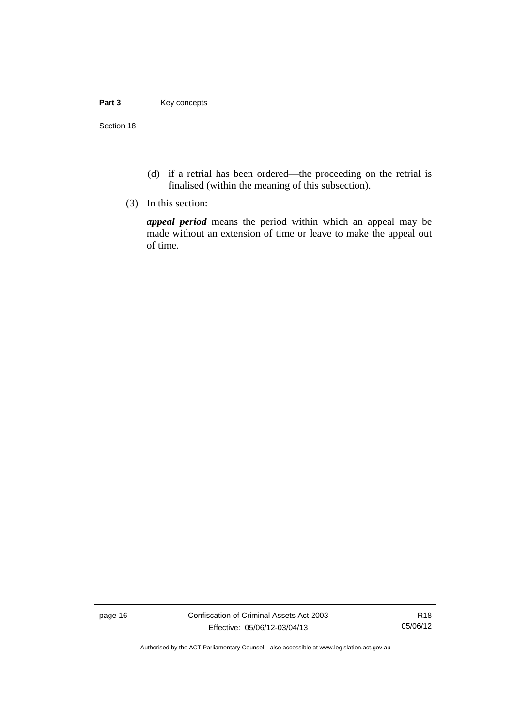### Part 3 **Key concepts**

Section 18

- (d) if a retrial has been ordered—the proceeding on the retrial is finalised (within the meaning of this subsection).
- (3) In this section:

*appeal period* means the period within which an appeal may be made without an extension of time or leave to make the appeal out of time.

page 16 Confiscation of Criminal Assets Act 2003 Effective: 05/06/12-03/04/13

R18 05/06/12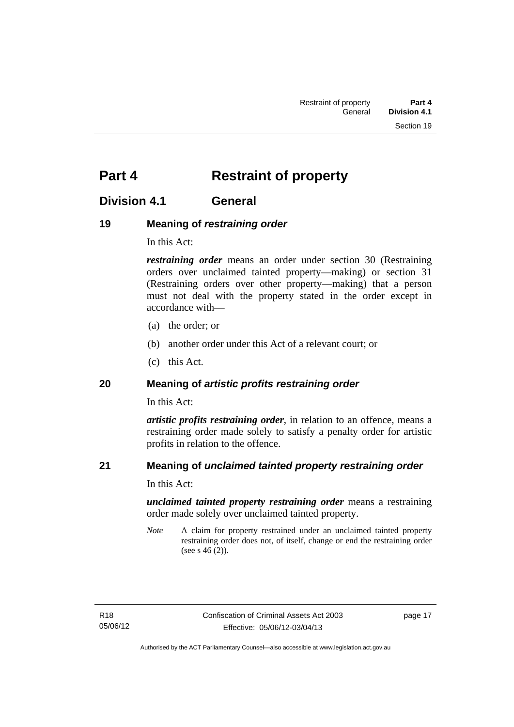# <span id="page-30-0"></span>**Part 4** Restraint of property

# <span id="page-30-1"></span>**Division 4.1 General**

# <span id="page-30-2"></span>**19 Meaning of** *restraining order*

In this Act:

*restraining order* means an order under section 30 (Restraining orders over unclaimed tainted property—making) or section 31 (Restraining orders over other property—making) that a person must not deal with the property stated in the order except in accordance with—

- (a) the order; or
- (b) another order under this Act of a relevant court; or
- (c) this Act.

# <span id="page-30-3"></span>**20 Meaning of** *artistic profits restraining order*

In this Act:

*artistic profits restraining order*, in relation to an offence, means a restraining order made solely to satisfy a penalty order for artistic profits in relation to the offence.

# <span id="page-30-4"></span>**21 Meaning of** *unclaimed tainted property restraining order*

In this Act:

*unclaimed tainted property restraining order* means a restraining order made solely over unclaimed tainted property.

*Note* A claim for property restrained under an unclaimed tainted property restraining order does not, of itself, change or end the restraining order (see s 46 (2)).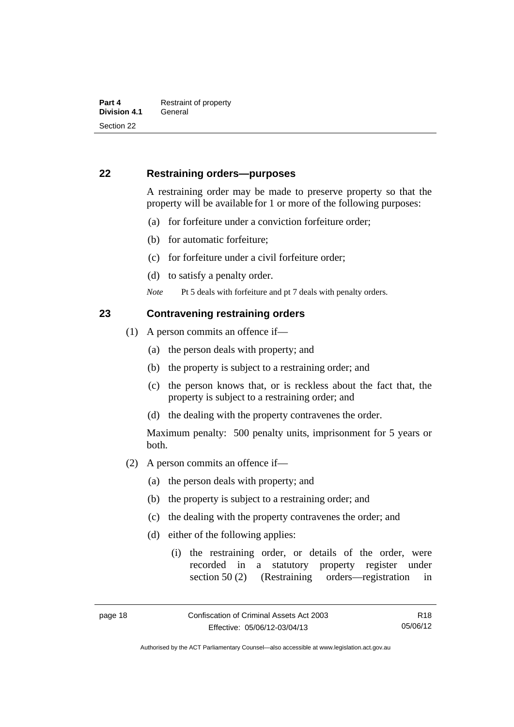# <span id="page-31-0"></span>**22 Restraining orders—purposes**

A restraining order may be made to preserve property so that the property will be available for 1 or more of the following purposes:

- (a) for forfeiture under a conviction forfeiture order;
- (b) for automatic forfeiture;
- (c) for forfeiture under a civil forfeiture order;
- (d) to satisfy a penalty order.

*Note* Pt 5 deals with forfeiture and pt 7 deals with penalty orders.

## <span id="page-31-1"></span>**23 Contravening restraining orders**

- (1) A person commits an offence if—
	- (a) the person deals with property; and
	- (b) the property is subject to a restraining order; and
	- (c) the person knows that, or is reckless about the fact that, the property is subject to a restraining order; and
	- (d) the dealing with the property contravenes the order.

Maximum penalty: 500 penalty units, imprisonment for 5 years or both.

- (2) A person commits an offence if—
	- (a) the person deals with property; and
	- (b) the property is subject to a restraining order; and
	- (c) the dealing with the property contravenes the order; and
	- (d) either of the following applies:
		- (i) the restraining order, or details of the order, were recorded in a statutory property register under section 50 (2) (Restraining orders—registration in

R18 05/06/12

Authorised by the ACT Parliamentary Counsel—also accessible at www.legislation.act.gov.au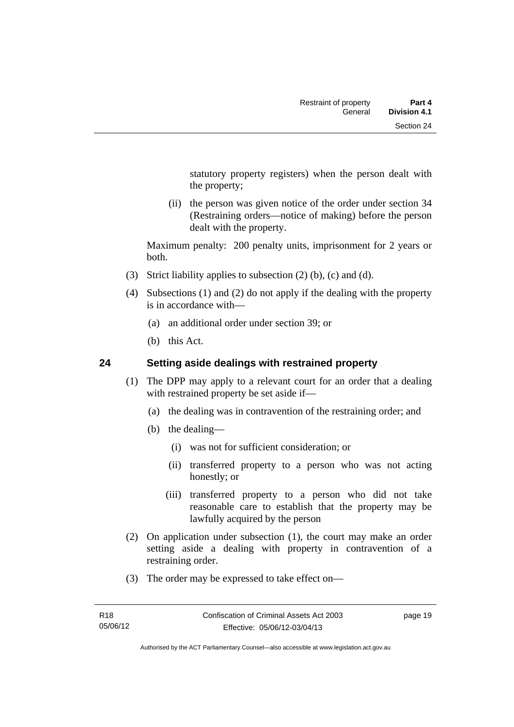statutory property registers) when the person dealt with the property;

 (ii) the person was given notice of the order under section 34 (Restraining orders—notice of making) before the person dealt with the property.

Maximum penalty: 200 penalty units, imprisonment for 2 years or both.

- (3) Strict liability applies to subsection (2) (b), (c) and (d).
- (4) Subsections (1) and (2) do not apply if the dealing with the property is in accordance with—
	- (a) an additional order under section 39; or
	- (b) this Act.

# <span id="page-32-0"></span>**24 Setting aside dealings with restrained property**

- (1) The DPP may apply to a relevant court for an order that a dealing with restrained property be set aside if—
	- (a) the dealing was in contravention of the restraining order; and
	- (b) the dealing—
		- (i) was not for sufficient consideration; or
		- (ii) transferred property to a person who was not acting honestly; or
		- (iii) transferred property to a person who did not take reasonable care to establish that the property may be lawfully acquired by the person
- (2) On application under subsection (1), the court may make an order setting aside a dealing with property in contravention of a restraining order.
- (3) The order may be expressed to take effect on—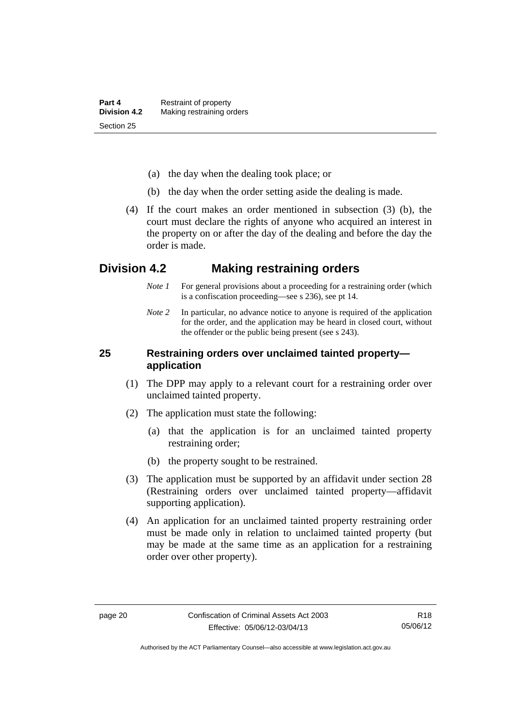- (a) the day when the dealing took place; or
- (b) the day when the order setting aside the dealing is made.
- (4) If the court makes an order mentioned in subsection (3) (b), the court must declare the rights of anyone who acquired an interest in the property on or after the day of the dealing and before the day the order is made.

# <span id="page-33-0"></span>**Division 4.2 Making restraining orders**

- *Note 1* For general provisions about a proceeding for a restraining order (which is a confiscation proceeding—see s 236), see pt 14.
- *Note* 2 In particular, no advance notice to anyone is required of the application for the order, and the application may be heard in closed court, without the offender or the public being present (see s 243).

# <span id="page-33-1"></span>**25 Restraining orders over unclaimed tainted property application**

- (1) The DPP may apply to a relevant court for a restraining order over unclaimed tainted property.
- (2) The application must state the following:
	- (a) that the application is for an unclaimed tainted property restraining order;
	- (b) the property sought to be restrained.
- (3) The application must be supported by an affidavit under section 28 (Restraining orders over unclaimed tainted property—affidavit supporting application).
- (4) An application for an unclaimed tainted property restraining order must be made only in relation to unclaimed tainted property (but may be made at the same time as an application for a restraining order over other property).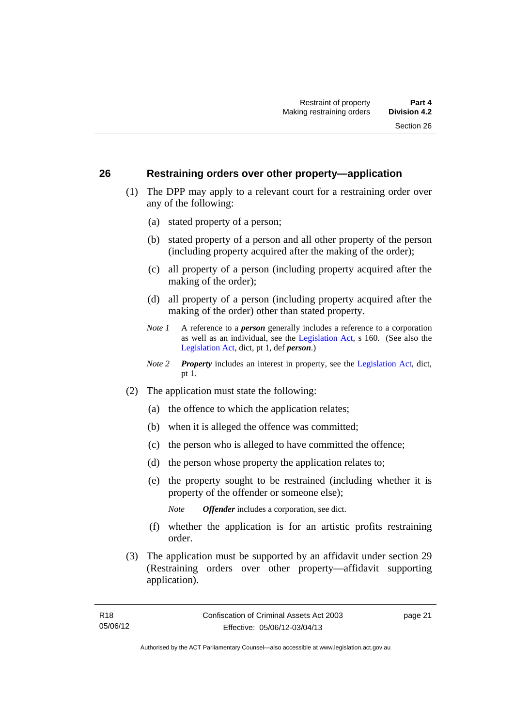## <span id="page-34-0"></span>**26 Restraining orders over other property—application**

- (1) The DPP may apply to a relevant court for a restraining order over any of the following:
	- (a) stated property of a person;
	- (b) stated property of a person and all other property of the person (including property acquired after the making of the order);
	- (c) all property of a person (including property acquired after the making of the order);
	- (d) all property of a person (including property acquired after the making of the order) other than stated property.
	- *Note 1* A reference to a *person* generally includes a reference to a corporation as well as an individual, see the [Legislation Act](http://www.legislation.act.gov.au/a/2001-14), s 160. (See also the [Legislation Act,](http://www.legislation.act.gov.au/a/2001-14) dict, pt 1, def *person*.)
	- *Note 2 Property* includes an interest in property, see the [Legislation Act,](http://www.legislation.act.gov.au/a/2001-14) dict, pt 1.
- (2) The application must state the following:
	- (a) the offence to which the application relates;
	- (b) when it is alleged the offence was committed;
	- (c) the person who is alleged to have committed the offence;
	- (d) the person whose property the application relates to;
	- (e) the property sought to be restrained (including whether it is property of the offender or someone else);

*Note Offender* includes a corporation, see dict.

- (f) whether the application is for an artistic profits restraining order.
- (3) The application must be supported by an affidavit under section 29 (Restraining orders over other property—affidavit supporting application).

page 21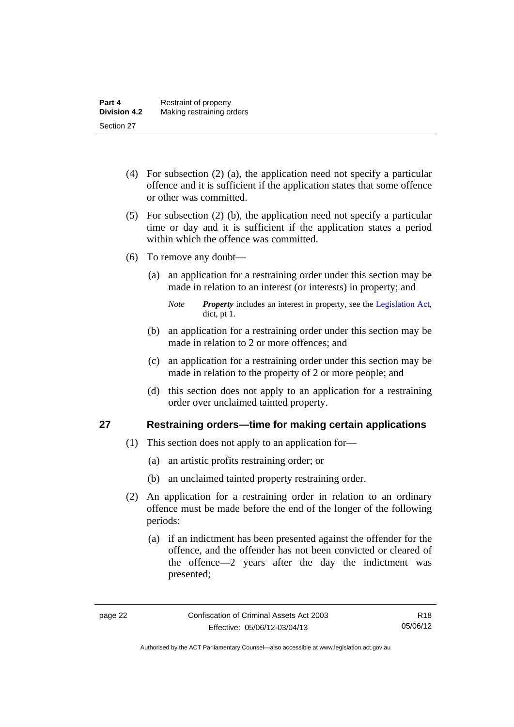- (4) For subsection (2) (a), the application need not specify a particular offence and it is sufficient if the application states that some offence or other was committed.
- (5) For subsection (2) (b), the application need not specify a particular time or day and it is sufficient if the application states a period within which the offence was committed.
- (6) To remove any doubt—
	- (a) an application for a restraining order under this section may be made in relation to an interest (or interests) in property; and
		- *Note Property* includes an interest in property, see the [Legislation Act,](http://www.legislation.act.gov.au/a/2001-14) dict, pt 1.
	- (b) an application for a restraining order under this section may be made in relation to 2 or more offences; and
	- (c) an application for a restraining order under this section may be made in relation to the property of 2 or more people; and
	- (d) this section does not apply to an application for a restraining order over unclaimed tainted property.

# <span id="page-35-0"></span>**27 Restraining orders—time for making certain applications**

- (1) This section does not apply to an application for—
	- (a) an artistic profits restraining order; or
	- (b) an unclaimed tainted property restraining order.
- (2) An application for a restraining order in relation to an ordinary offence must be made before the end of the longer of the following periods:
	- (a) if an indictment has been presented against the offender for the offence, and the offender has not been convicted or cleared of the offence—2 years after the day the indictment was presented;

R18 05/06/12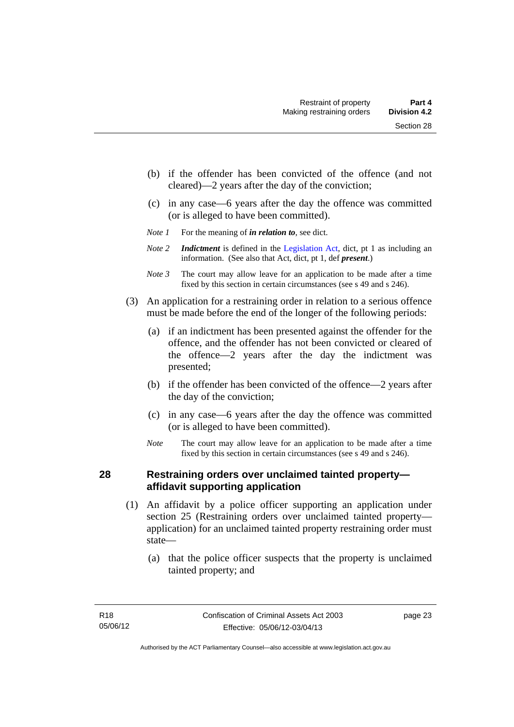- (b) if the offender has been convicted of the offence (and not cleared)—2 years after the day of the conviction;
- (c) in any case—6 years after the day the offence was committed (or is alleged to have been committed).
- *Note 1* For the meaning of *in relation to*, see dict.
- *Note 2 Indictment* is defined in the [Legislation Act,](http://www.legislation.act.gov.au/a/2001-14) dict, pt 1 as including an information. (See also that Act, dict, pt 1, def *present*.)
- *Note 3* The court may allow leave for an application to be made after a time fixed by this section in certain circumstances (see s 49 and s 246).
- (3) An application for a restraining order in relation to a serious offence must be made before the end of the longer of the following periods:
	- (a) if an indictment has been presented against the offender for the offence, and the offender has not been convicted or cleared of the offence—2 years after the day the indictment was presented;
	- (b) if the offender has been convicted of the offence—2 years after the day of the conviction;
	- (c) in any case—6 years after the day the offence was committed (or is alleged to have been committed).
	- *Note* The court may allow leave for an application to be made after a time fixed by this section in certain circumstances (see s 49 and s 246).

# **28 Restraining orders over unclaimed tainted property affidavit supporting application**

- (1) An affidavit by a police officer supporting an application under section 25 (Restraining orders over unclaimed tainted property application) for an unclaimed tainted property restraining order must state—
	- (a) that the police officer suspects that the property is unclaimed tainted property; and

page 23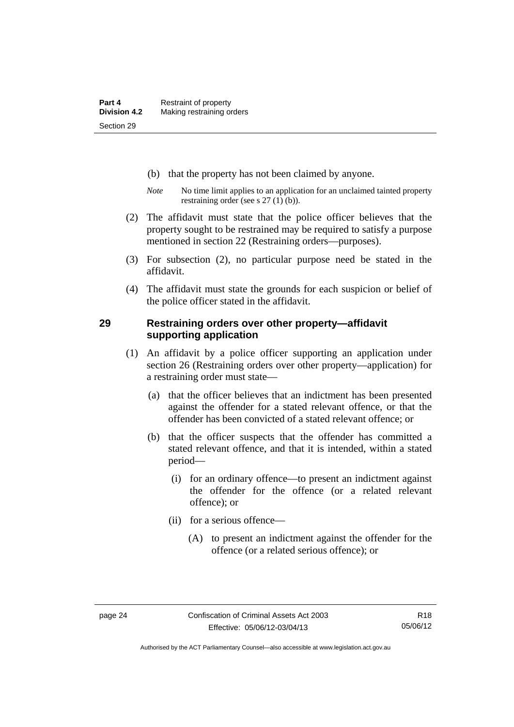- (b) that the property has not been claimed by anyone.
- *Note* No time limit applies to an application for an unclaimed tainted property restraining order (see s 27 (1) (b)).
- (2) The affidavit must state that the police officer believes that the property sought to be restrained may be required to satisfy a purpose mentioned in section 22 (Restraining orders—purposes).
- (3) For subsection (2), no particular purpose need be stated in the affidavit.
- (4) The affidavit must state the grounds for each suspicion or belief of the police officer stated in the affidavit.

### **29 Restraining orders over other property—affidavit supporting application**

- (1) An affidavit by a police officer supporting an application under section 26 (Restraining orders over other property—application) for a restraining order must state—
	- (a) that the officer believes that an indictment has been presented against the offender for a stated relevant offence, or that the offender has been convicted of a stated relevant offence; or
	- (b) that the officer suspects that the offender has committed a stated relevant offence, and that it is intended, within a stated period—
		- (i) for an ordinary offence—to present an indictment against the offender for the offence (or a related relevant offence); or
		- (ii) for a serious offence—
			- (A) to present an indictment against the offender for the offence (or a related serious offence); or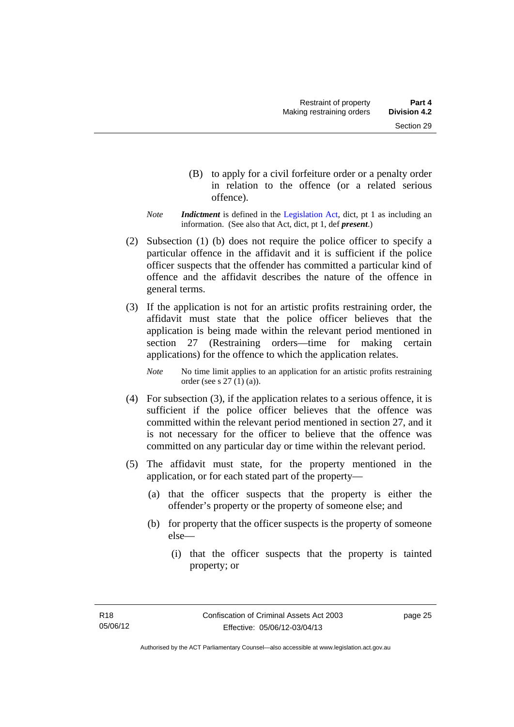- (B) to apply for a civil forfeiture order or a penalty order in relation to the offence (or a related serious offence).
- *Note Indictment* is defined in the [Legislation Act,](http://www.legislation.act.gov.au/a/2001-14) dict, pt 1 as including an information. (See also that Act, dict, pt 1, def *present*.)
- (2) Subsection (1) (b) does not require the police officer to specify a particular offence in the affidavit and it is sufficient if the police officer suspects that the offender has committed a particular kind of offence and the affidavit describes the nature of the offence in general terms.
- (3) If the application is not for an artistic profits restraining order, the affidavit must state that the police officer believes that the application is being made within the relevant period mentioned in section 27 (Restraining orders—time for making certain applications) for the offence to which the application relates.

*Note* No time limit applies to an application for an artistic profits restraining order (see s 27 (1) (a)).

- (4) For subsection (3), if the application relates to a serious offence, it is sufficient if the police officer believes that the offence was committed within the relevant period mentioned in section 27, and it is not necessary for the officer to believe that the offence was committed on any particular day or time within the relevant period.
- (5) The affidavit must state, for the property mentioned in the application, or for each stated part of the property—
	- (a) that the officer suspects that the property is either the offender's property or the property of someone else; and
	- (b) for property that the officer suspects is the property of someone else—
		- (i) that the officer suspects that the property is tainted property; or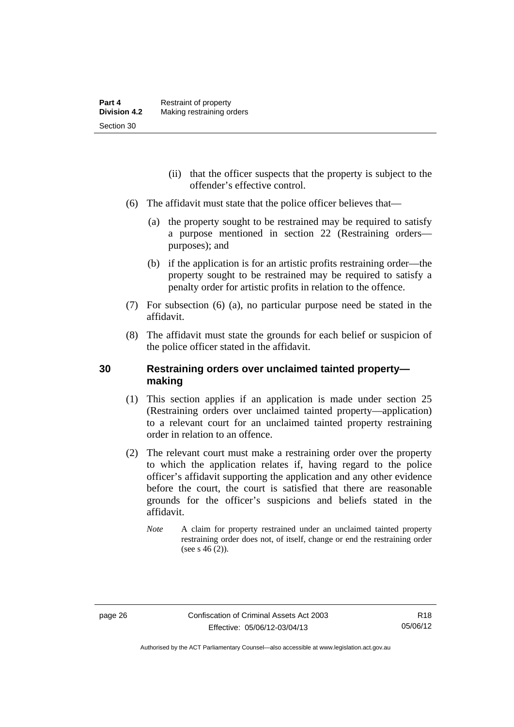- (ii) that the officer suspects that the property is subject to the offender's effective control.
- (6) The affidavit must state that the police officer believes that—
	- (a) the property sought to be restrained may be required to satisfy a purpose mentioned in section 22 (Restraining orders purposes); and
	- (b) if the application is for an artistic profits restraining order—the property sought to be restrained may be required to satisfy a penalty order for artistic profits in relation to the offence.
- (7) For subsection (6) (a), no particular purpose need be stated in the affidavit.
- (8) The affidavit must state the grounds for each belief or suspicion of the police officer stated in the affidavit.

# **30 Restraining orders over unclaimed tainted property making**

- (1) This section applies if an application is made under section 25 (Restraining orders over unclaimed tainted property—application) to a relevant court for an unclaimed tainted property restraining order in relation to an offence.
- (2) The relevant court must make a restraining order over the property to which the application relates if, having regard to the police officer's affidavit supporting the application and any other evidence before the court, the court is satisfied that there are reasonable grounds for the officer's suspicions and beliefs stated in the affidavit.
	- *Note* A claim for property restrained under an unclaimed tainted property restraining order does not, of itself, change or end the restraining order (see s  $46(2)$ ).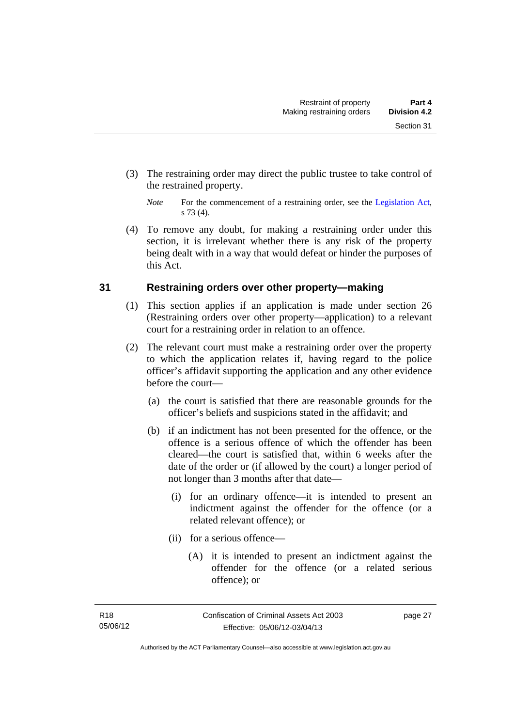(3) The restraining order may direct the public trustee to take control of the restrained property.

 (4) To remove any doubt, for making a restraining order under this section, it is irrelevant whether there is any risk of the property being dealt with in a way that would defeat or hinder the purposes of this Act.

# **31 Restraining orders over other property—making**

- (1) This section applies if an application is made under section 26 (Restraining orders over other property—application) to a relevant court for a restraining order in relation to an offence.
- (2) The relevant court must make a restraining order over the property to which the application relates if, having regard to the police officer's affidavit supporting the application and any other evidence before the court—
	- (a) the court is satisfied that there are reasonable grounds for the officer's beliefs and suspicions stated in the affidavit; and
	- (b) if an indictment has not been presented for the offence, or the offence is a serious offence of which the offender has been cleared—the court is satisfied that, within 6 weeks after the date of the order or (if allowed by the court) a longer period of not longer than 3 months after that date—
		- (i) for an ordinary offence—it is intended to present an indictment against the offender for the offence (or a related relevant offence); or
		- (ii) for a serious offence—
			- (A) it is intended to present an indictment against the offender for the offence (or a related serious offence); or

*Note* For the commencement of a restraining order, see the [Legislation Act,](http://www.legislation.act.gov.au/a/2001-14) s 73 (4).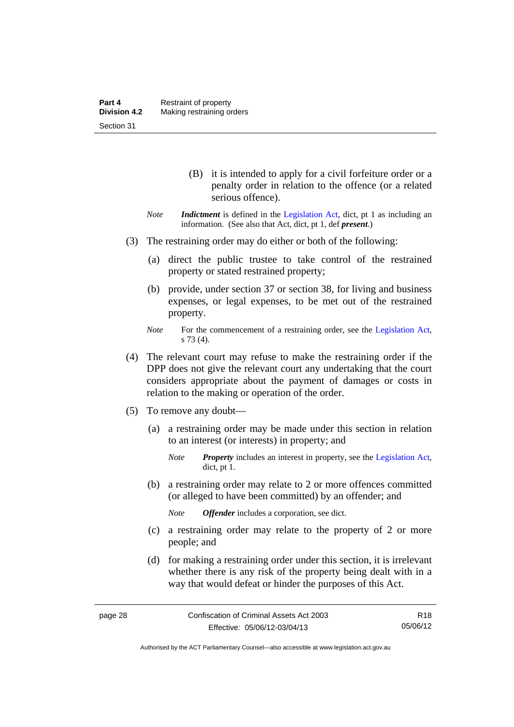- (B) it is intended to apply for a civil forfeiture order or a penalty order in relation to the offence (or a related serious offence).
- *Note Indictment* is defined in the [Legislation Act,](http://www.legislation.act.gov.au/a/2001-14) dict, pt 1 as including an information. (See also that Act, dict, pt 1, def *present*.)
- (3) The restraining order may do either or both of the following:
	- (a) direct the public trustee to take control of the restrained property or stated restrained property;
	- (b) provide, under section 37 or section 38, for living and business expenses, or legal expenses, to be met out of the restrained property.
	- *Note* For the commencement of a restraining order, see the [Legislation Act,](http://www.legislation.act.gov.au/a/2001-14) s 73 (4).
- (4) The relevant court may refuse to make the restraining order if the DPP does not give the relevant court any undertaking that the court considers appropriate about the payment of damages or costs in relation to the making or operation of the order.
- (5) To remove any doubt—
	- (a) a restraining order may be made under this section in relation to an interest (or interests) in property; and
		- *Note Property* includes an interest in property, see the [Legislation Act,](http://www.legislation.act.gov.au/a/2001-14) dict, pt 1.
	- (b) a restraining order may relate to 2 or more offences committed (or alleged to have been committed) by an offender; and

*Note Offender* includes a corporation, see dict.

- (c) a restraining order may relate to the property of 2 or more people; and
- (d) for making a restraining order under this section, it is irrelevant whether there is any risk of the property being dealt with in a way that would defeat or hinder the purposes of this Act.

Authorised by the ACT Parliamentary Counsel—also accessible at www.legislation.act.gov.au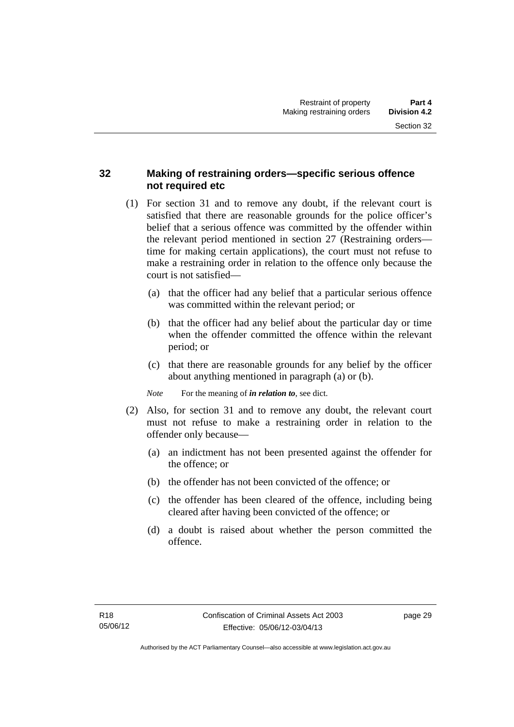# **32 Making of restraining orders—specific serious offence not required etc**

- (1) For section 31 and to remove any doubt, if the relevant court is satisfied that there are reasonable grounds for the police officer's belief that a serious offence was committed by the offender within the relevant period mentioned in section 27 (Restraining orders time for making certain applications), the court must not refuse to make a restraining order in relation to the offence only because the court is not satisfied—
	- (a) that the officer had any belief that a particular serious offence was committed within the relevant period; or
	- (b) that the officer had any belief about the particular day or time when the offender committed the offence within the relevant period; or
	- (c) that there are reasonable grounds for any belief by the officer about anything mentioned in paragraph (a) or (b).

*Note* For the meaning of *in relation to*, see dict.

- (2) Also, for section 31 and to remove any doubt, the relevant court must not refuse to make a restraining order in relation to the offender only because—
	- (a) an indictment has not been presented against the offender for the offence; or
	- (b) the offender has not been convicted of the offence; or
	- (c) the offender has been cleared of the offence, including being cleared after having been convicted of the offence; or
	- (d) a doubt is raised about whether the person committed the offence.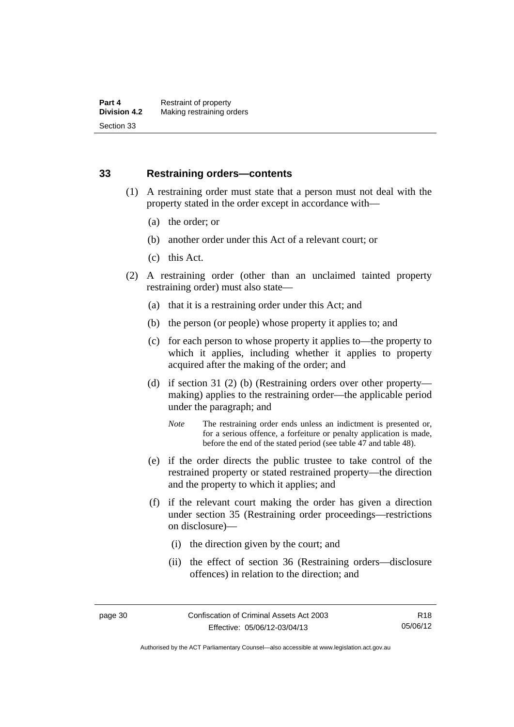### **33 Restraining orders—contents**

- (1) A restraining order must state that a person must not deal with the property stated in the order except in accordance with—
	- (a) the order; or
	- (b) another order under this Act of a relevant court; or
	- (c) this Act.
- (2) A restraining order (other than an unclaimed tainted property restraining order) must also state—
	- (a) that it is a restraining order under this Act; and
	- (b) the person (or people) whose property it applies to; and
	- (c) for each person to whose property it applies to—the property to which it applies, including whether it applies to property acquired after the making of the order; and
	- (d) if section 31 (2) (b) (Restraining orders over other property making) applies to the restraining order—the applicable period under the paragraph; and
		- *Note* The restraining order ends unless an indictment is presented or, for a serious offence, a forfeiture or penalty application is made, before the end of the stated period (see table 47 and table 48).
	- (e) if the order directs the public trustee to take control of the restrained property or stated restrained property—the direction and the property to which it applies; and
	- (f) if the relevant court making the order has given a direction under section 35 (Restraining order proceedings—restrictions on disclosure)—
		- (i) the direction given by the court; and
		- (ii) the effect of section 36 (Restraining orders—disclosure offences) in relation to the direction; and

Authorised by the ACT Parliamentary Counsel—also accessible at www.legislation.act.gov.au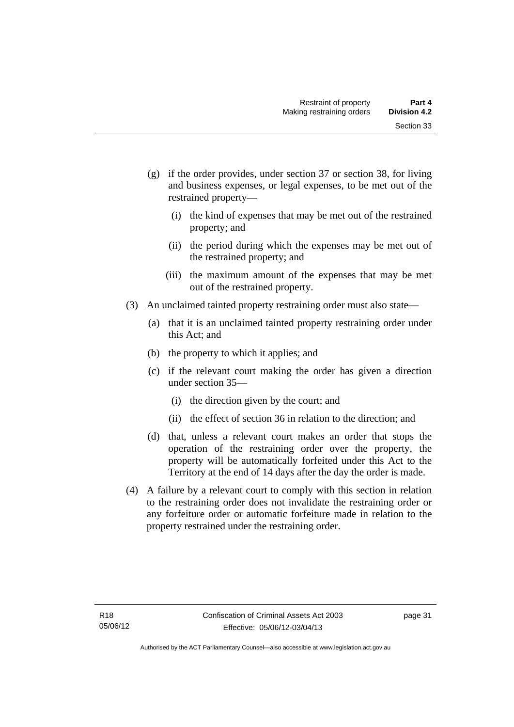- (g) if the order provides, under section 37 or section 38, for living and business expenses, or legal expenses, to be met out of the restrained property—
	- (i) the kind of expenses that may be met out of the restrained property; and
	- (ii) the period during which the expenses may be met out of the restrained property; and
	- (iii) the maximum amount of the expenses that may be met out of the restrained property.
- (3) An unclaimed tainted property restraining order must also state—
	- (a) that it is an unclaimed tainted property restraining order under this Act; and
	- (b) the property to which it applies; and
	- (c) if the relevant court making the order has given a direction under section 35—
		- (i) the direction given by the court; and
		- (ii) the effect of section 36 in relation to the direction; and
	- (d) that, unless a relevant court makes an order that stops the operation of the restraining order over the property, the property will be automatically forfeited under this Act to the Territory at the end of 14 days after the day the order is made.
- (4) A failure by a relevant court to comply with this section in relation to the restraining order does not invalidate the restraining order or any forfeiture order or automatic forfeiture made in relation to the property restrained under the restraining order.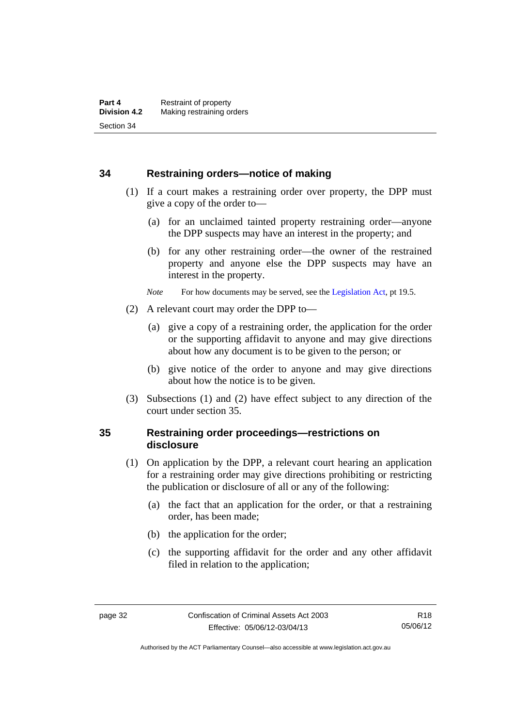### **34 Restraining orders—notice of making**

- (1) If a court makes a restraining order over property, the DPP must give a copy of the order to—
	- (a) for an unclaimed tainted property restraining order—anyone the DPP suspects may have an interest in the property; and
	- (b) for any other restraining order—the owner of the restrained property and anyone else the DPP suspects may have an interest in the property.
	- *Note* For how documents may be served, see the [Legislation Act,](http://www.legislation.act.gov.au/a/2001-14) pt 19.5.
- (2) A relevant court may order the DPP to—
	- (a) give a copy of a restraining order, the application for the order or the supporting affidavit to anyone and may give directions about how any document is to be given to the person; or
	- (b) give notice of the order to anyone and may give directions about how the notice is to be given.
- (3) Subsections (1) and (2) have effect subject to any direction of the court under section 35.

# **35 Restraining order proceedings—restrictions on disclosure**

- (1) On application by the DPP, a relevant court hearing an application for a restraining order may give directions prohibiting or restricting the publication or disclosure of all or any of the following:
	- (a) the fact that an application for the order, or that a restraining order, has been made;
	- (b) the application for the order;
	- (c) the supporting affidavit for the order and any other affidavit filed in relation to the application;

Authorised by the ACT Parliamentary Counsel—also accessible at www.legislation.act.gov.au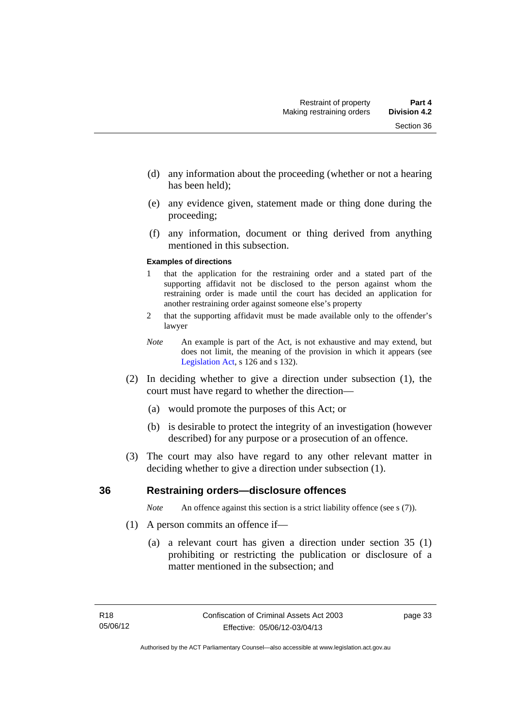- (d) any information about the proceeding (whether or not a hearing has been held);
- (e) any evidence given, statement made or thing done during the proceeding;
- (f) any information, document or thing derived from anything mentioned in this subsection.

#### **Examples of directions**

- 1 that the application for the restraining order and a stated part of the supporting affidavit not be disclosed to the person against whom the restraining order is made until the court has decided an application for another restraining order against someone else's property
- 2 that the supporting affidavit must be made available only to the offender's lawyer
- *Note* An example is part of the Act, is not exhaustive and may extend, but does not limit, the meaning of the provision in which it appears (see [Legislation Act,](http://www.legislation.act.gov.au/a/2001-14) s 126 and s 132).
- (2) In deciding whether to give a direction under subsection (1), the court must have regard to whether the direction—
	- (a) would promote the purposes of this Act; or
	- (b) is desirable to protect the integrity of an investigation (however described) for any purpose or a prosecution of an offence.
- (3) The court may also have regard to any other relevant matter in deciding whether to give a direction under subsection (1).

### **36 Restraining orders—disclosure offences**

*Note* An offence against this section is a strict liability offence (see s (7)).

- (1) A person commits an offence if—
	- (a) a relevant court has given a direction under section 35 (1) prohibiting or restricting the publication or disclosure of a matter mentioned in the subsection; and

page 33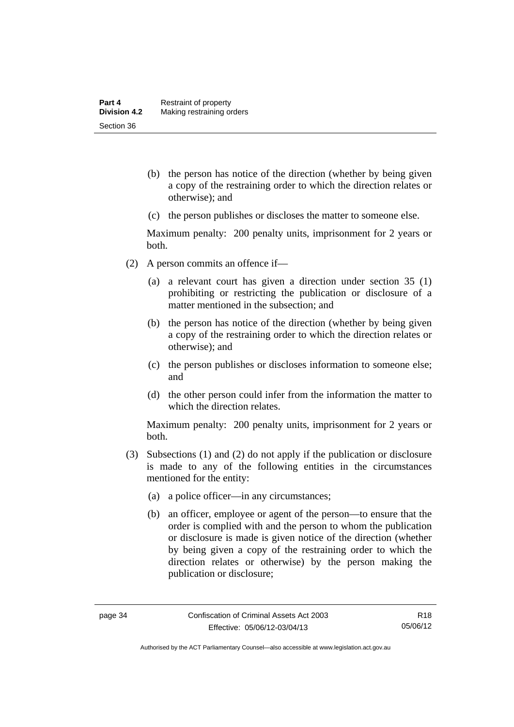- (b) the person has notice of the direction (whether by being given a copy of the restraining order to which the direction relates or otherwise); and
- (c) the person publishes or discloses the matter to someone else.

Maximum penalty: 200 penalty units, imprisonment for 2 years or both.

- (2) A person commits an offence if—
	- (a) a relevant court has given a direction under section 35 (1) prohibiting or restricting the publication or disclosure of a matter mentioned in the subsection; and
	- (b) the person has notice of the direction (whether by being given a copy of the restraining order to which the direction relates or otherwise); and
	- (c) the person publishes or discloses information to someone else; and
	- (d) the other person could infer from the information the matter to which the direction relates.

Maximum penalty: 200 penalty units, imprisonment for 2 years or both.

- (3) Subsections (1) and (2) do not apply if the publication or disclosure is made to any of the following entities in the circumstances mentioned for the entity:
	- (a) a police officer—in any circumstances;
	- (b) an officer, employee or agent of the person—to ensure that the order is complied with and the person to whom the publication or disclosure is made is given notice of the direction (whether by being given a copy of the restraining order to which the direction relates or otherwise) by the person making the publication or disclosure;

Authorised by the ACT Parliamentary Counsel—also accessible at www.legislation.act.gov.au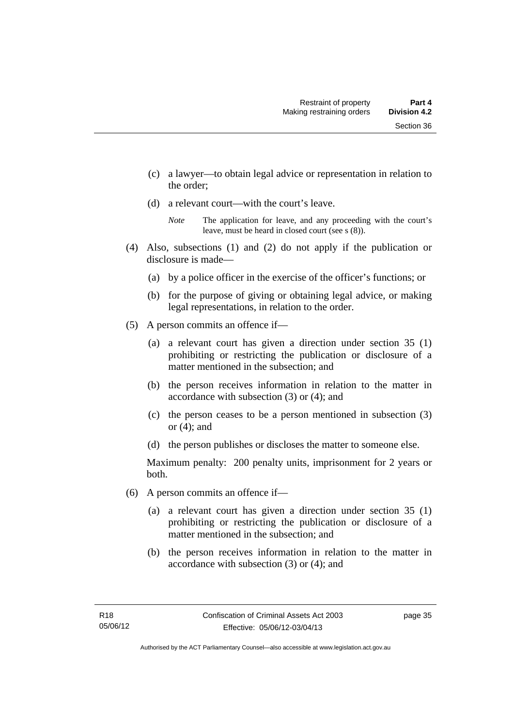- (c) a lawyer—to obtain legal advice or representation in relation to the order;
- (d) a relevant court—with the court's leave.

- (4) Also, subsections (1) and (2) do not apply if the publication or disclosure is made—
	- (a) by a police officer in the exercise of the officer's functions; or
	- (b) for the purpose of giving or obtaining legal advice, or making legal representations, in relation to the order.
- (5) A person commits an offence if—
	- (a) a relevant court has given a direction under section 35 (1) prohibiting or restricting the publication or disclosure of a matter mentioned in the subsection; and
	- (b) the person receives information in relation to the matter in accordance with subsection (3) or (4); and
	- (c) the person ceases to be a person mentioned in subsection (3) or (4); and
	- (d) the person publishes or discloses the matter to someone else.

Maximum penalty: 200 penalty units, imprisonment for 2 years or both.

- (6) A person commits an offence if—
	- (a) a relevant court has given a direction under section 35 (1) prohibiting or restricting the publication or disclosure of a matter mentioned in the subsection; and
	- (b) the person receives information in relation to the matter in accordance with subsection (3) or (4); and

page 35

*Note* The application for leave, and any proceeding with the court's leave, must be heard in closed court (see s (8)).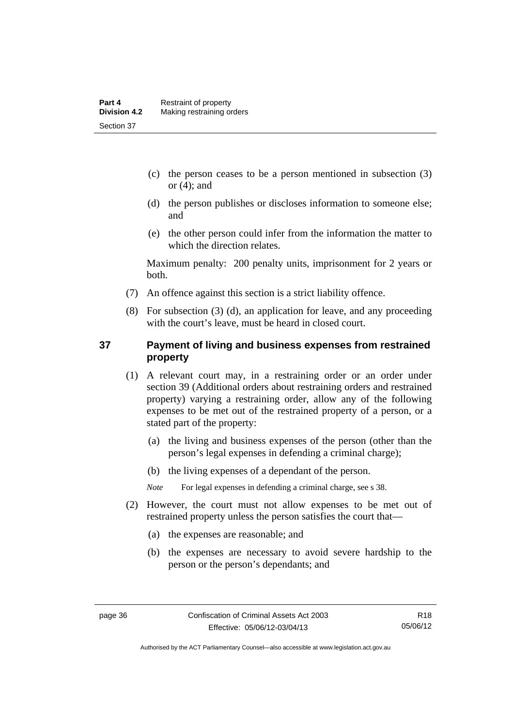- (c) the person ceases to be a person mentioned in subsection (3) or  $(4)$ ; and
- (d) the person publishes or discloses information to someone else; and
- (e) the other person could infer from the information the matter to which the direction relates.

Maximum penalty: 200 penalty units, imprisonment for 2 years or both.

- (7) An offence against this section is a strict liability offence.
- (8) For subsection (3) (d), an application for leave, and any proceeding with the court's leave, must be heard in closed court.

# **37 Payment of living and business expenses from restrained property**

- (1) A relevant court may, in a restraining order or an order under section 39 (Additional orders about restraining orders and restrained property) varying a restraining order, allow any of the following expenses to be met out of the restrained property of a person, or a stated part of the property:
	- (a) the living and business expenses of the person (other than the person's legal expenses in defending a criminal charge);
	- (b) the living expenses of a dependant of the person.

*Note* For legal expenses in defending a criminal charge, see s 38.

- (2) However, the court must not allow expenses to be met out of restrained property unless the person satisfies the court that—
	- (a) the expenses are reasonable; and
	- (b) the expenses are necessary to avoid severe hardship to the person or the person's dependants; and

Authorised by the ACT Parliamentary Counsel—also accessible at www.legislation.act.gov.au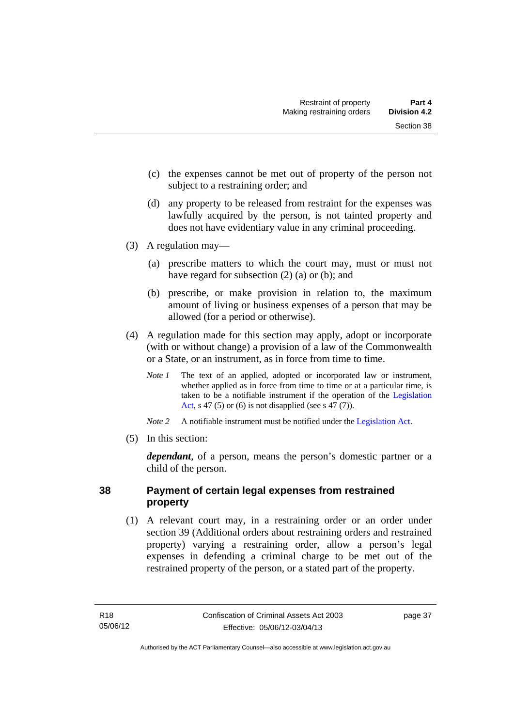- (c) the expenses cannot be met out of property of the person not subject to a restraining order; and
- (d) any property to be released from restraint for the expenses was lawfully acquired by the person, is not tainted property and does not have evidentiary value in any criminal proceeding.
- (3) A regulation may—
	- (a) prescribe matters to which the court may, must or must not have regard for subsection (2) (a) or (b); and
	- (b) prescribe, or make provision in relation to, the maximum amount of living or business expenses of a person that may be allowed (for a period or otherwise).
- (4) A regulation made for this section may apply, adopt or incorporate (with or without change) a provision of a law of the Commonwealth or a State, or an instrument, as in force from time to time.
	- *Note 1* The text of an applied, adopted or incorporated law or instrument, whether applied as in force from time to time or at a particular time, is taken to be a notifiable instrument if the operation of the [Legislation](http://www.legislation.act.gov.au/a/2001-14)  [Act](http://www.legislation.act.gov.au/a/2001-14), s 47 (5) or (6) is not disapplied (see s 47 (7)).
	- *Note 2* A notifiable instrument must be notified under the [Legislation Act](http://www.legislation.act.gov.au/a/2001-14).
- (5) In this section:

*dependant*, of a person, means the person's domestic partner or a child of the person.

# **38 Payment of certain legal expenses from restrained property**

 (1) A relevant court may, in a restraining order or an order under section 39 (Additional orders about restraining orders and restrained property) varying a restraining order, allow a person's legal expenses in defending a criminal charge to be met out of the restrained property of the person, or a stated part of the property.

page 37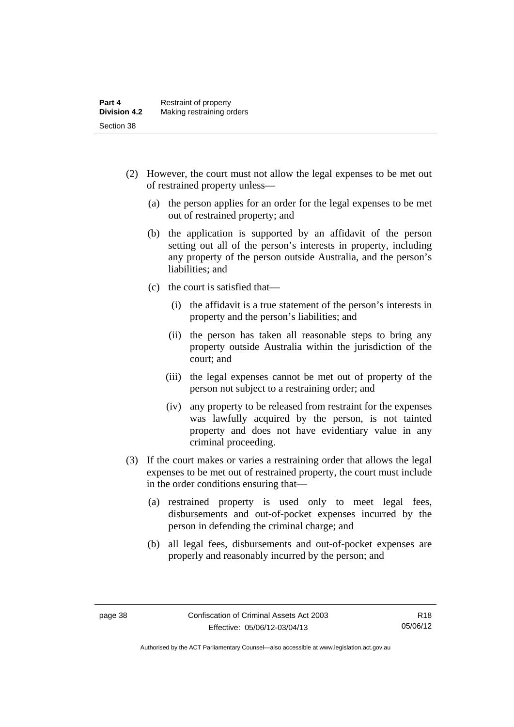- (2) However, the court must not allow the legal expenses to be met out of restrained property unless—
	- (a) the person applies for an order for the legal expenses to be met out of restrained property; and
	- (b) the application is supported by an affidavit of the person setting out all of the person's interests in property, including any property of the person outside Australia, and the person's liabilities; and
	- (c) the court is satisfied that—
		- (i) the affidavit is a true statement of the person's interests in property and the person's liabilities; and
		- (ii) the person has taken all reasonable steps to bring any property outside Australia within the jurisdiction of the court; and
		- (iii) the legal expenses cannot be met out of property of the person not subject to a restraining order; and
		- (iv) any property to be released from restraint for the expenses was lawfully acquired by the person, is not tainted property and does not have evidentiary value in any criminal proceeding.
- (3) If the court makes or varies a restraining order that allows the legal expenses to be met out of restrained property, the court must include in the order conditions ensuring that—
	- (a) restrained property is used only to meet legal fees, disbursements and out-of-pocket expenses incurred by the person in defending the criminal charge; and
	- (b) all legal fees, disbursements and out-of-pocket expenses are properly and reasonably incurred by the person; and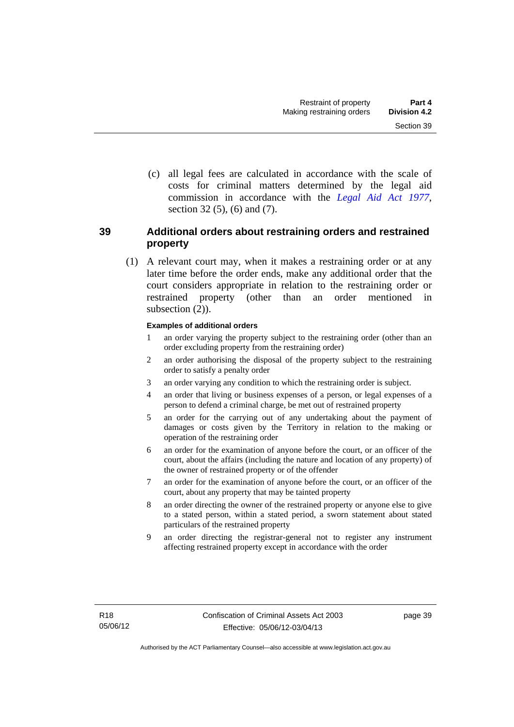(c) all legal fees are calculated in accordance with the scale of costs for criminal matters determined by the legal aid commission in accordance with the *[Legal Aid Act 1977](http://www.legislation.act.gov.au/a/1977-31)*, section 32 (5), (6) and (7).

# **39 Additional orders about restraining orders and restrained property**

 (1) A relevant court may, when it makes a restraining order or at any later time before the order ends, make any additional order that the court considers appropriate in relation to the restraining order or restrained property (other than an order mentioned in subsection  $(2)$ ).

#### **Examples of additional orders**

- 1 an order varying the property subject to the restraining order (other than an order excluding property from the restraining order)
- 2 an order authorising the disposal of the property subject to the restraining order to satisfy a penalty order
- 3 an order varying any condition to which the restraining order is subject.
- 4 an order that living or business expenses of a person, or legal expenses of a person to defend a criminal charge, be met out of restrained property
- 5 an order for the carrying out of any undertaking about the payment of damages or costs given by the Territory in relation to the making or operation of the restraining order
- 6 an order for the examination of anyone before the court, or an officer of the court, about the affairs (including the nature and location of any property) of the owner of restrained property or of the offender
- 7 an order for the examination of anyone before the court, or an officer of the court, about any property that may be tainted property
- 8 an order directing the owner of the restrained property or anyone else to give to a stated person, within a stated period, a sworn statement about stated particulars of the restrained property
- 9 an order directing the registrar-general not to register any instrument affecting restrained property except in accordance with the order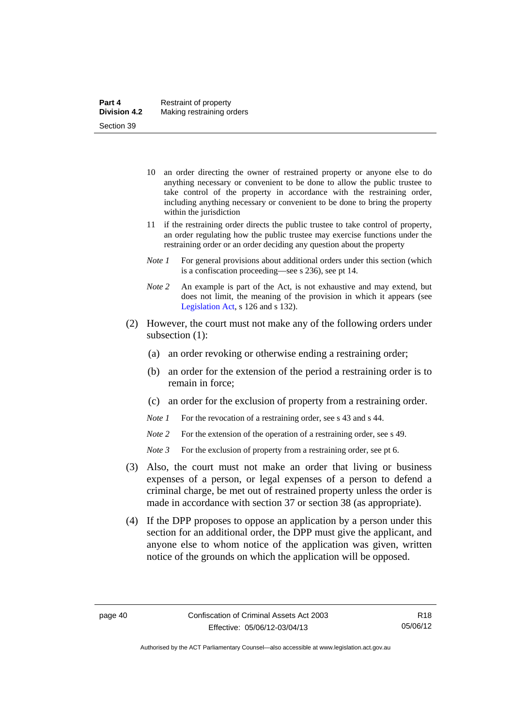- 10 an order directing the owner of restrained property or anyone else to do anything necessary or convenient to be done to allow the public trustee to take control of the property in accordance with the restraining order, including anything necessary or convenient to be done to bring the property within the jurisdiction
- 11 if the restraining order directs the public trustee to take control of property, an order regulating how the public trustee may exercise functions under the restraining order or an order deciding any question about the property
- *Note 1* For general provisions about additional orders under this section (which is a confiscation proceeding—see s 236), see pt 14.
- *Note 2* An example is part of the Act, is not exhaustive and may extend, but does not limit, the meaning of the provision in which it appears (see [Legislation Act,](http://www.legislation.act.gov.au/a/2001-14) s 126 and s 132).
- (2) However, the court must not make any of the following orders under subsection (1):
	- (a) an order revoking or otherwise ending a restraining order;
	- (b) an order for the extension of the period a restraining order is to remain in force;
	- (c) an order for the exclusion of property from a restraining order.
	- *Note 1* For the revocation of a restraining order, see s 43 and s 44.
	- *Note* 2 For the extension of the operation of a restraining order, see s 49.
	- *Note 3* For the exclusion of property from a restraining order, see pt 6.
- (3) Also, the court must not make an order that living or business expenses of a person, or legal expenses of a person to defend a criminal charge, be met out of restrained property unless the order is made in accordance with section 37 or section 38 (as appropriate).
- (4) If the DPP proposes to oppose an application by a person under this section for an additional order, the DPP must give the applicant, and anyone else to whom notice of the application was given, written notice of the grounds on which the application will be opposed.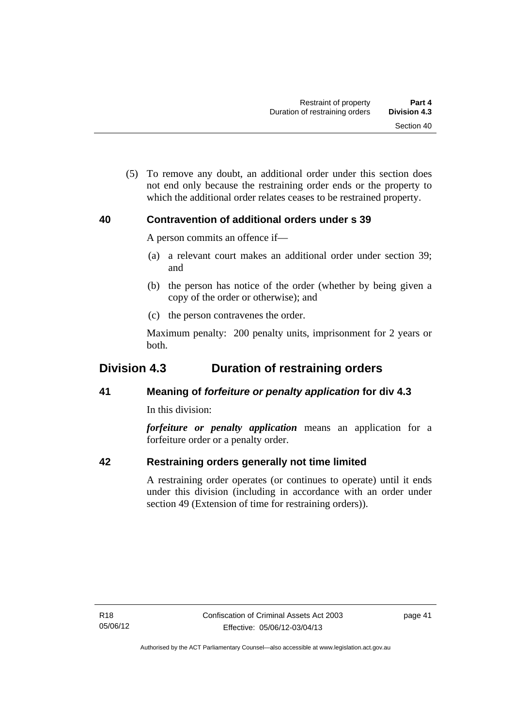(5) To remove any doubt, an additional order under this section does not end only because the restraining order ends or the property to which the additional order relates ceases to be restrained property.

# **40 Contravention of additional orders under s 39**

A person commits an offence if—

- (a) a relevant court makes an additional order under section 39; and
- (b) the person has notice of the order (whether by being given a copy of the order or otherwise); and
- (c) the person contravenes the order.

Maximum penalty: 200 penalty units, imprisonment for 2 years or both.

# **Division 4.3 Duration of restraining orders**

# **41 Meaning of** *forfeiture or penalty application* **for div 4.3**

In this division:

*forfeiture or penalty application* means an application for a forfeiture order or a penalty order.

# **42 Restraining orders generally not time limited**

A restraining order operates (or continues to operate) until it ends under this division (including in accordance with an order under section 49 (Extension of time for restraining orders)).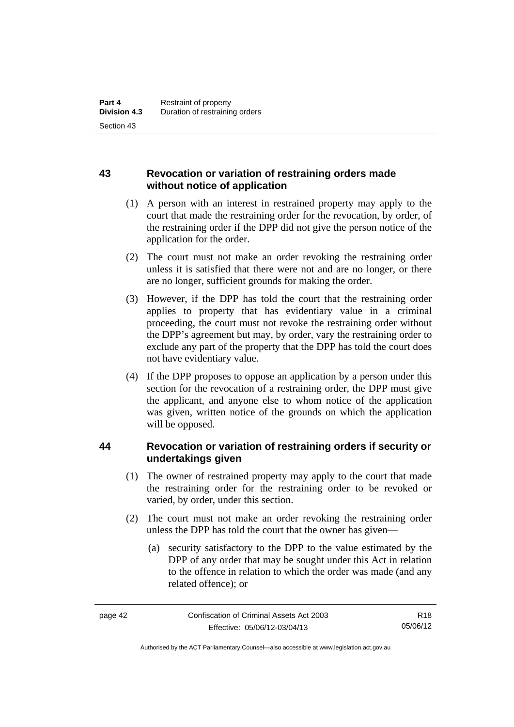# **43 Revocation or variation of restraining orders made without notice of application**

- (1) A person with an interest in restrained property may apply to the court that made the restraining order for the revocation, by order, of the restraining order if the DPP did not give the person notice of the application for the order.
- (2) The court must not make an order revoking the restraining order unless it is satisfied that there were not and are no longer, or there are no longer, sufficient grounds for making the order.
- (3) However, if the DPP has told the court that the restraining order applies to property that has evidentiary value in a criminal proceeding, the court must not revoke the restraining order without the DPP's agreement but may, by order, vary the restraining order to exclude any part of the property that the DPP has told the court does not have evidentiary value.
- (4) If the DPP proposes to oppose an application by a person under this section for the revocation of a restraining order, the DPP must give the applicant, and anyone else to whom notice of the application was given, written notice of the grounds on which the application will be opposed.

# **44 Revocation or variation of restraining orders if security or undertakings given**

- (1) The owner of restrained property may apply to the court that made the restraining order for the restraining order to be revoked or varied, by order, under this section.
- (2) The court must not make an order revoking the restraining order unless the DPP has told the court that the owner has given—
	- (a) security satisfactory to the DPP to the value estimated by the DPP of any order that may be sought under this Act in relation to the offence in relation to which the order was made (and any related offence); or

R18 05/06/12

Authorised by the ACT Parliamentary Counsel—also accessible at www.legislation.act.gov.au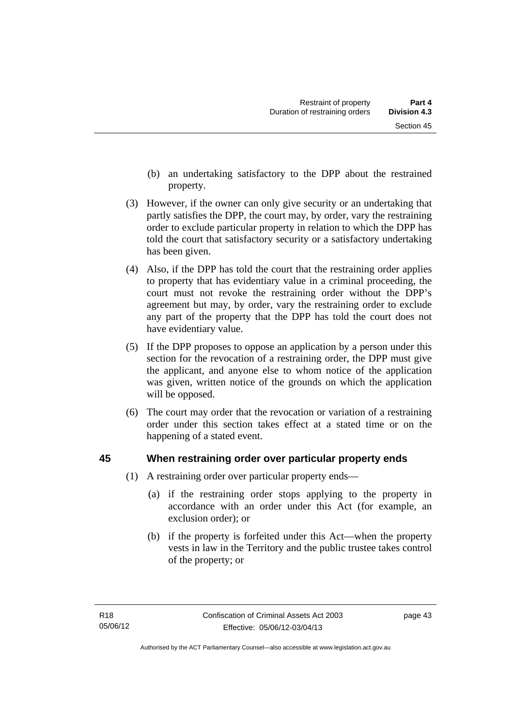- (b) an undertaking satisfactory to the DPP about the restrained property.
- (3) However, if the owner can only give security or an undertaking that partly satisfies the DPP, the court may, by order, vary the restraining order to exclude particular property in relation to which the DPP has told the court that satisfactory security or a satisfactory undertaking has been given.
- (4) Also, if the DPP has told the court that the restraining order applies to property that has evidentiary value in a criminal proceeding, the court must not revoke the restraining order without the DPP's agreement but may, by order, vary the restraining order to exclude any part of the property that the DPP has told the court does not have evidentiary value.
- (5) If the DPP proposes to oppose an application by a person under this section for the revocation of a restraining order, the DPP must give the applicant, and anyone else to whom notice of the application was given, written notice of the grounds on which the application will be opposed.
- (6) The court may order that the revocation or variation of a restraining order under this section takes effect at a stated time or on the happening of a stated event.

# **45 When restraining order over particular property ends**

- (1) A restraining order over particular property ends—
	- (a) if the restraining order stops applying to the property in accordance with an order under this Act (for example, an exclusion order); or
	- (b) if the property is forfeited under this Act—when the property vests in law in the Territory and the public trustee takes control of the property; or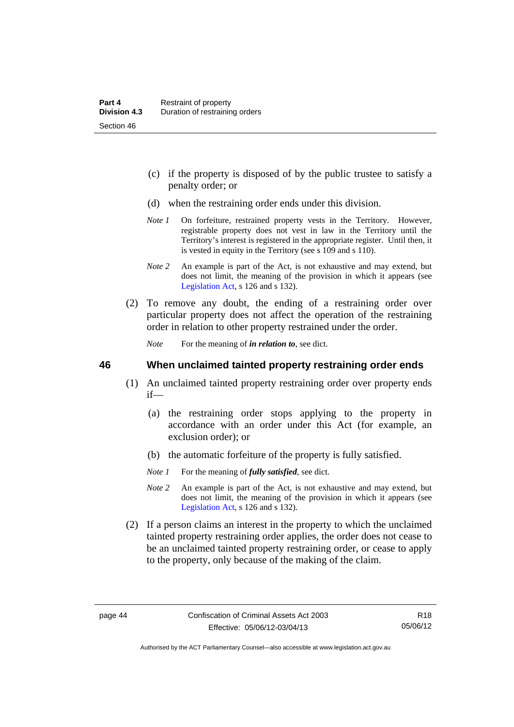- (c) if the property is disposed of by the public trustee to satisfy a penalty order; or
- (d) when the restraining order ends under this division.
- *Note 1* On forfeiture, restrained property vests in the Territory. However, registrable property does not vest in law in the Territory until the Territory's interest is registered in the appropriate register. Until then, it is vested in equity in the Territory (see s 109 and s 110).
- *Note 2* An example is part of the Act, is not exhaustive and may extend, but does not limit, the meaning of the provision in which it appears (see [Legislation Act,](http://www.legislation.act.gov.au/a/2001-14) s 126 and s 132).
- (2) To remove any doubt, the ending of a restraining order over particular property does not affect the operation of the restraining order in relation to other property restrained under the order.

*Note* For the meaning of *in relation to*, see dict.

#### **46 When unclaimed tainted property restraining order ends**

- (1) An unclaimed tainted property restraining order over property ends if—
	- (a) the restraining order stops applying to the property in accordance with an order under this Act (for example, an exclusion order); or
	- (b) the automatic forfeiture of the property is fully satisfied.
	- *Note 1* For the meaning of *fully satisfied*, see dict.
	- *Note 2* An example is part of the Act, is not exhaustive and may extend, but does not limit, the meaning of the provision in which it appears (see [Legislation Act,](http://www.legislation.act.gov.au/a/2001-14) s 126 and s 132).
- (2) If a person claims an interest in the property to which the unclaimed tainted property restraining order applies, the order does not cease to be an unclaimed tainted property restraining order, or cease to apply to the property, only because of the making of the claim.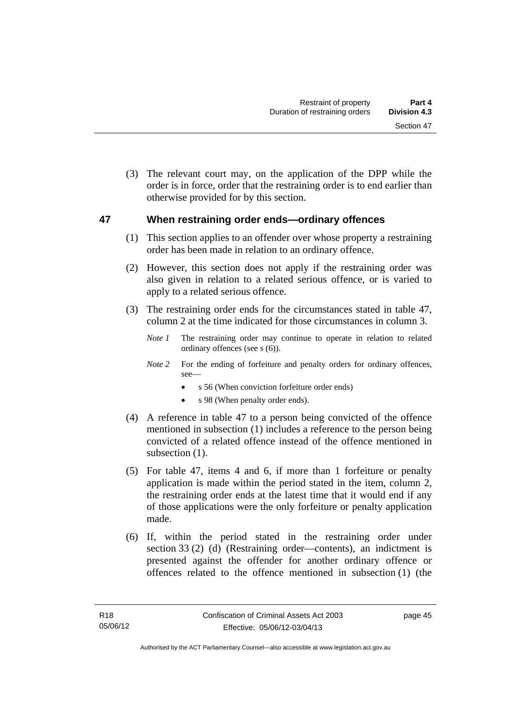(3) The relevant court may, on the application of the DPP while the order is in force, order that the restraining order is to end earlier than otherwise provided for by this section.

### **47 When restraining order ends—ordinary offences**

- (1) This section applies to an offender over whose property a restraining order has been made in relation to an ordinary offence.
- (2) However, this section does not apply if the restraining order was also given in relation to a related serious offence, or is varied to apply to a related serious offence.
- (3) The restraining order ends for the circumstances stated in table 47, column 2 at the time indicated for those circumstances in column 3.
	- *Note 1* The restraining order may continue to operate in relation to related ordinary offences (see s (6)).
	- *Note* 2 For the ending of forfeiture and penalty orders for ordinary offences, see
		- s 56 (When conviction forfeiture order ends)
		- s 98 (When penalty order ends).
- (4) A reference in table 47 to a person being convicted of the offence mentioned in subsection (1) includes a reference to the person being convicted of a related offence instead of the offence mentioned in subsection  $(1)$ .
- (5) For table 47, items 4 and 6, if more than 1 forfeiture or penalty application is made within the period stated in the item, column 2, the restraining order ends at the latest time that it would end if any of those applications were the only forfeiture or penalty application made.
- (6) If, within the period stated in the restraining order under section 33 (2) (d) (Restraining order—contents), an indictment is presented against the offender for another ordinary offence or offences related to the offence mentioned in subsection (1) (the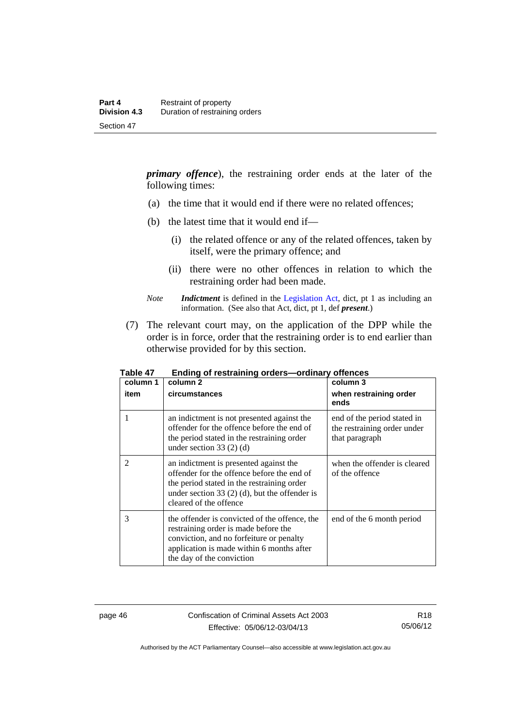*primary offence*), the restraining order ends at the later of the following times:

- (a) the time that it would end if there were no related offences;
- (b) the latest time that it would end if—
	- (i) the related offence or any of the related offences, taken by itself, were the primary offence; and
	- (ii) there were no other offences in relation to which the restraining order had been made.
- *Note Indictment* is defined in the [Legislation Act,](http://www.legislation.act.gov.au/a/2001-14) dict, pt 1 as including an information. (See also that Act, dict, pt 1, def *present*.)
- (7) The relevant court may, on the application of the DPP while the order is in force, order that the restraining order is to end earlier than otherwise provided for by this section.

| column 1<br>item | column 2<br>circumstances                                                                                                                                                                                       | column 3<br>when restraining order<br>ends                                   |
|------------------|-----------------------------------------------------------------------------------------------------------------------------------------------------------------------------------------------------------------|------------------------------------------------------------------------------|
| 1                | an indictment is not presented against the<br>offender for the offence before the end of<br>the period stated in the restraining order<br>under section 33 $(2)$ $(d)$                                          | end of the period stated in<br>the restraining order under<br>that paragraph |
| $\overline{2}$   | an indictment is presented against the<br>offender for the offence before the end of<br>the period stated in the restraining order<br>under section 33 $(2)$ (d), but the offender is<br>cleared of the offence | when the offender is cleared<br>of the offence                               |
| 3                | the offender is convicted of the offence, the<br>restraining order is made before the<br>conviction, and no forfeiture or penalty<br>application is made within 6 months after<br>the day of the conviction     | end of the 6 month period                                                    |

**Table 47 Ending of restraining orders—ordinary offences** 

page 46 Confiscation of Criminal Assets Act 2003 Effective: 05/06/12-03/04/13

Authorised by the ACT Parliamentary Counsel—also accessible at www.legislation.act.gov.au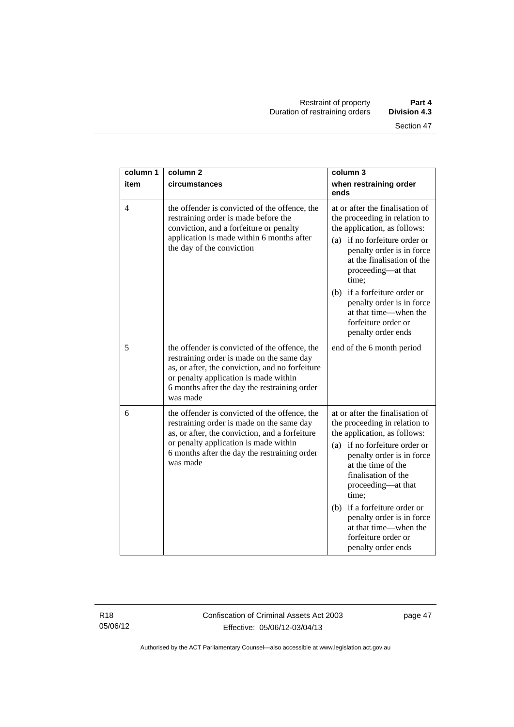| column 1       | column <sub>2</sub>                                                                                                                                                                                                                                | column 3                                                                                                                                                                                                                                                                                                                                                                      |
|----------------|----------------------------------------------------------------------------------------------------------------------------------------------------------------------------------------------------------------------------------------------------|-------------------------------------------------------------------------------------------------------------------------------------------------------------------------------------------------------------------------------------------------------------------------------------------------------------------------------------------------------------------------------|
| item           | circumstances                                                                                                                                                                                                                                      | when restraining order<br>ends                                                                                                                                                                                                                                                                                                                                                |
| $\overline{4}$ | the offender is convicted of the offence, the<br>restraining order is made before the<br>conviction, and a forfeiture or penalty<br>application is made within 6 months after<br>the day of the conviction                                         | at or after the finalisation of<br>the proceeding in relation to<br>the application, as follows:<br>if no forfeiture order or<br>(a)<br>penalty order is in force<br>at the finalisation of the<br>proceeding—at that<br>time:                                                                                                                                                |
|                |                                                                                                                                                                                                                                                    | if a forfeiture order or<br>(b)<br>penalty order is in force<br>at that time—when the<br>forfeiture order or<br>penalty order ends                                                                                                                                                                                                                                            |
| 5              | the offender is convicted of the offence, the<br>restraining order is made on the same day<br>as, or after, the conviction, and no forfeiture<br>or penalty application is made within<br>6 months after the day the restraining order<br>was made | end of the 6 month period                                                                                                                                                                                                                                                                                                                                                     |
| 6              | the offender is convicted of the offence, the<br>restraining order is made on the same day<br>as, or after, the conviction, and a forfeiture<br>or penalty application is made within<br>6 months after the day the restraining order<br>was made  | at or after the finalisation of<br>the proceeding in relation to<br>the application, as follows:<br>(a) if no forfeiture order or<br>penalty order is in force<br>at the time of the<br>finalisation of the<br>proceeding-at that<br>time;<br>(b) if a forfeiture order or<br>penalty order is in force<br>at that time—when the<br>forfeiture order or<br>penalty order ends |

R18 05/06/12 Confiscation of Criminal Assets Act 2003 Effective: 05/06/12-03/04/13

page 47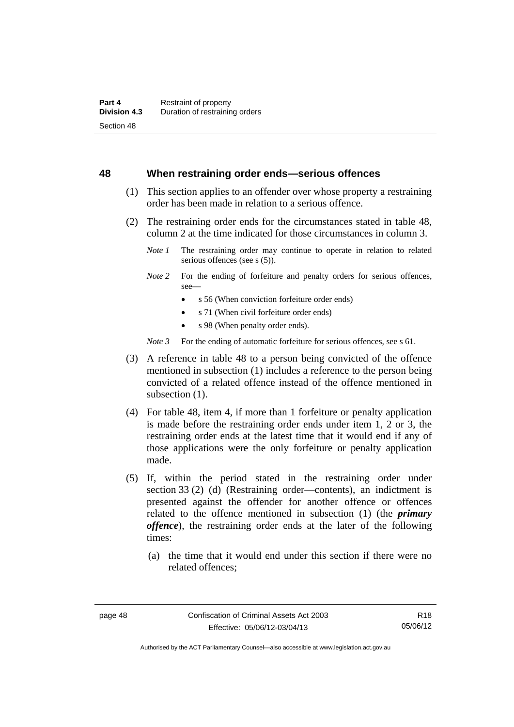#### **48 When restraining order ends—serious offences**

- (1) This section applies to an offender over whose property a restraining order has been made in relation to a serious offence.
- (2) The restraining order ends for the circumstances stated in table 48, column 2 at the time indicated for those circumstances in column 3.
	- *Note 1* The restraining order may continue to operate in relation to related serious offences (see s (5)).
	- *Note* 2 For the ending of forfeiture and penalty orders for serious offences, see—
		- s 56 (When conviction forfeiture order ends)
		- s 71 (When civil forfeiture order ends)
		- s 98 (When penalty order ends).

*Note 3* For the ending of automatic forfeiture for serious offences, see s 61.

- (3) A reference in table 48 to a person being convicted of the offence mentioned in subsection (1) includes a reference to the person being convicted of a related offence instead of the offence mentioned in subsection  $(1)$ .
- (4) For table 48, item 4, if more than 1 forfeiture or penalty application is made before the restraining order ends under item 1, 2 or 3, the restraining order ends at the latest time that it would end if any of those applications were the only forfeiture or penalty application made.
- (5) If, within the period stated in the restraining order under section 33 (2) (d) (Restraining order—contents), an indictment is presented against the offender for another offence or offences related to the offence mentioned in subsection (1) (the *primary offence*), the restraining order ends at the later of the following times:
	- (a) the time that it would end under this section if there were no related offences;

Authorised by the ACT Parliamentary Counsel—also accessible at www.legislation.act.gov.au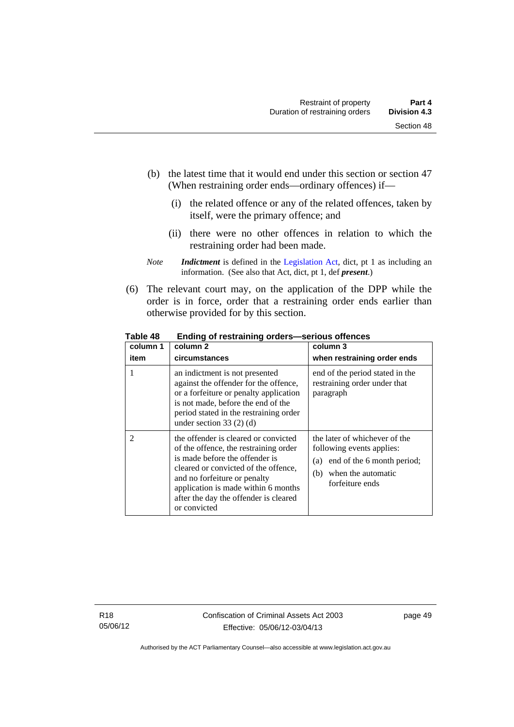- (b) the latest time that it would end under this section or section 47 (When restraining order ends—ordinary offences) if—
	- (i) the related offence or any of the related offences, taken by itself, were the primary offence; and
	- (ii) there were no other offences in relation to which the restraining order had been made.
- *Note Indictment* is defined in the [Legislation Act,](http://www.legislation.act.gov.au/a/2001-14) dict, pt 1 as including an information. (See also that Act, dict, pt 1, def *present*.)
- (6) The relevant court may, on the application of the DPP while the order is in force, order that a restraining order ends earlier than otherwise provided for by this section.

| column 1       | column 2                                                                                                                                                                                                                                                                                | column 3                                                                                                                                        |
|----------------|-----------------------------------------------------------------------------------------------------------------------------------------------------------------------------------------------------------------------------------------------------------------------------------------|-------------------------------------------------------------------------------------------------------------------------------------------------|
| item           | circumstances                                                                                                                                                                                                                                                                           | when restraining order ends                                                                                                                     |
|                | an indictment is not presented<br>against the offender for the offence,<br>or a forfeiture or penalty application<br>is not made, before the end of the<br>period stated in the restraining order<br>under section $33(2)(d)$                                                           | end of the period stated in the<br>restraining order under that<br>paragraph                                                                    |
| $\overline{2}$ | the offender is cleared or convicted<br>of the offence, the restraining order<br>is made before the offender is<br>cleared or convicted of the offence,<br>and no forfeiture or penalty<br>application is made within 6 months<br>after the day the offender is cleared<br>or convicted | the later of whichever of the<br>following events applies:<br>end of the 6 month period;<br>(a)<br>when the automatic<br>(b)<br>forfeiture ends |

**Table 48 Ending of restraining orders—serious offences**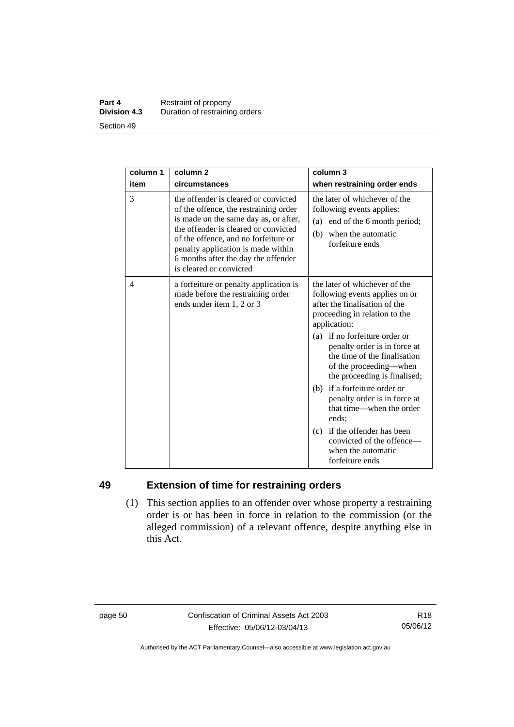#### **Part 4 Restraint of property**<br>**Division 4.3** Duration of restraining **Division 4.3** Duration of restraining orders Section 49

| column 1 | column <sub>2</sub>                                                                                                                                                                                                                                                                                            | column 3                                                                                                                                                                                                                                                                                                                                                                                                                                          |
|----------|----------------------------------------------------------------------------------------------------------------------------------------------------------------------------------------------------------------------------------------------------------------------------------------------------------------|---------------------------------------------------------------------------------------------------------------------------------------------------------------------------------------------------------------------------------------------------------------------------------------------------------------------------------------------------------------------------------------------------------------------------------------------------|
| item     | circumstances                                                                                                                                                                                                                                                                                                  | when restraining order ends                                                                                                                                                                                                                                                                                                                                                                                                                       |
| 3        | the offender is cleared or convicted<br>of the offence, the restraining order<br>is made on the same day as, or after,<br>the offender is cleared or convicted<br>of the offence, and no forfeiture or<br>penalty application is made within<br>6 months after the day the offender<br>is cleared or convicted | the later of whichever of the<br>following events applies:<br>(a) end of the 6 month period;<br>when the automatic<br>(b)<br>forfeiture ends                                                                                                                                                                                                                                                                                                      |
| 4        | a forfeiture or penalty application is<br>made before the restraining order<br>ends under item 1, 2 or 3                                                                                                                                                                                                       | the later of whichever of the<br>following events applies on or<br>after the finalisation of the<br>proceeding in relation to the<br>application:<br>(a) if no forfeiture order or<br>penalty order is in force at<br>the time of the finalisation<br>of the proceeding—when<br>the proceeding is finalised;<br>(b) if a forfeiture order or<br>penalty order is in force at<br>that time—when the order<br>ends:<br>(c) if the offender has been |
|          |                                                                                                                                                                                                                                                                                                                | convicted of the offence-<br>when the automatic<br>forfeiture ends                                                                                                                                                                                                                                                                                                                                                                                |

# **49 Extension of time for restraining orders**

 (1) This section applies to an offender over whose property a restraining order is or has been in force in relation to the commission (or the alleged commission) of a relevant offence, despite anything else in this Act.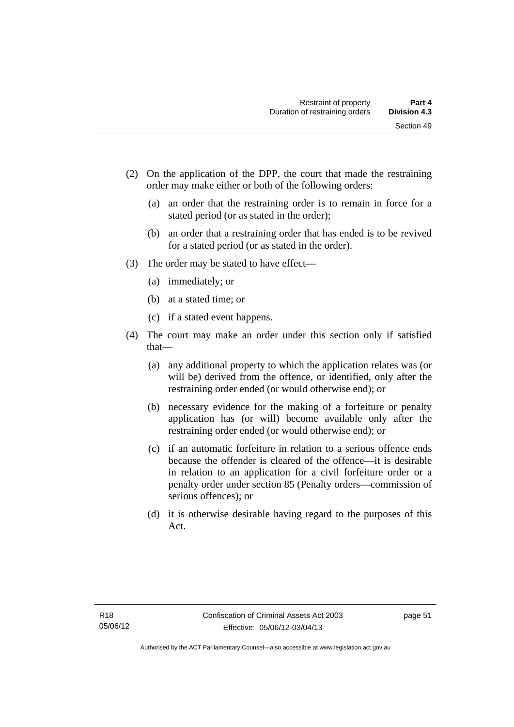- (2) On the application of the DPP, the court that made the restraining order may make either or both of the following orders:
	- (a) an order that the restraining order is to remain in force for a stated period (or as stated in the order);
	- (b) an order that a restraining order that has ended is to be revived for a stated period (or as stated in the order).
- (3) The order may be stated to have effect—
	- (a) immediately; or
	- (b) at a stated time; or
	- (c) if a stated event happens.
- (4) The court may make an order under this section only if satisfied that—
	- (a) any additional property to which the application relates was (or will be) derived from the offence, or identified, only after the restraining order ended (or would otherwise end); or
	- (b) necessary evidence for the making of a forfeiture or penalty application has (or will) become available only after the restraining order ended (or would otherwise end); or
	- (c) if an automatic forfeiture in relation to a serious offence ends because the offender is cleared of the offence—it is desirable in relation to an application for a civil forfeiture order or a penalty order under section 85 (Penalty orders—commission of serious offences); or
	- (d) it is otherwise desirable having regard to the purposes of this Act.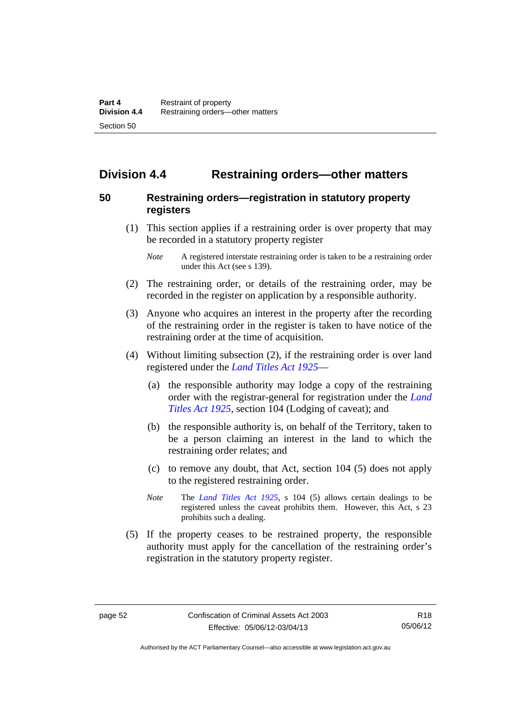# **Division 4.4 Restraining orders—other matters**

# **50 Restraining orders—registration in statutory property registers**

 (1) This section applies if a restraining order is over property that may be recorded in a statutory property register

- (2) The restraining order, or details of the restraining order, may be recorded in the register on application by a responsible authority.
- (3) Anyone who acquires an interest in the property after the recording of the restraining order in the register is taken to have notice of the restraining order at the time of acquisition.
- (4) Without limiting subsection (2), if the restraining order is over land registered under the *[Land Titles Act 1925](http://www.legislation.act.gov.au/a/1925-1)*—
	- (a) the responsible authority may lodge a copy of the restraining order with the registrar-general for registration under the *[Land](http://www.legislation.act.gov.au/a/1925-1)  [Titles Act 1925](http://www.legislation.act.gov.au/a/1925-1)*, section 104 (Lodging of caveat); and
	- (b) the responsible authority is, on behalf of the Territory, taken to be a person claiming an interest in the land to which the restraining order relates; and
	- (c) to remove any doubt, that Act, section 104 (5) does not apply to the registered restraining order.
	- *Note* The *[Land Titles Act 1925](http://www.legislation.act.gov.au/a/1925-1)*, s 104 (5) allows certain dealings to be registered unless the caveat prohibits them. However, this Act, s 23 prohibits such a dealing.
- (5) If the property ceases to be restrained property, the responsible authority must apply for the cancellation of the restraining order's registration in the statutory property register.

*Note* A registered interstate restraining order is taken to be a restraining order under this Act (see s 139).

R18 05/06/12

Authorised by the ACT Parliamentary Counsel—also accessible at www.legislation.act.gov.au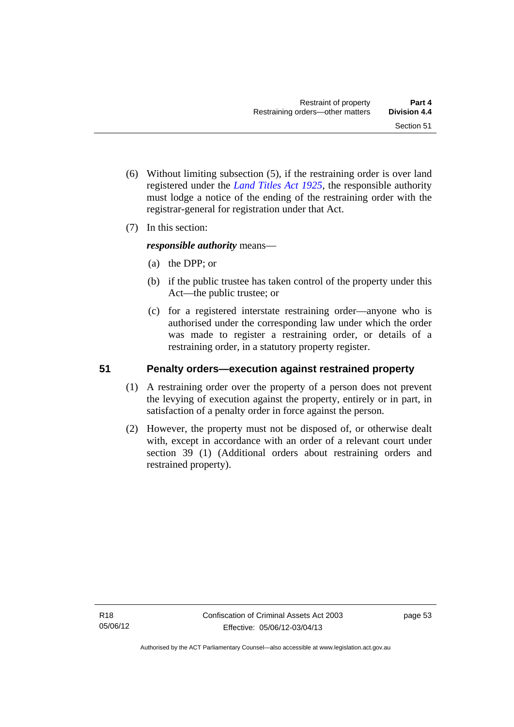- (6) Without limiting subsection (5), if the restraining order is over land registered under the *[Land Titles Act 1925](http://www.legislation.act.gov.au/a/1925-1)*, the responsible authority must lodge a notice of the ending of the restraining order with the registrar-general for registration under that Act.
- (7) In this section:

*responsible authority* means—

- (a) the DPP; or
- (b) if the public trustee has taken control of the property under this Act—the public trustee; or
- (c) for a registered interstate restraining order—anyone who is authorised under the corresponding law under which the order was made to register a restraining order, or details of a restraining order, in a statutory property register.

# **51 Penalty orders—execution against restrained property**

- (1) A restraining order over the property of a person does not prevent the levying of execution against the property, entirely or in part, in satisfaction of a penalty order in force against the person.
- (2) However, the property must not be disposed of, or otherwise dealt with, except in accordance with an order of a relevant court under section 39 (1) (Additional orders about restraining orders and restrained property).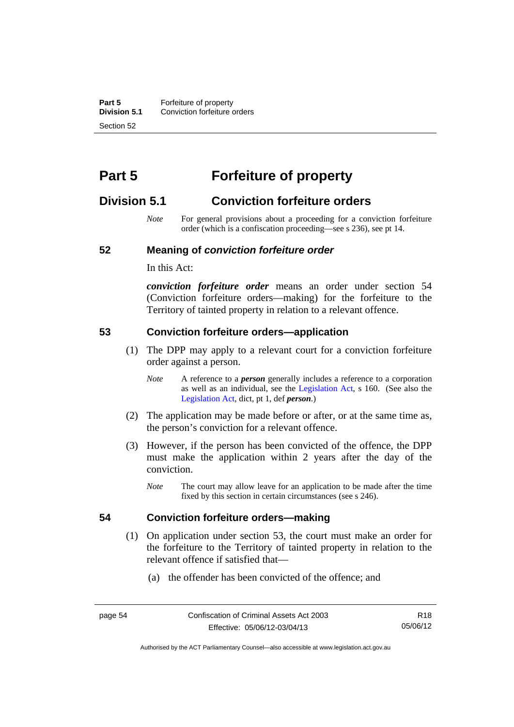**Part 5 Forfeiture of property**<br>**Division 5.1** Conviction forfeiture of **Division 5.1** Conviction forfeiture orders Section 52

# **Part 5 Forfeiture of property**

# **Division 5.1 Conviction forfeiture orders**

*Note* For general provisions about a proceeding for a conviction forfeiture order (which is a confiscation proceeding—see s 236), see pt 14.

#### **52 Meaning of** *conviction forfeiture order*

In this Act:

*conviction forfeiture order* means an order under section 54 (Conviction forfeiture orders—making) for the forfeiture to the Territory of tainted property in relation to a relevant offence.

#### **53 Conviction forfeiture orders—application**

- (1) The DPP may apply to a relevant court for a conviction forfeiture order against a person.
	- *Note* A reference to a *person* generally includes a reference to a corporation as well as an individual, see the [Legislation Act](http://www.legislation.act.gov.au/a/2001-14), s 160. (See also the [Legislation Act,](http://www.legislation.act.gov.au/a/2001-14) dict, pt 1, def *person*.)
- (2) The application may be made before or after, or at the same time as, the person's conviction for a relevant offence.
- (3) However, if the person has been convicted of the offence, the DPP must make the application within 2 years after the day of the conviction.
	- *Note* The court may allow leave for an application to be made after the time fixed by this section in certain circumstances (see s 246).

#### **54 Conviction forfeiture orders—making**

- (1) On application under section 53, the court must make an order for the forfeiture to the Territory of tainted property in relation to the relevant offence if satisfied that—
	- (a) the offender has been convicted of the offence; and

Authorised by the ACT Parliamentary Counsel—also accessible at www.legislation.act.gov.au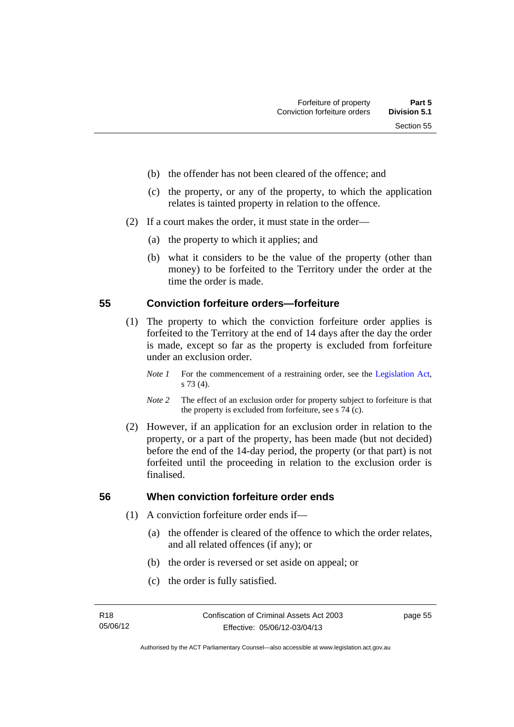- (b) the offender has not been cleared of the offence; and
- (c) the property, or any of the property, to which the application relates is tainted property in relation to the offence.
- (2) If a court makes the order, it must state in the order—
	- (a) the property to which it applies; and
	- (b) what it considers to be the value of the property (other than money) to be forfeited to the Territory under the order at the time the order is made.

### **55 Conviction forfeiture orders—forfeiture**

- (1) The property to which the conviction forfeiture order applies is forfeited to the Territory at the end of 14 days after the day the order is made, except so far as the property is excluded from forfeiture under an exclusion order.
	- *Note 1* For the commencement of a restraining order, see the [Legislation Act,](http://www.legislation.act.gov.au/a/2001-14) s 73 (4).
	- *Note 2* The effect of an exclusion order for property subject to forfeiture is that the property is excluded from forfeiture, see s 74 (c).
- (2) However, if an application for an exclusion order in relation to the property, or a part of the property, has been made (but not decided) before the end of the 14-day period, the property (or that part) is not forfeited until the proceeding in relation to the exclusion order is finalised.

# **56 When conviction forfeiture order ends**

- (1) A conviction forfeiture order ends if—
	- (a) the offender is cleared of the offence to which the order relates, and all related offences (if any); or
	- (b) the order is reversed or set aside on appeal; or
	- (c) the order is fully satisfied.

page 55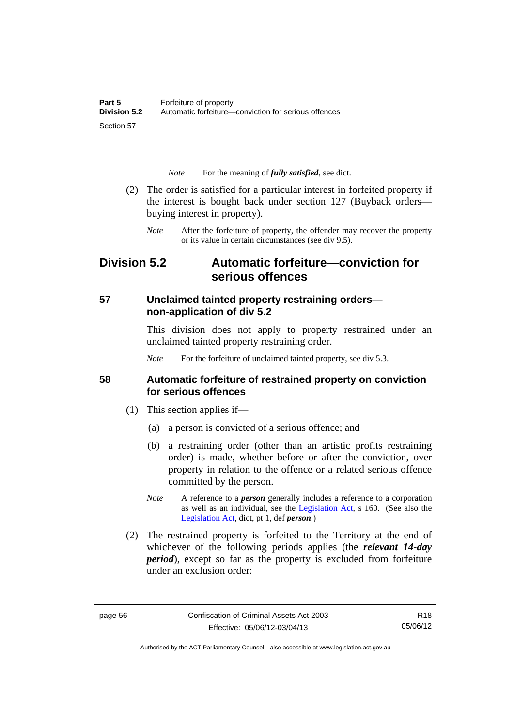*Note* For the meaning of *fully satisfied*, see dict.

- (2) The order is satisfied for a particular interest in forfeited property if the interest is bought back under section 127 (Buyback orders buying interest in property).
	- *Note* After the forfeiture of property, the offender may recover the property or its value in certain circumstances (see div 9.5).

# **Division 5.2 Automatic forfeiture—conviction for serious offences**

# **57 Unclaimed tainted property restraining orders non-application of div 5.2**

This division does not apply to property restrained under an unclaimed tainted property restraining order.

*Note* For the forfeiture of unclaimed tainted property, see div 5.3.

# **58 Automatic forfeiture of restrained property on conviction for serious offences**

- (1) This section applies if—
	- (a) a person is convicted of a serious offence; and
	- (b) a restraining order (other than an artistic profits restraining order) is made, whether before or after the conviction, over property in relation to the offence or a related serious offence committed by the person.
	- *Note* A reference to a *person* generally includes a reference to a corporation as well as an individual, see the [Legislation Act](http://www.legislation.act.gov.au/a/2001-14), s 160. (See also the [Legislation Act,](http://www.legislation.act.gov.au/a/2001-14) dict, pt 1, def *person*.)
- (2) The restrained property is forfeited to the Territory at the end of whichever of the following periods applies (the *relevant 14-day period*), except so far as the property is excluded from forfeiture under an exclusion order:

Authorised by the ACT Parliamentary Counsel—also accessible at www.legislation.act.gov.au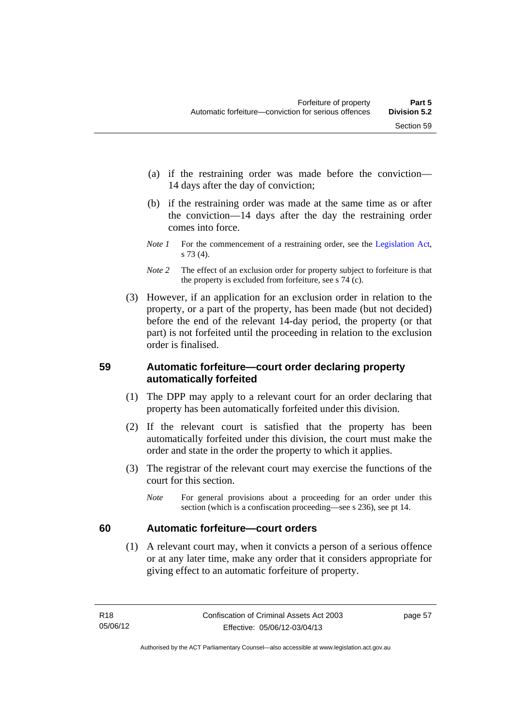- (a) if the restraining order was made before the conviction— 14 days after the day of conviction;
- (b) if the restraining order was made at the same time as or after the conviction—14 days after the day the restraining order comes into force.
- *Note 1* For the commencement of a restraining order, see the [Legislation Act,](http://www.legislation.act.gov.au/a/2001-14) s 73 (4).
- *Note* 2 The effect of an exclusion order for property subject to forfeiture is that the property is excluded from forfeiture, see s 74 (c).
- (3) However, if an application for an exclusion order in relation to the property, or a part of the property, has been made (but not decided) before the end of the relevant 14-day period, the property (or that part) is not forfeited until the proceeding in relation to the exclusion order is finalised.

# **59 Automatic forfeiture—court order declaring property automatically forfeited**

- (1) The DPP may apply to a relevant court for an order declaring that property has been automatically forfeited under this division.
- (2) If the relevant court is satisfied that the property has been automatically forfeited under this division, the court must make the order and state in the order the property to which it applies.
- (3) The registrar of the relevant court may exercise the functions of the court for this section.
	- *Note* For general provisions about a proceeding for an order under this section (which is a confiscation proceeding—see s 236), see pt 14.

# **60 Automatic forfeiture—court orders**

 (1) A relevant court may, when it convicts a person of a serious offence or at any later time, make any order that it considers appropriate for giving effect to an automatic forfeiture of property.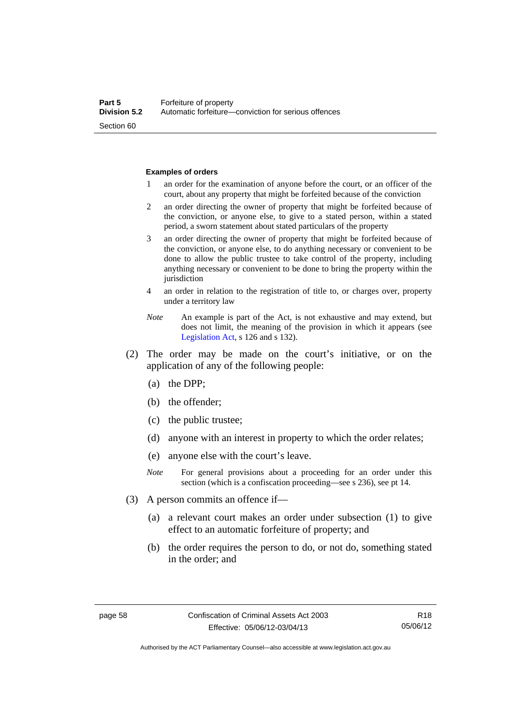#### **Examples of orders**

- 1 an order for the examination of anyone before the court, or an officer of the court, about any property that might be forfeited because of the conviction
- 2 an order directing the owner of property that might be forfeited because of the conviction, or anyone else, to give to a stated person, within a stated period, a sworn statement about stated particulars of the property
- 3 an order directing the owner of property that might be forfeited because of the conviction, or anyone else, to do anything necessary or convenient to be done to allow the public trustee to take control of the property, including anything necessary or convenient to be done to bring the property within the jurisdiction
- 4 an order in relation to the registration of title to, or charges over, property under a territory law
- *Note* An example is part of the Act, is not exhaustive and may extend, but does not limit, the meaning of the provision in which it appears (see [Legislation Act,](http://www.legislation.act.gov.au/a/2001-14) s 126 and s 132).
- (2) The order may be made on the court's initiative, or on the application of any of the following people:
	- (a) the DPP;
	- (b) the offender;
	- (c) the public trustee;
	- (d) anyone with an interest in property to which the order relates;
	- (e) anyone else with the court's leave.
	- *Note* For general provisions about a proceeding for an order under this section (which is a confiscation proceeding—see s 236), see pt 14.
- (3) A person commits an offence if—
	- (a) a relevant court makes an order under subsection (1) to give effect to an automatic forfeiture of property; and
	- (b) the order requires the person to do, or not do, something stated in the order; and

Authorised by the ACT Parliamentary Counsel—also accessible at www.legislation.act.gov.au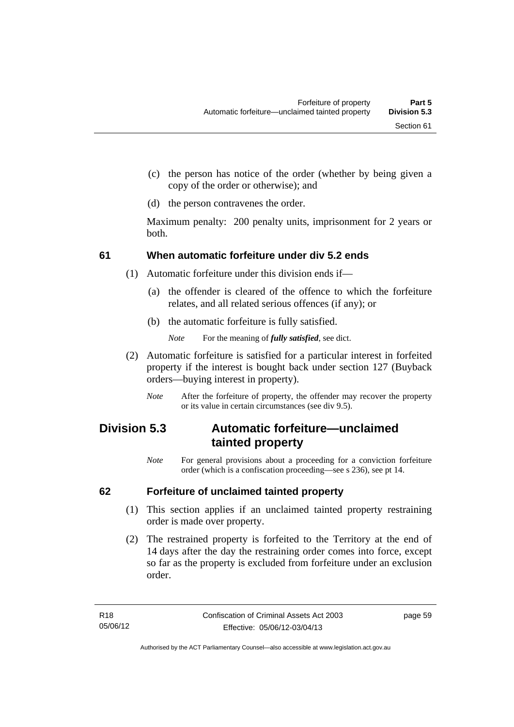- (c) the person has notice of the order (whether by being given a copy of the order or otherwise); and
- (d) the person contravenes the order.

Maximum penalty: 200 penalty units, imprisonment for 2 years or both.

# **61 When automatic forfeiture under div 5.2 ends**

- (1) Automatic forfeiture under this division ends if—
	- (a) the offender is cleared of the offence to which the forfeiture relates, and all related serious offences (if any); or
	- (b) the automatic forfeiture is fully satisfied.

*Note* For the meaning of *fully satisfied*, see dict.

- (2) Automatic forfeiture is satisfied for a particular interest in forfeited property if the interest is bought back under section 127 (Buyback orders—buying interest in property).
	- *Note* After the forfeiture of property, the offender may recover the property or its value in certain circumstances (see div 9.5).

# **Division 5.3 Automatic forfeiture—unclaimed tainted property**

*Note* For general provisions about a proceeding for a conviction forfeiture order (which is a confiscation proceeding—see s 236), see pt 14.

# **62 Forfeiture of unclaimed tainted property**

- (1) This section applies if an unclaimed tainted property restraining order is made over property.
- (2) The restrained property is forfeited to the Territory at the end of 14 days after the day the restraining order comes into force, except so far as the property is excluded from forfeiture under an exclusion order.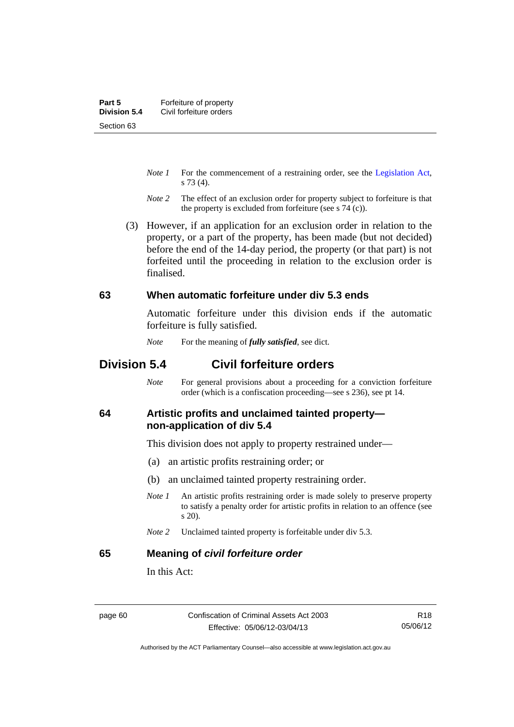- *Note 1* For the commencement of a restraining order, see the [Legislation Act,](http://www.legislation.act.gov.au/a/2001-14) s 73 (4).
- *Note 2* The effect of an exclusion order for property subject to forfeiture is that the property is excluded from forfeiture (see s 74 (c)).
- (3) However, if an application for an exclusion order in relation to the property, or a part of the property, has been made (but not decided) before the end of the 14-day period, the property (or that part) is not forfeited until the proceeding in relation to the exclusion order is finalised.

#### **63 When automatic forfeiture under div 5.3 ends**

Automatic forfeiture under this division ends if the automatic forfeiture is fully satisfied.

*Note* For the meaning of *fully satisfied*, see dict.

# **Division 5.4 Civil forfeiture orders**

*Note* For general provisions about a proceeding for a conviction forfeiture order (which is a confiscation proceeding—see s 236), see pt 14.

#### **64 Artistic profits and unclaimed tainted property non-application of div 5.4**

This division does not apply to property restrained under—

- (a) an artistic profits restraining order; or
- (b) an unclaimed tainted property restraining order.
- *Note 1* An artistic profits restraining order is made solely to preserve property to satisfy a penalty order for artistic profits in relation to an offence (see s 20).
- *Note 2* Unclaimed tainted property is forfeitable under div 5.3.

#### **65 Meaning of** *civil forfeiture order*

In this Act:

Authorised by the ACT Parliamentary Counsel—also accessible at www.legislation.act.gov.au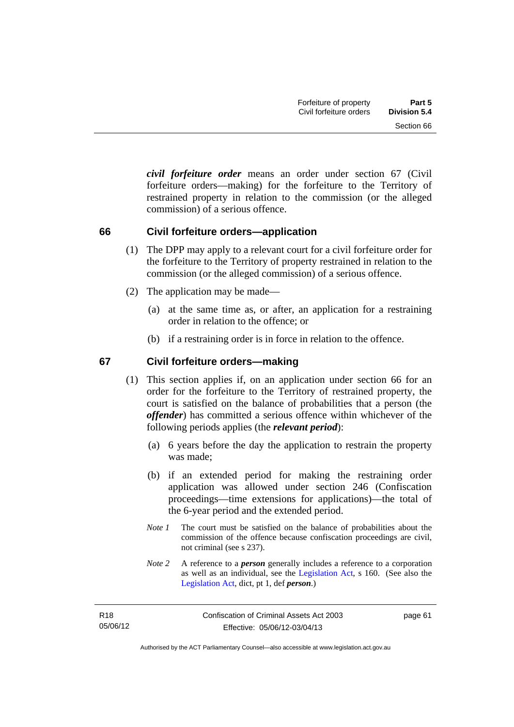*civil forfeiture order* means an order under section 67 (Civil forfeiture orders—making) for the forfeiture to the Territory of restrained property in relation to the commission (or the alleged commission) of a serious offence.

#### **66 Civil forfeiture orders—application**

- (1) The DPP may apply to a relevant court for a civil forfeiture order for the forfeiture to the Territory of property restrained in relation to the commission (or the alleged commission) of a serious offence.
- (2) The application may be made—
	- (a) at the same time as, or after, an application for a restraining order in relation to the offence; or
	- (b) if a restraining order is in force in relation to the offence.

## **67 Civil forfeiture orders—making**

- (1) This section applies if, on an application under section 66 for an order for the forfeiture to the Territory of restrained property, the court is satisfied on the balance of probabilities that a person (the *offender*) has committed a serious offence within whichever of the following periods applies (the *relevant period*):
	- (a) 6 years before the day the application to restrain the property was made;
	- (b) if an extended period for making the restraining order application was allowed under section 246 (Confiscation proceedings—time extensions for applications)—the total of the 6-year period and the extended period.
	- *Note 1* The court must be satisfied on the balance of probabilities about the commission of the offence because confiscation proceedings are civil, not criminal (see s 237).
	- *Note 2* A reference to a *person* generally includes a reference to a corporation as well as an individual, see the [Legislation Act](http://www.legislation.act.gov.au/a/2001-14), s 160. (See also the [Legislation Act,](http://www.legislation.act.gov.au/a/2001-14) dict, pt 1, def *person*.)

page 61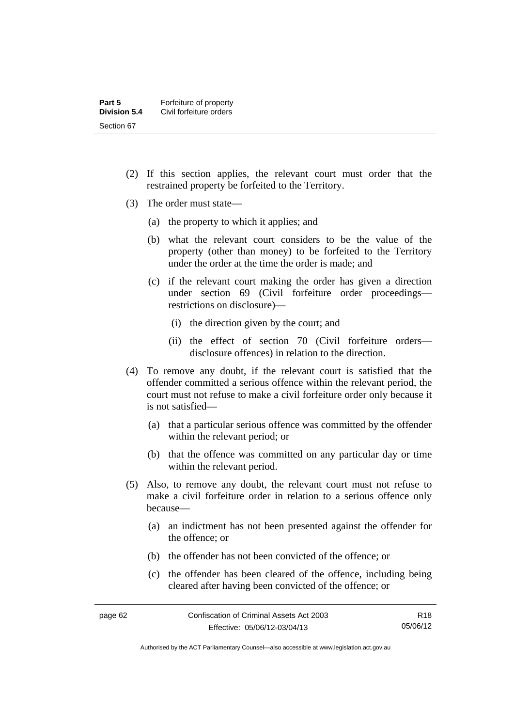- (2) If this section applies, the relevant court must order that the restrained property be forfeited to the Territory.
- (3) The order must state—
	- (a) the property to which it applies; and
	- (b) what the relevant court considers to be the value of the property (other than money) to be forfeited to the Territory under the order at the time the order is made; and
	- (c) if the relevant court making the order has given a direction under section 69 (Civil forfeiture order proceedings restrictions on disclosure)—
		- (i) the direction given by the court; and
		- (ii) the effect of section 70 (Civil forfeiture orders disclosure offences) in relation to the direction.
- (4) To remove any doubt, if the relevant court is satisfied that the offender committed a serious offence within the relevant period, the court must not refuse to make a civil forfeiture order only because it is not satisfied—
	- (a) that a particular serious offence was committed by the offender within the relevant period; or
	- (b) that the offence was committed on any particular day or time within the relevant period.
- (5) Also, to remove any doubt, the relevant court must not refuse to make a civil forfeiture order in relation to a serious offence only because—
	- (a) an indictment has not been presented against the offender for the offence; or
	- (b) the offender has not been convicted of the offence; or
	- (c) the offender has been cleared of the offence, including being cleared after having been convicted of the offence; or

Authorised by the ACT Parliamentary Counsel—also accessible at www.legislation.act.gov.au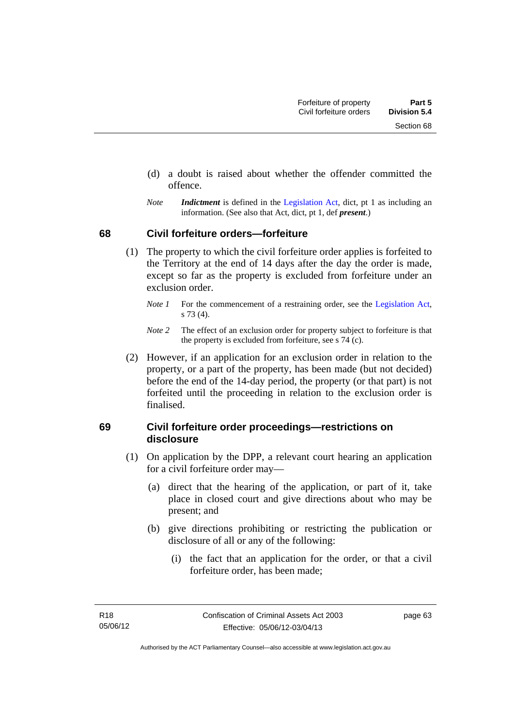- (d) a doubt is raised about whether the offender committed the offence.
- *Note Indictment* is defined in the [Legislation Act,](http://www.legislation.act.gov.au/a/2001-14) dict, pt 1 as including an information. (See also that Act, dict, pt 1, def *present*.)

#### **68 Civil forfeiture orders—forfeiture**

- (1) The property to which the civil forfeiture order applies is forfeited to the Territory at the end of 14 days after the day the order is made, except so far as the property is excluded from forfeiture under an exclusion order.
	- *Note 1* For the commencement of a restraining order, see the [Legislation Act,](http://www.legislation.act.gov.au/a/2001-14) s 73 (4).
	- *Note 2* The effect of an exclusion order for property subject to forfeiture is that the property is excluded from forfeiture, see s 74 (c).
- (2) However, if an application for an exclusion order in relation to the property, or a part of the property, has been made (but not decided) before the end of the 14-day period, the property (or that part) is not forfeited until the proceeding in relation to the exclusion order is finalised.

## **69 Civil forfeiture order proceedings—restrictions on disclosure**

- (1) On application by the DPP, a relevant court hearing an application for a civil forfeiture order may—
	- (a) direct that the hearing of the application, or part of it, take place in closed court and give directions about who may be present; and
	- (b) give directions prohibiting or restricting the publication or disclosure of all or any of the following:
		- (i) the fact that an application for the order, or that a civil forfeiture order, has been made;

page 63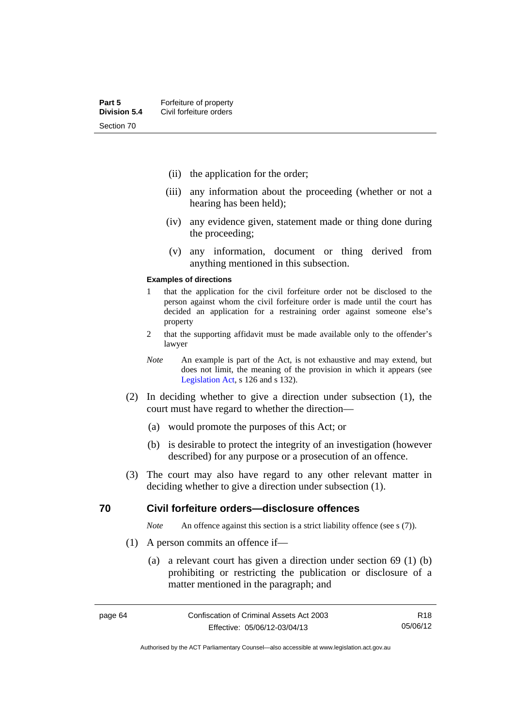- (ii) the application for the order;
- (iii) any information about the proceeding (whether or not a hearing has been held);
- (iv) any evidence given, statement made or thing done during the proceeding;
- (v) any information, document or thing derived from anything mentioned in this subsection.

#### **Examples of directions**

- 1 that the application for the civil forfeiture order not be disclosed to the person against whom the civil forfeiture order is made until the court has decided an application for a restraining order against someone else's property
- 2 that the supporting affidavit must be made available only to the offender's lawyer
- *Note* An example is part of the Act, is not exhaustive and may extend, but does not limit, the meaning of the provision in which it appears (see [Legislation Act,](http://www.legislation.act.gov.au/a/2001-14) s 126 and s 132).
- (2) In deciding whether to give a direction under subsection (1), the court must have regard to whether the direction—
	- (a) would promote the purposes of this Act; or
	- (b) is desirable to protect the integrity of an investigation (however described) for any purpose or a prosecution of an offence.
- (3) The court may also have regard to any other relevant matter in deciding whether to give a direction under subsection (1).

#### **70 Civil forfeiture orders—disclosure offences**

*Note* An offence against this section is a strict liability offence (see s (7)).

- (1) A person commits an offence if—
	- (a) a relevant court has given a direction under section 69 (1) (b) prohibiting or restricting the publication or disclosure of a matter mentioned in the paragraph; and

R18 05/06/12

Authorised by the ACT Parliamentary Counsel—also accessible at www.legislation.act.gov.au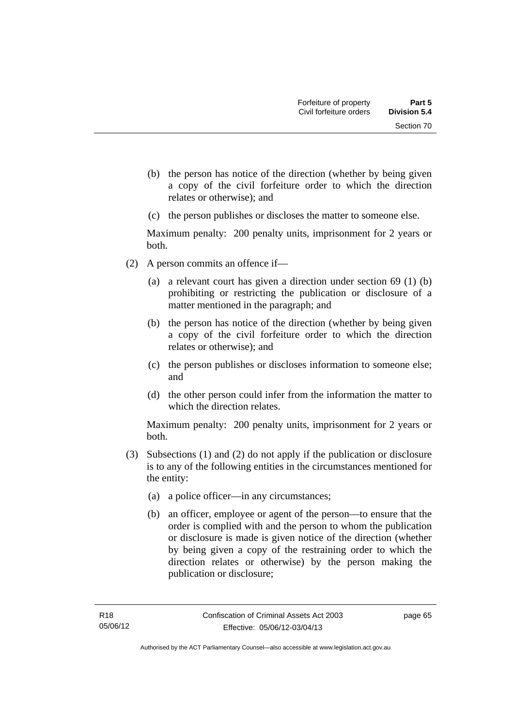- (b) the person has notice of the direction (whether by being given a copy of the civil forfeiture order to which the direction relates or otherwise); and
- (c) the person publishes or discloses the matter to someone else.

Maximum penalty: 200 penalty units, imprisonment for 2 years or both.

- (2) A person commits an offence if—
	- (a) a relevant court has given a direction under section 69 (1) (b) prohibiting or restricting the publication or disclosure of a matter mentioned in the paragraph; and
	- (b) the person has notice of the direction (whether by being given a copy of the civil forfeiture order to which the direction relates or otherwise); and
	- (c) the person publishes or discloses information to someone else; and
	- (d) the other person could infer from the information the matter to which the direction relates.

Maximum penalty: 200 penalty units, imprisonment for 2 years or both.

- (3) Subsections (1) and (2) do not apply if the publication or disclosure is to any of the following entities in the circumstances mentioned for the entity:
	- (a) a police officer—in any circumstances;
	- (b) an officer, employee or agent of the person—to ensure that the order is complied with and the person to whom the publication or disclosure is made is given notice of the direction (whether by being given a copy of the restraining order to which the direction relates or otherwise) by the person making the publication or disclosure;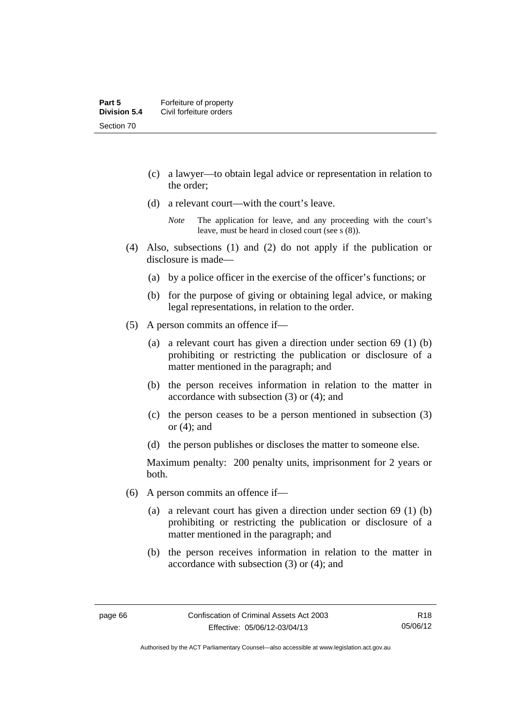- (c) a lawyer—to obtain legal advice or representation in relation to the order;
- (d) a relevant court—with the court's leave.

- (4) Also, subsections (1) and (2) do not apply if the publication or disclosure is made—
	- (a) by a police officer in the exercise of the officer's functions; or
	- (b) for the purpose of giving or obtaining legal advice, or making legal representations, in relation to the order.
- (5) A person commits an offence if—
	- (a) a relevant court has given a direction under section 69 (1) (b) prohibiting or restricting the publication or disclosure of a matter mentioned in the paragraph; and
	- (b) the person receives information in relation to the matter in accordance with subsection (3) or (4); and
	- (c) the person ceases to be a person mentioned in subsection (3) or (4); and
	- (d) the person publishes or discloses the matter to someone else.

Maximum penalty: 200 penalty units, imprisonment for 2 years or both.

- (6) A person commits an offence if—
	- (a) a relevant court has given a direction under section 69 (1) (b) prohibiting or restricting the publication or disclosure of a matter mentioned in the paragraph; and
	- (b) the person receives information in relation to the matter in accordance with subsection (3) or (4); and

*Note* The application for leave, and any proceeding with the court's leave, must be heard in closed court (see s (8)).

Authorised by the ACT Parliamentary Counsel—also accessible at www.legislation.act.gov.au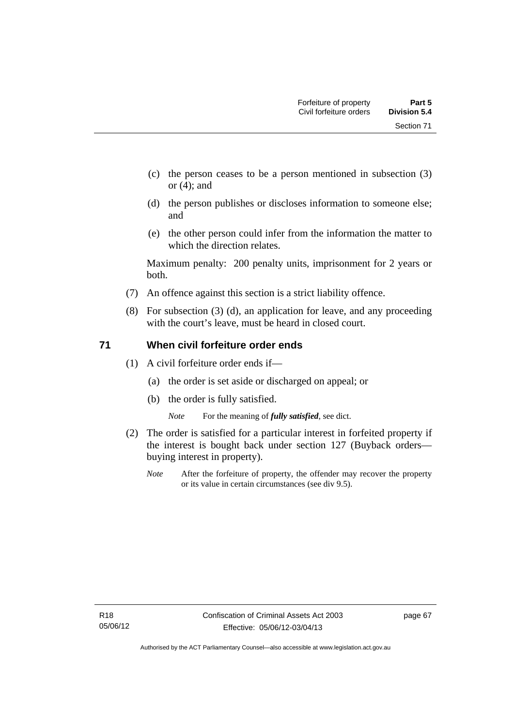Section 71

- (c) the person ceases to be a person mentioned in subsection (3) or (4); and
- (d) the person publishes or discloses information to someone else; and
- (e) the other person could infer from the information the matter to which the direction relates.

Maximum penalty: 200 penalty units, imprisonment for 2 years or both.

- (7) An offence against this section is a strict liability offence.
- (8) For subsection (3) (d), an application for leave, and any proceeding with the court's leave, must be heard in closed court.

## **71 When civil forfeiture order ends**

- (1) A civil forfeiture order ends if—
	- (a) the order is set aside or discharged on appeal; or
	- (b) the order is fully satisfied.

*Note* For the meaning of *fully satisfied*, see dict.

- (2) The order is satisfied for a particular interest in forfeited property if the interest is bought back under section 127 (Buyback orders buying interest in property).
	- *Note* After the forfeiture of property, the offender may recover the property or its value in certain circumstances (see div 9.5).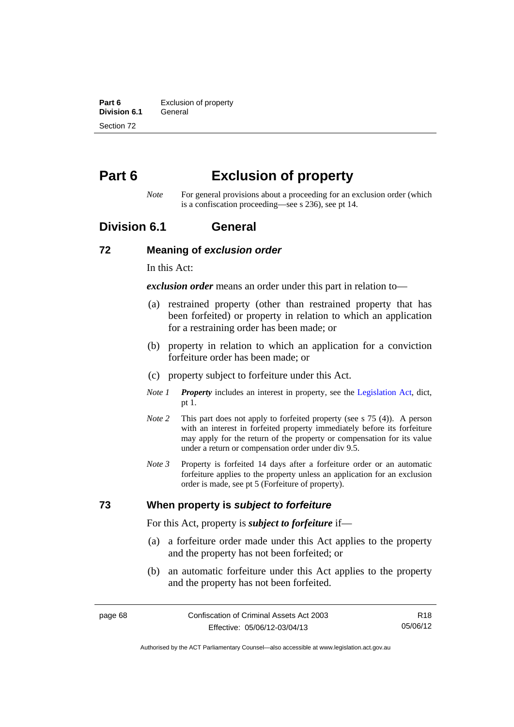**Part 6 Exclusion of property**<br>**Division 6.1 General Division 6.1** Section 72

# **Part 6 Exclusion of property**

*Note* For general provisions about a proceeding for an exclusion order (which is a confiscation proceeding—see s 236), see pt 14.

# **Division 6.1 General**

#### **72 Meaning of** *exclusion order*

In this Act:

*exclusion order* means an order under this part in relation to—

- (a) restrained property (other than restrained property that has been forfeited) or property in relation to which an application for a restraining order has been made; or
- (b) property in relation to which an application for a conviction forfeiture order has been made; or
- (c) property subject to forfeiture under this Act.
- *Note 1 Property* includes an interest in property, see the [Legislation Act,](http://www.legislation.act.gov.au/a/2001-14) dict, pt 1.
- *Note 2* This part does not apply to forfeited property (see s 75 (4)). A person with an interest in forfeited property immediately before its forfeiture may apply for the return of the property or compensation for its value under a return or compensation order under div 9.5.
- *Note 3* Property is forfeited 14 days after a forfeiture order or an automatic forfeiture applies to the property unless an application for an exclusion order is made, see pt 5 (Forfeiture of property).

#### **73 When property is** *subject to forfeiture*

For this Act, property is *subject to forfeiture* if—

- (a) a forfeiture order made under this Act applies to the property and the property has not been forfeited; or
- (b) an automatic forfeiture under this Act applies to the property and the property has not been forfeited.

R18 05/06/12

Authorised by the ACT Parliamentary Counsel—also accessible at www.legislation.act.gov.au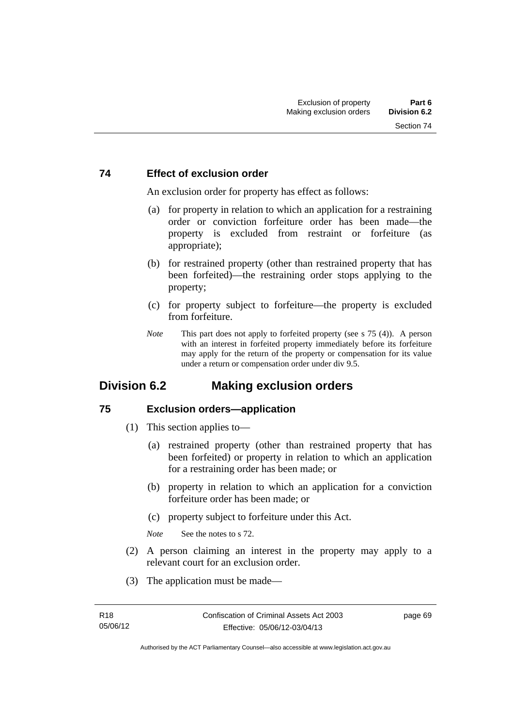#### **74 Effect of exclusion order**

An exclusion order for property has effect as follows:

- (a) for property in relation to which an application for a restraining order or conviction forfeiture order has been made—the property is excluded from restraint or forfeiture (as appropriate);
- (b) for restrained property (other than restrained property that has been forfeited)—the restraining order stops applying to the property;
- (c) for property subject to forfeiture—the property is excluded from forfeiture.
- *Note* This part does not apply to forfeited property (see s 75 (4)). A person with an interest in forfeited property immediately before its forfeiture may apply for the return of the property or compensation for its value under a return or compensation order under div 9.5.

# **Division 6.2 Making exclusion orders**

#### **75 Exclusion orders—application**

- (1) This section applies to—
	- (a) restrained property (other than restrained property that has been forfeited) or property in relation to which an application for a restraining order has been made; or
	- (b) property in relation to which an application for a conviction forfeiture order has been made; or
	- (c) property subject to forfeiture under this Act.

*Note* See the notes to s 72.

- (2) A person claiming an interest in the property may apply to a relevant court for an exclusion order.
- (3) The application must be made—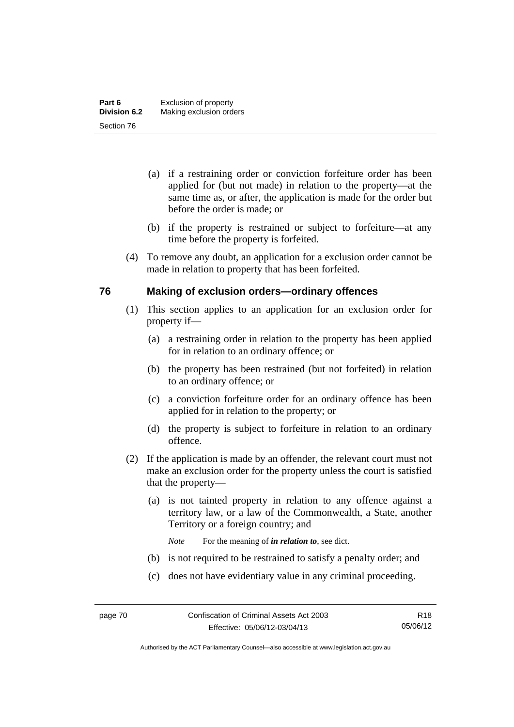- (a) if a restraining order or conviction forfeiture order has been applied for (but not made) in relation to the property—at the same time as, or after, the application is made for the order but before the order is made; or
- (b) if the property is restrained or subject to forfeiture—at any time before the property is forfeited.
- (4) To remove any doubt, an application for a exclusion order cannot be made in relation to property that has been forfeited.

## **76 Making of exclusion orders—ordinary offences**

- (1) This section applies to an application for an exclusion order for property if—
	- (a) a restraining order in relation to the property has been applied for in relation to an ordinary offence; or
	- (b) the property has been restrained (but not forfeited) in relation to an ordinary offence; or
	- (c) a conviction forfeiture order for an ordinary offence has been applied for in relation to the property; or
	- (d) the property is subject to forfeiture in relation to an ordinary offence.
- (2) If the application is made by an offender, the relevant court must not make an exclusion order for the property unless the court is satisfied that the property—
	- (a) is not tainted property in relation to any offence against a territory law, or a law of the Commonwealth, a State, another Territory or a foreign country; and
		- *Note* For the meaning of *in relation to*, see dict.
	- (b) is not required to be restrained to satisfy a penalty order; and
	- (c) does not have evidentiary value in any criminal proceeding.

Authorised by the ACT Parliamentary Counsel—also accessible at www.legislation.act.gov.au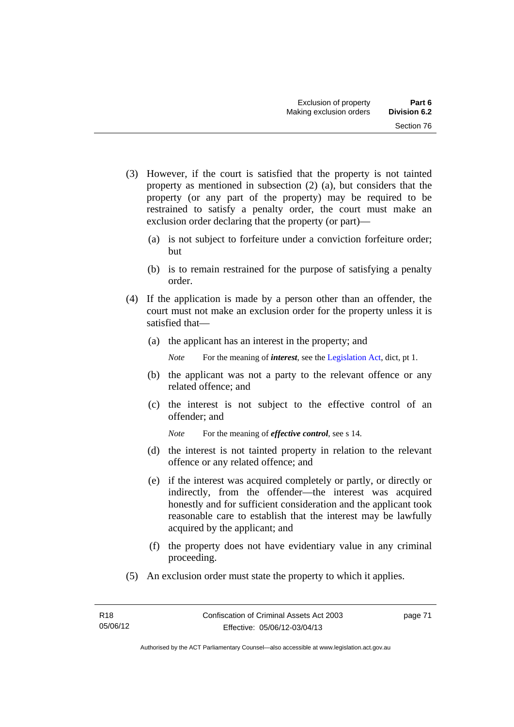- (3) However, if the court is satisfied that the property is not tainted property as mentioned in subsection (2) (a), but considers that the property (or any part of the property) may be required to be restrained to satisfy a penalty order, the court must make an exclusion order declaring that the property (or part)—
	- (a) is not subject to forfeiture under a conviction forfeiture order; but
	- (b) is to remain restrained for the purpose of satisfying a penalty order.
- (4) If the application is made by a person other than an offender, the court must not make an exclusion order for the property unless it is satisfied that—
	- (a) the applicant has an interest in the property; and

*Note* For the meaning of *interest*, see the [Legislation Act](http://www.legislation.act.gov.au/a/2001-14), dict, pt 1.

- (b) the applicant was not a party to the relevant offence or any related offence; and
- (c) the interest is not subject to the effective control of an offender; and
	- *Note* For the meaning of *effective control*, see s 14.
- (d) the interest is not tainted property in relation to the relevant offence or any related offence; and
- (e) if the interest was acquired completely or partly, or directly or indirectly, from the offender—the interest was acquired honestly and for sufficient consideration and the applicant took reasonable care to establish that the interest may be lawfully acquired by the applicant; and
- (f) the property does not have evidentiary value in any criminal proceeding.
- (5) An exclusion order must state the property to which it applies.

page 71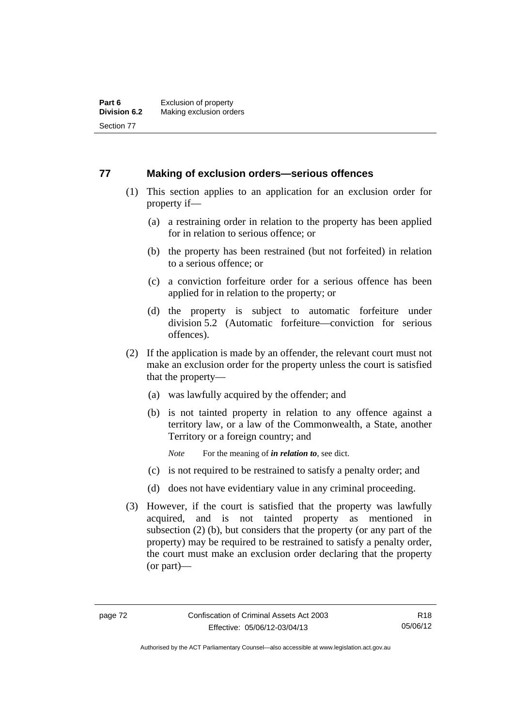## **77 Making of exclusion orders—serious offences**

- (1) This section applies to an application for an exclusion order for property if—
	- (a) a restraining order in relation to the property has been applied for in relation to serious offence; or
	- (b) the property has been restrained (but not forfeited) in relation to a serious offence; or
	- (c) a conviction forfeiture order for a serious offence has been applied for in relation to the property; or
	- (d) the property is subject to automatic forfeiture under division 5.2 (Automatic forfeiture—conviction for serious offences).
- (2) If the application is made by an offender, the relevant court must not make an exclusion order for the property unless the court is satisfied that the property—
	- (a) was lawfully acquired by the offender; and
	- (b) is not tainted property in relation to any offence against a territory law, or a law of the Commonwealth, a State, another Territory or a foreign country; and
		- *Note* For the meaning of *in relation to*, see dict.
	- (c) is not required to be restrained to satisfy a penalty order; and
	- (d) does not have evidentiary value in any criminal proceeding.
- (3) However, if the court is satisfied that the property was lawfully acquired, and is not tainted property as mentioned in subsection (2) (b), but considers that the property (or any part of the property) may be required to be restrained to satisfy a penalty order, the court must make an exclusion order declaring that the property (or part)—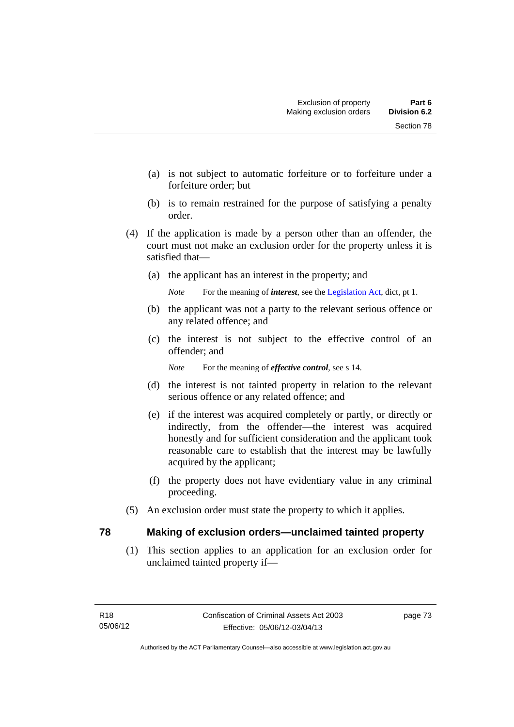- (a) is not subject to automatic forfeiture or to forfeiture under a forfeiture order; but
- (b) is to remain restrained for the purpose of satisfying a penalty order.
- (4) If the application is made by a person other than an offender, the court must not make an exclusion order for the property unless it is satisfied that—
	- (a) the applicant has an interest in the property; and

*Note* For the meaning of *interest*, see the [Legislation Act](http://www.legislation.act.gov.au/a/2001-14), dict, pt 1.

- (b) the applicant was not a party to the relevant serious offence or any related offence; and
- (c) the interest is not subject to the effective control of an offender; and

*Note* For the meaning of *effective control*, see s 14.

- (d) the interest is not tainted property in relation to the relevant serious offence or any related offence; and
- (e) if the interest was acquired completely or partly, or directly or indirectly, from the offender—the interest was acquired honestly and for sufficient consideration and the applicant took reasonable care to establish that the interest may be lawfully acquired by the applicant;
- (f) the property does not have evidentiary value in any criminal proceeding.
- (5) An exclusion order must state the property to which it applies.

#### **78 Making of exclusion orders—unclaimed tainted property**

 (1) This section applies to an application for an exclusion order for unclaimed tainted property if—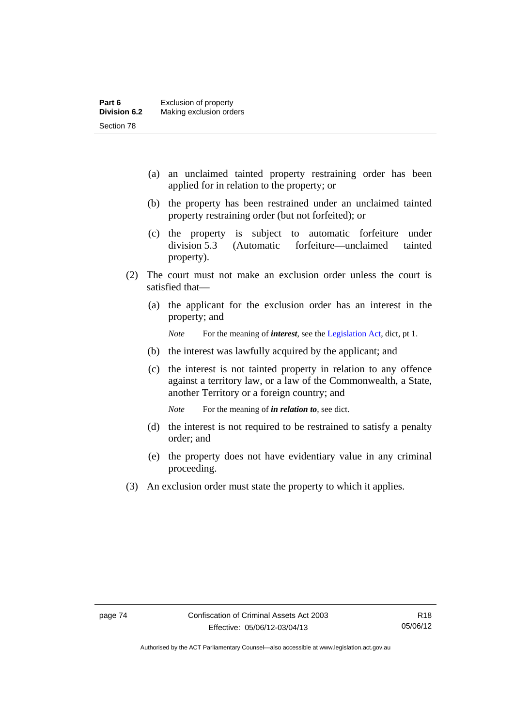- (a) an unclaimed tainted property restraining order has been applied for in relation to the property; or
- (b) the property has been restrained under an unclaimed tainted property restraining order (but not forfeited); or
- (c) the property is subject to automatic forfeiture under division 5.3 (Automatic forfeiture—unclaimed tainted property).
- (2) The court must not make an exclusion order unless the court is satisfied that—
	- (a) the applicant for the exclusion order has an interest in the property; and

*Note* For the meaning of *interest*, see the [Legislation Act](http://www.legislation.act.gov.au/a/2001-14), dict, pt 1.

- (b) the interest was lawfully acquired by the applicant; and
- (c) the interest is not tainted property in relation to any offence against a territory law, or a law of the Commonwealth, a State, another Territory or a foreign country; and

*Note* For the meaning of *in relation to*, see dict.

- (d) the interest is not required to be restrained to satisfy a penalty order; and
- (e) the property does not have evidentiary value in any criminal proceeding.
- (3) An exclusion order must state the property to which it applies.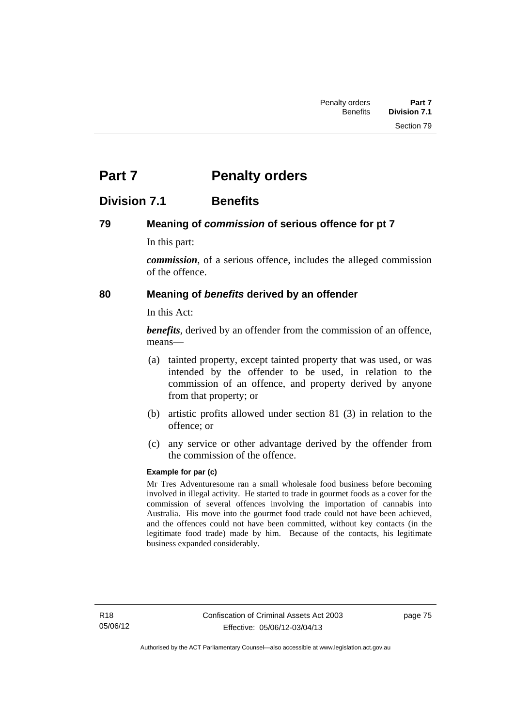# **Part 7** Penalty orders

# **Division 7.1 Benefits**

## **79 Meaning of** *commission* **of serious offence for pt 7**

In this part:

*commission*, of a serious offence, includes the alleged commission of the offence.

# **80 Meaning of** *benefits* **derived by an offender**

In this Act:

*benefits*, derived by an offender from the commission of an offence, means—

- (a) tainted property, except tainted property that was used, or was intended by the offender to be used, in relation to the commission of an offence, and property derived by anyone from that property; or
- (b) artistic profits allowed under section 81 (3) in relation to the offence; or
- (c) any service or other advantage derived by the offender from the commission of the offence.

#### **Example for par (c)**

Mr Tres Adventuresome ran a small wholesale food business before becoming involved in illegal activity. He started to trade in gourmet foods as a cover for the commission of several offences involving the importation of cannabis into Australia. His move into the gourmet food trade could not have been achieved, and the offences could not have been committed, without key contacts (in the legitimate food trade) made by him. Because of the contacts, his legitimate business expanded considerably.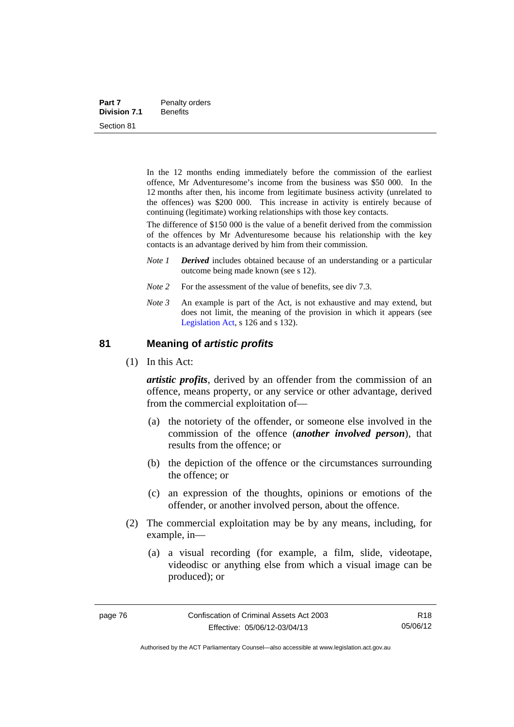| Part 7              | Penalty orders  |
|---------------------|-----------------|
| <b>Division 7.1</b> | <b>Benefits</b> |
| Section 81          |                 |

In the 12 months ending immediately before the commission of the earliest offence, Mr Adventuresome's income from the business was \$50 000. In the 12 months after then, his income from legitimate business activity (unrelated to the offences) was \$200 000. This increase in activity is entirely because of continuing (legitimate) working relationships with those key contacts.

The difference of \$150 000 is the value of a benefit derived from the commission of the offences by Mr Adventuresome because his relationship with the key contacts is an advantage derived by him from their commission.

- *Note 1 Derived* includes obtained because of an understanding or a particular outcome being made known (see s 12).
- *Note* 2 For the assessment of the value of benefits, see div 7.3.
- *Note 3* An example is part of the Act, is not exhaustive and may extend, but does not limit, the meaning of the provision in which it appears (see [Legislation Act,](http://www.legislation.act.gov.au/a/2001-14) s 126 and s 132).

#### **81 Meaning of** *artistic profits*

(1) In this Act:

*artistic profits*, derived by an offender from the commission of an offence, means property, or any service or other advantage, derived from the commercial exploitation of—

- (a) the notoriety of the offender, or someone else involved in the commission of the offence (*another involved person*), that results from the offence; or
- (b) the depiction of the offence or the circumstances surrounding the offence; or
- (c) an expression of the thoughts, opinions or emotions of the offender, or another involved person, about the offence.
- (2) The commercial exploitation may be by any means, including, for example, in—
	- (a) a visual recording (for example, a film, slide, videotape, videodisc or anything else from which a visual image can be produced); or

Authorised by the ACT Parliamentary Counsel—also accessible at www.legislation.act.gov.au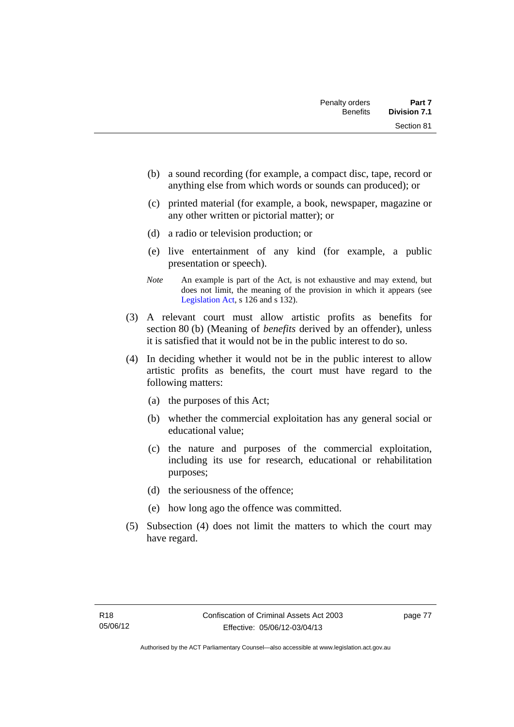- (b) a sound recording (for example, a compact disc, tape, record or anything else from which words or sounds can produced); or
- (c) printed material (for example, a book, newspaper, magazine or any other written or pictorial matter); or
- (d) a radio or television production; or
- (e) live entertainment of any kind (for example, a public presentation or speech).
- *Note* An example is part of the Act, is not exhaustive and may extend, but does not limit, the meaning of the provision in which it appears (see [Legislation Act,](http://www.legislation.act.gov.au/a/2001-14) s 126 and s 132).
- (3) A relevant court must allow artistic profits as benefits for section 80 (b) (Meaning of *benefits* derived by an offender), unless it is satisfied that it would not be in the public interest to do so.
- (4) In deciding whether it would not be in the public interest to allow artistic profits as benefits, the court must have regard to the following matters:
	- (a) the purposes of this Act;
	- (b) whether the commercial exploitation has any general social or educational value;
	- (c) the nature and purposes of the commercial exploitation, including its use for research, educational or rehabilitation purposes;
	- (d) the seriousness of the offence;
	- (e) how long ago the offence was committed.
- (5) Subsection (4) does not limit the matters to which the court may have regard.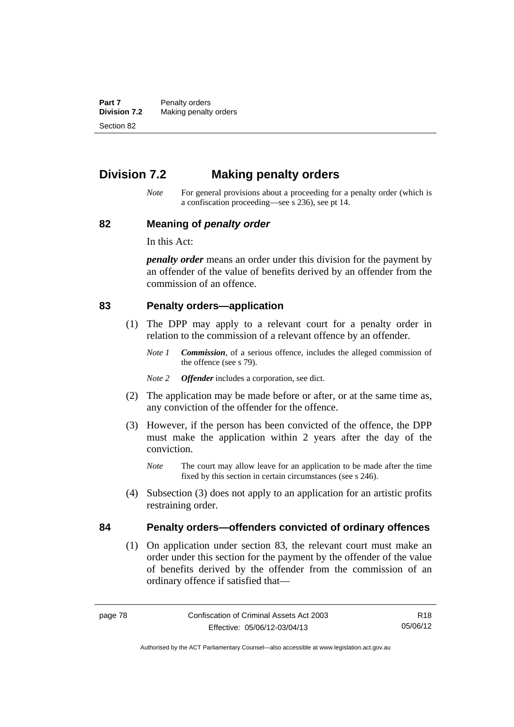**Part 7** Penalty orders<br>**Division 7.2** Making penalty **Making penalty orders** Section 82

# **Division 7.2 Making penalty orders**

*Note* For general provisions about a proceeding for a penalty order (which is a confiscation proceeding—see s 236), see pt 14.

#### **82 Meaning of** *penalty order*

In this Act:

*penalty order* means an order under this division for the payment by an offender of the value of benefits derived by an offender from the commission of an offence.

#### **83 Penalty orders—application**

- (1) The DPP may apply to a relevant court for a penalty order in relation to the commission of a relevant offence by an offender.
	- *Note 1 Commission*, of a serious offence, includes the alleged commission of the offence (see s 79).
	- *Note 2 Offender* includes a corporation, see dict.
- (2) The application may be made before or after, or at the same time as, any conviction of the offender for the offence.
- (3) However, if the person has been convicted of the offence, the DPP must make the application within 2 years after the day of the conviction.
	- *Note* The court may allow leave for an application to be made after the time fixed by this section in certain circumstances (see s 246).
- (4) Subsection (3) does not apply to an application for an artistic profits restraining order.

## **84 Penalty orders—offenders convicted of ordinary offences**

(1) On application under section 83, the relevant court must make an order under this section for the payment by the offender of the value of benefits derived by the offender from the commission of an ordinary offence if satisfied that—

R18 05/06/12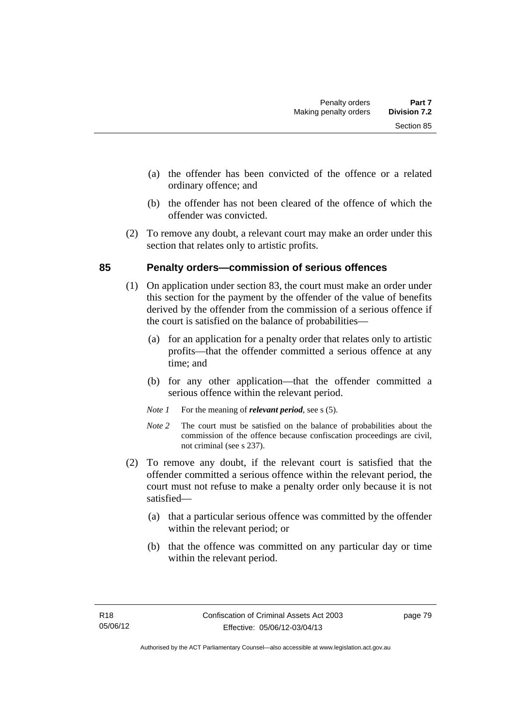- (a) the offender has been convicted of the offence or a related ordinary offence; and
- (b) the offender has not been cleared of the offence of which the offender was convicted.
- (2) To remove any doubt, a relevant court may make an order under this section that relates only to artistic profits.

## **85 Penalty orders—commission of serious offences**

- (1) On application under section 83, the court must make an order under this section for the payment by the offender of the value of benefits derived by the offender from the commission of a serious offence if the court is satisfied on the balance of probabilities—
	- (a) for an application for a penalty order that relates only to artistic profits—that the offender committed a serious offence at any time; and
	- (b) for any other application—that the offender committed a serious offence within the relevant period.
	- *Note 1* For the meaning of *relevant period*, see s (5).
	- *Note* 2 The court must be satisfied on the balance of probabilities about the commission of the offence because confiscation proceedings are civil, not criminal (see s 237).
- (2) To remove any doubt, if the relevant court is satisfied that the offender committed a serious offence within the relevant period, the court must not refuse to make a penalty order only because it is not satisfied—
	- (a) that a particular serious offence was committed by the offender within the relevant period; or
	- (b) that the offence was committed on any particular day or time within the relevant period.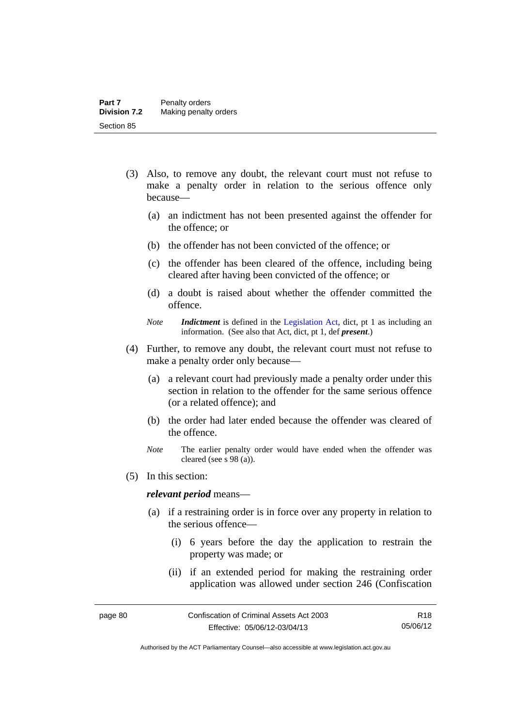- (3) Also, to remove any doubt, the relevant court must not refuse to make a penalty order in relation to the serious offence only because—
	- (a) an indictment has not been presented against the offender for the offence; or
	- (b) the offender has not been convicted of the offence; or
	- (c) the offender has been cleared of the offence, including being cleared after having been convicted of the offence; or
	- (d) a doubt is raised about whether the offender committed the offence.
	- *Note Indictment* is defined in the [Legislation Act,](http://www.legislation.act.gov.au/a/2001-14) dict, pt 1 as including an information. (See also that Act, dict, pt 1, def *present*.)
- (4) Further, to remove any doubt, the relevant court must not refuse to make a penalty order only because—
	- (a) a relevant court had previously made a penalty order under this section in relation to the offender for the same serious offence (or a related offence); and
	- (b) the order had later ended because the offender was cleared of the offence.
	- *Note* The earlier penalty order would have ended when the offender was cleared (see s 98 (a)).
- (5) In this section:

#### *relevant period* means—

- (a) if a restraining order is in force over any property in relation to the serious offence—
	- (i) 6 years before the day the application to restrain the property was made; or
	- (ii) if an extended period for making the restraining order application was allowed under section 246 (Confiscation

Authorised by the ACT Parliamentary Counsel—also accessible at www.legislation.act.gov.au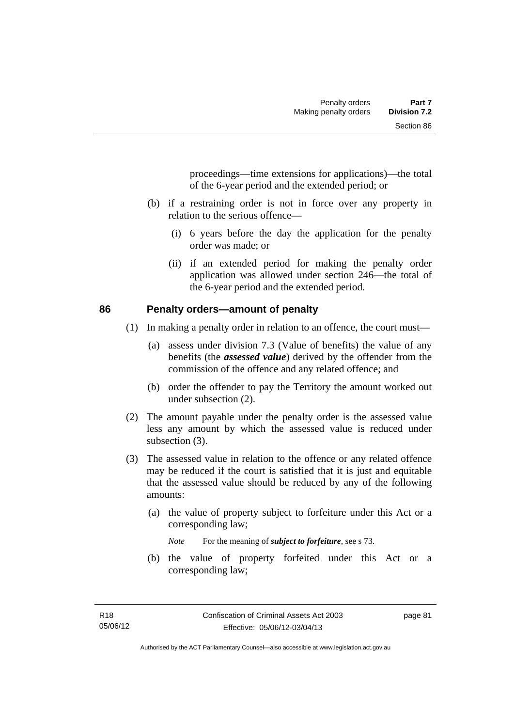proceedings—time extensions for applications)—the total of the 6-year period and the extended period; or

- (b) if a restraining order is not in force over any property in relation to the serious offence—
	- (i) 6 years before the day the application for the penalty order was made; or
	- (ii) if an extended period for making the penalty order application was allowed under section 246—the total of the 6-year period and the extended period.

#### **86 Penalty orders—amount of penalty**

- (1) In making a penalty order in relation to an offence, the court must—
	- (a) assess under division 7.3 (Value of benefits) the value of any benefits (the *assessed value*) derived by the offender from the commission of the offence and any related offence; and
	- (b) order the offender to pay the Territory the amount worked out under subsection (2).
- (2) The amount payable under the penalty order is the assessed value less any amount by which the assessed value is reduced under subsection  $(3)$ .
- (3) The assessed value in relation to the offence or any related offence may be reduced if the court is satisfied that it is just and equitable that the assessed value should be reduced by any of the following amounts:
	- (a) the value of property subject to forfeiture under this Act or a corresponding law;

*Note* For the meaning of *subject to forfeiture*, see s 73.

 (b) the value of property forfeited under this Act or a corresponding law;

page 81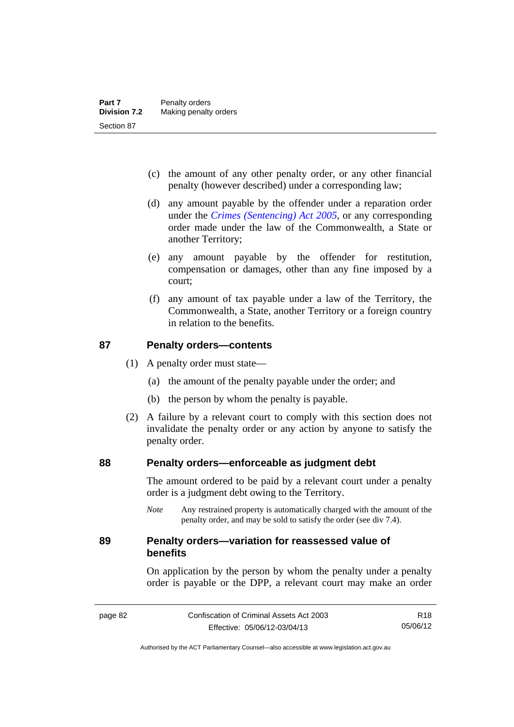- (c) the amount of any other penalty order, or any other financial penalty (however described) under a corresponding law;
- (d) any amount payable by the offender under a reparation order under the *[Crimes \(Sentencing\) Act 2005](http://www.legislation.act.gov.au/a/2005-58)*, or any corresponding order made under the law of the Commonwealth, a State or another Territory;
- (e) any amount payable by the offender for restitution, compensation or damages, other than any fine imposed by a court;
- (f) any amount of tax payable under a law of the Territory, the Commonwealth, a State, another Territory or a foreign country in relation to the benefits.

#### **87 Penalty orders—contents**

- (1) A penalty order must state—
	- (a) the amount of the penalty payable under the order; and
	- (b) the person by whom the penalty is payable.
- (2) A failure by a relevant court to comply with this section does not invalidate the penalty order or any action by anyone to satisfy the penalty order.

#### **88 Penalty orders—enforceable as judgment debt**

The amount ordered to be paid by a relevant court under a penalty order is a judgment debt owing to the Territory.

*Note* Any restrained property is automatically charged with the amount of the penalty order, and may be sold to satisfy the order (see div 7.4).

#### **89 Penalty orders—variation for reassessed value of benefits**

On application by the person by whom the penalty under a penalty order is payable or the DPP, a relevant court may make an order

Authorised by the ACT Parliamentary Counsel—also accessible at www.legislation.act.gov.au

R18 05/06/12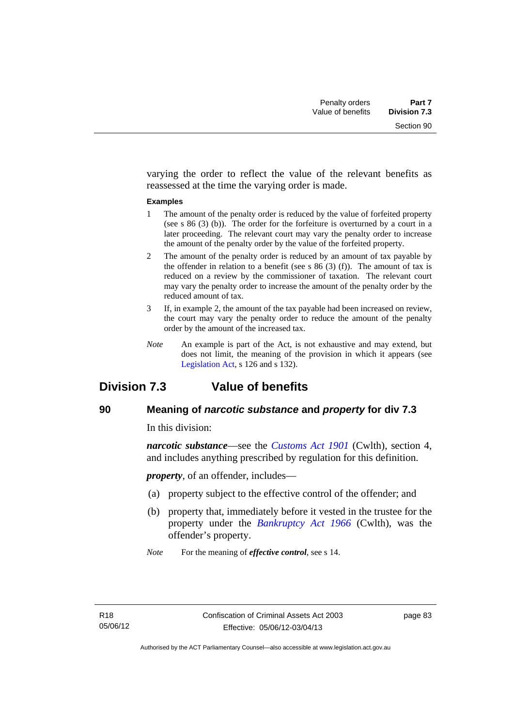varying the order to reflect the value of the relevant benefits as reassessed at the time the varying order is made.

#### **Examples**

- 1 The amount of the penalty order is reduced by the value of forfeited property (see s 86 (3) (b)). The order for the forfeiture is overturned by a court in a later proceeding. The relevant court may vary the penalty order to increase the amount of the penalty order by the value of the forfeited property.
- 2 The amount of the penalty order is reduced by an amount of tax payable by the offender in relation to a benefit (see s  $86(3)(f)$ ). The amount of tax is reduced on a review by the commissioner of taxation. The relevant court may vary the penalty order to increase the amount of the penalty order by the reduced amount of tax.
- 3 If, in example 2, the amount of the tax payable had been increased on review, the court may vary the penalty order to reduce the amount of the penalty order by the amount of the increased tax.
- *Note* An example is part of the Act, is not exhaustive and may extend, but does not limit, the meaning of the provision in which it appears (see [Legislation Act,](http://www.legislation.act.gov.au/a/2001-14) s 126 and s 132).

# **Division 7.3 Value of benefits**

## **90 Meaning of** *narcotic substance* **and** *property* **for div 7.3**

In this division:

*narcotic substance*—see the *[Customs Act 1901](http://www.comlaw.gov.au/Details/C2013C00064)* (Cwlth), section 4, and includes anything prescribed by regulation for this definition.

*property*, of an offender, includes—

- (a) property subject to the effective control of the offender; and
- (b) property that, immediately before it vested in the trustee for the property under the *[Bankruptcy Act 1966](http://www.comlaw.gov.au/Details/C2012C00173)* (Cwlth), was the offender's property.
- *Note* For the meaning of *effective control*, see s 14.

page 83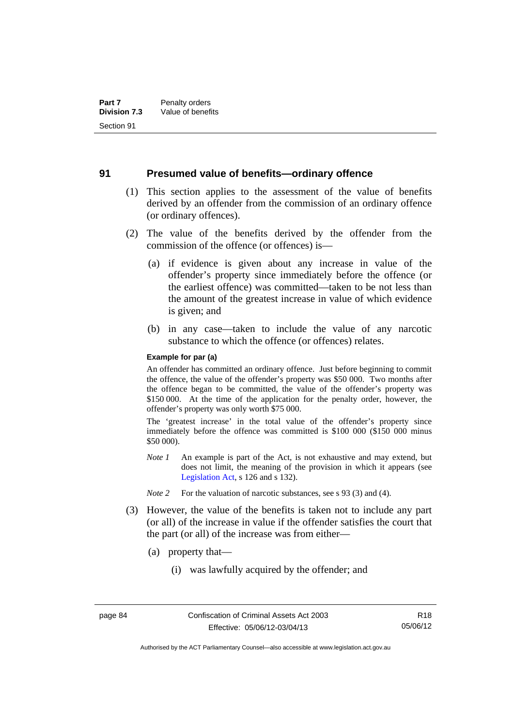#### **91 Presumed value of benefits—ordinary offence**

- (1) This section applies to the assessment of the value of benefits derived by an offender from the commission of an ordinary offence (or ordinary offences).
- (2) The value of the benefits derived by the offender from the commission of the offence (or offences) is—
	- (a) if evidence is given about any increase in value of the offender's property since immediately before the offence (or the earliest offence) was committed—taken to be not less than the amount of the greatest increase in value of which evidence is given; and
	- (b) in any case—taken to include the value of any narcotic substance to which the offence (or offences) relates.

#### **Example for par (a)**

An offender has committed an ordinary offence. Just before beginning to commit the offence, the value of the offender's property was \$50 000. Two months after the offence began to be committed, the value of the offender's property was \$150 000. At the time of the application for the penalty order, however, the offender's property was only worth \$75 000.

The 'greatest increase' in the total value of the offender's property since immediately before the offence was committed is \$100 000 (\$150 000 minus \$50 000).

- *Note 1* An example is part of the Act, is not exhaustive and may extend, but does not limit, the meaning of the provision in which it appears (see [Legislation Act,](http://www.legislation.act.gov.au/a/2001-14) s 126 and s 132).
- *Note 2* For the valuation of narcotic substances, see s 93 (3) and (4).
- (3) However, the value of the benefits is taken not to include any part (or all) of the increase in value if the offender satisfies the court that the part (or all) of the increase was from either—
	- (a) property that—
		- (i) was lawfully acquired by the offender; and

Authorised by the ACT Parliamentary Counsel—also accessible at www.legislation.act.gov.au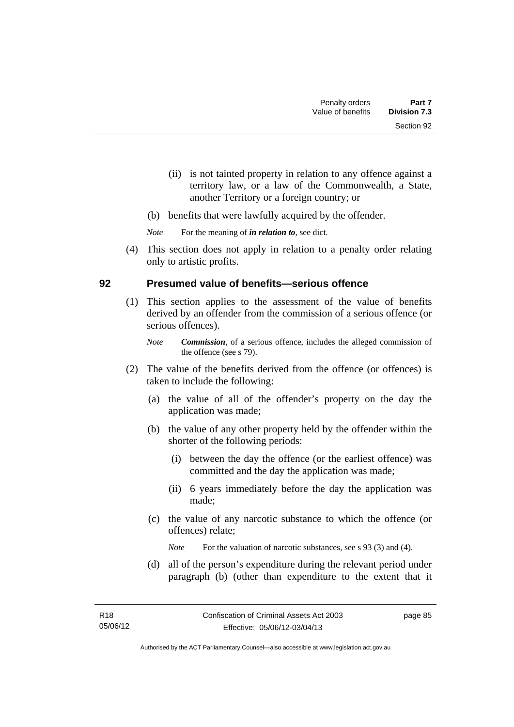- (ii) is not tainted property in relation to any offence against a territory law, or a law of the Commonwealth, a State, another Territory or a foreign country; or
- (b) benefits that were lawfully acquired by the offender.

*Note* For the meaning of *in relation to*, see dict.

 (4) This section does not apply in relation to a penalty order relating only to artistic profits.

## **92 Presumed value of benefits—serious offence**

- (1) This section applies to the assessment of the value of benefits derived by an offender from the commission of a serious offence (or serious offences).
	- *Note Commission*, of a serious offence, includes the alleged commission of the offence (see s 79).
- (2) The value of the benefits derived from the offence (or offences) is taken to include the following:
	- (a) the value of all of the offender's property on the day the application was made;
	- (b) the value of any other property held by the offender within the shorter of the following periods:
		- (i) between the day the offence (or the earliest offence) was committed and the day the application was made;
		- (ii) 6 years immediately before the day the application was made;
	- (c) the value of any narcotic substance to which the offence (or offences) relate;

*Note* For the valuation of narcotic substances, see s 93 (3) and (4).

 (d) all of the person's expenditure during the relevant period under paragraph (b) (other than expenditure to the extent that it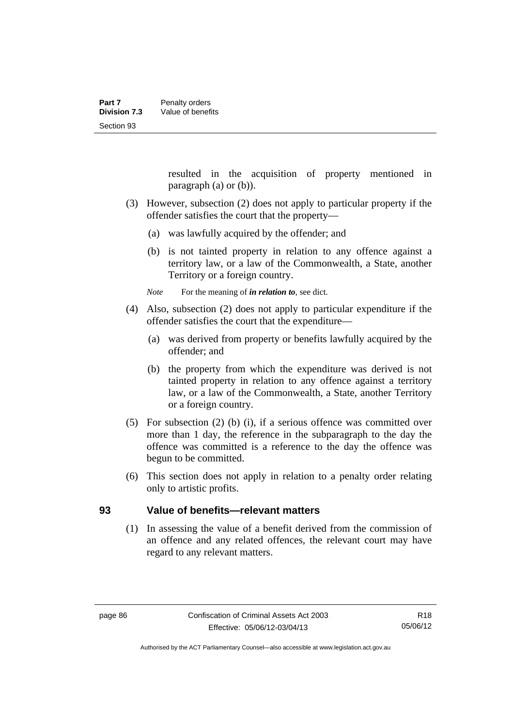resulted in the acquisition of property mentioned in paragraph (a) or (b)).

- (3) However, subsection (2) does not apply to particular property if the offender satisfies the court that the property—
	- (a) was lawfully acquired by the offender; and
	- (b) is not tainted property in relation to any offence against a territory law, or a law of the Commonwealth, a State, another Territory or a foreign country.

*Note* For the meaning of *in relation to*, see dict.

- (4) Also, subsection (2) does not apply to particular expenditure if the offender satisfies the court that the expenditure—
	- (a) was derived from property or benefits lawfully acquired by the offender; and
	- (b) the property from which the expenditure was derived is not tainted property in relation to any offence against a territory law, or a law of the Commonwealth, a State, another Territory or a foreign country.
- (5) For subsection (2) (b) (i), if a serious offence was committed over more than 1 day, the reference in the subparagraph to the day the offence was committed is a reference to the day the offence was begun to be committed.
- (6) This section does not apply in relation to a penalty order relating only to artistic profits.

#### **93 Value of benefits—relevant matters**

(1) In assessing the value of a benefit derived from the commission of an offence and any related offences, the relevant court may have regard to any relevant matters.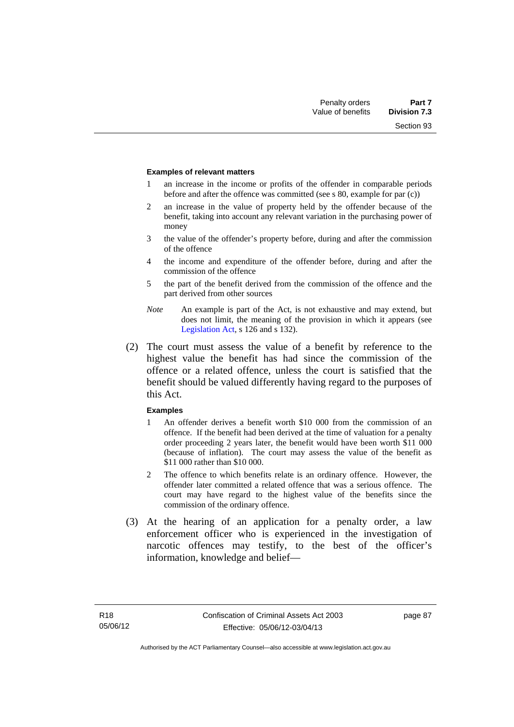Section 93

#### **Examples of relevant matters**

- 1 an increase in the income or profits of the offender in comparable periods before and after the offence was committed (see s 80, example for par (c))
- 2 an increase in the value of property held by the offender because of the benefit, taking into account any relevant variation in the purchasing power of money
- 3 the value of the offender's property before, during and after the commission of the offence
- 4 the income and expenditure of the offender before, during and after the commission of the offence
- 5 the part of the benefit derived from the commission of the offence and the part derived from other sources
- *Note* An example is part of the Act, is not exhaustive and may extend, but does not limit, the meaning of the provision in which it appears (see [Legislation Act,](http://www.legislation.act.gov.au/a/2001-14) s 126 and s 132).
- (2) The court must assess the value of a benefit by reference to the highest value the benefit has had since the commission of the offence or a related offence, unless the court is satisfied that the benefit should be valued differently having regard to the purposes of this Act.

#### **Examples**

- 1 An offender derives a benefit worth \$10 000 from the commission of an offence. If the benefit had been derived at the time of valuation for a penalty order proceeding 2 years later, the benefit would have been worth \$11 000 (because of inflation). The court may assess the value of the benefit as \$11 000 rather than \$10 000.
- 2 The offence to which benefits relate is an ordinary offence. However, the offender later committed a related offence that was a serious offence. The court may have regard to the highest value of the benefits since the commission of the ordinary offence.
- (3) At the hearing of an application for a penalty order, a law enforcement officer who is experienced in the investigation of narcotic offences may testify, to the best of the officer's information, knowledge and belief—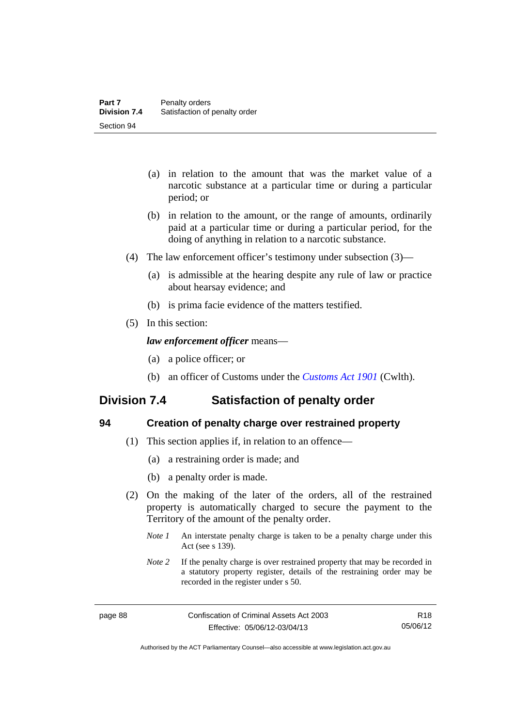- (a) in relation to the amount that was the market value of a narcotic substance at a particular time or during a particular period; or
- (b) in relation to the amount, or the range of amounts, ordinarily paid at a particular time or during a particular period, for the doing of anything in relation to a narcotic substance.
- (4) The law enforcement officer's testimony under subsection (3)—
	- (a) is admissible at the hearing despite any rule of law or practice about hearsay evidence; and
	- (b) is prima facie evidence of the matters testified.
- (5) In this section:

#### *law enforcement officer* means—

- (a) a police officer; or
- (b) an officer of Customs under the *[Customs Act 1901](http://www.comlaw.gov.au/Details/C2013C00064)* (Cwlth).

# **Division 7.4 Satisfaction of penalty order**

| I       |
|---------|
| r.      |
| s<br>۰. |
| ×<br>v  |

#### **94 Creation of penalty charge over restrained property**

- (1) This section applies if, in relation to an offence—
	- (a) a restraining order is made; and
	- (b) a penalty order is made.
- (2) On the making of the later of the orders, all of the restrained property is automatically charged to secure the payment to the Territory of the amount of the penalty order.
	- *Note 1* An interstate penalty charge is taken to be a penalty charge under this Act (see s 139).
	- *Note 2* If the penalty charge is over restrained property that may be recorded in a statutory property register, details of the restraining order may be recorded in the register under s 50.

Authorised by the ACT Parliamentary Counsel—also accessible at www.legislation.act.gov.au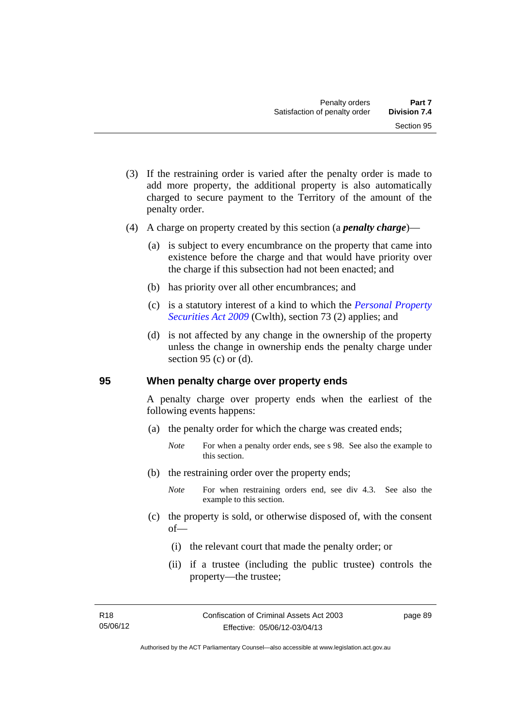- (3) If the restraining order is varied after the penalty order is made to add more property, the additional property is also automatically charged to secure payment to the Territory of the amount of the penalty order.
- (4) A charge on property created by this section (a *penalty charge*)—
	- (a) is subject to every encumbrance on the property that came into existence before the charge and that would have priority over the charge if this subsection had not been enacted; and
	- (b) has priority over all other encumbrances; and
	- (c) is a statutory interest of a kind to which the *[Personal Property](http://www.comlaw.gov.au/Details/C2012C00151)  [Securities Act 2009](http://www.comlaw.gov.au/Details/C2012C00151)* (Cwlth), section 73 (2) applies; and
	- (d) is not affected by any change in the ownership of the property unless the change in ownership ends the penalty charge under section 95 (c) or  $(d)$ .

#### **95 When penalty charge over property ends**

A penalty charge over property ends when the earliest of the following events happens:

- (a) the penalty order for which the charge was created ends;
	- *Note* For when a penalty order ends, see s 98. See also the example to this section.
- (b) the restraining order over the property ends;
	- *Note* For when restraining orders end, see div 4.3. See also the example to this section.
- (c) the property is sold, or otherwise disposed of, with the consent of—
	- (i) the relevant court that made the penalty order; or
	- (ii) if a trustee (including the public trustee) controls the property—the trustee;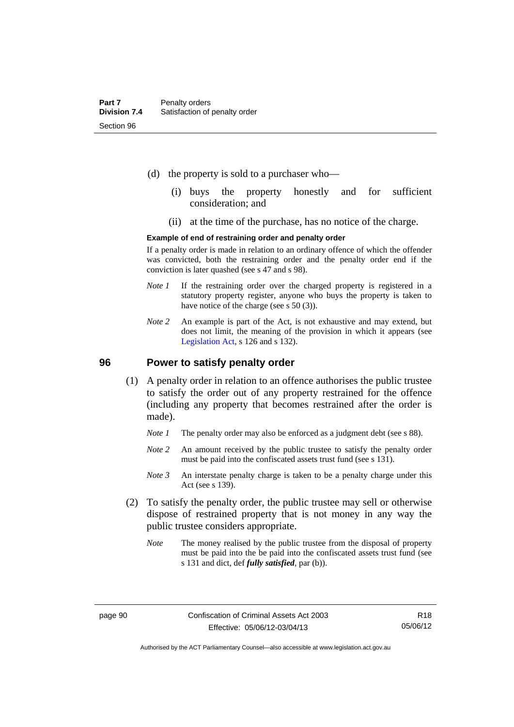- (d) the property is sold to a purchaser who—
	- (i) buys the property honestly and for sufficient consideration; and
	- (ii) at the time of the purchase, has no notice of the charge.

#### **Example of end of restraining order and penalty order**

If a penalty order is made in relation to an ordinary offence of which the offender was convicted, both the restraining order and the penalty order end if the conviction is later quashed (see s 47 and s 98).

- *Note 1* If the restraining order over the charged property is registered in a statutory property register, anyone who buys the property is taken to have notice of the charge (see s 50 (3)).
- *Note* 2 An example is part of the Act, is not exhaustive and may extend, but does not limit, the meaning of the provision in which it appears (see [Legislation Act,](http://www.legislation.act.gov.au/a/2001-14) s 126 and s 132).

#### **96 Power to satisfy penalty order**

- (1) A penalty order in relation to an offence authorises the public trustee to satisfy the order out of any property restrained for the offence (including any property that becomes restrained after the order is made).
	- *Note 1* The penalty order may also be enforced as a judgment debt (see s 88).
	- *Note* 2 An amount received by the public trustee to satisfy the penalty order must be paid into the confiscated assets trust fund (see s 131).
	- *Note 3* An interstate penalty charge is taken to be a penalty charge under this Act (see s 139).
- (2) To satisfy the penalty order, the public trustee may sell or otherwise dispose of restrained property that is not money in any way the public trustee considers appropriate.
	- *Note* The money realised by the public trustee from the disposal of property must be paid into the be paid into the confiscated assets trust fund (see s 131 and dict, def *fully satisfied*, par (b)).

Authorised by the ACT Parliamentary Counsel—also accessible at www.legislation.act.gov.au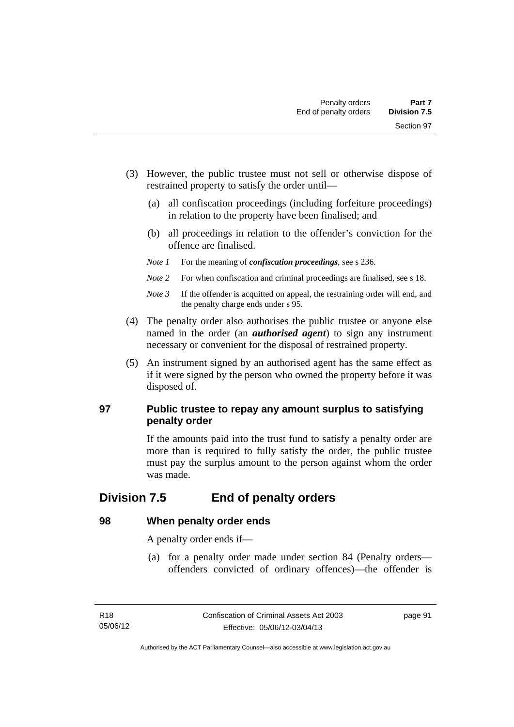- (3) However, the public trustee must not sell or otherwise dispose of restrained property to satisfy the order until—
	- (a) all confiscation proceedings (including forfeiture proceedings) in relation to the property have been finalised; and
	- (b) all proceedings in relation to the offender's conviction for the offence are finalised.
	- *Note 1* For the meaning of *confiscation proceedings*, see s 236.
	- *Note 2* For when confiscation and criminal proceedings are finalised, see s 18.
	- *Note 3* If the offender is acquitted on appeal, the restraining order will end, and the penalty charge ends under s 95.
- (4) The penalty order also authorises the public trustee or anyone else named in the order (an *authorised agent*) to sign any instrument necessary or convenient for the disposal of restrained property.
- (5) An instrument signed by an authorised agent has the same effect as if it were signed by the person who owned the property before it was disposed of.

## **97 Public trustee to repay any amount surplus to satisfying penalty order**

If the amounts paid into the trust fund to satisfy a penalty order are more than is required to fully satisfy the order, the public trustee must pay the surplus amount to the person against whom the order was made.

# **Division 7.5 End of penalty orders**

## **98 When penalty order ends**

A penalty order ends if—

 (a) for a penalty order made under section 84 (Penalty orders offenders convicted of ordinary offences)—the offender is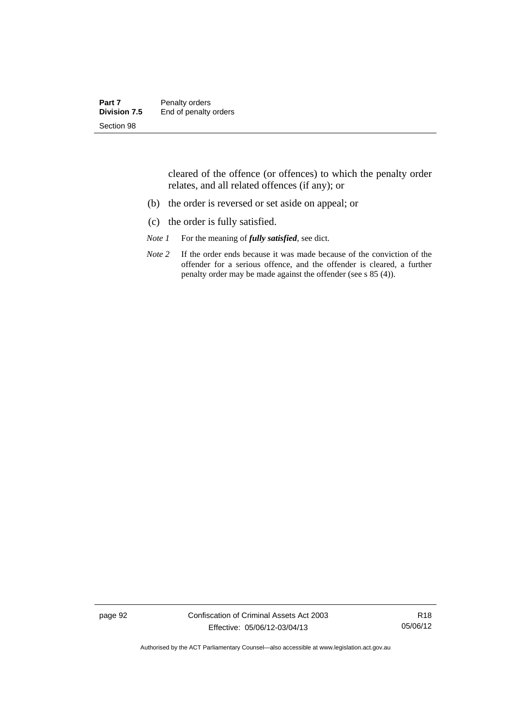| Part 7              | Penalty orders        |
|---------------------|-----------------------|
| <b>Division 7.5</b> | End of penalty orders |
| Section 98          |                       |

cleared of the offence (or offences) to which the penalty order relates, and all related offences (if any); or

- (b) the order is reversed or set aside on appeal; or
- (c) the order is fully satisfied.
- *Note 1* For the meaning of *fully satisfied*, see dict.
- *Note* 2 If the order ends because it was made because of the conviction of the offender for a serious offence, and the offender is cleared, a further penalty order may be made against the offender (see s 85 (4)).

page 92 Confiscation of Criminal Assets Act 2003 Effective: 05/06/12-03/04/13

R18 05/06/12

Authorised by the ACT Parliamentary Counsel—also accessible at www.legislation.act.gov.au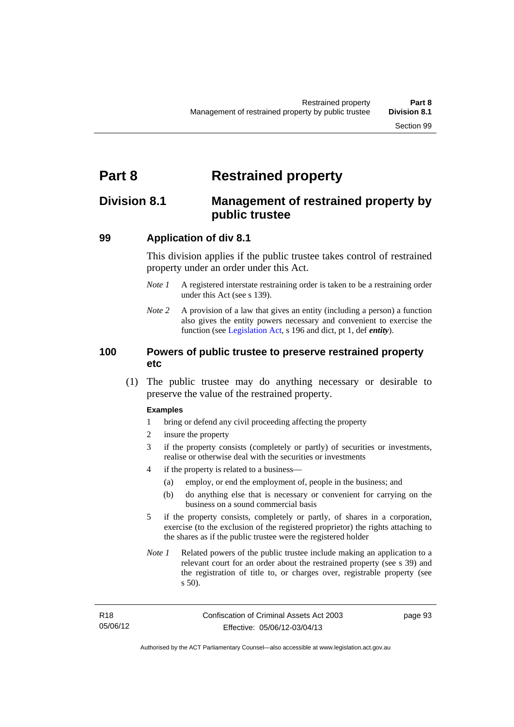# **Part 8 Restrained property**

# **Division 8.1 Management of restrained property by public trustee**

## **99 Application of div 8.1**

This division applies if the public trustee takes control of restrained property under an order under this Act.

- *Note 1* A registered interstate restraining order is taken to be a restraining order under this Act (see s 139).
- *Note 2* A provision of a law that gives an entity (including a person) a function also gives the entity powers necessary and convenient to exercise the function (see [Legislation Act](http://www.legislation.act.gov.au/a/2001-14), s 196 and dict, pt 1, def *entity*).

## **100 Powers of public trustee to preserve restrained property etc**

 (1) The public trustee may do anything necessary or desirable to preserve the value of the restrained property.

#### **Examples**

- 1 bring or defend any civil proceeding affecting the property
- 2 insure the property
- 3 if the property consists (completely or partly) of securities or investments, realise or otherwise deal with the securities or investments
- 4 if the property is related to a business—
	- (a) employ, or end the employment of, people in the business; and
	- (b) do anything else that is necessary or convenient for carrying on the business on a sound commercial basis
- 5 if the property consists, completely or partly, of shares in a corporation, exercise (to the exclusion of the registered proprietor) the rights attaching to the shares as if the public trustee were the registered holder
- *Note 1* Related powers of the public trustee include making an application to a relevant court for an order about the restrained property (see s 39) and the registration of title to, or charges over, registrable property (see s 50).

page 93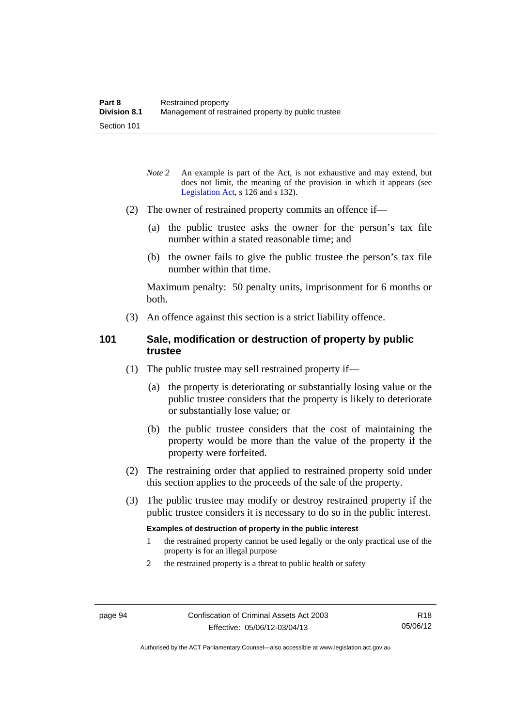- *Note* 2 An example is part of the Act, is not exhaustive and may extend, but does not limit, the meaning of the provision in which it appears (see [Legislation Act,](http://www.legislation.act.gov.au/a/2001-14) s 126 and s 132).
- (2) The owner of restrained property commits an offence if—
	- (a) the public trustee asks the owner for the person's tax file number within a stated reasonable time; and
	- (b) the owner fails to give the public trustee the person's tax file number within that time.

Maximum penalty: 50 penalty units, imprisonment for 6 months or both.

(3) An offence against this section is a strict liability offence.

#### **101 Sale, modification or destruction of property by public trustee**

- (1) The public trustee may sell restrained property if—
	- (a) the property is deteriorating or substantially losing value or the public trustee considers that the property is likely to deteriorate or substantially lose value; or
	- (b) the public trustee considers that the cost of maintaining the property would be more than the value of the property if the property were forfeited.
- (2) The restraining order that applied to restrained property sold under this section applies to the proceeds of the sale of the property.
- (3) The public trustee may modify or destroy restrained property if the public trustee considers it is necessary to do so in the public interest.

#### **Examples of destruction of property in the public interest**

- 1 the restrained property cannot be used legally or the only practical use of the property is for an illegal purpose
- 2 the restrained property is a threat to public health or safety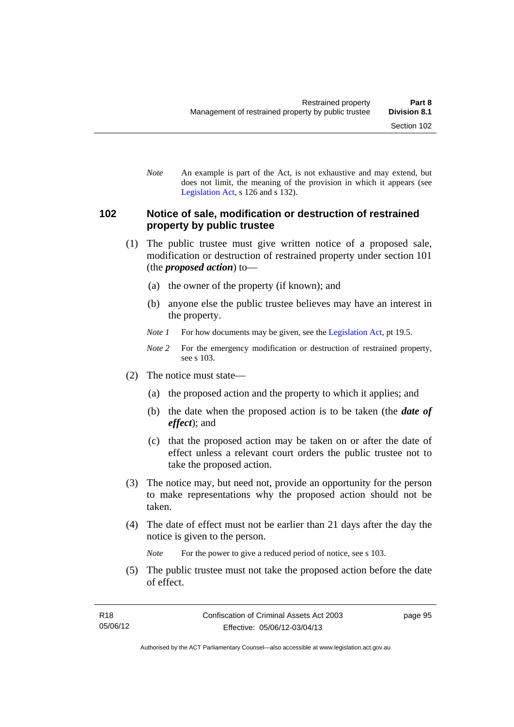*Note* An example is part of the Act, is not exhaustive and may extend, but does not limit, the meaning of the provision in which it appears (see [Legislation Act,](http://www.legislation.act.gov.au/a/2001-14) s 126 and s 132).

#### **102 Notice of sale, modification or destruction of restrained property by public trustee**

- (1) The public trustee must give written notice of a proposed sale, modification or destruction of restrained property under section 101 (the *proposed action*) to—
	- (a) the owner of the property (if known); and
	- (b) anyone else the public trustee believes may have an interest in the property.
	- *Note 1* For how documents may be given, see the [Legislation Act,](http://www.legislation.act.gov.au/a/2001-14) pt 19.5.
	- *Note 2* For the emergency modification or destruction of restrained property, see s 103.
- (2) The notice must state—
	- (a) the proposed action and the property to which it applies; and
	- (b) the date when the proposed action is to be taken (the *date of effect*); and
	- (c) that the proposed action may be taken on or after the date of effect unless a relevant court orders the public trustee not to take the proposed action.
- (3) The notice may, but need not, provide an opportunity for the person to make representations why the proposed action should not be taken.
- (4) The date of effect must not be earlier than 21 days after the day the notice is given to the person.

*Note* For the power to give a reduced period of notice, see s 103.

 (5) The public trustee must not take the proposed action before the date of effect.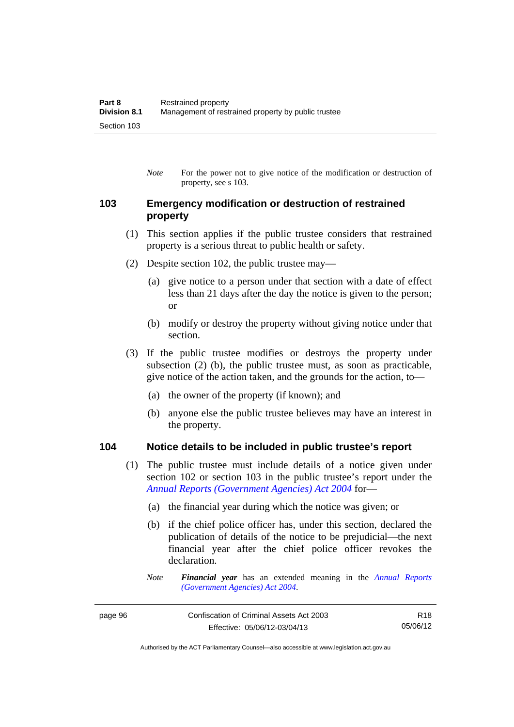*Note* For the power not to give notice of the modification or destruction of property, see s 103.

## **103 Emergency modification or destruction of restrained property**

- (1) This section applies if the public trustee considers that restrained property is a serious threat to public health or safety.
- (2) Despite section 102, the public trustee may—
	- (a) give notice to a person under that section with a date of effect less than 21 days after the day the notice is given to the person; or
	- (b) modify or destroy the property without giving notice under that section.
- (3) If the public trustee modifies or destroys the property under subsection (2) (b), the public trustee must, as soon as practicable, give notice of the action taken, and the grounds for the action, to—
	- (a) the owner of the property (if known); and
	- (b) anyone else the public trustee believes may have an interest in the property.

#### **104 Notice details to be included in public trustee's report**

- (1) The public trustee must include details of a notice given under section 102 or section 103 in the public trustee's report under the *[Annual Reports \(Government Agencies\) Act 2004](http://www.legislation.act.gov.au/a/2004-8)* for—
	- (a) the financial year during which the notice was given; or
	- (b) if the chief police officer has, under this section, declared the publication of details of the notice to be prejudicial—the next financial year after the chief police officer revokes the declaration.
	- *Note Financial year* has an extended meaning in the *[Annual Reports](http://www.legislation.act.gov.au/a/2004-8)  [\(Government Agencies\) Act 2004](http://www.legislation.act.gov.au/a/2004-8)*.

R18 05/06/12

Authorised by the ACT Parliamentary Counsel—also accessible at www.legislation.act.gov.au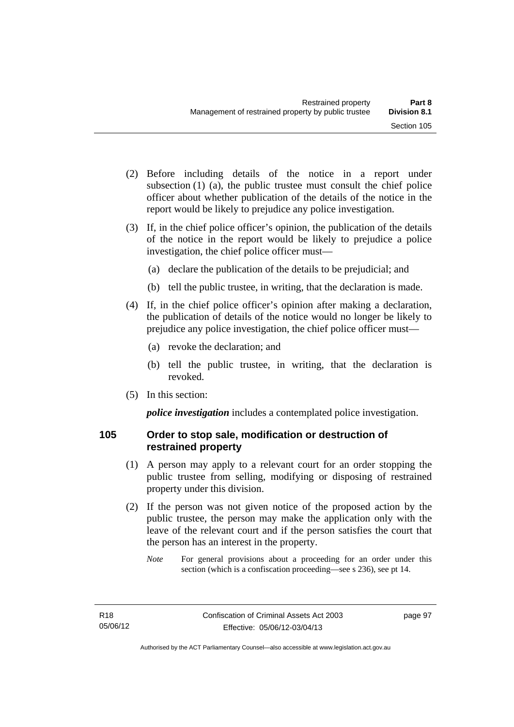- (2) Before including details of the notice in a report under subsection (1) (a), the public trustee must consult the chief police officer about whether publication of the details of the notice in the report would be likely to prejudice any police investigation.
- (3) If, in the chief police officer's opinion, the publication of the details of the notice in the report would be likely to prejudice a police investigation, the chief police officer must—
	- (a) declare the publication of the details to be prejudicial; and
	- (b) tell the public trustee, in writing, that the declaration is made.
- (4) If, in the chief police officer's opinion after making a declaration, the publication of details of the notice would no longer be likely to prejudice any police investigation, the chief police officer must—
	- (a) revoke the declaration; and
	- (b) tell the public trustee, in writing, that the declaration is revoked.
- (5) In this section:

*police investigation* includes a contemplated police investigation.

## **105 Order to stop sale, modification or destruction of restrained property**

- (1) A person may apply to a relevant court for an order stopping the public trustee from selling, modifying or disposing of restrained property under this division.
- (2) If the person was not given notice of the proposed action by the public trustee, the person may make the application only with the leave of the relevant court and if the person satisfies the court that the person has an interest in the property.
	- *Note* For general provisions about a proceeding for an order under this section (which is a confiscation proceeding—see s 236), see pt 14.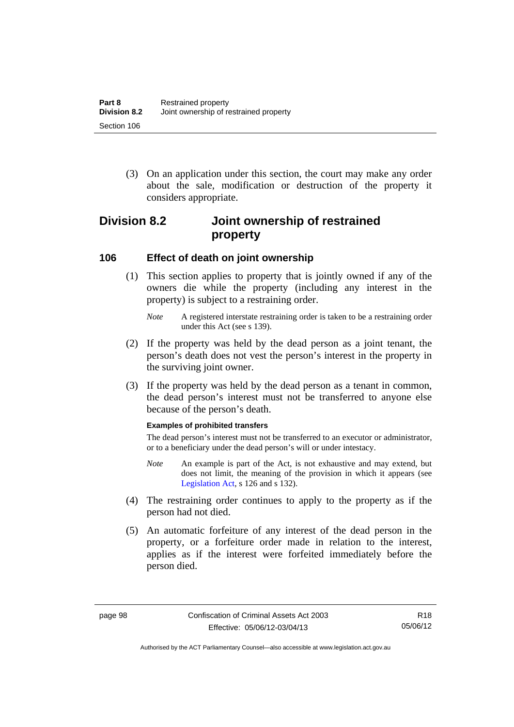(3) On an application under this section, the court may make any order about the sale, modification or destruction of the property it considers appropriate.

# **Division 8.2 Joint ownership of restrained property**

### **106 Effect of death on joint ownership**

- (1) This section applies to property that is jointly owned if any of the owners die while the property (including any interest in the property) is subject to a restraining order.
	- *Note* A registered interstate restraining order is taken to be a restraining order under this Act (see s 139).
- (2) If the property was held by the dead person as a joint tenant, the person's death does not vest the person's interest in the property in the surviving joint owner.
- (3) If the property was held by the dead person as a tenant in common, the dead person's interest must not be transferred to anyone else because of the person's death.

#### **Examples of prohibited transfers**

The dead person's interest must not be transferred to an executor or administrator, or to a beneficiary under the dead person's will or under intestacy.

- *Note* An example is part of the Act, is not exhaustive and may extend, but does not limit, the meaning of the provision in which it appears (see [Legislation Act,](http://www.legislation.act.gov.au/a/2001-14) s 126 and s 132).
- (4) The restraining order continues to apply to the property as if the person had not died.
- (5) An automatic forfeiture of any interest of the dead person in the property, or a forfeiture order made in relation to the interest, applies as if the interest were forfeited immediately before the person died.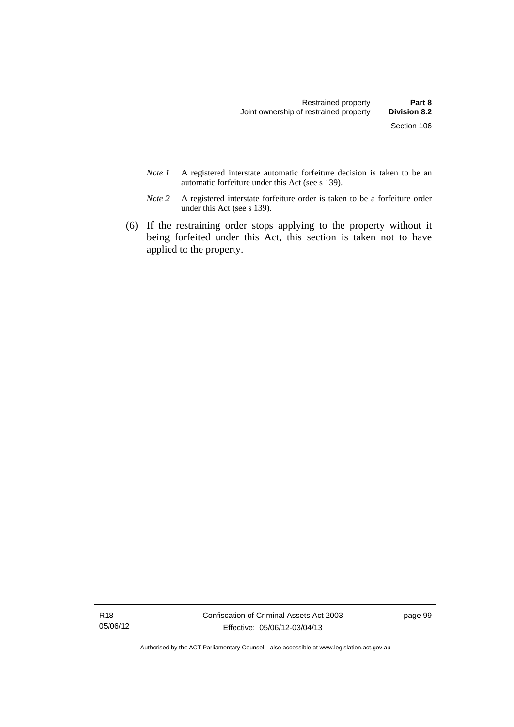- *Note 1* A registered interstate automatic forfeiture decision is taken to be an automatic forfeiture under this Act (see s 139).
- *Note 2* A registered interstate forfeiture order is taken to be a forfeiture order under this Act (see s 139).
- (6) If the restraining order stops applying to the property without it being forfeited under this Act, this section is taken not to have applied to the property.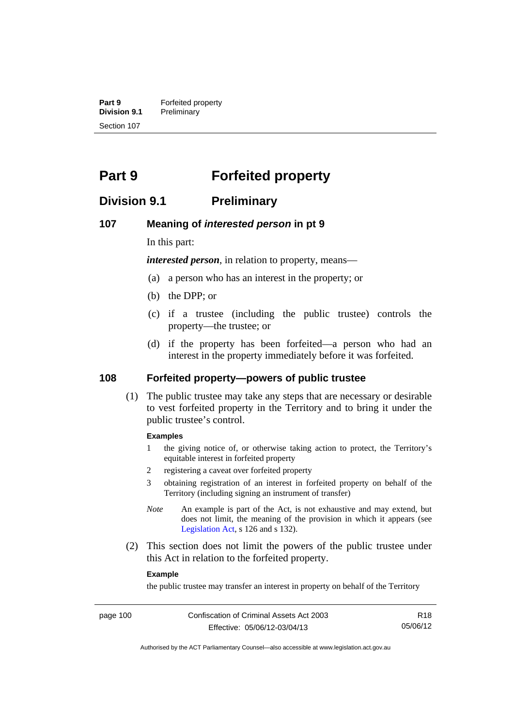**Part 9 Forfeited property**<br>**Division 9.1 Preliminary Division 9.1** Preliminary Section 107

# **Part 9 Forfeited property**

## **Division 9.1 Preliminary**

#### **107 Meaning of** *interested person* **in pt 9**

In this part:

*interested person*, in relation to property, means—

- (a) a person who has an interest in the property; or
- (b) the DPP; or
- (c) if a trustee (including the public trustee) controls the property—the trustee; or
- (d) if the property has been forfeited—a person who had an interest in the property immediately before it was forfeited.

## **108 Forfeited property—powers of public trustee**

(1) The public trustee may take any steps that are necessary or desirable to vest forfeited property in the Territory and to bring it under the public trustee's control.

#### **Examples**

- 1 the giving notice of, or otherwise taking action to protect, the Territory's equitable interest in forfeited property
- 2 registering a caveat over forfeited property
- 3 obtaining registration of an interest in forfeited property on behalf of the Territory (including signing an instrument of transfer)
- *Note* An example is part of the Act, is not exhaustive and may extend, but does not limit, the meaning of the provision in which it appears (see [Legislation Act,](http://www.legislation.act.gov.au/a/2001-14) s 126 and s 132).
- (2) This section does not limit the powers of the public trustee under this Act in relation to the forfeited property.

#### **Example**

the public trustee may transfer an interest in property on behalf of the Territory

R18 05/06/12

Authorised by the ACT Parliamentary Counsel—also accessible at www.legislation.act.gov.au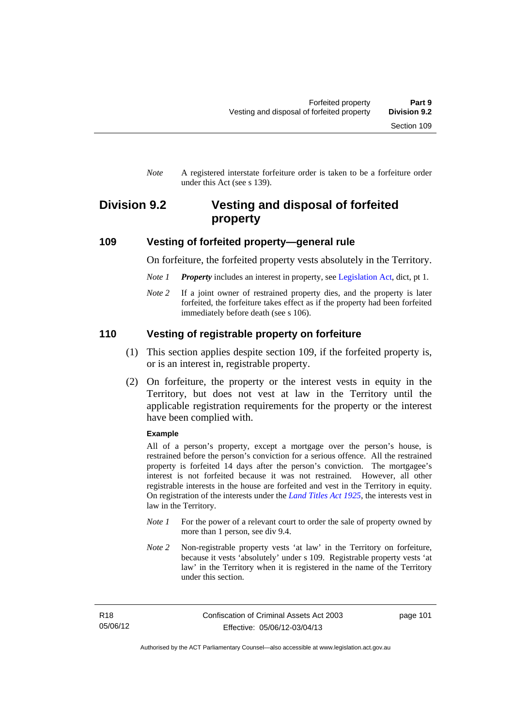*Note* A registered interstate forfeiture order is taken to be a forfeiture order under this Act (see s 139).

## **Division 9.2 Vesting and disposal of forfeited property**

#### **109 Vesting of forfeited property—general rule**

On forfeiture, the forfeited property vests absolutely in the Territory.

- *Note 1 Property* includes an interest in property, see [Legislation Act](http://www.legislation.act.gov.au/a/2001-14), dict, pt 1.
- *Note* 2 If a joint owner of restrained property dies, and the property is later forfeited, the forfeiture takes effect as if the property had been forfeited immediately before death (see s 106).

#### **110 Vesting of registrable property on forfeiture**

- (1) This section applies despite section 109, if the forfeited property is, or is an interest in, registrable property.
- (2) On forfeiture, the property or the interest vests in equity in the Territory, but does not vest at law in the Territory until the applicable registration requirements for the property or the interest have been complied with.

#### **Example**

All of a person's property, except a mortgage over the person's house, is restrained before the person's conviction for a serious offence. All the restrained property is forfeited 14 days after the person's conviction. The mortgagee's interest is not forfeited because it was not restrained. However, all other registrable interests in the house are forfeited and vest in the Territory in equity. On registration of the interests under the *[Land Titles Act 1925](http://www.legislation.act.gov.au/a/1925-1)*, the interests vest in law in the Territory.

- *Note 1* For the power of a relevant court to order the sale of property owned by more than 1 person, see div 9.4.
- *Note 2* Non-registrable property vests 'at law' in the Territory on forfeiture, because it vests 'absolutely' under s 109. Registrable property vests 'at law' in the Territory when it is registered in the name of the Territory under this section.

R18 05/06/12 page 101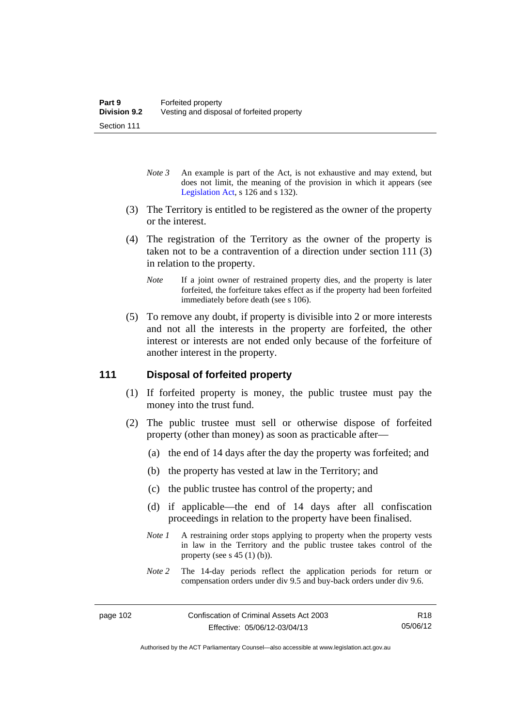- *Note 3* An example is part of the Act, is not exhaustive and may extend, but does not limit, the meaning of the provision in which it appears (see [Legislation Act,](http://www.legislation.act.gov.au/a/2001-14) s 126 and s 132).
- (3) The Territory is entitled to be registered as the owner of the property or the interest.
- (4) The registration of the Territory as the owner of the property is taken not to be a contravention of a direction under section 111 (3) in relation to the property.
	- *Note* If a joint owner of restrained property dies, and the property is later forfeited, the forfeiture takes effect as if the property had been forfeited immediately before death (see s 106).
- (5) To remove any doubt, if property is divisible into 2 or more interests and not all the interests in the property are forfeited, the other interest or interests are not ended only because of the forfeiture of another interest in the property.

## **111 Disposal of forfeited property**

- (1) If forfeited property is money, the public trustee must pay the money into the trust fund.
- (2) The public trustee must sell or otherwise dispose of forfeited property (other than money) as soon as practicable after—
	- (a) the end of 14 days after the day the property was forfeited; and
	- (b) the property has vested at law in the Territory; and
	- (c) the public trustee has control of the property; and
	- (d) if applicable—the end of 14 days after all confiscation proceedings in relation to the property have been finalised.
	- *Note 1* A restraining order stops applying to property when the property vests in law in the Territory and the public trustee takes control of the property (see s  $45(1)(b)$ ).
	- *Note 2* The 14-day periods reflect the application periods for return or compensation orders under div 9.5 and buy-back orders under div 9.6.

R18 05/06/12

Authorised by the ACT Parliamentary Counsel—also accessible at www.legislation.act.gov.au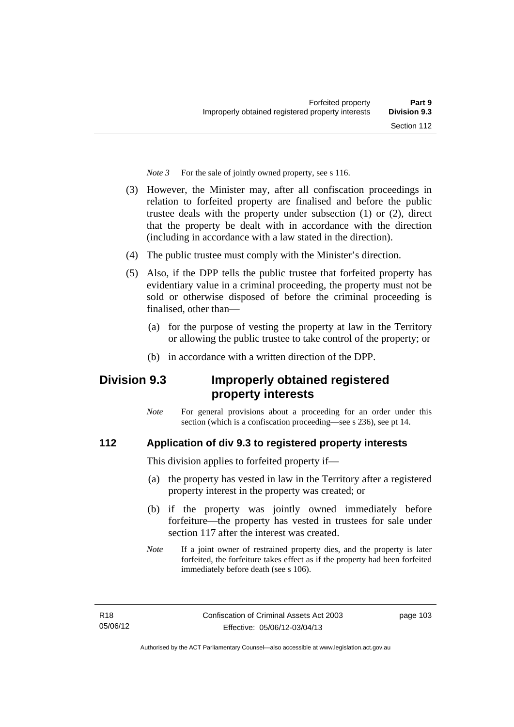*Note 3* For the sale of jointly owned property, see s 116.

- (3) However, the Minister may, after all confiscation proceedings in relation to forfeited property are finalised and before the public trustee deals with the property under subsection (1) or (2), direct that the property be dealt with in accordance with the direction (including in accordance with a law stated in the direction).
- (4) The public trustee must comply with the Minister's direction.
- (5) Also, if the DPP tells the public trustee that forfeited property has evidentiary value in a criminal proceeding, the property must not be sold or otherwise disposed of before the criminal proceeding is finalised, other than-
	- (a) for the purpose of vesting the property at law in the Territory or allowing the public trustee to take control of the property; or
	- (b) in accordance with a written direction of the DPP.

# **Division 9.3 Improperly obtained registered property interests**

*Note* For general provisions about a proceeding for an order under this section (which is a confiscation proceeding—see s 236), see pt 14.

## **112 Application of div 9.3 to registered property interests**

This division applies to forfeited property if—

- (a) the property has vested in law in the Territory after a registered property interest in the property was created; or
- (b) if the property was jointly owned immediately before forfeiture—the property has vested in trustees for sale under section 117 after the interest was created.
- *Note* If a joint owner of restrained property dies, and the property is later forfeited, the forfeiture takes effect as if the property had been forfeited immediately before death (see s 106).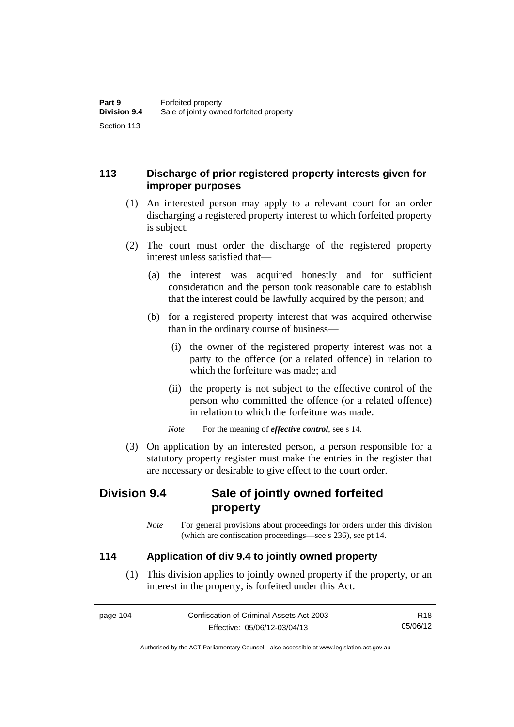## **113 Discharge of prior registered property interests given for improper purposes**

- (1) An interested person may apply to a relevant court for an order discharging a registered property interest to which forfeited property is subject.
- (2) The court must order the discharge of the registered property interest unless satisfied that—
	- (a) the interest was acquired honestly and for sufficient consideration and the person took reasonable care to establish that the interest could be lawfully acquired by the person; and
	- (b) for a registered property interest that was acquired otherwise than in the ordinary course of business—
		- (i) the owner of the registered property interest was not a party to the offence (or a related offence) in relation to which the forfeiture was made; and
		- (ii) the property is not subject to the effective control of the person who committed the offence (or a related offence) in relation to which the forfeiture was made.

*Note* For the meaning of *effective control*, see s 14.

 (3) On application by an interested person, a person responsible for a statutory property register must make the entries in the register that are necessary or desirable to give effect to the court order.

# **Division 9.4 Sale of jointly owned forfeited property**

*Note* For general provisions about proceedings for orders under this division (which are confiscation proceedings—see s 236), see pt 14.

## **114 Application of div 9.4 to jointly owned property**

 (1) This division applies to jointly owned property if the property, or an interest in the property, is forfeited under this Act.

page 104 Confiscation of Criminal Assets Act 2003 Effective: 05/06/12-03/04/13 R18 05/06/12

Authorised by the ACT Parliamentary Counsel—also accessible at www.legislation.act.gov.au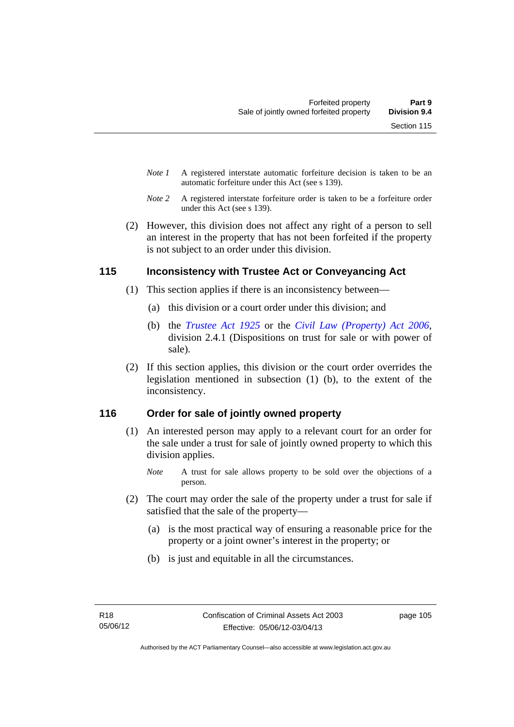- *Note 1* A registered interstate automatic forfeiture decision is taken to be an automatic forfeiture under this Act (see s 139).
- *Note 2* A registered interstate forfeiture order is taken to be a forfeiture order under this Act (see s 139).
- (2) However, this division does not affect any right of a person to sell an interest in the property that has not been forfeited if the property is not subject to an order under this division.

## **115 Inconsistency with Trustee Act or Conveyancing Act**

- (1) This section applies if there is an inconsistency between—
	- (a) this division or a court order under this division; and
	- (b) the *[Trustee Act 1925](http://www.legislation.act.gov.au/a/1925-14)* or the *[Civil Law \(Property\) Act 2006](http://www.legislation.act.gov.au/a/2006-38)*, division 2.4.1 (Dispositions on trust for sale or with power of sale).
- (2) If this section applies, this division or the court order overrides the legislation mentioned in subsection (1) (b), to the extent of the inconsistency.

## **116 Order for sale of jointly owned property**

- (1) An interested person may apply to a relevant court for an order for the sale under a trust for sale of jointly owned property to which this division applies.
	- *Note* A trust for sale allows property to be sold over the objections of a person.
- (2) The court may order the sale of the property under a trust for sale if satisfied that the sale of the property—
	- (a) is the most practical way of ensuring a reasonable price for the property or a joint owner's interest in the property; or
	- (b) is just and equitable in all the circumstances.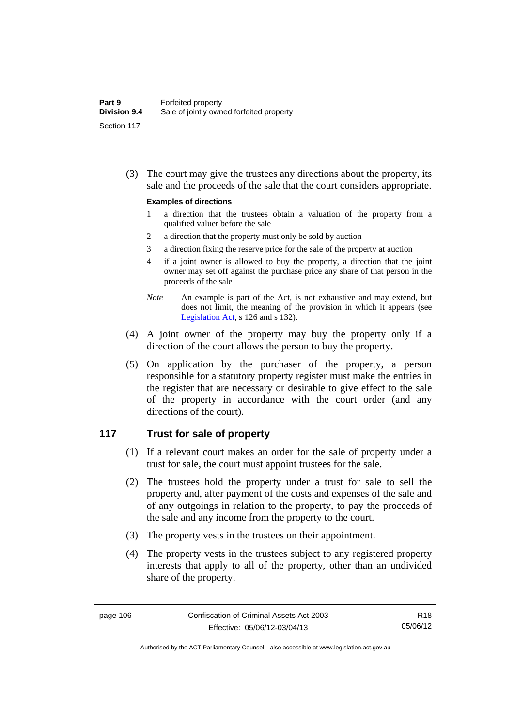(3) The court may give the trustees any directions about the property, its sale and the proceeds of the sale that the court considers appropriate.

#### **Examples of directions**

- 1 a direction that the trustees obtain a valuation of the property from a qualified valuer before the sale
- 2 a direction that the property must only be sold by auction
- 3 a direction fixing the reserve price for the sale of the property at auction
- 4 if a joint owner is allowed to buy the property, a direction that the joint owner may set off against the purchase price any share of that person in the proceeds of the sale
- *Note* An example is part of the Act, is not exhaustive and may extend, but does not limit, the meaning of the provision in which it appears (see [Legislation Act,](http://www.legislation.act.gov.au/a/2001-14) s 126 and s 132).
- (4) A joint owner of the property may buy the property only if a direction of the court allows the person to buy the property.
- (5) On application by the purchaser of the property, a person responsible for a statutory property register must make the entries in the register that are necessary or desirable to give effect to the sale of the property in accordance with the court order (and any directions of the court).

### **117 Trust for sale of property**

- (1) If a relevant court makes an order for the sale of property under a trust for sale, the court must appoint trustees for the sale.
- (2) The trustees hold the property under a trust for sale to sell the property and, after payment of the costs and expenses of the sale and of any outgoings in relation to the property, to pay the proceeds of the sale and any income from the property to the court.
- (3) The property vests in the trustees on their appointment.
- (4) The property vests in the trustees subject to any registered property interests that apply to all of the property, other than an undivided share of the property.

Authorised by the ACT Parliamentary Counsel—also accessible at www.legislation.act.gov.au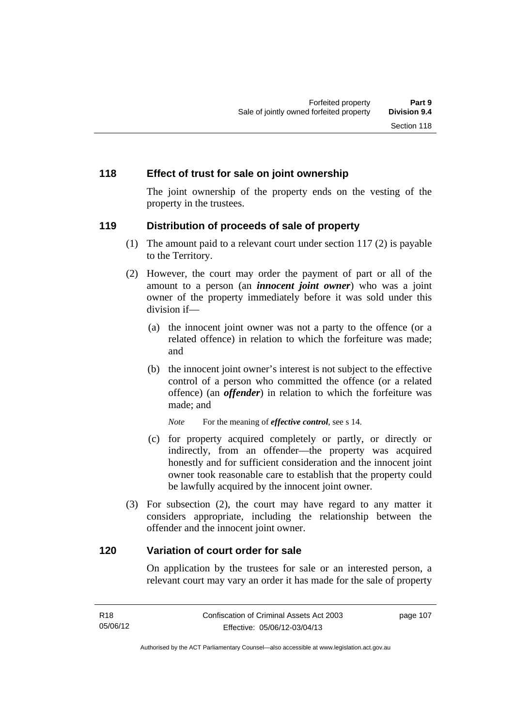### **118 Effect of trust for sale on joint ownership**

The joint ownership of the property ends on the vesting of the property in the trustees.

### **119 Distribution of proceeds of sale of property**

- (1) The amount paid to a relevant court under section 117 (2) is payable to the Territory.
- (2) However, the court may order the payment of part or all of the amount to a person (an *innocent joint owner*) who was a joint owner of the property immediately before it was sold under this division if—
	- (a) the innocent joint owner was not a party to the offence (or a related offence) in relation to which the forfeiture was made; and
	- (b) the innocent joint owner's interest is not subject to the effective control of a person who committed the offence (or a related offence) (an *offender*) in relation to which the forfeiture was made; and

*Note* For the meaning of *effective control*, see s 14.

- (c) for property acquired completely or partly, or directly or indirectly, from an offender—the property was acquired honestly and for sufficient consideration and the innocent joint owner took reasonable care to establish that the property could be lawfully acquired by the innocent joint owner.
- (3) For subsection (2), the court may have regard to any matter it considers appropriate, including the relationship between the offender and the innocent joint owner.

#### **120 Variation of court order for sale**

On application by the trustees for sale or an interested person, a relevant court may vary an order it has made for the sale of property

page 107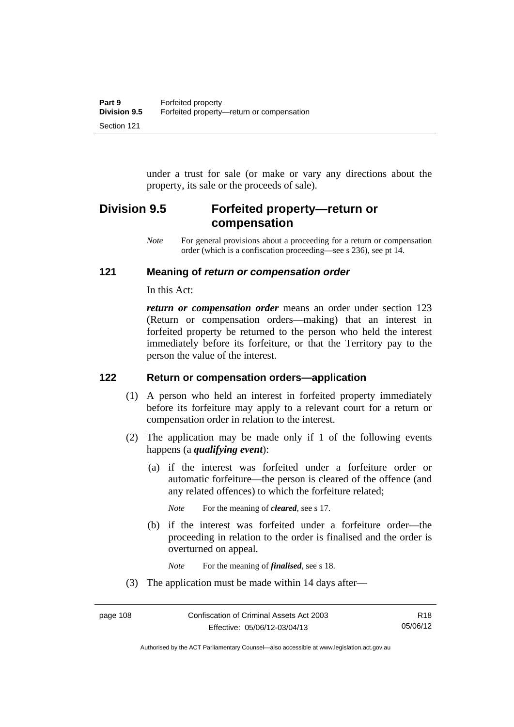under a trust for sale (or make or vary any directions about the property, its sale or the proceeds of sale).

## **Division 9.5 Forfeited property—return or compensation**

*Note* For general provisions about a proceeding for a return or compensation order (which is a confiscation proceeding—see s 236), see pt 14.

## **121 Meaning of** *return or compensation order*

In this Act:

*return or compensation order* means an order under section 123 (Return or compensation orders—making) that an interest in forfeited property be returned to the person who held the interest immediately before its forfeiture, or that the Territory pay to the person the value of the interest.

## **122 Return or compensation orders—application**

- (1) A person who held an interest in forfeited property immediately before its forfeiture may apply to a relevant court for a return or compensation order in relation to the interest.
- (2) The application may be made only if 1 of the following events happens (a *qualifying event*):
	- (a) if the interest was forfeited under a forfeiture order or automatic forfeiture—the person is cleared of the offence (and any related offences) to which the forfeiture related;

*Note* For the meaning of *cleared*, see s 17.

 (b) if the interest was forfeited under a forfeiture order—the proceeding in relation to the order is finalised and the order is overturned on appeal.

*Note* For the meaning of *finalised*, see s 18.

(3) The application must be made within 14 days after—

Authorised by the ACT Parliamentary Counsel—also accessible at www.legislation.act.gov.au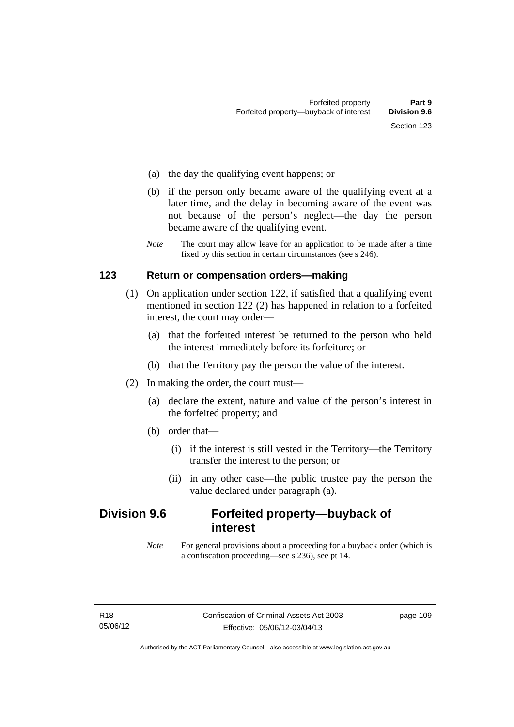- (a) the day the qualifying event happens; or
- (b) if the person only became aware of the qualifying event at a later time, and the delay in becoming aware of the event was not because of the person's neglect—the day the person became aware of the qualifying event.
- *Note* The court may allow leave for an application to be made after a time fixed by this section in certain circumstances (see s 246).

#### **123 Return or compensation orders—making**

- (1) On application under section 122, if satisfied that a qualifying event mentioned in section 122 (2) has happened in relation to a forfeited interest, the court may order—
	- (a) that the forfeited interest be returned to the person who held the interest immediately before its forfeiture; or
	- (b) that the Territory pay the person the value of the interest.
- (2) In making the order, the court must—
	- (a) declare the extent, nature and value of the person's interest in the forfeited property; and
	- (b) order that—
		- (i) if the interest is still vested in the Territory—the Territory transfer the interest to the person; or
		- (ii) in any other case—the public trustee pay the person the value declared under paragraph (a).

## **Division 9.6 Forfeited property—buyback of interest**

*Note* For general provisions about a proceeding for a buyback order (which is a confiscation proceeding—see s 236), see pt 14.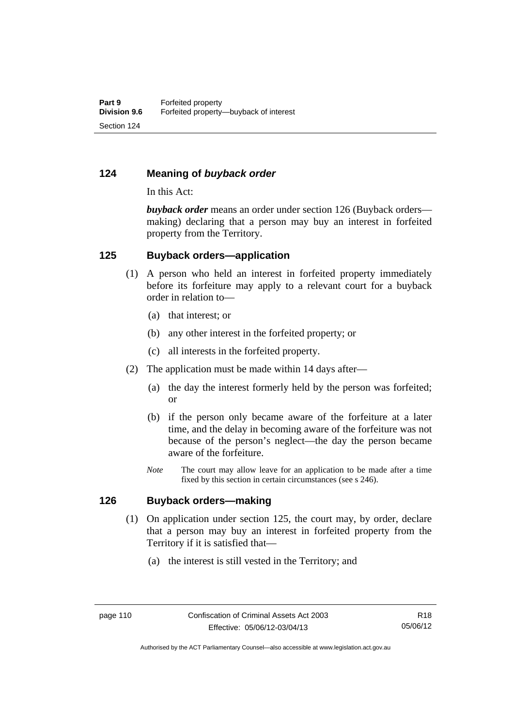## **124 Meaning of** *buyback order*

In this Act:

*buyback order* means an order under section 126 (Buyback orders making) declaring that a person may buy an interest in forfeited property from the Territory.

### **125 Buyback orders—application**

- (1) A person who held an interest in forfeited property immediately before its forfeiture may apply to a relevant court for a buyback order in relation to—
	- (a) that interest; or
	- (b) any other interest in the forfeited property; or
	- (c) all interests in the forfeited property.
- (2) The application must be made within 14 days after—
	- (a) the day the interest formerly held by the person was forfeited; or
	- (b) if the person only became aware of the forfeiture at a later time, and the delay in becoming aware of the forfeiture was not because of the person's neglect—the day the person became aware of the forfeiture.
	- *Note* The court may allow leave for an application to be made after a time fixed by this section in certain circumstances (see s 246).

### **126 Buyback orders—making**

- (1) On application under section 125, the court may, by order, declare that a person may buy an interest in forfeited property from the Territory if it is satisfied that—
	- (a) the interest is still vested in the Territory; and

Authorised by the ACT Parliamentary Counsel—also accessible at www.legislation.act.gov.au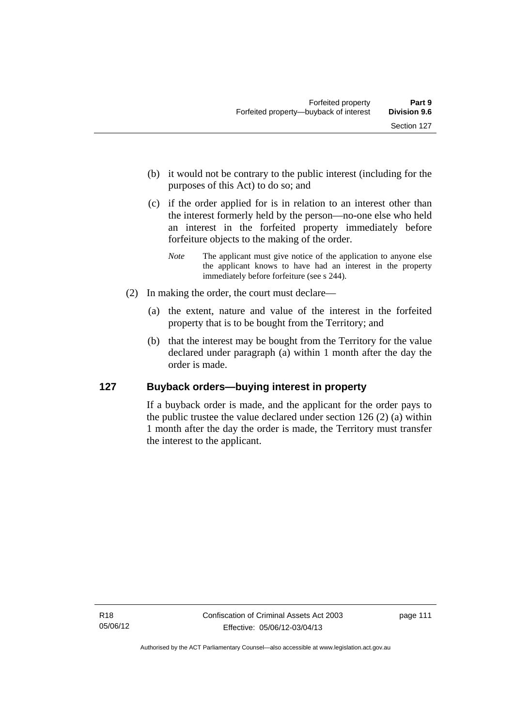- (b) it would not be contrary to the public interest (including for the purposes of this Act) to do so; and
- (c) if the order applied for is in relation to an interest other than the interest formerly held by the person—no-one else who held an interest in the forfeited property immediately before forfeiture objects to the making of the order.
	- *Note* The applicant must give notice of the application to anyone else the applicant knows to have had an interest in the property immediately before forfeiture (see s 244).
- (2) In making the order, the court must declare—
	- (a) the extent, nature and value of the interest in the forfeited property that is to be bought from the Territory; and
	- (b) that the interest may be bought from the Territory for the value declared under paragraph (a) within 1 month after the day the order is made.

## **127 Buyback orders—buying interest in property**

If a buyback order is made, and the applicant for the order pays to the public trustee the value declared under section 126 (2) (a) within 1 month after the day the order is made, the Territory must transfer the interest to the applicant.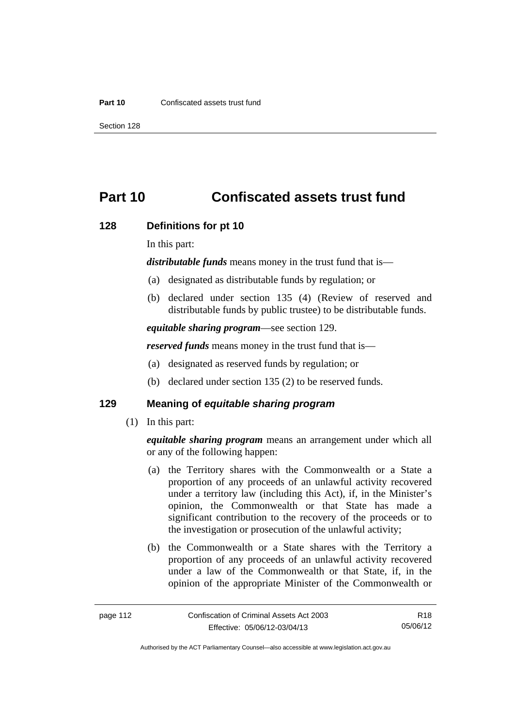#### **Part 10** Confiscated assets trust fund

Section 128

# **Part 10 Confiscated assets trust fund**

#### **128 Definitions for pt 10**

In this part:

*distributable funds* means money in the trust fund that is—

- (a) designated as distributable funds by regulation; or
- (b) declared under section 135 (4) (Review of reserved and distributable funds by public trustee) to be distributable funds.

*equitable sharing program*—see section 129.

*reserved funds* means money in the trust fund that is—

- (a) designated as reserved funds by regulation; or
- (b) declared under section 135 (2) to be reserved funds.

## **129 Meaning of** *equitable sharing program*

(1) In this part:

*equitable sharing program* means an arrangement under which all or any of the following happen:

- (a) the Territory shares with the Commonwealth or a State a proportion of any proceeds of an unlawful activity recovered under a territory law (including this Act), if, in the Minister's opinion, the Commonwealth or that State has made a significant contribution to the recovery of the proceeds or to the investigation or prosecution of the unlawful activity;
- (b) the Commonwealth or a State shares with the Territory a proportion of any proceeds of an unlawful activity recovered under a law of the Commonwealth or that State, if, in the opinion of the appropriate Minister of the Commonwealth or

R18 05/06/12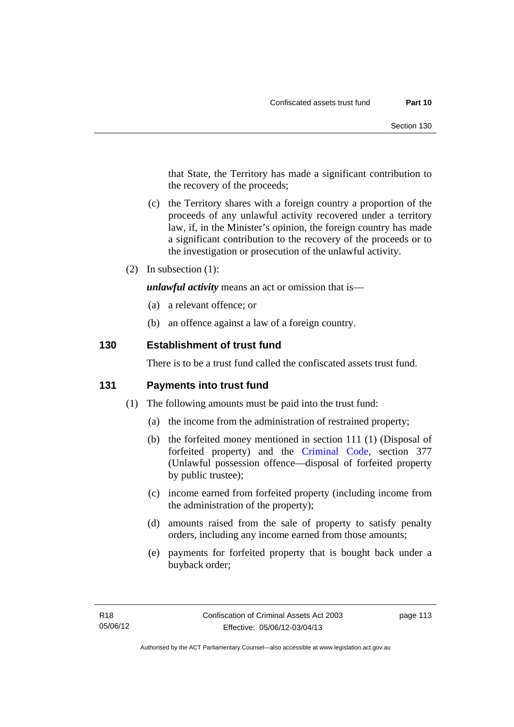that State, the Territory has made a significant contribution to the recovery of the proceeds;

- (c) the Territory shares with a foreign country a proportion of the proceeds of any unlawful activity recovered under a territory law, if, in the Minister's opinion, the foreign country has made a significant contribution to the recovery of the proceeds or to the investigation or prosecution of the unlawful activity.
- (2) In subsection (1):

*unlawful activity* means an act or omission that is—

- (a) a relevant offence; or
- (b) an offence against a law of a foreign country.

## **130 Establishment of trust fund**

There is to be a trust fund called the confiscated assets trust fund.

### **131 Payments into trust fund**

- (1) The following amounts must be paid into the trust fund:
	- (a) the income from the administration of restrained property;
	- (b) the forfeited money mentioned in section 111 (1) (Disposal of forfeited property) and the [Criminal Code,](http://www.legislation.act.gov.au/a/2002-51) section 377 (Unlawful possession offence—disposal of forfeited property by public trustee);
	- (c) income earned from forfeited property (including income from the administration of the property);
	- (d) amounts raised from the sale of property to satisfy penalty orders, including any income earned from those amounts;
	- (e) payments for forfeited property that is bought back under a buyback order;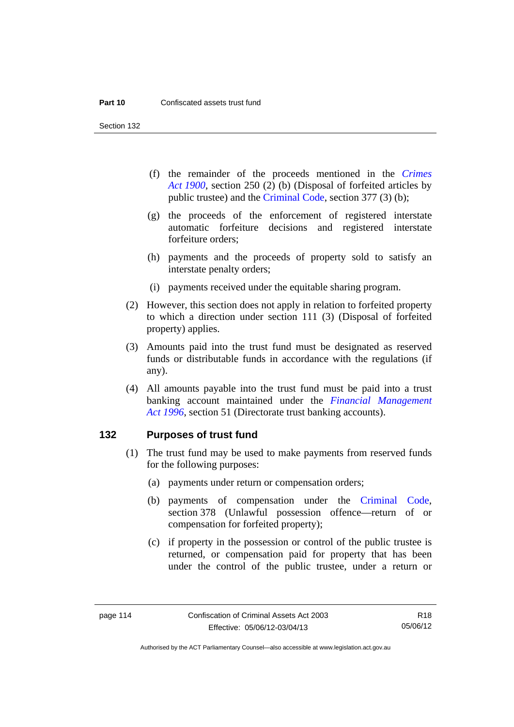Section 132

- (f) the remainder of the proceeds mentioned in the *[Crimes](http://www.legislation.act.gov.au/a/1900-40)  [Act 1900](http://www.legislation.act.gov.au/a/1900-40)*, section 250 (2) (b) (Disposal of forfeited articles by public trustee) and the [Criminal Code,](http://www.legislation.act.gov.au/a/2002-51) section 377 (3) (b);
- (g) the proceeds of the enforcement of registered interstate automatic forfeiture decisions and registered interstate forfeiture orders;
- (h) payments and the proceeds of property sold to satisfy an interstate penalty orders;
- (i) payments received under the equitable sharing program.
- (2) However, this section does not apply in relation to forfeited property to which a direction under section 111 (3) (Disposal of forfeited property) applies.
- (3) Amounts paid into the trust fund must be designated as reserved funds or distributable funds in accordance with the regulations (if any).
- (4) All amounts payable into the trust fund must be paid into a trust banking account maintained under the *[Financial Management](http://www.legislation.act.gov.au/a/1996-22)  [Act 1996](http://www.legislation.act.gov.au/a/1996-22)*, section 51 (Directorate trust banking accounts).

#### **132 Purposes of trust fund**

- (1) The trust fund may be used to make payments from reserved funds for the following purposes:
	- (a) payments under return or compensation orders;
	- (b) payments of compensation under the [Criminal Code](http://www.legislation.act.gov.au/a/2002-51), section 378 (Unlawful possession offence—return of or compensation for forfeited property);
	- (c) if property in the possession or control of the public trustee is returned, or compensation paid for property that has been under the control of the public trustee, under a return or

Authorised by the ACT Parliamentary Counsel—also accessible at www.legislation.act.gov.au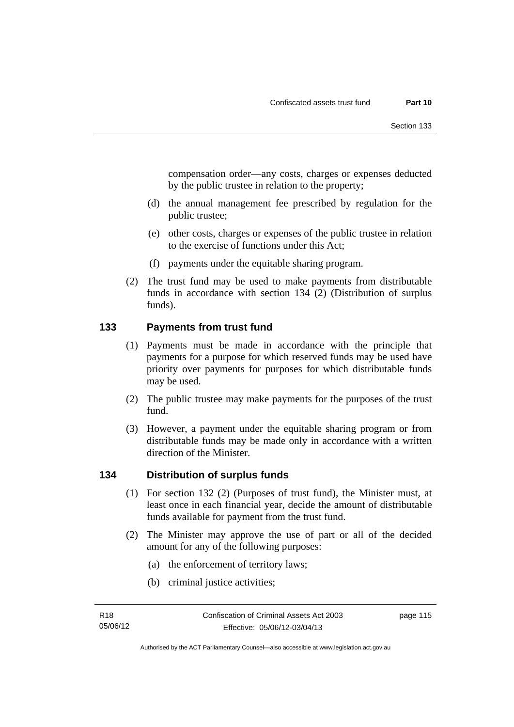compensation order—any costs, charges or expenses deducted by the public trustee in relation to the property;

- (d) the annual management fee prescribed by regulation for the public trustee;
- (e) other costs, charges or expenses of the public trustee in relation to the exercise of functions under this Act;
- (f) payments under the equitable sharing program.
- (2) The trust fund may be used to make payments from distributable funds in accordance with section 134 (2) (Distribution of surplus funds).

## **133 Payments from trust fund**

- (1) Payments must be made in accordance with the principle that payments for a purpose for which reserved funds may be used have priority over payments for purposes for which distributable funds may be used.
- (2) The public trustee may make payments for the purposes of the trust fund.
- (3) However, a payment under the equitable sharing program or from distributable funds may be made only in accordance with a written direction of the Minister.

### **134 Distribution of surplus funds**

- (1) For section 132 (2) (Purposes of trust fund), the Minister must, at least once in each financial year, decide the amount of distributable funds available for payment from the trust fund.
- (2) The Minister may approve the use of part or all of the decided amount for any of the following purposes:
	- (a) the enforcement of territory laws;
	- (b) criminal justice activities;

page 115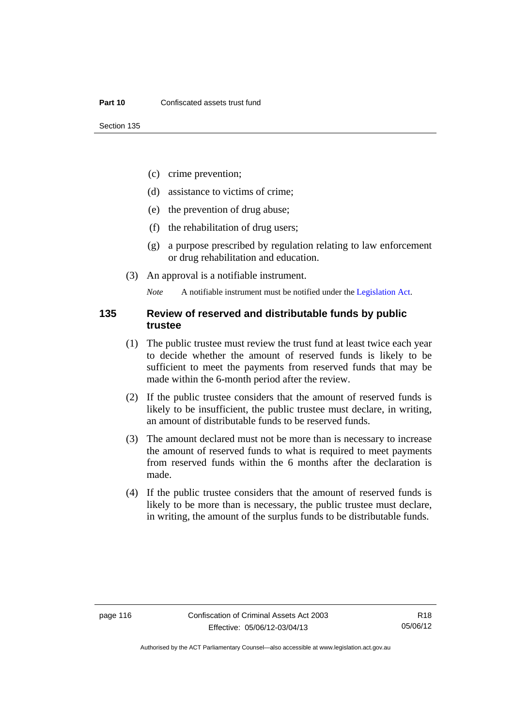- (c) crime prevention;
- (d) assistance to victims of crime;
- (e) the prevention of drug abuse;
- (f) the rehabilitation of drug users;
- (g) a purpose prescribed by regulation relating to law enforcement or drug rehabilitation and education.
- (3) An approval is a notifiable instrument.

*Note* A notifiable instrument must be notified under the [Legislation Act](http://www.legislation.act.gov.au/a/2001-14).

### **135 Review of reserved and distributable funds by public trustee**

- (1) The public trustee must review the trust fund at least twice each year to decide whether the amount of reserved funds is likely to be sufficient to meet the payments from reserved funds that may be made within the 6-month period after the review.
- (2) If the public trustee considers that the amount of reserved funds is likely to be insufficient, the public trustee must declare, in writing, an amount of distributable funds to be reserved funds.
- (3) The amount declared must not be more than is necessary to increase the amount of reserved funds to what is required to meet payments from reserved funds within the 6 months after the declaration is made.
- (4) If the public trustee considers that the amount of reserved funds is likely to be more than is necessary, the public trustee must declare, in writing, the amount of the surplus funds to be distributable funds.

R18 05/06/12

Authorised by the ACT Parliamentary Counsel—also accessible at www.legislation.act.gov.au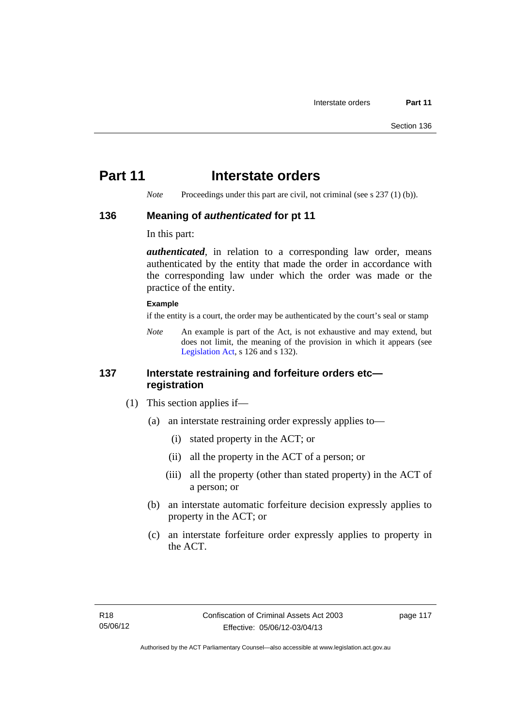# **Part 11** Interstate orders

*Note* Proceedings under this part are civil, not criminal (see s 237 (1) (b)).

### **136 Meaning of** *authenticated* **for pt 11**

In this part:

*authenticated*, in relation to a corresponding law order, means authenticated by the entity that made the order in accordance with the corresponding law under which the order was made or the practice of the entity.

#### **Example**

if the entity is a court, the order may be authenticated by the court's seal or stamp

*Note* An example is part of the Act, is not exhaustive and may extend, but does not limit, the meaning of the provision in which it appears (see [Legislation Act,](http://www.legislation.act.gov.au/a/2001-14) s 126 and s 132).

## **137 Interstate restraining and forfeiture orders etc registration**

- (1) This section applies if—
	- (a) an interstate restraining order expressly applies to—
		- (i) stated property in the ACT; or
		- (ii) all the property in the ACT of a person; or
		- (iii) all the property (other than stated property) in the ACT of a person; or
	- (b) an interstate automatic forfeiture decision expressly applies to property in the ACT; or
	- (c) an interstate forfeiture order expressly applies to property in the ACT.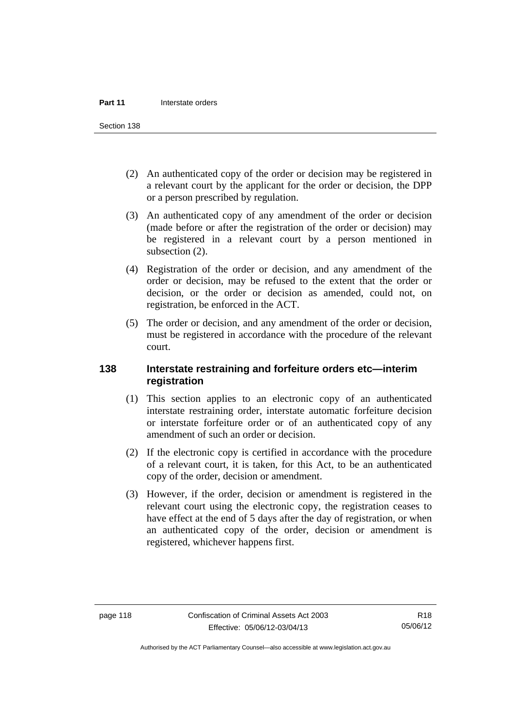Section 138

- (2) An authenticated copy of the order or decision may be registered in a relevant court by the applicant for the order or decision, the DPP or a person prescribed by regulation.
- (3) An authenticated copy of any amendment of the order or decision (made before or after the registration of the order or decision) may be registered in a relevant court by a person mentioned in subsection  $(2)$ .
- (4) Registration of the order or decision, and any amendment of the order or decision, may be refused to the extent that the order or decision, or the order or decision as amended, could not, on registration, be enforced in the ACT.
- (5) The order or decision, and any amendment of the order or decision, must be registered in accordance with the procedure of the relevant court.

## **138 Interstate restraining and forfeiture orders etc—interim registration**

- (1) This section applies to an electronic copy of an authenticated interstate restraining order, interstate automatic forfeiture decision or interstate forfeiture order or of an authenticated copy of any amendment of such an order or decision.
- (2) If the electronic copy is certified in accordance with the procedure of a relevant court, it is taken, for this Act, to be an authenticated copy of the order, decision or amendment.
- (3) However, if the order, decision or amendment is registered in the relevant court using the electronic copy, the registration ceases to have effect at the end of 5 days after the day of registration, or when an authenticated copy of the order, decision or amendment is registered, whichever happens first.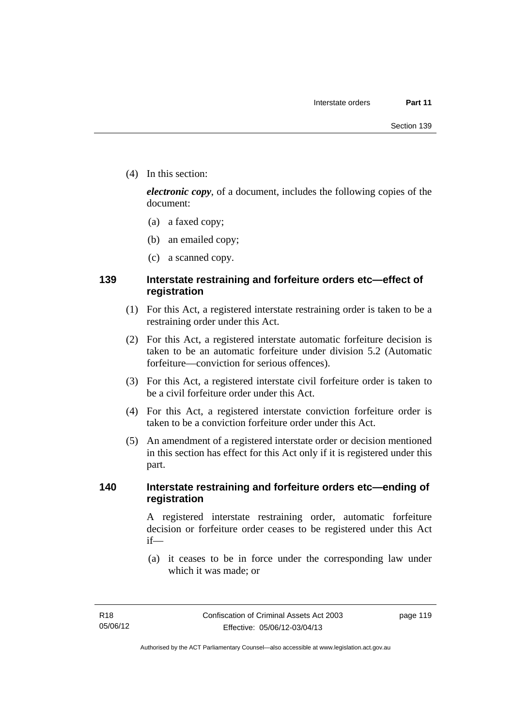(4) In this section:

*electronic copy*, of a document, includes the following copies of the document:

- (a) a faxed copy;
- (b) an emailed copy;
- (c) a scanned copy.

## **139 Interstate restraining and forfeiture orders etc—effect of registration**

- (1) For this Act, a registered interstate restraining order is taken to be a restraining order under this Act.
- (2) For this Act, a registered interstate automatic forfeiture decision is taken to be an automatic forfeiture under division 5.2 (Automatic forfeiture—conviction for serious offences).
- (3) For this Act, a registered interstate civil forfeiture order is taken to be a civil forfeiture order under this Act.
- (4) For this Act, a registered interstate conviction forfeiture order is taken to be a conviction forfeiture order under this Act.
- (5) An amendment of a registered interstate order or decision mentioned in this section has effect for this Act only if it is registered under this part.

## **140 Interstate restraining and forfeiture orders etc—ending of registration**

A registered interstate restraining order, automatic forfeiture decision or forfeiture order ceases to be registered under this Act if—

 (a) it ceases to be in force under the corresponding law under which it was made; or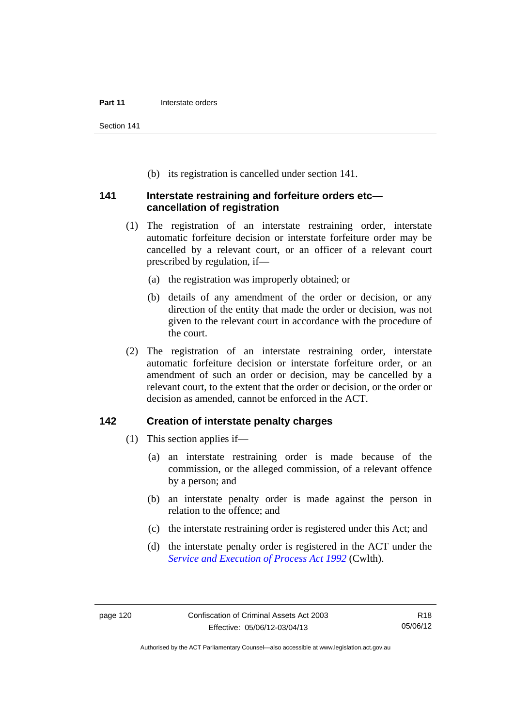Section 141

(b) its registration is cancelled under section 141.

### **141 Interstate restraining and forfeiture orders etc cancellation of registration**

- (1) The registration of an interstate restraining order, interstate automatic forfeiture decision or interstate forfeiture order may be cancelled by a relevant court, or an officer of a relevant court prescribed by regulation, if—
	- (a) the registration was improperly obtained; or
	- (b) details of any amendment of the order or decision, or any direction of the entity that made the order or decision, was not given to the relevant court in accordance with the procedure of the court.
- (2) The registration of an interstate restraining order, interstate automatic forfeiture decision or interstate forfeiture order, or an amendment of such an order or decision, may be cancelled by a relevant court, to the extent that the order or decision, or the order or decision as amended, cannot be enforced in the ACT.

## **142 Creation of interstate penalty charges**

- (1) This section applies if—
	- (a) an interstate restraining order is made because of the commission, or the alleged commission, of a relevant offence by a person; and
	- (b) an interstate penalty order is made against the person in relation to the offence; and
	- (c) the interstate restraining order is registered under this Act; and
	- (d) the interstate penalty order is registered in the ACT under the *[Service and Execution of Process Act 1992](http://www.comlaw.gov.au/Details/C2011C00436)* (Cwlth).

Authorised by the ACT Parliamentary Counsel—also accessible at www.legislation.act.gov.au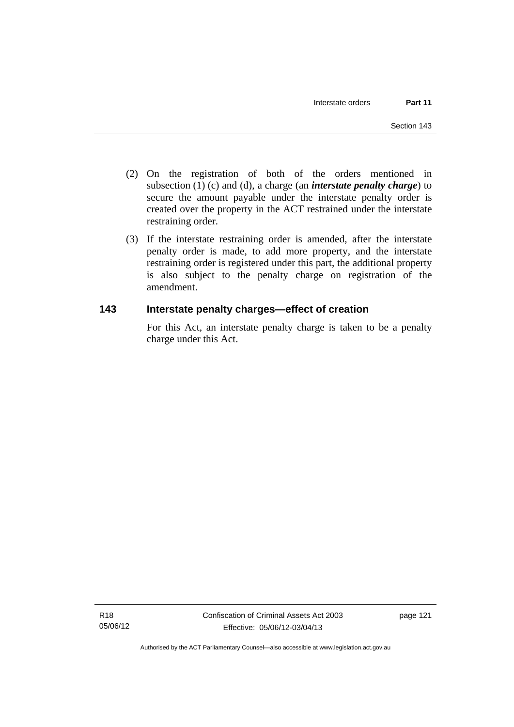- (2) On the registration of both of the orders mentioned in subsection (1) (c) and (d), a charge (an *interstate penalty charge*) to secure the amount payable under the interstate penalty order is created over the property in the ACT restrained under the interstate restraining order.
- (3) If the interstate restraining order is amended, after the interstate penalty order is made, to add more property, and the interstate restraining order is registered under this part, the additional property is also subject to the penalty charge on registration of the amendment.

## **143 Interstate penalty charges—effect of creation**

For this Act, an interstate penalty charge is taken to be a penalty charge under this Act.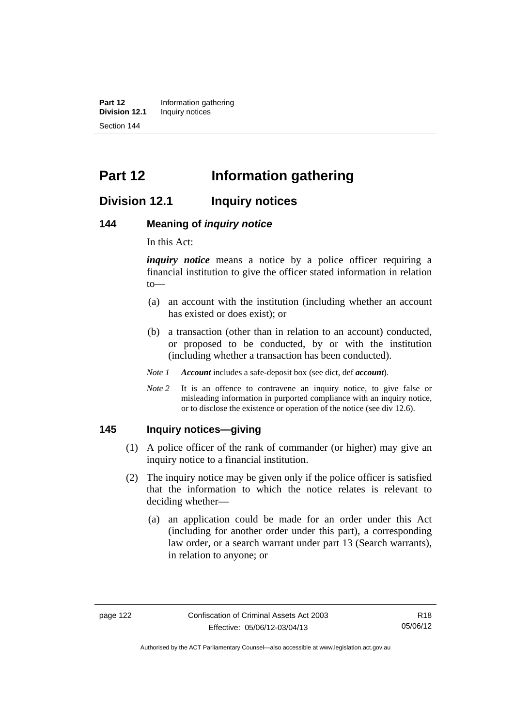**Part 12** Information gathering<br>**Division 12.1** Inquiry notices **Inquiry notices** Section 144

# **Part 12 Information gathering**

## **Division 12.1 Inquiry notices**

#### **144 Meaning of** *inquiry notice*

In this Act:

*inquiry notice* means a notice by a police officer requiring a financial institution to give the officer stated information in relation to—

- (a) an account with the institution (including whether an account has existed or does exist); or
- (b) a transaction (other than in relation to an account) conducted, or proposed to be conducted, by or with the institution (including whether a transaction has been conducted).
- *Note 1 Account* includes a safe-deposit box (see dict, def *account*).
- *Note* 2 It is an offence to contravene an inquiry notice, to give false or misleading information in purported compliance with an inquiry notice, or to disclose the existence or operation of the notice (see div 12.6).

#### **145 Inquiry notices—giving**

- (1) A police officer of the rank of commander (or higher) may give an inquiry notice to a financial institution.
- (2) The inquiry notice may be given only if the police officer is satisfied that the information to which the notice relates is relevant to deciding whether—
	- (a) an application could be made for an order under this Act (including for another order under this part), a corresponding law order, or a search warrant under part 13 (Search warrants), in relation to anyone; or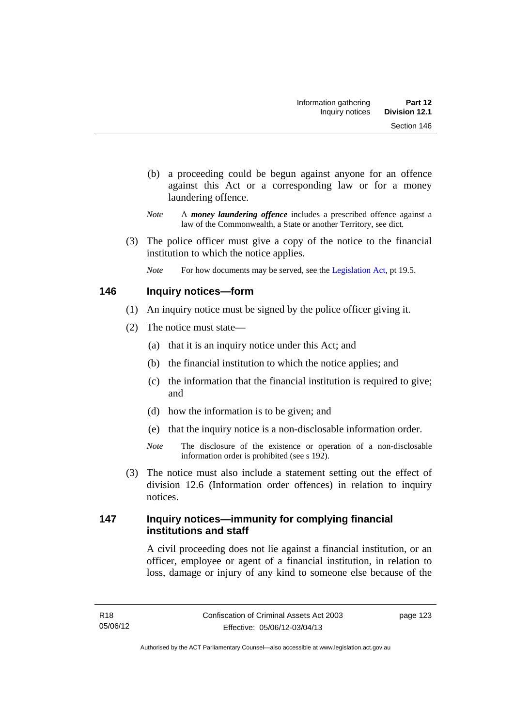- (b) a proceeding could be begun against anyone for an offence against this Act or a corresponding law or for a money laundering offence.
- *Note* A *money laundering offence* includes a prescribed offence against a law of the Commonwealth, a State or another Territory, see dict.
- (3) The police officer must give a copy of the notice to the financial institution to which the notice applies.
	- *Note* For how documents may be served, see the [Legislation Act,](http://www.legislation.act.gov.au/a/2001-14) pt 19.5.

## **146 Inquiry notices—form**

- (1) An inquiry notice must be signed by the police officer giving it.
- (2) The notice must state—
	- (a) that it is an inquiry notice under this Act; and
	- (b) the financial institution to which the notice applies; and
	- (c) the information that the financial institution is required to give; and
	- (d) how the information is to be given; and
	- (e) that the inquiry notice is a non-disclosable information order.
	- *Note* The disclosure of the existence or operation of a non-disclosable information order is prohibited (see s 192).
- (3) The notice must also include a statement setting out the effect of division 12.6 (Information order offences) in relation to inquiry notices.

## **147 Inquiry notices—immunity for complying financial institutions and staff**

A civil proceeding does not lie against a financial institution, or an officer, employee or agent of a financial institution, in relation to loss, damage or injury of any kind to someone else because of the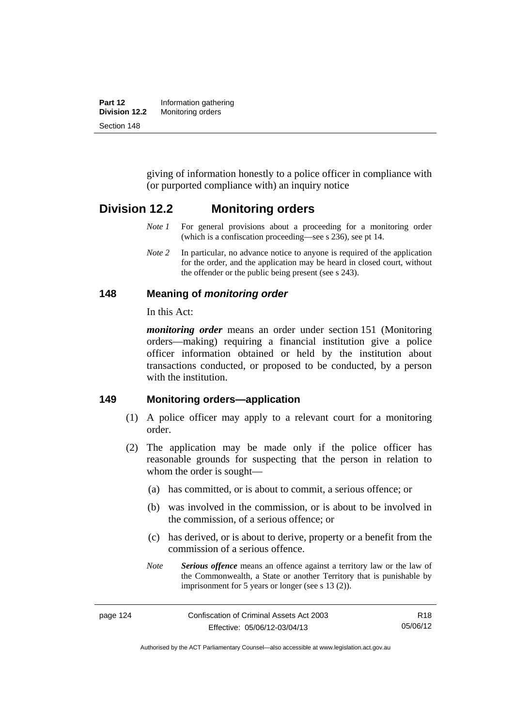| Part 12       | Information gathering |
|---------------|-----------------------|
| Division 12.2 | Monitoring orders     |
| Section 148   |                       |

giving of information honestly to a police officer in compliance with (or purported compliance with) an inquiry notice

## **Division 12.2 Monitoring orders**

- *Note 1* For general provisions about a proceeding for a monitoring order (which is a confiscation proceeding—see s 236), see pt 14.
- *Note 2* In particular, no advance notice to anyone is required of the application for the order, and the application may be heard in closed court, without the offender or the public being present (see s 243).

#### **148 Meaning of** *monitoring order*

In this Act:

*monitoring order* means an order under section 151 (Monitoring orders—making) requiring a financial institution give a police officer information obtained or held by the institution about transactions conducted, or proposed to be conducted, by a person with the institution.

#### **149 Monitoring orders—application**

- (1) A police officer may apply to a relevant court for a monitoring order.
- (2) The application may be made only if the police officer has reasonable grounds for suspecting that the person in relation to whom the order is sought—
	- (a) has committed, or is about to commit, a serious offence; or
	- (b) was involved in the commission, or is about to be involved in the commission, of a serious offence; or
	- (c) has derived, or is about to derive, property or a benefit from the commission of a serious offence.
	- *Note Serious offence* means an offence against a territory law or the law of the Commonwealth, a State or another Territory that is punishable by imprisonment for 5 years or longer (see s 13 (2)).

Authorised by the ACT Parliamentary Counsel—also accessible at www.legislation.act.gov.au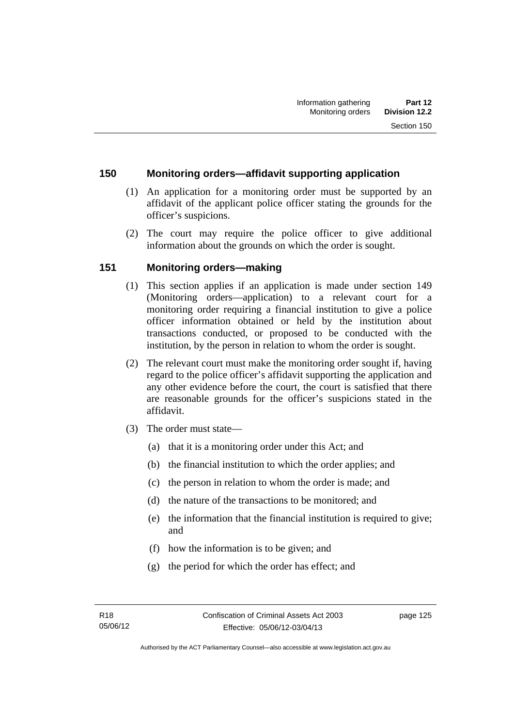## **150 Monitoring orders—affidavit supporting application**

- (1) An application for a monitoring order must be supported by an affidavit of the applicant police officer stating the grounds for the officer's suspicions.
- (2) The court may require the police officer to give additional information about the grounds on which the order is sought.

## **151 Monitoring orders—making**

- (1) This section applies if an application is made under section 149 (Monitoring orders—application) to a relevant court for a monitoring order requiring a financial institution to give a police officer information obtained or held by the institution about transactions conducted, or proposed to be conducted with the institution, by the person in relation to whom the order is sought.
- (2) The relevant court must make the monitoring order sought if, having regard to the police officer's affidavit supporting the application and any other evidence before the court, the court is satisfied that there are reasonable grounds for the officer's suspicions stated in the affidavit.
- (3) The order must state—
	- (a) that it is a monitoring order under this Act; and
	- (b) the financial institution to which the order applies; and
	- (c) the person in relation to whom the order is made; and
	- (d) the nature of the transactions to be monitored; and
	- (e) the information that the financial institution is required to give; and
	- (f) how the information is to be given; and
	- (g) the period for which the order has effect; and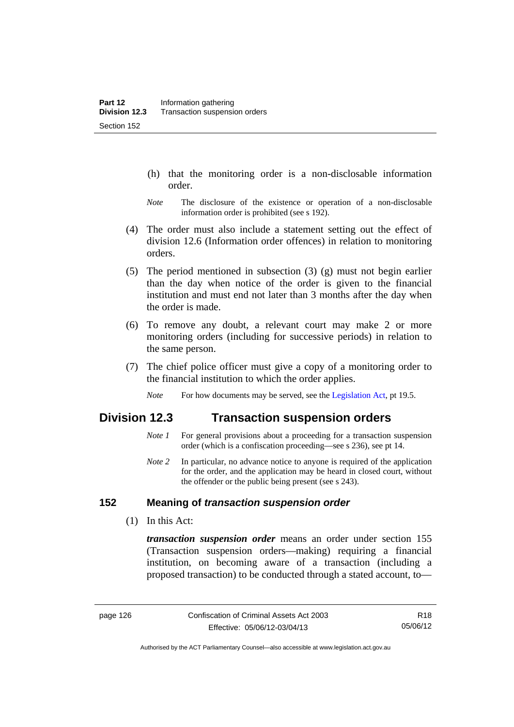- (h) that the monitoring order is a non-disclosable information order.
- *Note* The disclosure of the existence or operation of a non-disclosable information order is prohibited (see s 192).
- (4) The order must also include a statement setting out the effect of division 12.6 (Information order offences) in relation to monitoring orders.
- (5) The period mentioned in subsection (3) (g) must not begin earlier than the day when notice of the order is given to the financial institution and must end not later than 3 months after the day when the order is made.
- (6) To remove any doubt, a relevant court may make 2 or more monitoring orders (including for successive periods) in relation to the same person.
- (7) The chief police officer must give a copy of a monitoring order to the financial institution to which the order applies.
	- *Note* For how documents may be served, see the [Legislation Act,](http://www.legislation.act.gov.au/a/2001-14) pt 19.5.

## **Division 12.3 Transaction suspension orders**

- *Note 1* For general provisions about a proceeding for a transaction suspension order (which is a confiscation proceeding—see s 236), see pt 14.
- *Note 2* In particular, no advance notice to anyone is required of the application for the order, and the application may be heard in closed court, without the offender or the public being present (see s 243).

## **152 Meaning of** *transaction suspension order*

(1) In this Act:

*transaction suspension order* means an order under section 155 (Transaction suspension orders—making) requiring a financial institution, on becoming aware of a transaction (including a proposed transaction) to be conducted through a stated account, to—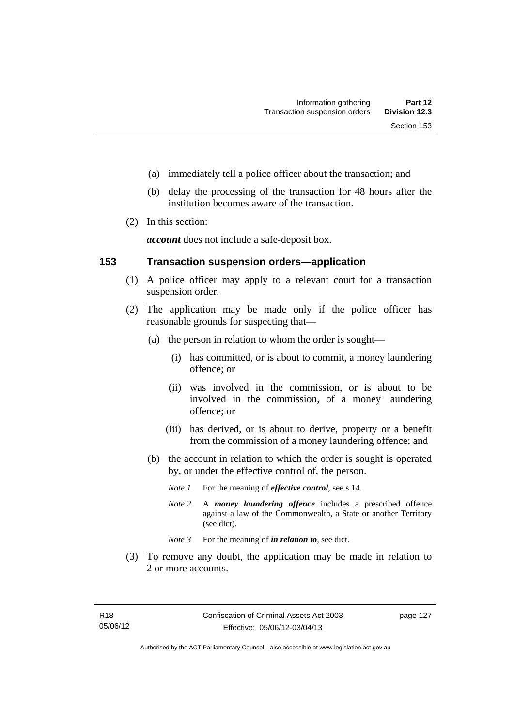- (a) immediately tell a police officer about the transaction; and
- (b) delay the processing of the transaction for 48 hours after the institution becomes aware of the transaction.
- (2) In this section:

*account* does not include a safe-deposit box.

#### **153 Transaction suspension orders—application**

- (1) A police officer may apply to a relevant court for a transaction suspension order.
- (2) The application may be made only if the police officer has reasonable grounds for suspecting that—
	- (a) the person in relation to whom the order is sought—
		- (i) has committed, or is about to commit, a money laundering offence; or
		- (ii) was involved in the commission, or is about to be involved in the commission, of a money laundering offence; or
		- (iii) has derived, or is about to derive, property or a benefit from the commission of a money laundering offence; and
	- (b) the account in relation to which the order is sought is operated by, or under the effective control of, the person.
		- *Note 1* For the meaning of *effective control*, see s 14.
		- *Note 2* A *money laundering offence* includes a prescribed offence against a law of the Commonwealth, a State or another Territory (see dict).
		- *Note* 3 For the meaning of *in relation to*, see dict.
- (3) To remove any doubt, the application may be made in relation to 2 or more accounts.

page 127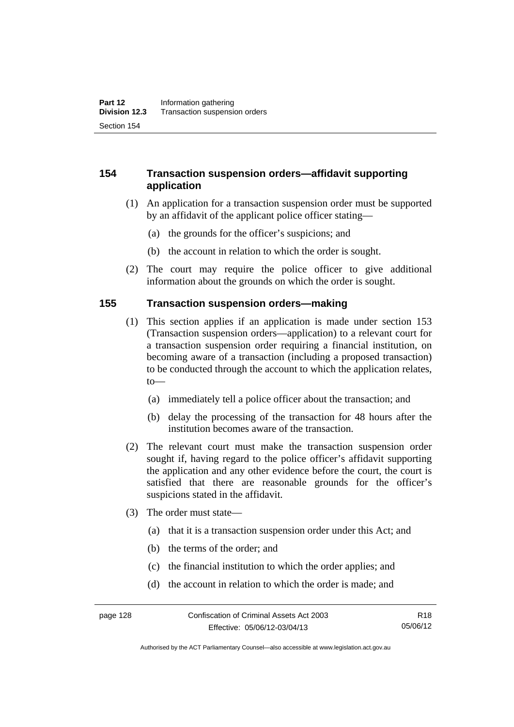## **154 Transaction suspension orders—affidavit supporting application**

- (1) An application for a transaction suspension order must be supported by an affidavit of the applicant police officer stating—
	- (a) the grounds for the officer's suspicions; and
	- (b) the account in relation to which the order is sought.
- (2) The court may require the police officer to give additional information about the grounds on which the order is sought.

#### **155 Transaction suspension orders—making**

- (1) This section applies if an application is made under section 153 (Transaction suspension orders—application) to a relevant court for a transaction suspension order requiring a financial institution, on becoming aware of a transaction (including a proposed transaction) to be conducted through the account to which the application relates, to—
	- (a) immediately tell a police officer about the transaction; and
	- (b) delay the processing of the transaction for 48 hours after the institution becomes aware of the transaction.
- (2) The relevant court must make the transaction suspension order sought if, having regard to the police officer's affidavit supporting the application and any other evidence before the court, the court is satisfied that there are reasonable grounds for the officer's suspicions stated in the affidavit.
- (3) The order must state—
	- (a) that it is a transaction suspension order under this Act; and
	- (b) the terms of the order; and
	- (c) the financial institution to which the order applies; and
	- (d) the account in relation to which the order is made; and

Authorised by the ACT Parliamentary Counsel—also accessible at www.legislation.act.gov.au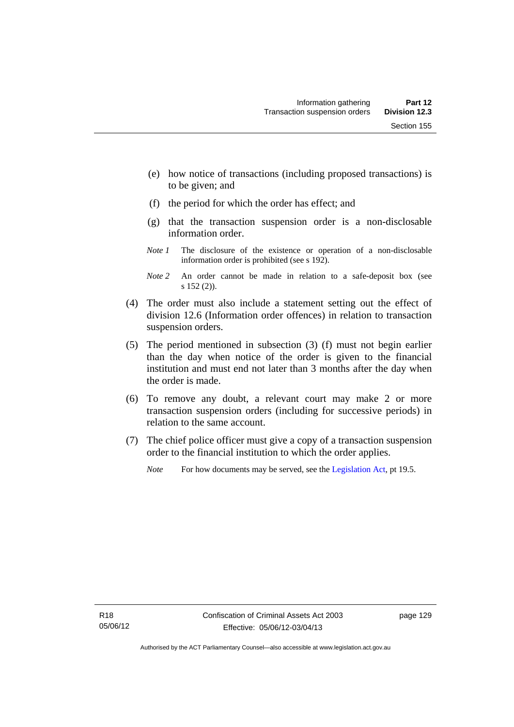- (e) how notice of transactions (including proposed transactions) is to be given; and
- (f) the period for which the order has effect; and
- (g) that the transaction suspension order is a non-disclosable information order.
- *Note 1* The disclosure of the existence or operation of a non-disclosable information order is prohibited (see s 192).
- *Note 2* An order cannot be made in relation to a safe-deposit box (see s 152 (2)).
- (4) The order must also include a statement setting out the effect of division 12.6 (Information order offences) in relation to transaction suspension orders.
- (5) The period mentioned in subsection (3) (f) must not begin earlier than the day when notice of the order is given to the financial institution and must end not later than 3 months after the day when the order is made.
- (6) To remove any doubt, a relevant court may make 2 or more transaction suspension orders (including for successive periods) in relation to the same account.
- (7) The chief police officer must give a copy of a transaction suspension order to the financial institution to which the order applies.
	- *Note* For how documents may be served, see the [Legislation Act,](http://www.legislation.act.gov.au/a/2001-14) pt 19.5.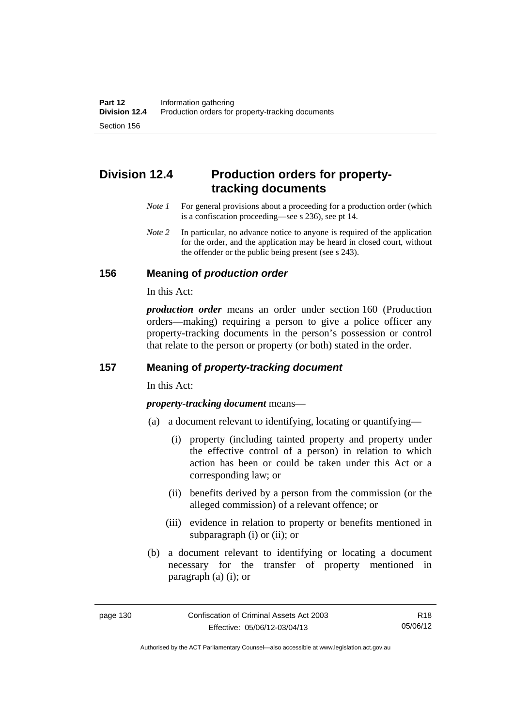# **Division 12.4 Production orders for propertytracking documents**

- *Note 1* For general provisions about a proceeding for a production order (which is a confiscation proceeding—see s 236), see pt 14.
- *Note* 2 In particular, no advance notice to anyone is required of the application for the order, and the application may be heard in closed court, without the offender or the public being present (see s 243).

### **156 Meaning of** *production order*

In this Act:

*production order* means an order under section 160 (Production orders—making) requiring a person to give a police officer any property-tracking documents in the person's possession or control that relate to the person or property (or both) stated in the order.

## **157 Meaning of** *property-tracking document*

In this Act:

*property-tracking document* means—

- (a) a document relevant to identifying, locating or quantifying—
	- (i) property (including tainted property and property under the effective control of a person) in relation to which action has been or could be taken under this Act or a corresponding law; or
	- (ii) benefits derived by a person from the commission (or the alleged commission) of a relevant offence; or
	- (iii) evidence in relation to property or benefits mentioned in subparagraph (i) or (ii); or
- (b) a document relevant to identifying or locating a document necessary for the transfer of property mentioned in paragraph (a) (i); or

Authorised by the ACT Parliamentary Counsel—also accessible at www.legislation.act.gov.au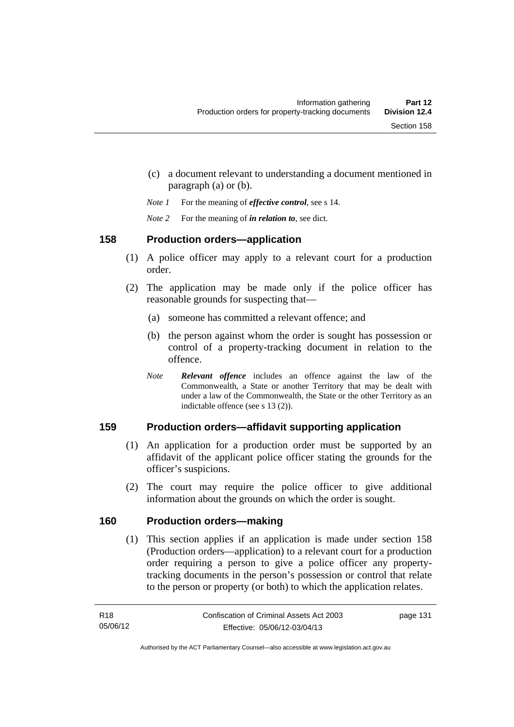- (c) a document relevant to understanding a document mentioned in paragraph (a) or (b).
- *Note 1* For the meaning of *effective control*, see s 14.
- *Note 2* For the meaning of *in relation to*, see dict.

### **158 Production orders—application**

- (1) A police officer may apply to a relevant court for a production order.
- (2) The application may be made only if the police officer has reasonable grounds for suspecting that—
	- (a) someone has committed a relevant offence; and
	- (b) the person against whom the order is sought has possession or control of a property-tracking document in relation to the offence.
	- *Note Relevant offence* includes an offence against the law of the Commonwealth, a State or another Territory that may be dealt with under a law of the Commonwealth, the State or the other Territory as an indictable offence (see s 13 (2)).

# **159 Production orders—affidavit supporting application**

- (1) An application for a production order must be supported by an affidavit of the applicant police officer stating the grounds for the officer's suspicions.
- (2) The court may require the police officer to give additional information about the grounds on which the order is sought.

### **160 Production orders—making**

(1) This section applies if an application is made under section 158 (Production orders—application) to a relevant court for a production order requiring a person to give a police officer any propertytracking documents in the person's possession or control that relate to the person or property (or both) to which the application relates.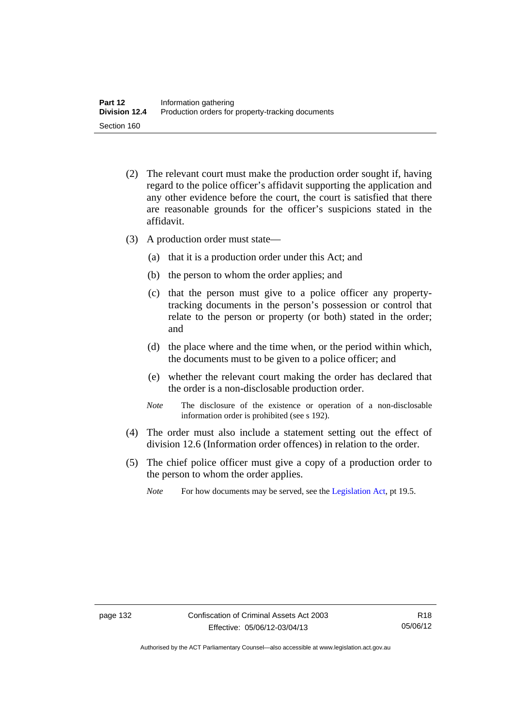- (2) The relevant court must make the production order sought if, having regard to the police officer's affidavit supporting the application and any other evidence before the court, the court is satisfied that there are reasonable grounds for the officer's suspicions stated in the affidavit.
- (3) A production order must state—
	- (a) that it is a production order under this Act; and
	- (b) the person to whom the order applies; and
	- (c) that the person must give to a police officer any propertytracking documents in the person's possession or control that relate to the person or property (or both) stated in the order; and
	- (d) the place where and the time when, or the period within which, the documents must to be given to a police officer; and
	- (e) whether the relevant court making the order has declared that the order is a non-disclosable production order.
	- *Note* The disclosure of the existence or operation of a non-disclosable information order is prohibited (see s 192).
- (4) The order must also include a statement setting out the effect of division 12.6 (Information order offences) in relation to the order.
- (5) The chief police officer must give a copy of a production order to the person to whom the order applies.
	- *Note* For how documents may be served, see the [Legislation Act,](http://www.legislation.act.gov.au/a/2001-14) pt 19.5.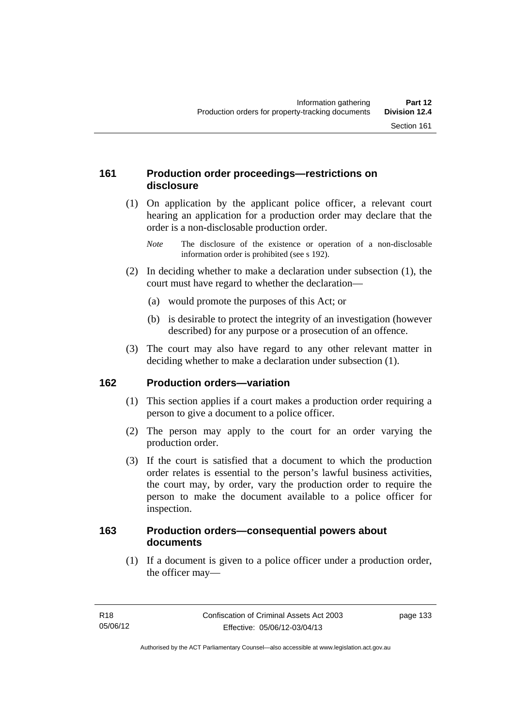### **161 Production order proceedings—restrictions on disclosure**

 (1) On application by the applicant police officer, a relevant court hearing an application for a production order may declare that the order is a non-disclosable production order.

- (2) In deciding whether to make a declaration under subsection (1), the court must have regard to whether the declaration—
	- (a) would promote the purposes of this Act; or
	- (b) is desirable to protect the integrity of an investigation (however described) for any purpose or a prosecution of an offence.
- (3) The court may also have regard to any other relevant matter in deciding whether to make a declaration under subsection (1).

### **162 Production orders—variation**

- (1) This section applies if a court makes a production order requiring a person to give a document to a police officer.
- (2) The person may apply to the court for an order varying the production order.
- (3) If the court is satisfied that a document to which the production order relates is essential to the person's lawful business activities, the court may, by order, vary the production order to require the person to make the document available to a police officer for inspection.

#### **163 Production orders—consequential powers about documents**

 (1) If a document is given to a police officer under a production order, the officer may—

*Note* The disclosure of the existence or operation of a non-disclosable information order is prohibited (see s 192).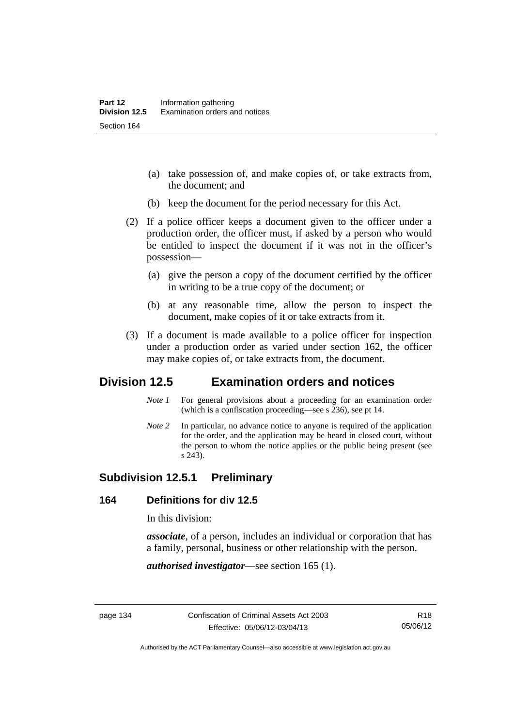- (a) take possession of, and make copies of, or take extracts from, the document; and
- (b) keep the document for the period necessary for this Act.
- (2) If a police officer keeps a document given to the officer under a production order, the officer must, if asked by a person who would be entitled to inspect the document if it was not in the officer's possession—
	- (a) give the person a copy of the document certified by the officer in writing to be a true copy of the document; or
	- (b) at any reasonable time, allow the person to inspect the document, make copies of it or take extracts from it.
- (3) If a document is made available to a police officer for inspection under a production order as varied under section 162, the officer may make copies of, or take extracts from, the document.

# **Division 12.5 Examination orders and notices**

- *Note 1* For general provisions about a proceeding for an examination order (which is a confiscation proceeding—see s 236), see pt 14.
- *Note 2* In particular, no advance notice to anyone is required of the application for the order, and the application may be heard in closed court, without the person to whom the notice applies or the public being present (see s 243).

### **Subdivision 12.5.1 Preliminary**

#### **164 Definitions for div 12.5**

In this division:

*associate*, of a person, includes an individual or corporation that has a family, personal, business or other relationship with the person.

*authorised investigator*—see section 165 (1).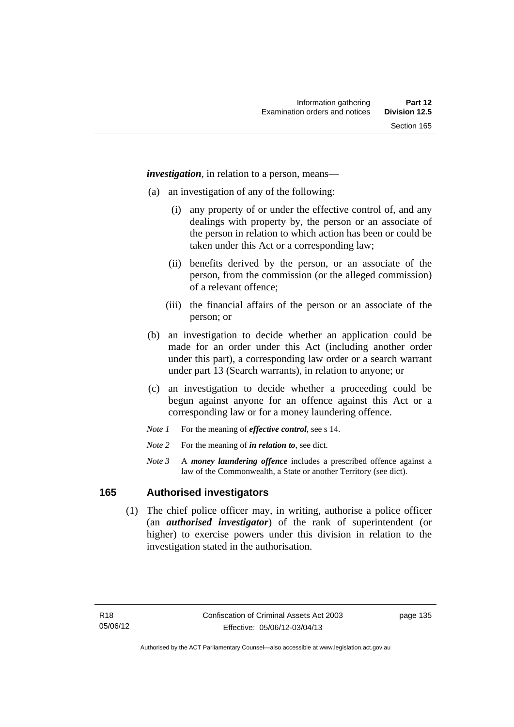*investigation*, in relation to a person, means—

- (a) an investigation of any of the following:
	- (i) any property of or under the effective control of, and any dealings with property by, the person or an associate of the person in relation to which action has been or could be taken under this Act or a corresponding law;
	- (ii) benefits derived by the person, or an associate of the person, from the commission (or the alleged commission) of a relevant offence;
	- (iii) the financial affairs of the person or an associate of the person; or
- (b) an investigation to decide whether an application could be made for an order under this Act (including another order under this part), a corresponding law order or a search warrant under part 13 (Search warrants), in relation to anyone; or
- (c) an investigation to decide whether a proceeding could be begun against anyone for an offence against this Act or a corresponding law or for a money laundering offence.
- *Note 1* For the meaning of *effective control*, see s 14.
- *Note* 2 For the meaning of *in relation to*, see dict.
- *Note 3* A *money laundering offence* includes a prescribed offence against a law of the Commonwealth, a State or another Territory (see dict).

#### **165 Authorised investigators**

 (1) The chief police officer may, in writing, authorise a police officer (an *authorised investigator*) of the rank of superintendent (or higher) to exercise powers under this division in relation to the investigation stated in the authorisation.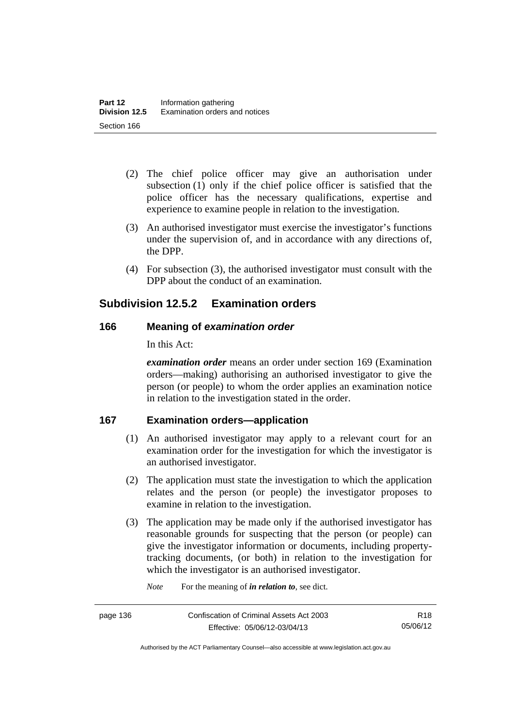- (2) The chief police officer may give an authorisation under subsection (1) only if the chief police officer is satisfied that the police officer has the necessary qualifications, expertise and experience to examine people in relation to the investigation.
- (3) An authorised investigator must exercise the investigator's functions under the supervision of, and in accordance with any directions of, the DPP.
- (4) For subsection (3), the authorised investigator must consult with the DPP about the conduct of an examination.

# **Subdivision 12.5.2 Examination orders**

### **166 Meaning of** *examination order*

In this Act:

*examination order* means an order under section 169 (Examination orders—making) authorising an authorised investigator to give the person (or people) to whom the order applies an examination notice in relation to the investigation stated in the order.

### **167 Examination orders—application**

- (1) An authorised investigator may apply to a relevant court for an examination order for the investigation for which the investigator is an authorised investigator.
- (2) The application must state the investigation to which the application relates and the person (or people) the investigator proposes to examine in relation to the investigation.
- (3) The application may be made only if the authorised investigator has reasonable grounds for suspecting that the person (or people) can give the investigator information or documents, including propertytracking documents, (or both) in relation to the investigation for which the investigator is an authorised investigator.

*Note* For the meaning of *in relation to*, see dict.

Authorised by the ACT Parliamentary Counsel—also accessible at www.legislation.act.gov.au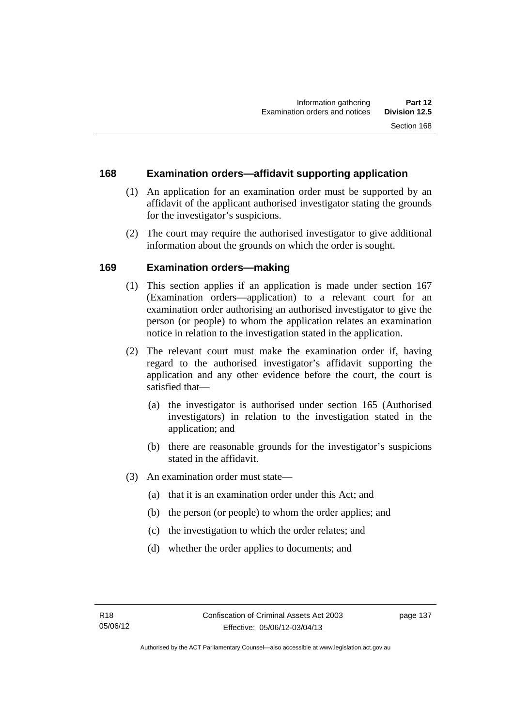#### **168 Examination orders—affidavit supporting application**

- (1) An application for an examination order must be supported by an affidavit of the applicant authorised investigator stating the grounds for the investigator's suspicions.
- (2) The court may require the authorised investigator to give additional information about the grounds on which the order is sought.

### **169 Examination orders—making**

- (1) This section applies if an application is made under section 167 (Examination orders—application) to a relevant court for an examination order authorising an authorised investigator to give the person (or people) to whom the application relates an examination notice in relation to the investigation stated in the application.
- (2) The relevant court must make the examination order if, having regard to the authorised investigator's affidavit supporting the application and any other evidence before the court, the court is satisfied that—
	- (a) the investigator is authorised under section 165 (Authorised investigators) in relation to the investigation stated in the application; and
	- (b) there are reasonable grounds for the investigator's suspicions stated in the affidavit.
- (3) An examination order must state—
	- (a) that it is an examination order under this Act; and
	- (b) the person (or people) to whom the order applies; and
	- (c) the investigation to which the order relates; and
	- (d) whether the order applies to documents; and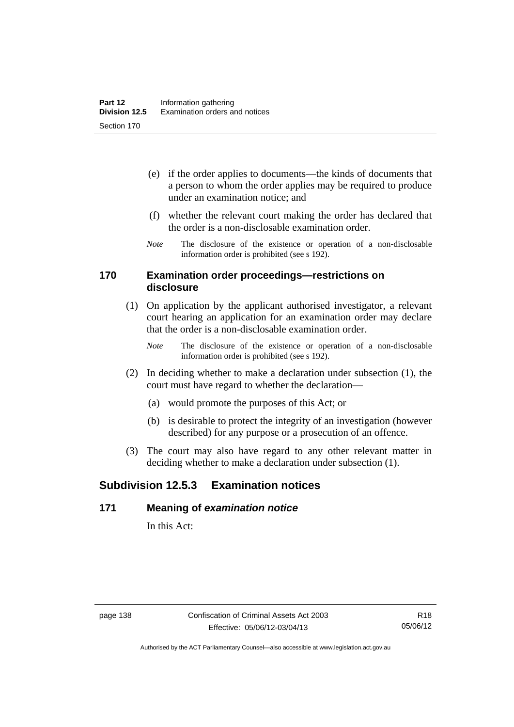- (e) if the order applies to documents—the kinds of documents that a person to whom the order applies may be required to produce under an examination notice; and
- (f) whether the relevant court making the order has declared that the order is a non-disclosable examination order.
- *Note* The disclosure of the existence or operation of a non-disclosable information order is prohibited (see s 192).

#### **170 Examination order proceedings—restrictions on disclosure**

- (1) On application by the applicant authorised investigator, a relevant court hearing an application for an examination order may declare that the order is a non-disclosable examination order.
	- *Note* The disclosure of the existence or operation of a non-disclosable information order is prohibited (see s 192).
- (2) In deciding whether to make a declaration under subsection (1), the court must have regard to whether the declaration—
	- (a) would promote the purposes of this Act; or
	- (b) is desirable to protect the integrity of an investigation (however described) for any purpose or a prosecution of an offence.
- (3) The court may also have regard to any other relevant matter in deciding whether to make a declaration under subsection (1).

# **Subdivision 12.5.3 Examination notices**

#### **171 Meaning of** *examination notice*

In this Act: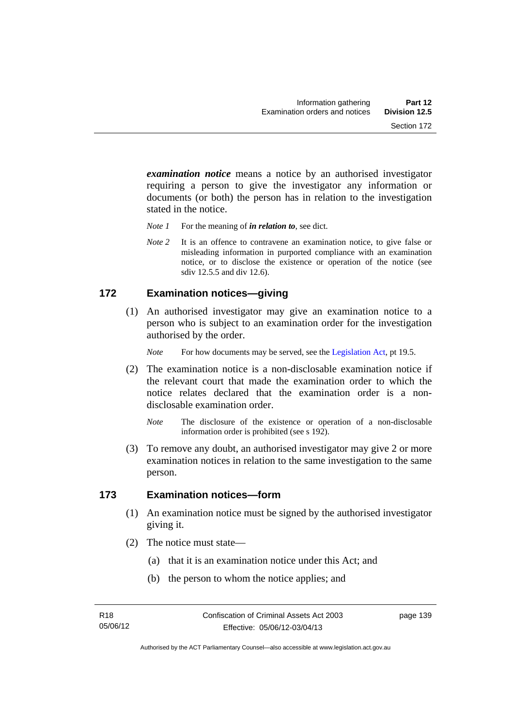*examination notice* means a notice by an authorised investigator requiring a person to give the investigator any information or documents (or both) the person has in relation to the investigation stated in the notice.

- *Note 1* For the meaning of *in relation to*, see dict.
- *Note* 2 It is an offence to contravene an examination notice, to give false or misleading information in purported compliance with an examination notice, or to disclose the existence or operation of the notice (see sdiv 12.5.5 and div 12.6).

#### **172 Examination notices—giving**

 (1) An authorised investigator may give an examination notice to a person who is subject to an examination order for the investigation authorised by the order.

*Note* For how documents may be served, see the [Legislation Act,](http://www.legislation.act.gov.au/a/2001-14) pt 19.5.

- (2) The examination notice is a non-disclosable examination notice if the relevant court that made the examination order to which the notice relates declared that the examination order is a nondisclosable examination order.
	- *Note* The disclosure of the existence or operation of a non-disclosable information order is prohibited (see s 192).
- (3) To remove any doubt, an authorised investigator may give 2 or more examination notices in relation to the same investigation to the same person.

#### **173 Examination notices—form**

- (1) An examination notice must be signed by the authorised investigator giving it.
- (2) The notice must state—
	- (a) that it is an examination notice under this Act; and
	- (b) the person to whom the notice applies; and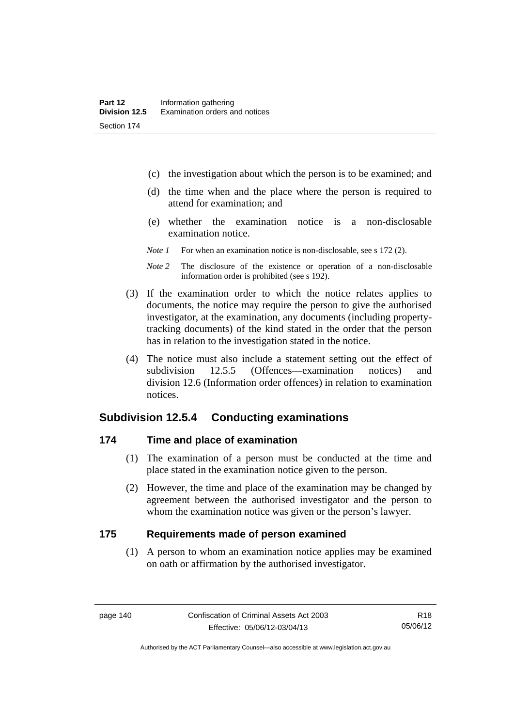- (c) the investigation about which the person is to be examined; and
- (d) the time when and the place where the person is required to attend for examination; and
- (e) whether the examination notice is a non-disclosable examination notice.
- *Note 1* For when an examination notice is non-disclosable, see s 172 (2).
- *Note 2* The disclosure of the existence or operation of a non-disclosable information order is prohibited (see s 192).
- (3) If the examination order to which the notice relates applies to documents, the notice may require the person to give the authorised investigator, at the examination, any documents (including propertytracking documents) of the kind stated in the order that the person has in relation to the investigation stated in the notice.
- (4) The notice must also include a statement setting out the effect of subdivision 12.5.5 (Offences—examination notices) and division 12.6 (Information order offences) in relation to examination notices.

### **Subdivision 12.5.4 Conducting examinations**

#### **174 Time and place of examination**

- (1) The examination of a person must be conducted at the time and place stated in the examination notice given to the person.
- (2) However, the time and place of the examination may be changed by agreement between the authorised investigator and the person to whom the examination notice was given or the person's lawyer.

#### **175 Requirements made of person examined**

(1) A person to whom an examination notice applies may be examined on oath or affirmation by the authorised investigator.

Authorised by the ACT Parliamentary Counsel—also accessible at www.legislation.act.gov.au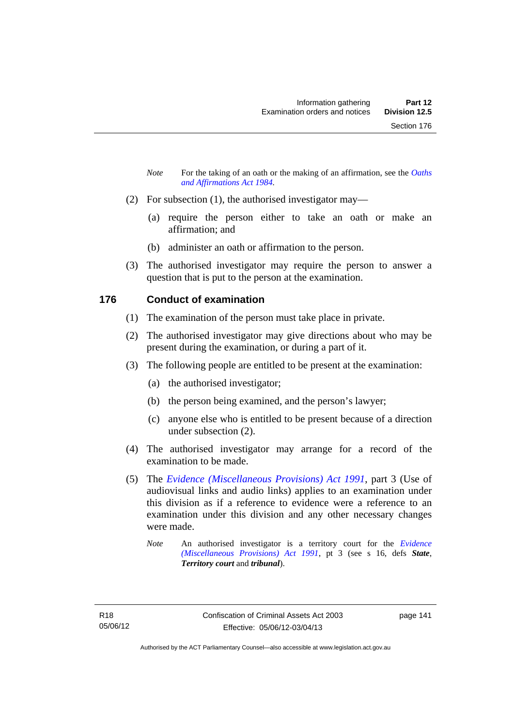- *Note* For the taking of an oath or the making of an affirmation, see the *Oaths [and Affirmations Act 1984.](http://www.legislation.act.gov.au/a/1984-79)*
- (2) For subsection (1), the authorised investigator may—
	- (a) require the person either to take an oath or make an affirmation; and
	- (b) administer an oath or affirmation to the person.
- (3) The authorised investigator may require the person to answer a question that is put to the person at the examination.

### **176 Conduct of examination**

- (1) The examination of the person must take place in private.
- (2) The authorised investigator may give directions about who may be present during the examination, or during a part of it.
- (3) The following people are entitled to be present at the examination:
	- (a) the authorised investigator;
	- (b) the person being examined, and the person's lawyer;
	- (c) anyone else who is entitled to be present because of a direction under subsection (2).
- (4) The authorised investigator may arrange for a record of the examination to be made.
- (5) The *[Evidence \(Miscellaneous Provisions\) Act 1991](http://www.legislation.act.gov.au/a/1991-34)*, part 3 (Use of audiovisual links and audio links) applies to an examination under this division as if a reference to evidence were a reference to an examination under this division and any other necessary changes were made.
	- *Note* An authorised investigator is a territory court for the *[Evidence](http://www.legislation.act.gov.au/a/1991-34)  [\(Miscellaneous Provisions\) Act 1991](http://www.legislation.act.gov.au/a/1991-34)*, pt 3 (see s 16, defs *State*, *Territory court* and *tribunal*).

page 141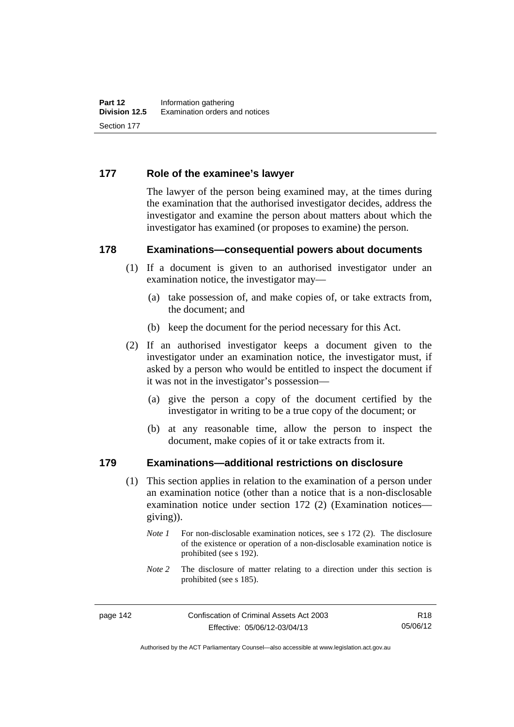#### **177 Role of the examinee's lawyer**

The lawyer of the person being examined may, at the times during the examination that the authorised investigator decides, address the investigator and examine the person about matters about which the investigator has examined (or proposes to examine) the person.

#### **178 Examinations—consequential powers about documents**

- (1) If a document is given to an authorised investigator under an examination notice, the investigator may—
	- (a) take possession of, and make copies of, or take extracts from, the document; and
	- (b) keep the document for the period necessary for this Act.
- (2) If an authorised investigator keeps a document given to the investigator under an examination notice, the investigator must, if asked by a person who would be entitled to inspect the document if it was not in the investigator's possession—
	- (a) give the person a copy of the document certified by the investigator in writing to be a true copy of the document; or
	- (b) at any reasonable time, allow the person to inspect the document, make copies of it or take extracts from it.

#### **179 Examinations—additional restrictions on disclosure**

- (1) This section applies in relation to the examination of a person under an examination notice (other than a notice that is a non-disclosable examination notice under section 172 (2) (Examination notices giving)).
	- *Note 1* For non-disclosable examination notices, see s 172 (2). The disclosure of the existence or operation of a non-disclosable examination notice is prohibited (see s 192).
	- *Note* 2 The disclosure of matter relating to a direction under this section is prohibited (see s 185).

R18 05/06/12

Authorised by the ACT Parliamentary Counsel—also accessible at www.legislation.act.gov.au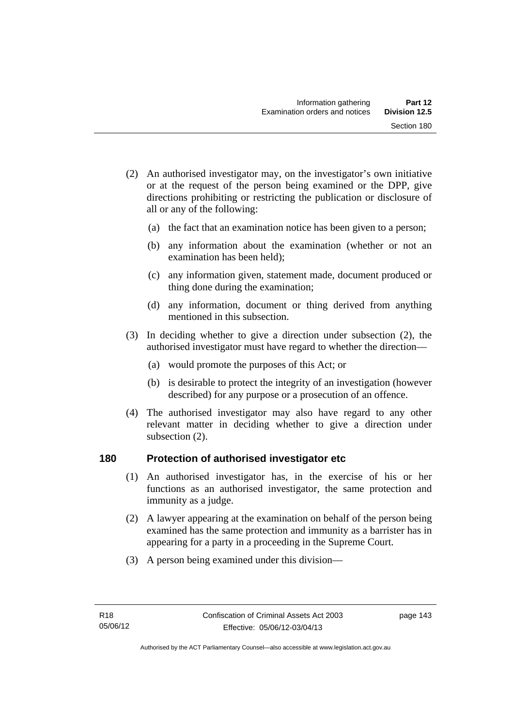- (2) An authorised investigator may, on the investigator's own initiative or at the request of the person being examined or the DPP, give directions prohibiting or restricting the publication or disclosure of all or any of the following:
	- (a) the fact that an examination notice has been given to a person;
	- (b) any information about the examination (whether or not an examination has been held);
	- (c) any information given, statement made, document produced or thing done during the examination;
	- (d) any information, document or thing derived from anything mentioned in this subsection.
- (3) In deciding whether to give a direction under subsection (2), the authorised investigator must have regard to whether the direction—
	- (a) would promote the purposes of this Act; or
	- (b) is desirable to protect the integrity of an investigation (however described) for any purpose or a prosecution of an offence.
- (4) The authorised investigator may also have regard to any other relevant matter in deciding whether to give a direction under subsection (2).

#### **180 Protection of authorised investigator etc**

- (1) An authorised investigator has, in the exercise of his or her functions as an authorised investigator, the same protection and immunity as a judge.
- (2) A lawyer appearing at the examination on behalf of the person being examined has the same protection and immunity as a barrister has in appearing for a party in a proceeding in the Supreme Court.
- (3) A person being examined under this division—

page 143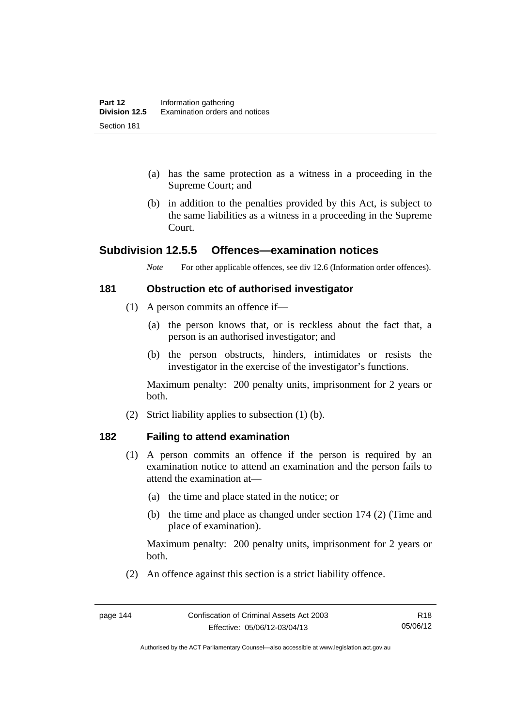- (a) has the same protection as a witness in a proceeding in the Supreme Court; and
- (b) in addition to the penalties provided by this Act, is subject to the same liabilities as a witness in a proceeding in the Supreme Court.

### **Subdivision 12.5.5 Offences—examination notices**

*Note* For other applicable offences, see div 12.6 (Information order offences).

#### **181 Obstruction etc of authorised investigator**

- (1) A person commits an offence if—
	- (a) the person knows that, or is reckless about the fact that, a person is an authorised investigator; and
	- (b) the person obstructs, hinders, intimidates or resists the investigator in the exercise of the investigator's functions.

Maximum penalty: 200 penalty units, imprisonment for 2 years or both.

(2) Strict liability applies to subsection (1) (b).

#### **182 Failing to attend examination**

- (1) A person commits an offence if the person is required by an examination notice to attend an examination and the person fails to attend the examination at—
	- (a) the time and place stated in the notice; or
	- (b) the time and place as changed under section 174 (2) (Time and place of examination).

Maximum penalty: 200 penalty units, imprisonment for 2 years or both.

(2) An offence against this section is a strict liability offence.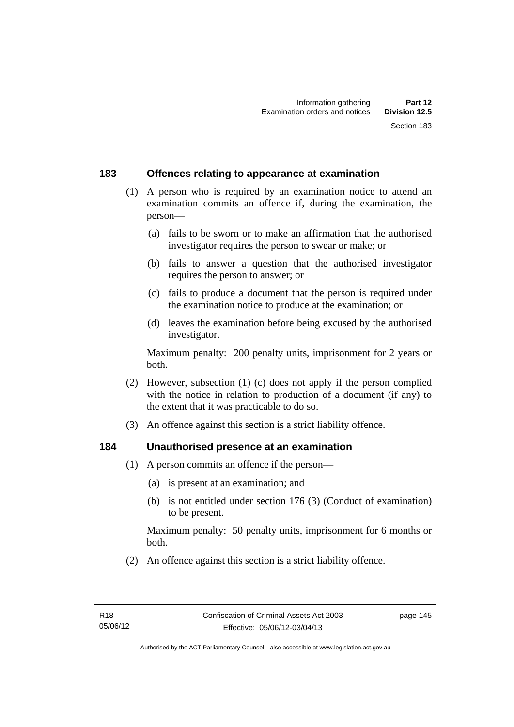#### **183 Offences relating to appearance at examination**

- (1) A person who is required by an examination notice to attend an examination commits an offence if, during the examination, the person—
	- (a) fails to be sworn or to make an affirmation that the authorised investigator requires the person to swear or make; or
	- (b) fails to answer a question that the authorised investigator requires the person to answer; or
	- (c) fails to produce a document that the person is required under the examination notice to produce at the examination; or
	- (d) leaves the examination before being excused by the authorised investigator.

Maximum penalty: 200 penalty units, imprisonment for 2 years or both.

- (2) However, subsection (1) (c) does not apply if the person complied with the notice in relation to production of a document (if any) to the extent that it was practicable to do so.
- (3) An offence against this section is a strict liability offence.

#### **184 Unauthorised presence at an examination**

- (1) A person commits an offence if the person—
	- (a) is present at an examination; and
	- (b) is not entitled under section 176 (3) (Conduct of examination) to be present.

Maximum penalty: 50 penalty units, imprisonment for 6 months or both.

(2) An offence against this section is a strict liability offence.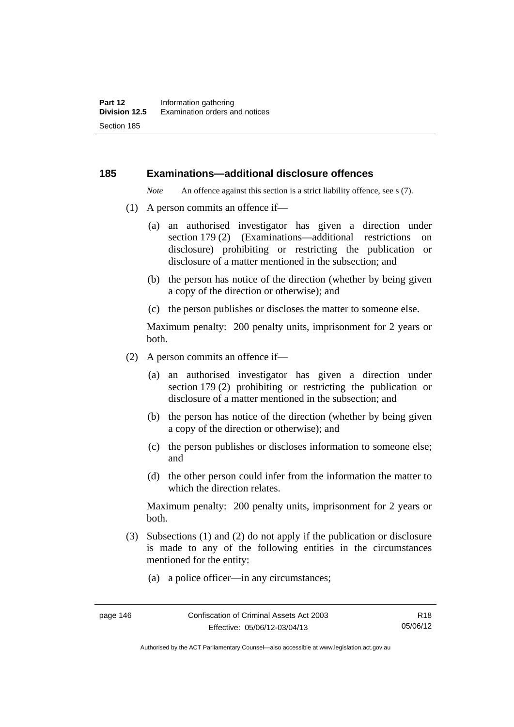#### **185 Examinations—additional disclosure offences**

*Note* An offence against this section is a strict liability offence, see s (7).

- (1) A person commits an offence if—
	- (a) an authorised investigator has given a direction under section 179 (2) (Examinations—additional restrictions on disclosure) prohibiting or restricting the publication or disclosure of a matter mentioned in the subsection; and
	- (b) the person has notice of the direction (whether by being given a copy of the direction or otherwise); and
	- (c) the person publishes or discloses the matter to someone else.

Maximum penalty: 200 penalty units, imprisonment for 2 years or both.

- (2) A person commits an offence if—
	- (a) an authorised investigator has given a direction under section 179 (2) prohibiting or restricting the publication or disclosure of a matter mentioned in the subsection; and
	- (b) the person has notice of the direction (whether by being given a copy of the direction or otherwise); and
	- (c) the person publishes or discloses information to someone else; and
	- (d) the other person could infer from the information the matter to which the direction relates.

Maximum penalty: 200 penalty units, imprisonment for 2 years or both.

- (3) Subsections (1) and (2) do not apply if the publication or disclosure is made to any of the following entities in the circumstances mentioned for the entity:
	- (a) a police officer—in any circumstances;

Authorised by the ACT Parliamentary Counsel—also accessible at www.legislation.act.gov.au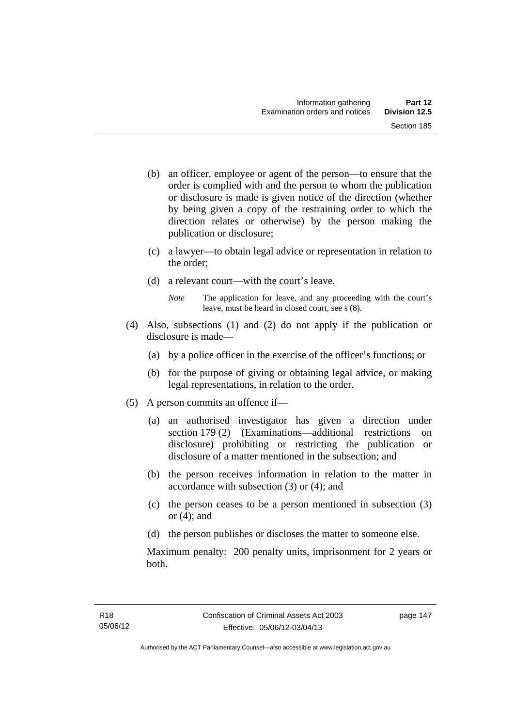- (b) an officer, employee or agent of the person—to ensure that the order is complied with and the person to whom the publication or disclosure is made is given notice of the direction (whether by being given a copy of the restraining order to which the direction relates or otherwise) by the person making the publication or disclosure;
- (c) a lawyer—to obtain legal advice or representation in relation to the order;
- (d) a relevant court—with the court's leave.
	- *Note* The application for leave, and any proceeding with the court's leave, must be heard in closed court, see s (8).
- (4) Also, subsections (1) and (2) do not apply if the publication or disclosure is made—
	- (a) by a police officer in the exercise of the officer's functions; or
	- (b) for the purpose of giving or obtaining legal advice, or making legal representations, in relation to the order.
- (5) A person commits an offence if—
	- (a) an authorised investigator has given a direction under section 179 (2) (Examinations—additional restrictions on disclosure) prohibiting or restricting the publication or disclosure of a matter mentioned in the subsection; and
	- (b) the person receives information in relation to the matter in accordance with subsection (3) or (4); and
	- (c) the person ceases to be a person mentioned in subsection (3) or  $(4)$ ; and
	- (d) the person publishes or discloses the matter to someone else.

Maximum penalty: 200 penalty units, imprisonment for 2 years or both.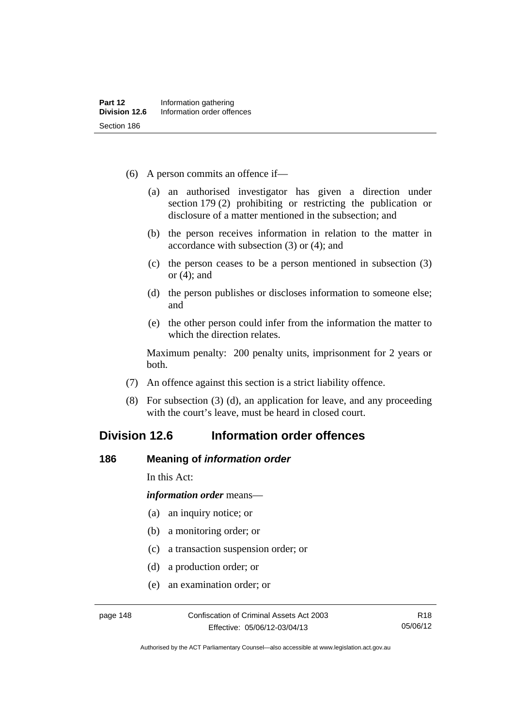- (6) A person commits an offence if—
	- (a) an authorised investigator has given a direction under section 179 (2) prohibiting or restricting the publication or disclosure of a matter mentioned in the subsection; and
	- (b) the person receives information in relation to the matter in accordance with subsection (3) or (4); and
	- (c) the person ceases to be a person mentioned in subsection (3) or (4); and
	- (d) the person publishes or discloses information to someone else; and
	- (e) the other person could infer from the information the matter to which the direction relates.

Maximum penalty: 200 penalty units, imprisonment for 2 years or both.

- (7) An offence against this section is a strict liability offence.
- (8) For subsection (3) (d), an application for leave, and any proceeding with the court's leave, must be heard in closed court.

# **Division 12.6 Information order offences**

#### **186 Meaning of** *information order*

In this Act:

*information order* means—

- (a) an inquiry notice; or
- (b) a monitoring order; or
- (c) a transaction suspension order; or
- (d) a production order; or
- (e) an examination order; or

Authorised by the ACT Parliamentary Counsel—also accessible at www.legislation.act.gov.au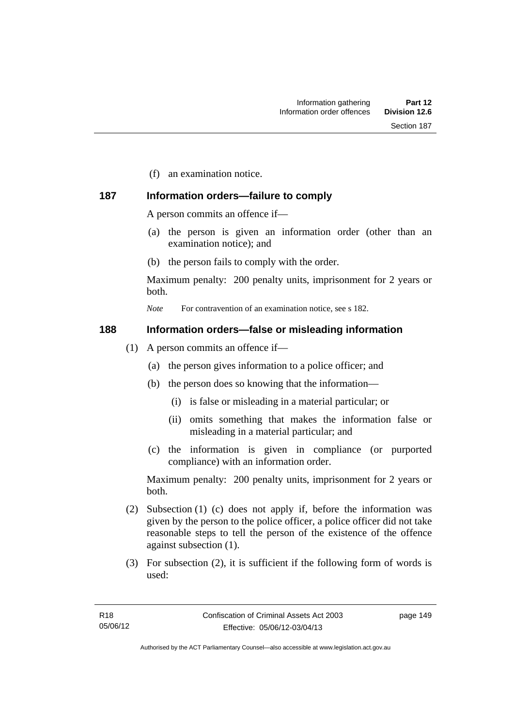(f) an examination notice.

### **187 Information orders—failure to comply**

A person commits an offence if—

- (a) the person is given an information order (other than an examination notice); and
- (b) the person fails to comply with the order.

Maximum penalty: 200 penalty units, imprisonment for 2 years or both.

*Note* For contravention of an examination notice, see s 182.

#### **188 Information orders—false or misleading information**

- (1) A person commits an offence if—
	- (a) the person gives information to a police officer; and
	- (b) the person does so knowing that the information—
		- (i) is false or misleading in a material particular; or
		- (ii) omits something that makes the information false or misleading in a material particular; and
	- (c) the information is given in compliance (or purported compliance) with an information order.

Maximum penalty: 200 penalty units, imprisonment for 2 years or both.

- (2) Subsection (1) (c) does not apply if, before the information was given by the person to the police officer, a police officer did not take reasonable steps to tell the person of the existence of the offence against subsection (1).
- (3) For subsection (2), it is sufficient if the following form of words is used:

page 149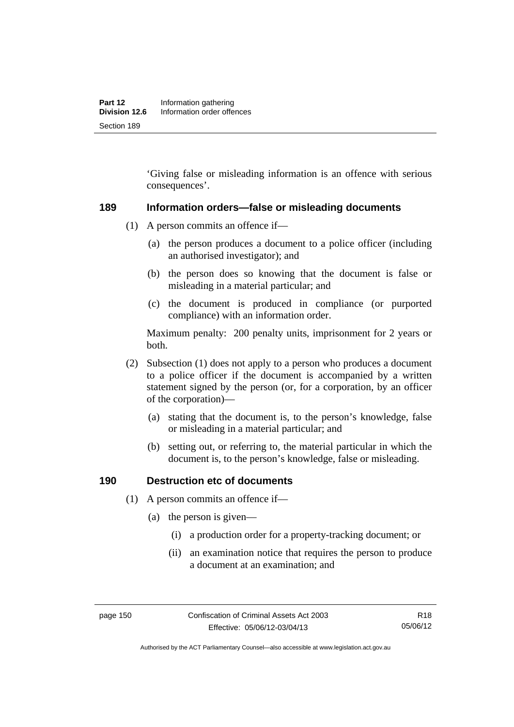'Giving false or misleading information is an offence with serious consequences'.

#### **189 Information orders—false or misleading documents**

- (1) A person commits an offence if—
	- (a) the person produces a document to a police officer (including an authorised investigator); and
	- (b) the person does so knowing that the document is false or misleading in a material particular; and
	- (c) the document is produced in compliance (or purported compliance) with an information order.

Maximum penalty: 200 penalty units, imprisonment for 2 years or both.

- (2) Subsection (1) does not apply to a person who produces a document to a police officer if the document is accompanied by a written statement signed by the person (or, for a corporation, by an officer of the corporation)—
	- (a) stating that the document is, to the person's knowledge, false or misleading in a material particular; and
	- (b) setting out, or referring to, the material particular in which the document is, to the person's knowledge, false or misleading.

#### **190 Destruction etc of documents**

- (1) A person commits an offence if—
	- (a) the person is given—
		- (i) a production order for a property-tracking document; or
		- (ii) an examination notice that requires the person to produce a document at an examination; and

Authorised by the ACT Parliamentary Counsel—also accessible at www.legislation.act.gov.au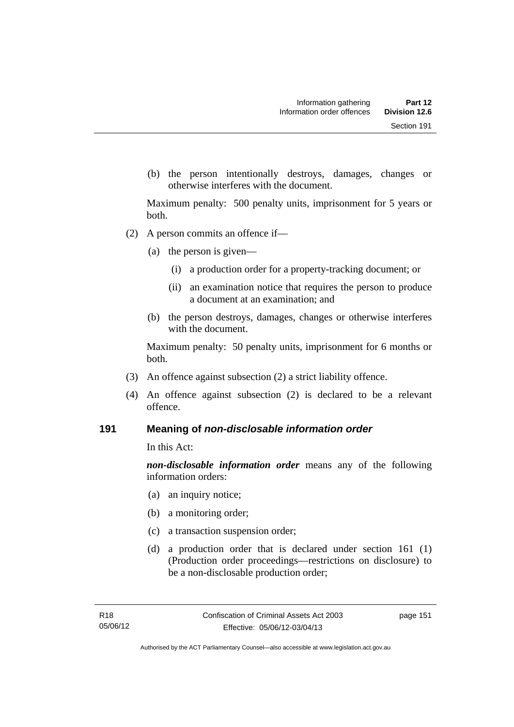(b) the person intentionally destroys, damages, changes or otherwise interferes with the document.

Maximum penalty: 500 penalty units, imprisonment for 5 years or both.

- (2) A person commits an offence if—
	- (a) the person is given—
		- (i) a production order for a property-tracking document; or
		- (ii) an examination notice that requires the person to produce a document at an examination; and
	- (b) the person destroys, damages, changes or otherwise interferes with the document.

Maximum penalty: 50 penalty units, imprisonment for 6 months or both.

- (3) An offence against subsection (2) a strict liability offence.
- (4) An offence against subsection (2) is declared to be a relevant offence.

#### **191 Meaning of** *non-disclosable information order*

In this Act:

*non-disclosable information order* means any of the following information orders:

- (a) an inquiry notice;
- (b) a monitoring order;
- (c) a transaction suspension order;
- (d) a production order that is declared under section 161 (1) (Production order proceedings—restrictions on disclosure) to be a non-disclosable production order;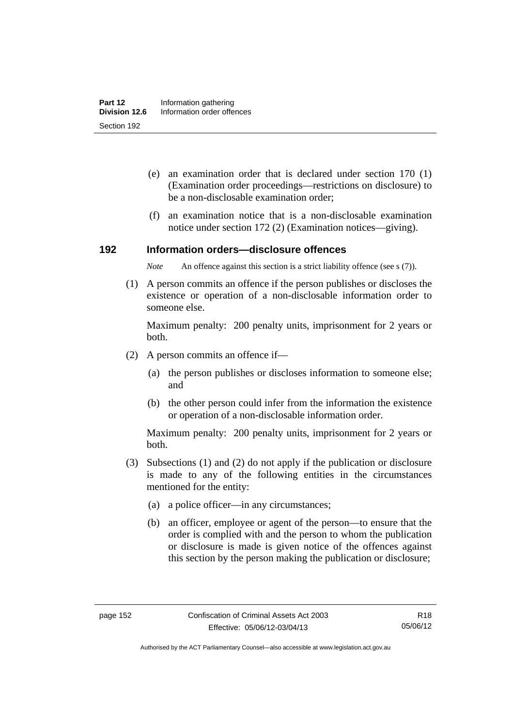- (e) an examination order that is declared under section 170 (1) (Examination order proceedings—restrictions on disclosure) to be a non-disclosable examination order;
- (f) an examination notice that is a non-disclosable examination notice under section 172 (2) (Examination notices—giving).

#### **192 Information orders—disclosure offences**

*Note* An offence against this section is a strict liability offence (see s (7)).

 (1) A person commits an offence if the person publishes or discloses the existence or operation of a non-disclosable information order to someone else.

Maximum penalty: 200 penalty units, imprisonment for 2 years or both.

- (2) A person commits an offence if—
	- (a) the person publishes or discloses information to someone else; and
	- (b) the other person could infer from the information the existence or operation of a non-disclosable information order.

Maximum penalty: 200 penalty units, imprisonment for 2 years or both.

- (3) Subsections (1) and (2) do not apply if the publication or disclosure is made to any of the following entities in the circumstances mentioned for the entity:
	- (a) a police officer—in any circumstances;
	- (b) an officer, employee or agent of the person—to ensure that the order is complied with and the person to whom the publication or disclosure is made is given notice of the offences against this section by the person making the publication or disclosure;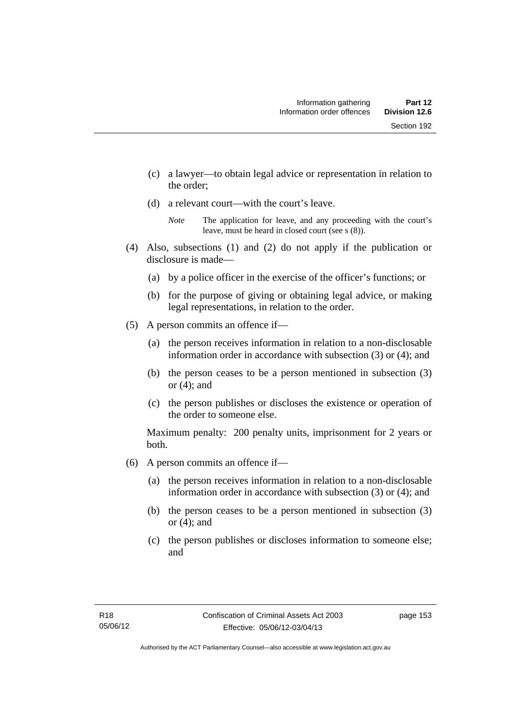- (c) a lawyer—to obtain legal advice or representation in relation to the order;
- (d) a relevant court—with the court's leave.

- (4) Also, subsections (1) and (2) do not apply if the publication or disclosure is made—
	- (a) by a police officer in the exercise of the officer's functions; or
	- (b) for the purpose of giving or obtaining legal advice, or making legal representations, in relation to the order.
- (5) A person commits an offence if—
	- (a) the person receives information in relation to a non-disclosable information order in accordance with subsection (3) or (4); and
	- (b) the person ceases to be a person mentioned in subsection (3) or  $(4)$ ; and
	- (c) the person publishes or discloses the existence or operation of the order to someone else.

Maximum penalty: 200 penalty units, imprisonment for 2 years or both.

- (6) A person commits an offence if—
	- (a) the person receives information in relation to a non-disclosable information order in accordance with subsection (3) or (4); and
	- (b) the person ceases to be a person mentioned in subsection (3) or  $(4)$ ; and
	- (c) the person publishes or discloses information to someone else; and

*Note* The application for leave, and any proceeding with the court's leave, must be heard in closed court (see s (8)).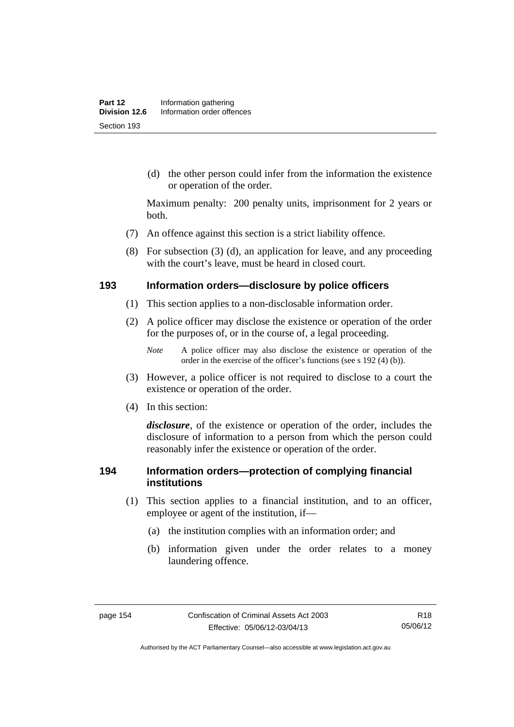(d) the other person could infer from the information the existence or operation of the order.

Maximum penalty: 200 penalty units, imprisonment for 2 years or both.

- (7) An offence against this section is a strict liability offence.
- (8) For subsection (3) (d), an application for leave, and any proceeding with the court's leave, must be heard in closed court.

#### **193 Information orders—disclosure by police officers**

- (1) This section applies to a non-disclosable information order.
- (2) A police officer may disclose the existence or operation of the order for the purposes of, or in the course of, a legal proceeding.

- (3) However, a police officer is not required to disclose to a court the existence or operation of the order.
- (4) In this section:

*disclosure*, of the existence or operation of the order, includes the disclosure of information to a person from which the person could reasonably infer the existence or operation of the order.

#### **194 Information orders—protection of complying financial institutions**

- (1) This section applies to a financial institution, and to an officer, employee or agent of the institution, if—
	- (a) the institution complies with an information order; and
	- (b) information given under the order relates to a money laundering offence.

*Note* A police officer may also disclose the existence or operation of the order in the exercise of the officer's functions (see s 192 (4) (b)).

Authorised by the ACT Parliamentary Counsel—also accessible at www.legislation.act.gov.au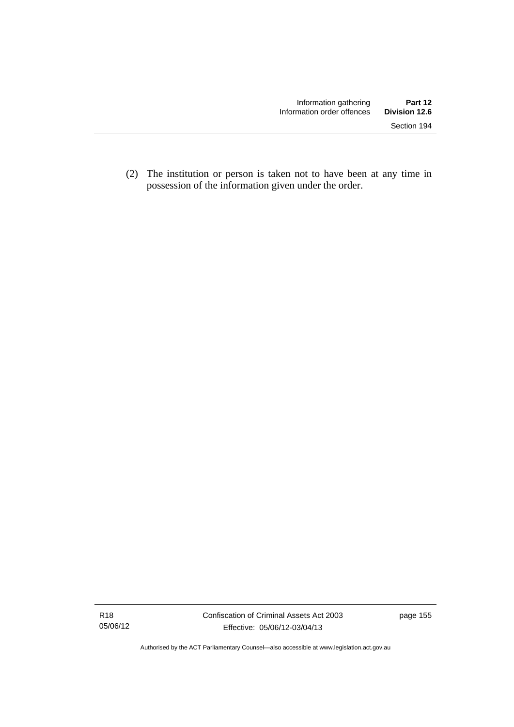(2) The institution or person is taken not to have been at any time in possession of the information given under the order.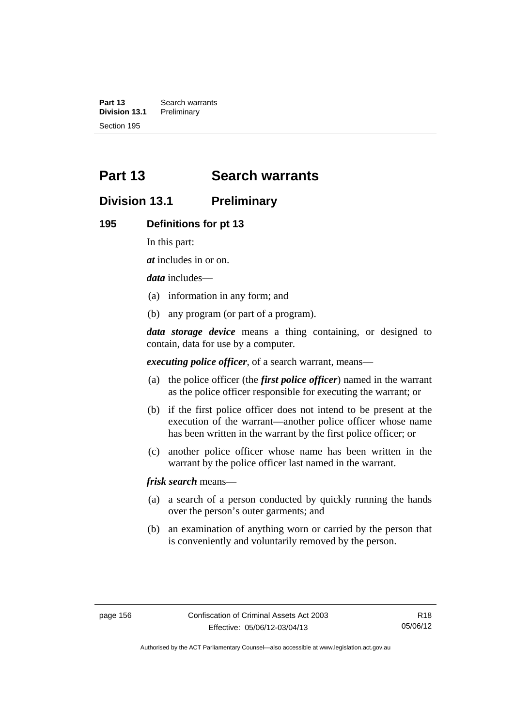**Part 13 Search warrants**<br>**Division 13.1 Preliminary Division 13.1** Section 195

# **Part 13 Search warrants**

# **Division 13.1 Preliminary**

#### **195 Definitions for pt 13**

In this part:

*at* includes in or on.

*data* includes—

- (a) information in any form; and
- (b) any program (or part of a program).

*data storage device* means a thing containing, or designed to contain, data for use by a computer.

*executing police officer*, of a search warrant, means—

- (a) the police officer (the *first police officer*) named in the warrant as the police officer responsible for executing the warrant; or
- (b) if the first police officer does not intend to be present at the execution of the warrant—another police officer whose name has been written in the warrant by the first police officer; or
- (c) another police officer whose name has been written in the warrant by the police officer last named in the warrant.

*frisk search* means—

- (a) a search of a person conducted by quickly running the hands over the person's outer garments; and
- (b) an examination of anything worn or carried by the person that is conveniently and voluntarily removed by the person.

Authorised by the ACT Parliamentary Counsel—also accessible at www.legislation.act.gov.au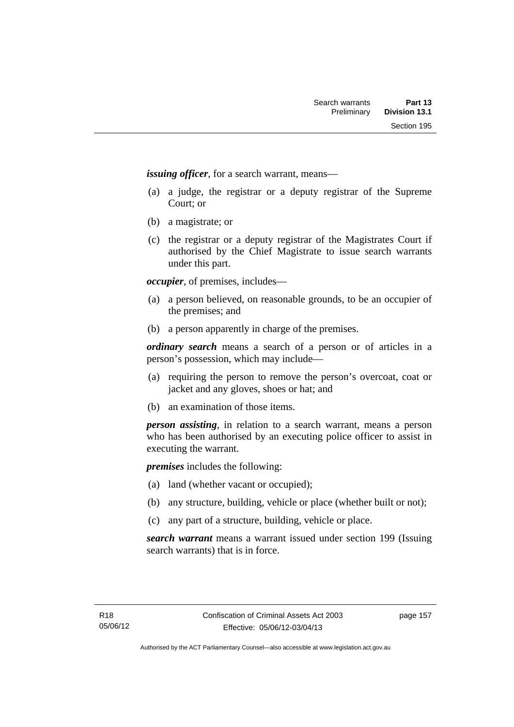*issuing officer*, for a search warrant, means—

- (a) a judge, the registrar or a deputy registrar of the Supreme Court; or
- (b) a magistrate; or
- (c) the registrar or a deputy registrar of the Magistrates Court if authorised by the Chief Magistrate to issue search warrants under this part.

*occupier*, of premises, includes—

- (a) a person believed, on reasonable grounds, to be an occupier of the premises; and
- (b) a person apparently in charge of the premises.

*ordinary search* means a search of a person or of articles in a person's possession, which may include—

- (a) requiring the person to remove the person's overcoat, coat or jacket and any gloves, shoes or hat; and
- (b) an examination of those items.

*person assisting*, in relation to a search warrant, means a person who has been authorised by an executing police officer to assist in executing the warrant.

*premises* includes the following:

- (a) land (whether vacant or occupied);
- (b) any structure, building, vehicle or place (whether built or not);
- (c) any part of a structure, building, vehicle or place.

*search warrant* means a warrant issued under section 199 (Issuing search warrants) that is in force.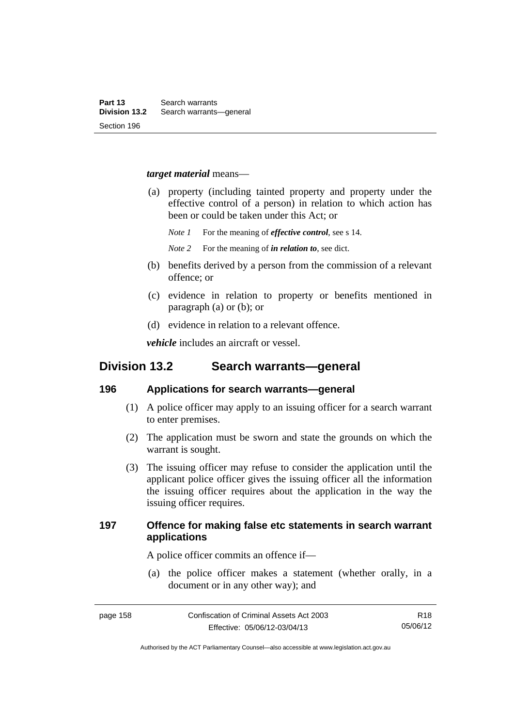#### *target material* means—

- (a) property (including tainted property and property under the effective control of a person) in relation to which action has been or could be taken under this Act; or
	- *Note 1* For the meaning of *effective control*, see s 14.
	- *Note 2* For the meaning of *in relation to*, see dict.
- (b) benefits derived by a person from the commission of a relevant offence; or
- (c) evidence in relation to property or benefits mentioned in paragraph (a) or (b); or
- (d) evidence in relation to a relevant offence.

*vehicle* includes an aircraft or vessel.

# **Division 13.2 Search warrants—general**

#### **196 Applications for search warrants—general**

- (1) A police officer may apply to an issuing officer for a search warrant to enter premises.
- (2) The application must be sworn and state the grounds on which the warrant is sought.
- (3) The issuing officer may refuse to consider the application until the applicant police officer gives the issuing officer all the information the issuing officer requires about the application in the way the issuing officer requires.

### **197 Offence for making false etc statements in search warrant applications**

A police officer commits an offence if—

 (a) the police officer makes a statement (whether orally, in a document or in any other way); and

Authorised by the ACT Parliamentary Counsel—also accessible at www.legislation.act.gov.au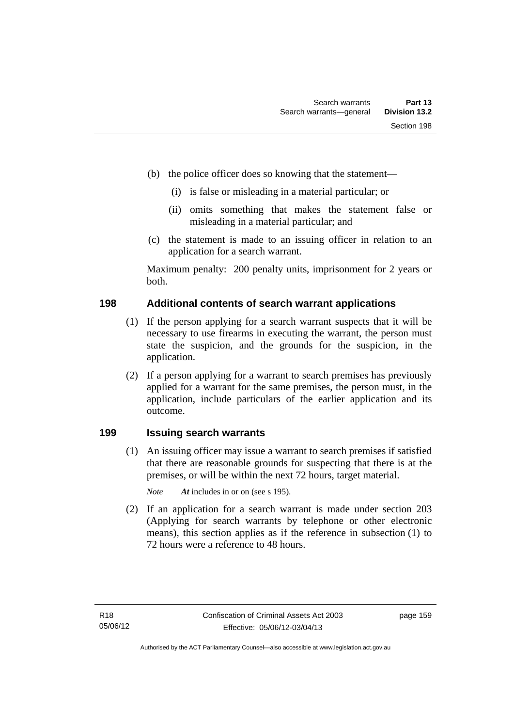- (b) the police officer does so knowing that the statement—
	- (i) is false or misleading in a material particular; or
	- (ii) omits something that makes the statement false or misleading in a material particular; and
- (c) the statement is made to an issuing officer in relation to an application for a search warrant.

Maximum penalty: 200 penalty units, imprisonment for 2 years or both.

#### **198 Additional contents of search warrant applications**

- (1) If the person applying for a search warrant suspects that it will be necessary to use firearms in executing the warrant, the person must state the suspicion, and the grounds for the suspicion, in the application.
- (2) If a person applying for a warrant to search premises has previously applied for a warrant for the same premises, the person must, in the application, include particulars of the earlier application and its outcome.

### **199 Issuing search warrants**

(1) An issuing officer may issue a warrant to search premises if satisfied that there are reasonable grounds for suspecting that there is at the premises, or will be within the next 72 hours, target material.

*Note At* includes in or on (see s 195).

 (2) If an application for a search warrant is made under section 203 (Applying for search warrants by telephone or other electronic means), this section applies as if the reference in subsection (1) to 72 hours were a reference to 48 hours.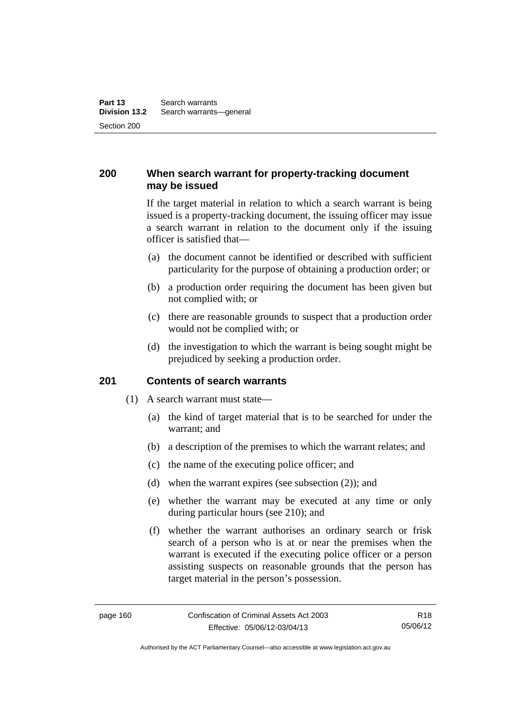### **200 When search warrant for property-tracking document may be issued**

If the target material in relation to which a search warrant is being issued is a property-tracking document, the issuing officer may issue a search warrant in relation to the document only if the issuing officer is satisfied that—

- (a) the document cannot be identified or described with sufficient particularity for the purpose of obtaining a production order; or
- (b) a production order requiring the document has been given but not complied with; or
- (c) there are reasonable grounds to suspect that a production order would not be complied with; or
- (d) the investigation to which the warrant is being sought might be prejudiced by seeking a production order.

#### **201 Contents of search warrants**

- (1) A search warrant must state—
	- (a) the kind of target material that is to be searched for under the warrant; and
	- (b) a description of the premises to which the warrant relates; and
	- (c) the name of the executing police officer; and
	- (d) when the warrant expires (see subsection (2)); and
	- (e) whether the warrant may be executed at any time or only during particular hours (see 210); and
	- (f) whether the warrant authorises an ordinary search or frisk search of a person who is at or near the premises when the warrant is executed if the executing police officer or a person assisting suspects on reasonable grounds that the person has target material in the person's possession.

Authorised by the ACT Parliamentary Counsel—also accessible at www.legislation.act.gov.au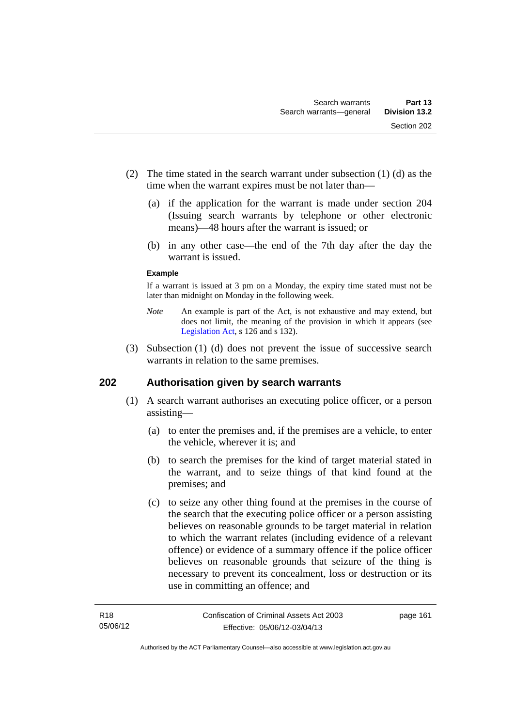- (2) The time stated in the search warrant under subsection (1) (d) as the time when the warrant expires must be not later than—
	- (a) if the application for the warrant is made under section 204 (Issuing search warrants by telephone or other electronic means)—48 hours after the warrant is issued; or
	- (b) in any other case—the end of the 7th day after the day the warrant is issued.

#### **Example**

If a warrant is issued at 3 pm on a Monday, the expiry time stated must not be later than midnight on Monday in the following week.

- *Note* An example is part of the Act, is not exhaustive and may extend, but does not limit, the meaning of the provision in which it appears (see [Legislation Act,](http://www.legislation.act.gov.au/a/2001-14) s 126 and s 132).
- (3) Subsection (1) (d) does not prevent the issue of successive search warrants in relation to the same premises.

### **202 Authorisation given by search warrants**

- (1) A search warrant authorises an executing police officer, or a person assisting—
	- (a) to enter the premises and, if the premises are a vehicle, to enter the vehicle, wherever it is; and
	- (b) to search the premises for the kind of target material stated in the warrant, and to seize things of that kind found at the premises; and
	- (c) to seize any other thing found at the premises in the course of the search that the executing police officer or a person assisting believes on reasonable grounds to be target material in relation to which the warrant relates (including evidence of a relevant offence) or evidence of a summary offence if the police officer believes on reasonable grounds that seizure of the thing is necessary to prevent its concealment, loss or destruction or its use in committing an offence; and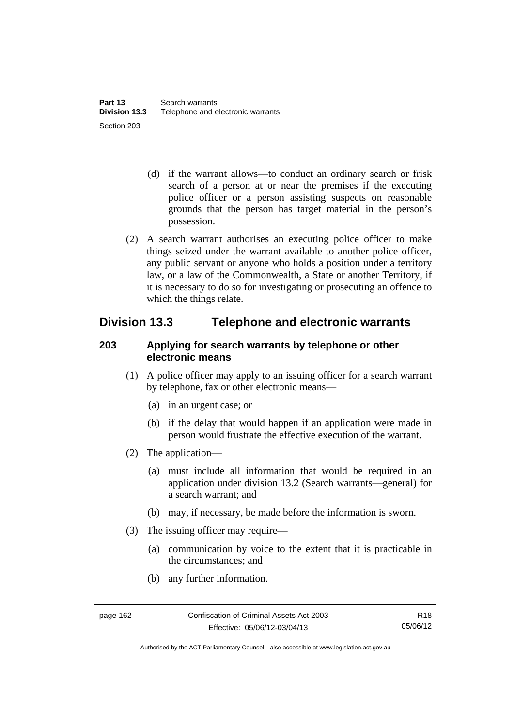- (d) if the warrant allows—to conduct an ordinary search or frisk search of a person at or near the premises if the executing police officer or a person assisting suspects on reasonable grounds that the person has target material in the person's possession.
- (2) A search warrant authorises an executing police officer to make things seized under the warrant available to another police officer, any public servant or anyone who holds a position under a territory law, or a law of the Commonwealth, a State or another Territory, if it is necessary to do so for investigating or prosecuting an offence to which the things relate.

# **Division 13.3 Telephone and electronic warrants**

### **203 Applying for search warrants by telephone or other electronic means**

- (1) A police officer may apply to an issuing officer for a search warrant by telephone, fax or other electronic means—
	- (a) in an urgent case; or
	- (b) if the delay that would happen if an application were made in person would frustrate the effective execution of the warrant.
- (2) The application—
	- (a) must include all information that would be required in an application under division 13.2 (Search warrants—general) for a search warrant; and
	- (b) may, if necessary, be made before the information is sworn.
- (3) The issuing officer may require—
	- (a) communication by voice to the extent that it is practicable in the circumstances; and
	- (b) any further information.

Authorised by the ACT Parliamentary Counsel—also accessible at www.legislation.act.gov.au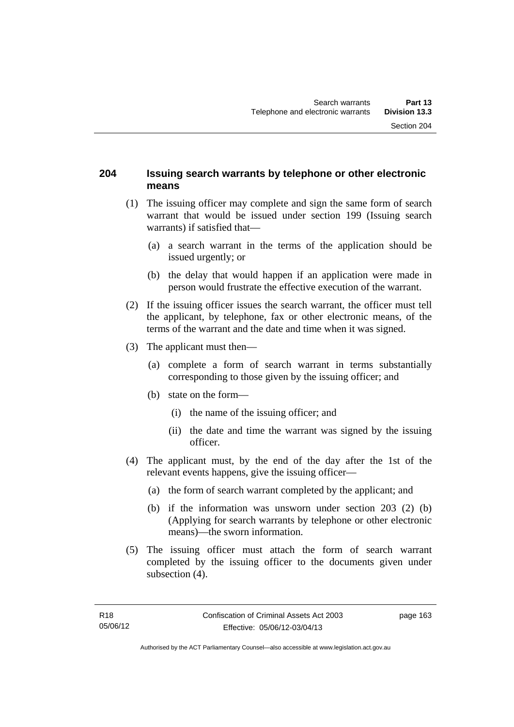### **204 Issuing search warrants by telephone or other electronic means**

- (1) The issuing officer may complete and sign the same form of search warrant that would be issued under section 199 (Issuing search warrants) if satisfied that—
	- (a) a search warrant in the terms of the application should be issued urgently; or
	- (b) the delay that would happen if an application were made in person would frustrate the effective execution of the warrant.
- (2) If the issuing officer issues the search warrant, the officer must tell the applicant, by telephone, fax or other electronic means, of the terms of the warrant and the date and time when it was signed.
- (3) The applicant must then—
	- (a) complete a form of search warrant in terms substantially corresponding to those given by the issuing officer; and
	- (b) state on the form—
		- (i) the name of the issuing officer; and
		- (ii) the date and time the warrant was signed by the issuing officer.
- (4) The applicant must, by the end of the day after the 1st of the relevant events happens, give the issuing officer—
	- (a) the form of search warrant completed by the applicant; and
	- (b) if the information was unsworn under section 203 (2) (b) (Applying for search warrants by telephone or other electronic means)—the sworn information.
- (5) The issuing officer must attach the form of search warrant completed by the issuing officer to the documents given under subsection  $(4)$ .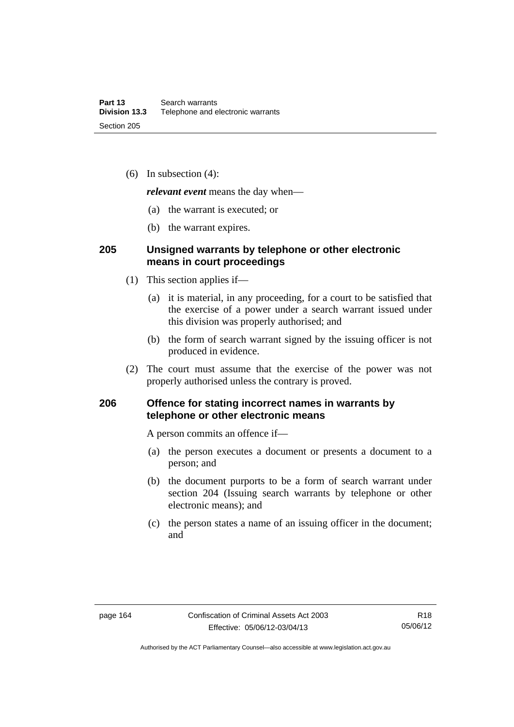(6) In subsection (4):

*relevant event* means the day when—

- (a) the warrant is executed; or
- (b) the warrant expires.

### **205 Unsigned warrants by telephone or other electronic means in court proceedings**

- (1) This section applies if—
	- (a) it is material, in any proceeding, for a court to be satisfied that the exercise of a power under a search warrant issued under this division was properly authorised; and
	- (b) the form of search warrant signed by the issuing officer is not produced in evidence.
- (2) The court must assume that the exercise of the power was not properly authorised unless the contrary is proved.

### **206 Offence for stating incorrect names in warrants by telephone or other electronic means**

A person commits an offence if—

- (a) the person executes a document or presents a document to a person; and
- (b) the document purports to be a form of search warrant under section 204 (Issuing search warrants by telephone or other electronic means); and
- (c) the person states a name of an issuing officer in the document; and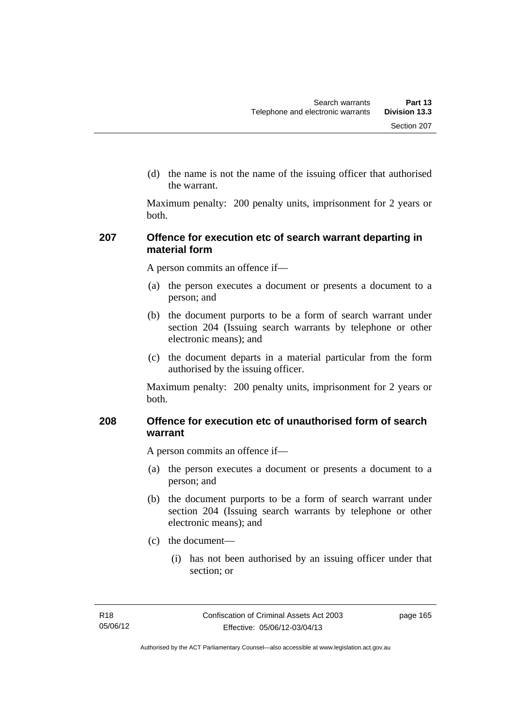(d) the name is not the name of the issuing officer that authorised the warrant.

Maximum penalty: 200 penalty units, imprisonment for 2 years or both.

### **207 Offence for execution etc of search warrant departing in material form**

A person commits an offence if—

- (a) the person executes a document or presents a document to a person; and
- (b) the document purports to be a form of search warrant under section 204 (Issuing search warrants by telephone or other electronic means); and
- (c) the document departs in a material particular from the form authorised by the issuing officer.

Maximum penalty: 200 penalty units, imprisonment for 2 years or both.

### **208 Offence for execution etc of unauthorised form of search warrant**

A person commits an offence if—

- (a) the person executes a document or presents a document to a person; and
- (b) the document purports to be a form of search warrant under section 204 (Issuing search warrants by telephone or other electronic means); and
- (c) the document—
	- (i) has not been authorised by an issuing officer under that section; or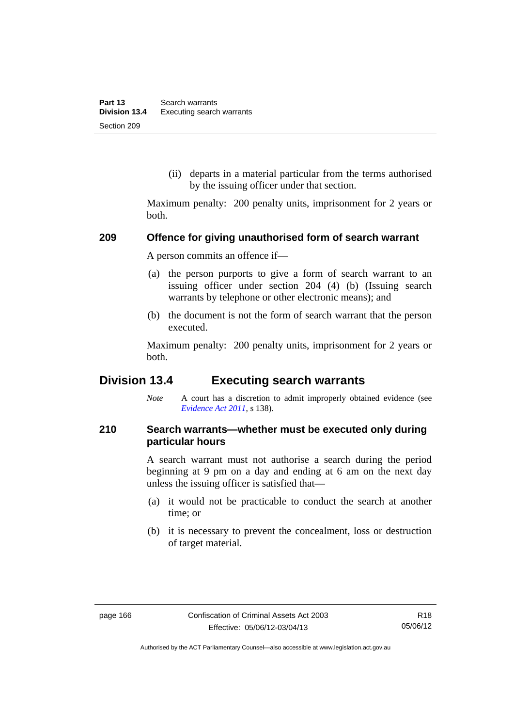(ii) departs in a material particular from the terms authorised by the issuing officer under that section.

Maximum penalty: 200 penalty units, imprisonment for 2 years or both.

#### **209 Offence for giving unauthorised form of search warrant**

A person commits an offence if—

- (a) the person purports to give a form of search warrant to an issuing officer under section 204 (4) (b) (Issuing search warrants by telephone or other electronic means); and
- (b) the document is not the form of search warrant that the person executed.

Maximum penalty: 200 penalty units, imprisonment for 2 years or both.

# **Division 13.4 Executing search warrants**

*Note* A court has a discretion to admit improperly obtained evidence (see *[Evidence Act 2011](http://www.legislation.act.gov.au/a/2011-12)*, s 138).

### **210 Search warrants—whether must be executed only during particular hours**

A search warrant must not authorise a search during the period beginning at 9 pm on a day and ending at 6 am on the next day unless the issuing officer is satisfied that—

- (a) it would not be practicable to conduct the search at another time; or
- (b) it is necessary to prevent the concealment, loss or destruction of target material.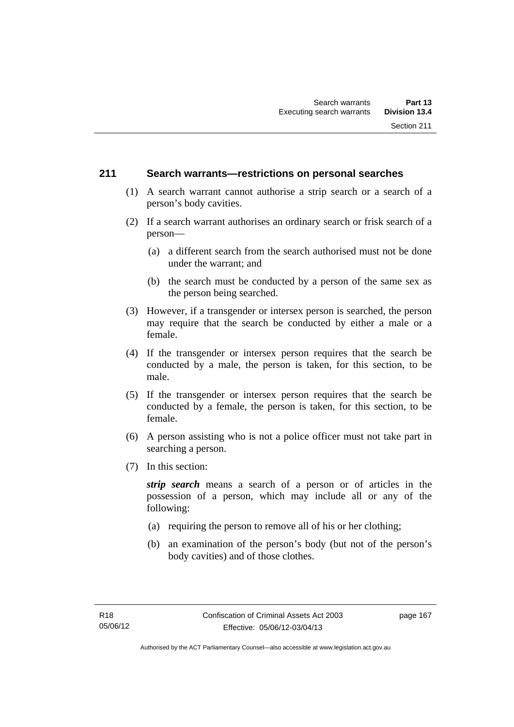### **211 Search warrants—restrictions on personal searches**

- (1) A search warrant cannot authorise a strip search or a search of a person's body cavities.
- (2) If a search warrant authorises an ordinary search or frisk search of a person—
	- (a) a different search from the search authorised must not be done under the warrant; and
	- (b) the search must be conducted by a person of the same sex as the person being searched.
- (3) However, if a transgender or intersex person is searched, the person may require that the search be conducted by either a male or a female.
- (4) If the transgender or intersex person requires that the search be conducted by a male, the person is taken, for this section, to be male.
- (5) If the transgender or intersex person requires that the search be conducted by a female, the person is taken, for this section, to be female.
- (6) A person assisting who is not a police officer must not take part in searching a person.
- (7) In this section:

*strip search* means a search of a person or of articles in the possession of a person, which may include all or any of the following:

- (a) requiring the person to remove all of his or her clothing;
- (b) an examination of the person's body (but not of the person's body cavities) and of those clothes.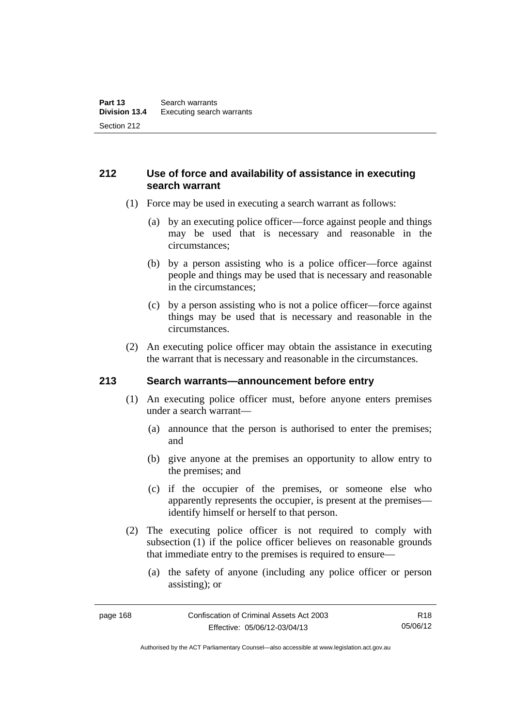## **212 Use of force and availability of assistance in executing search warrant**

- (1) Force may be used in executing a search warrant as follows:
	- (a) by an executing police officer—force against people and things may be used that is necessary and reasonable in the circumstances;
	- (b) by a person assisting who is a police officer—force against people and things may be used that is necessary and reasonable in the circumstances;
	- (c) by a person assisting who is not a police officer—force against things may be used that is necessary and reasonable in the circumstances.
- (2) An executing police officer may obtain the assistance in executing the warrant that is necessary and reasonable in the circumstances.

### **213 Search warrants—announcement before entry**

- (1) An executing police officer must, before anyone enters premises under a search warrant—
	- (a) announce that the person is authorised to enter the premises; and
	- (b) give anyone at the premises an opportunity to allow entry to the premises; and
	- (c) if the occupier of the premises, or someone else who apparently represents the occupier, is present at the premises identify himself or herself to that person.
- (2) The executing police officer is not required to comply with subsection (1) if the police officer believes on reasonable grounds that immediate entry to the premises is required to ensure—
	- (a) the safety of anyone (including any police officer or person assisting); or

R18 05/06/12

Authorised by the ACT Parliamentary Counsel—also accessible at www.legislation.act.gov.au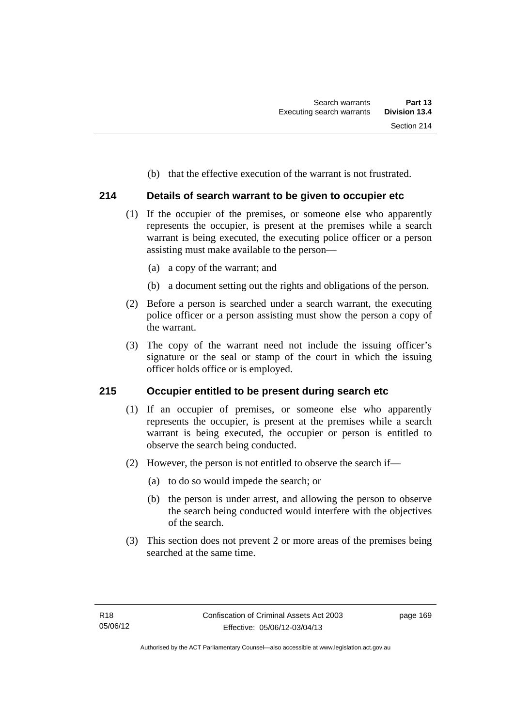(b) that the effective execution of the warrant is not frustrated.

## **214 Details of search warrant to be given to occupier etc**

- (1) If the occupier of the premises, or someone else who apparently represents the occupier, is present at the premises while a search warrant is being executed, the executing police officer or a person assisting must make available to the person—
	- (a) a copy of the warrant; and
	- (b) a document setting out the rights and obligations of the person.
- (2) Before a person is searched under a search warrant, the executing police officer or a person assisting must show the person a copy of the warrant.
- (3) The copy of the warrant need not include the issuing officer's signature or the seal or stamp of the court in which the issuing officer holds office or is employed.

### **215 Occupier entitled to be present during search etc**

- (1) If an occupier of premises, or someone else who apparently represents the occupier, is present at the premises while a search warrant is being executed, the occupier or person is entitled to observe the search being conducted.
- (2) However, the person is not entitled to observe the search if—
	- (a) to do so would impede the search; or
	- (b) the person is under arrest, and allowing the person to observe the search being conducted would interfere with the objectives of the search.
- (3) This section does not prevent 2 or more areas of the premises being searched at the same time.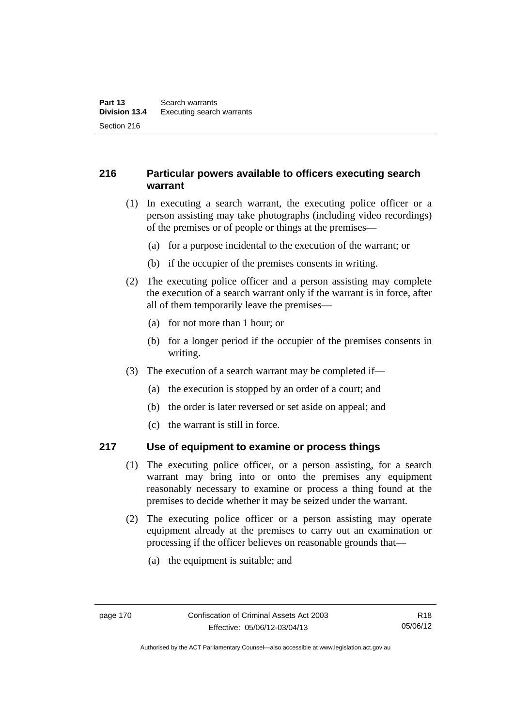## **216 Particular powers available to officers executing search warrant**

- (1) In executing a search warrant, the executing police officer or a person assisting may take photographs (including video recordings) of the premises or of people or things at the premises—
	- (a) for a purpose incidental to the execution of the warrant; or
	- (b) if the occupier of the premises consents in writing.
- (2) The executing police officer and a person assisting may complete the execution of a search warrant only if the warrant is in force, after all of them temporarily leave the premises—
	- (a) for not more than 1 hour; or
	- (b) for a longer period if the occupier of the premises consents in writing.
- (3) The execution of a search warrant may be completed if—
	- (a) the execution is stopped by an order of a court; and
	- (b) the order is later reversed or set aside on appeal; and
	- (c) the warrant is still in force.

## **217 Use of equipment to examine or process things**

- (1) The executing police officer, or a person assisting, for a search warrant may bring into or onto the premises any equipment reasonably necessary to examine or process a thing found at the premises to decide whether it may be seized under the warrant.
- (2) The executing police officer or a person assisting may operate equipment already at the premises to carry out an examination or processing if the officer believes on reasonable grounds that—
	- (a) the equipment is suitable; and

Authorised by the ACT Parliamentary Counsel—also accessible at www.legislation.act.gov.au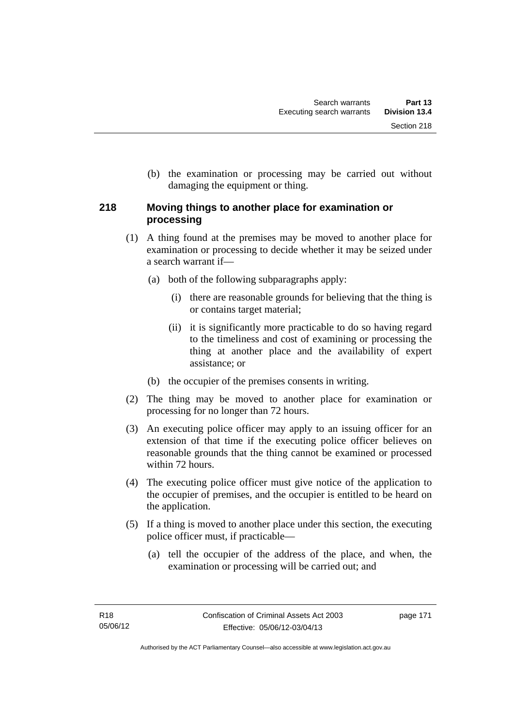(b) the examination or processing may be carried out without damaging the equipment or thing.

## **218 Moving things to another place for examination or processing**

- (1) A thing found at the premises may be moved to another place for examination or processing to decide whether it may be seized under a search warrant if—
	- (a) both of the following subparagraphs apply:
		- (i) there are reasonable grounds for believing that the thing is or contains target material;
		- (ii) it is significantly more practicable to do so having regard to the timeliness and cost of examining or processing the thing at another place and the availability of expert assistance; or
	- (b) the occupier of the premises consents in writing.
- (2) The thing may be moved to another place for examination or processing for no longer than 72 hours.
- (3) An executing police officer may apply to an issuing officer for an extension of that time if the executing police officer believes on reasonable grounds that the thing cannot be examined or processed within 72 hours.
- (4) The executing police officer must give notice of the application to the occupier of premises, and the occupier is entitled to be heard on the application.
- (5) If a thing is moved to another place under this section, the executing police officer must, if practicable—
	- (a) tell the occupier of the address of the place, and when, the examination or processing will be carried out; and

page 171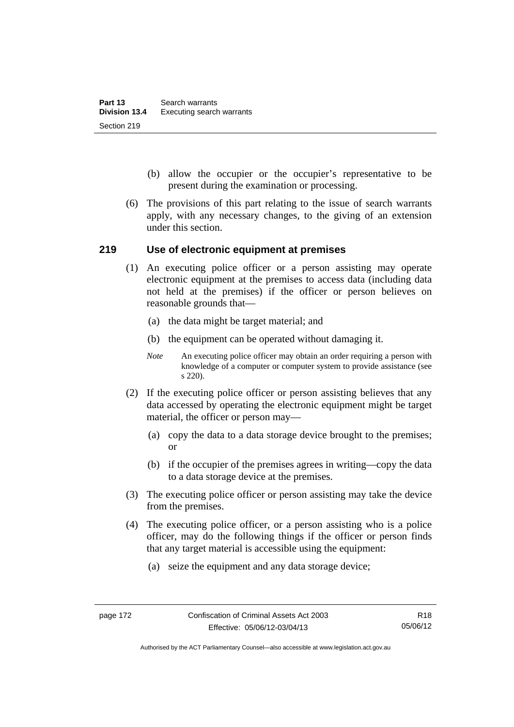- (b) allow the occupier or the occupier's representative to be present during the examination or processing.
- (6) The provisions of this part relating to the issue of search warrants apply, with any necessary changes, to the giving of an extension under this section.

### **219 Use of electronic equipment at premises**

- (1) An executing police officer or a person assisting may operate electronic equipment at the premises to access data (including data not held at the premises) if the officer or person believes on reasonable grounds that—
	- (a) the data might be target material; and
	- (b) the equipment can be operated without damaging it.
	- *Note* An executing police officer may obtain an order requiring a person with knowledge of a computer or computer system to provide assistance (see s 220).
- (2) If the executing police officer or person assisting believes that any data accessed by operating the electronic equipment might be target material, the officer or person may—
	- (a) copy the data to a data storage device brought to the premises; or
	- (b) if the occupier of the premises agrees in writing—copy the data to a data storage device at the premises.
- (3) The executing police officer or person assisting may take the device from the premises.
- (4) The executing police officer, or a person assisting who is a police officer, may do the following things if the officer or person finds that any target material is accessible using the equipment:
	- (a) seize the equipment and any data storage device;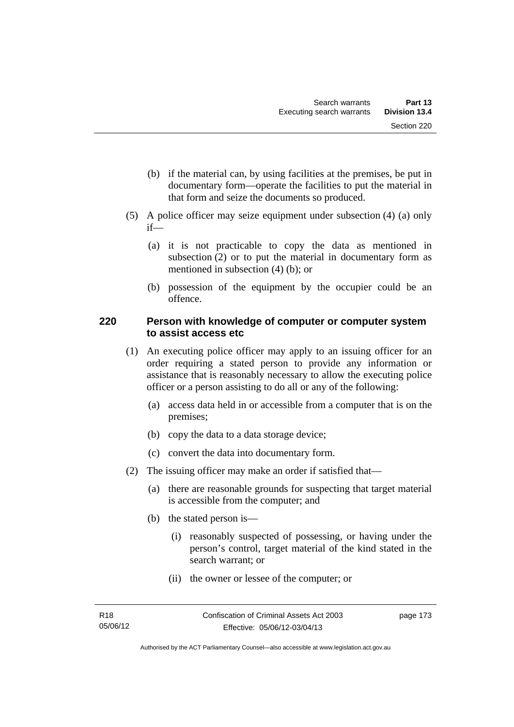- (b) if the material can, by using facilities at the premises, be put in documentary form—operate the facilities to put the material in that form and seize the documents so produced.
- (5) A police officer may seize equipment under subsection (4) (a) only if—
	- (a) it is not practicable to copy the data as mentioned in subsection (2) or to put the material in documentary form as mentioned in subsection (4) (b); or
	- (b) possession of the equipment by the occupier could be an offence.

## **220 Person with knowledge of computer or computer system to assist access etc**

- (1) An executing police officer may apply to an issuing officer for an order requiring a stated person to provide any information or assistance that is reasonably necessary to allow the executing police officer or a person assisting to do all or any of the following:
	- (a) access data held in or accessible from a computer that is on the premises;
	- (b) copy the data to a data storage device;
	- (c) convert the data into documentary form.
- (2) The issuing officer may make an order if satisfied that—
	- (a) there are reasonable grounds for suspecting that target material is accessible from the computer; and
	- (b) the stated person is—
		- (i) reasonably suspected of possessing, or having under the person's control, target material of the kind stated in the search warrant; or
		- (ii) the owner or lessee of the computer; or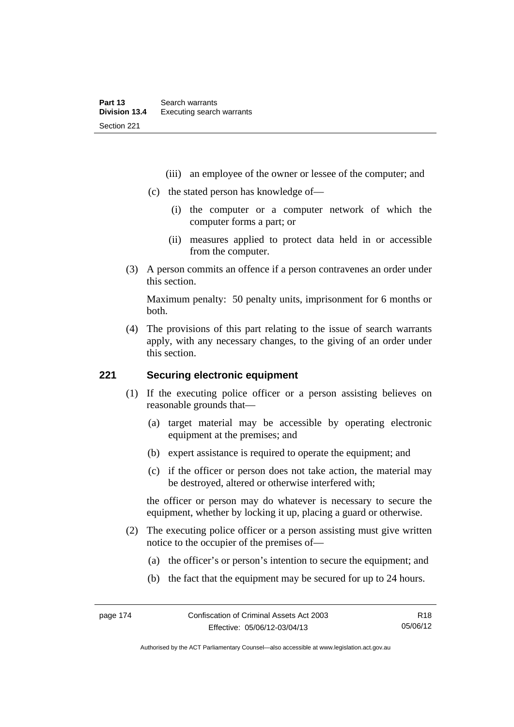- (iii) an employee of the owner or lessee of the computer; and
- (c) the stated person has knowledge of—
	- (i) the computer or a computer network of which the computer forms a part; or
	- (ii) measures applied to protect data held in or accessible from the computer.
- (3) A person commits an offence if a person contravenes an order under this section.

Maximum penalty: 50 penalty units, imprisonment for 6 months or both.

 (4) The provisions of this part relating to the issue of search warrants apply, with any necessary changes, to the giving of an order under this section.

## **221 Securing electronic equipment**

- (1) If the executing police officer or a person assisting believes on reasonable grounds that—
	- (a) target material may be accessible by operating electronic equipment at the premises; and
	- (b) expert assistance is required to operate the equipment; and
	- (c) if the officer or person does not take action, the material may be destroyed, altered or otherwise interfered with;

the officer or person may do whatever is necessary to secure the equipment, whether by locking it up, placing a guard or otherwise.

- (2) The executing police officer or a person assisting must give written notice to the occupier of the premises of—
	- (a) the officer's or person's intention to secure the equipment; and
	- (b) the fact that the equipment may be secured for up to 24 hours.

Authorised by the ACT Parliamentary Counsel—also accessible at www.legislation.act.gov.au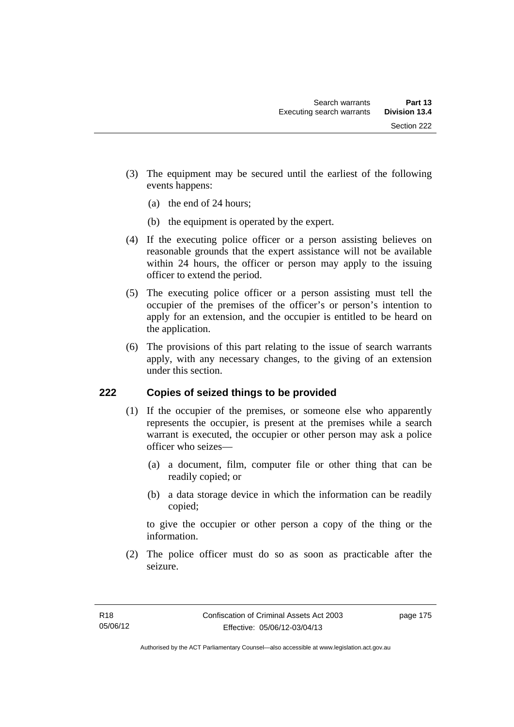- (3) The equipment may be secured until the earliest of the following events happens:
	- (a) the end of 24 hours;
	- (b) the equipment is operated by the expert.
- (4) If the executing police officer or a person assisting believes on reasonable grounds that the expert assistance will not be available within 24 hours, the officer or person may apply to the issuing officer to extend the period.
- (5) The executing police officer or a person assisting must tell the occupier of the premises of the officer's or person's intention to apply for an extension, and the occupier is entitled to be heard on the application.
- (6) The provisions of this part relating to the issue of search warrants apply, with any necessary changes, to the giving of an extension under this section.

## **222 Copies of seized things to be provided**

- (1) If the occupier of the premises, or someone else who apparently represents the occupier, is present at the premises while a search warrant is executed, the occupier or other person may ask a police officer who seizes—
	- (a) a document, film, computer file or other thing that can be readily copied; or
	- (b) a data storage device in which the information can be readily copied;

to give the occupier or other person a copy of the thing or the information.

 (2) The police officer must do so as soon as practicable after the seizure.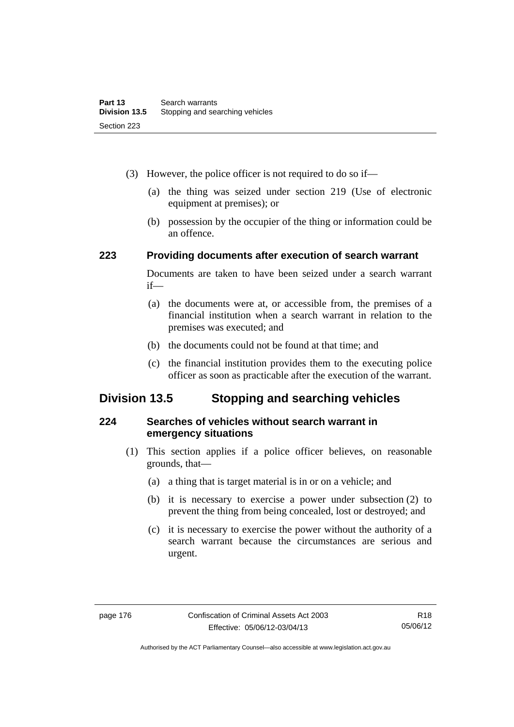- (3) However, the police officer is not required to do so if—
	- (a) the thing was seized under section 219 (Use of electronic equipment at premises); or
	- (b) possession by the occupier of the thing or information could be an offence.

### **223 Providing documents after execution of search warrant**

Documents are taken to have been seized under a search warrant if—

- (a) the documents were at, or accessible from, the premises of a financial institution when a search warrant in relation to the premises was executed; and
- (b) the documents could not be found at that time; and
- (c) the financial institution provides them to the executing police officer as soon as practicable after the execution of the warrant.

# **Division 13.5 Stopping and searching vehicles**

## **224 Searches of vehicles without search warrant in emergency situations**

- (1) This section applies if a police officer believes, on reasonable grounds, that—
	- (a) a thing that is target material is in or on a vehicle; and
	- (b) it is necessary to exercise a power under subsection (2) to prevent the thing from being concealed, lost or destroyed; and
	- (c) it is necessary to exercise the power without the authority of a search warrant because the circumstances are serious and urgent.

Authorised by the ACT Parliamentary Counsel—also accessible at www.legislation.act.gov.au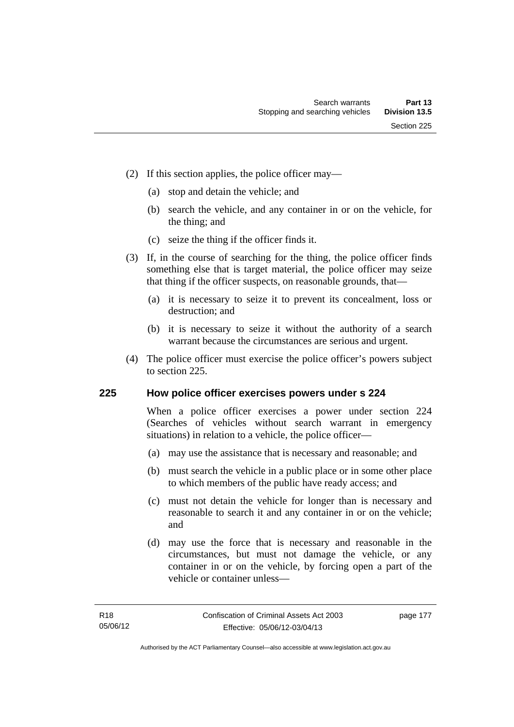- (2) If this section applies, the police officer may—
	- (a) stop and detain the vehicle; and
	- (b) search the vehicle, and any container in or on the vehicle, for the thing; and
	- (c) seize the thing if the officer finds it.
- (3) If, in the course of searching for the thing, the police officer finds something else that is target material, the police officer may seize that thing if the officer suspects, on reasonable grounds, that—
	- (a) it is necessary to seize it to prevent its concealment, loss or destruction; and
	- (b) it is necessary to seize it without the authority of a search warrant because the circumstances are serious and urgent.
- (4) The police officer must exercise the police officer's powers subject to section 225.

### **225 How police officer exercises powers under s 224**

When a police officer exercises a power under section 224 (Searches of vehicles without search warrant in emergency situations) in relation to a vehicle, the police officer—

- (a) may use the assistance that is necessary and reasonable; and
- (b) must search the vehicle in a public place or in some other place to which members of the public have ready access; and
- (c) must not detain the vehicle for longer than is necessary and reasonable to search it and any container in or on the vehicle; and
- (d) may use the force that is necessary and reasonable in the circumstances, but must not damage the vehicle, or any container in or on the vehicle, by forcing open a part of the vehicle or container unless—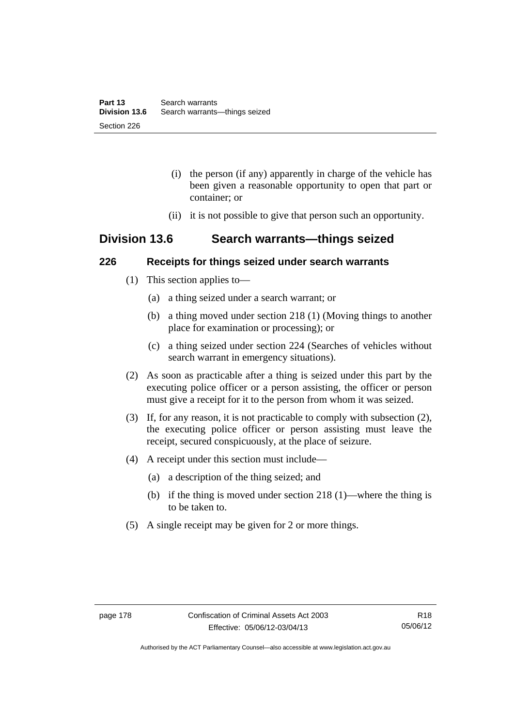- (i) the person (if any) apparently in charge of the vehicle has been given a reasonable opportunity to open that part or container; or
- (ii) it is not possible to give that person such an opportunity.

## **Division 13.6 Search warrants—things seized**

### **226 Receipts for things seized under search warrants**

- (1) This section applies to—
	- (a) a thing seized under a search warrant; or
	- (b) a thing moved under section 218 (1) (Moving things to another place for examination or processing); or
	- (c) a thing seized under section 224 (Searches of vehicles without search warrant in emergency situations).
- (2) As soon as practicable after a thing is seized under this part by the executing police officer or a person assisting, the officer or person must give a receipt for it to the person from whom it was seized.
- (3) If, for any reason, it is not practicable to comply with subsection (2), the executing police officer or person assisting must leave the receipt, secured conspicuously, at the place of seizure.
- (4) A receipt under this section must include—
	- (a) a description of the thing seized; and
	- (b) if the thing is moved under section 218 (1)—where the thing is to be taken to.
- (5) A single receipt may be given for 2 or more things.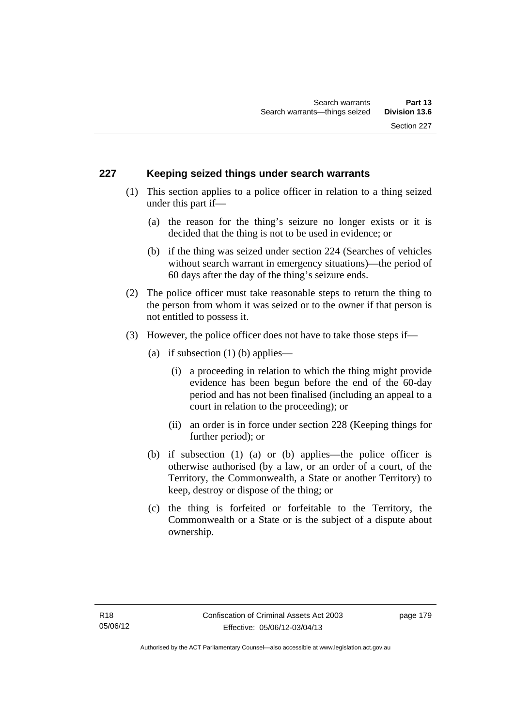## **227 Keeping seized things under search warrants**

- (1) This section applies to a police officer in relation to a thing seized under this part if—
	- (a) the reason for the thing's seizure no longer exists or it is decided that the thing is not to be used in evidence; or
	- (b) if the thing was seized under section 224 (Searches of vehicles without search warrant in emergency situations)—the period of 60 days after the day of the thing's seizure ends.
- (2) The police officer must take reasonable steps to return the thing to the person from whom it was seized or to the owner if that person is not entitled to possess it.
- (3) However, the police officer does not have to take those steps if—
	- (a) if subsection  $(1)$  (b) applies—
		- (i) a proceeding in relation to which the thing might provide evidence has been begun before the end of the 60-day period and has not been finalised (including an appeal to a court in relation to the proceeding); or
		- (ii) an order is in force under section 228 (Keeping things for further period); or
	- (b) if subsection (1) (a) or (b) applies—the police officer is otherwise authorised (by a law, or an order of a court, of the Territory, the Commonwealth, a State or another Territory) to keep, destroy or dispose of the thing; or
	- (c) the thing is forfeited or forfeitable to the Territory, the Commonwealth or a State or is the subject of a dispute about ownership.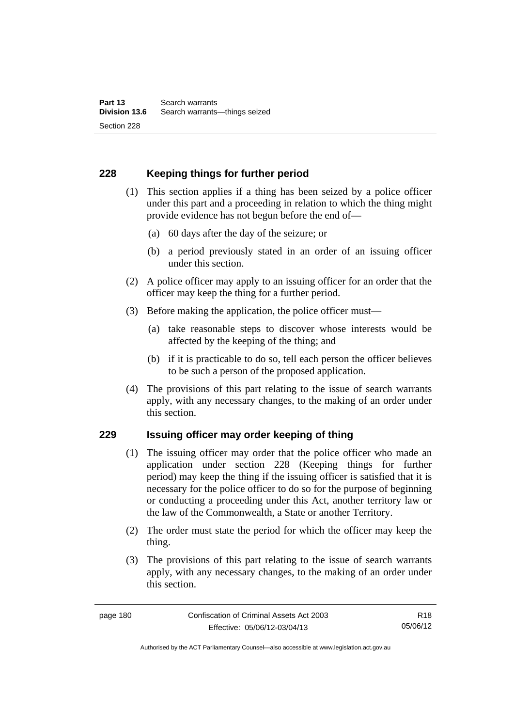## **228 Keeping things for further period**

- (1) This section applies if a thing has been seized by a police officer under this part and a proceeding in relation to which the thing might provide evidence has not begun before the end of—
	- (a) 60 days after the day of the seizure; or
	- (b) a period previously stated in an order of an issuing officer under this section.
- (2) A police officer may apply to an issuing officer for an order that the officer may keep the thing for a further period.
- (3) Before making the application, the police officer must—
	- (a) take reasonable steps to discover whose interests would be affected by the keeping of the thing; and
	- (b) if it is practicable to do so, tell each person the officer believes to be such a person of the proposed application.
- (4) The provisions of this part relating to the issue of search warrants apply, with any necessary changes, to the making of an order under this section.

### **229 Issuing officer may order keeping of thing**

- (1) The issuing officer may order that the police officer who made an application under section 228 (Keeping things for further period) may keep the thing if the issuing officer is satisfied that it is necessary for the police officer to do so for the purpose of beginning or conducting a proceeding under this Act, another territory law or the law of the Commonwealth, a State or another Territory.
- (2) The order must state the period for which the officer may keep the thing.
- (3) The provisions of this part relating to the issue of search warrants apply, with any necessary changes, to the making of an order under this section.

R18 05/06/12

Authorised by the ACT Parliamentary Counsel—also accessible at www.legislation.act.gov.au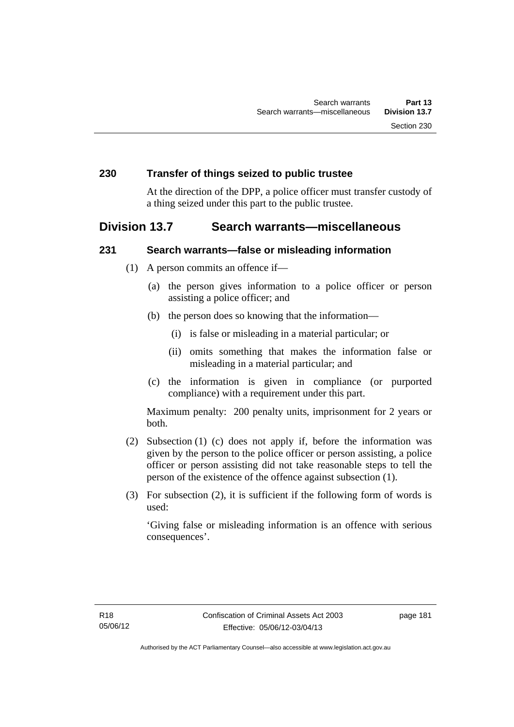### **230 Transfer of things seized to public trustee**

At the direction of the DPP, a police officer must transfer custody of a thing seized under this part to the public trustee.

## **Division 13.7 Search warrants—miscellaneous**

### **231 Search warrants—false or misleading information**

- (1) A person commits an offence if—
	- (a) the person gives information to a police officer or person assisting a police officer; and
	- (b) the person does so knowing that the information—
		- (i) is false or misleading in a material particular; or
		- (ii) omits something that makes the information false or misleading in a material particular; and
	- (c) the information is given in compliance (or purported compliance) with a requirement under this part.

Maximum penalty: 200 penalty units, imprisonment for 2 years or both.

- (2) Subsection (1) (c) does not apply if, before the information was given by the person to the police officer or person assisting, a police officer or person assisting did not take reasonable steps to tell the person of the existence of the offence against subsection (1).
- (3) For subsection (2), it is sufficient if the following form of words is used:

'Giving false or misleading information is an offence with serious consequences'.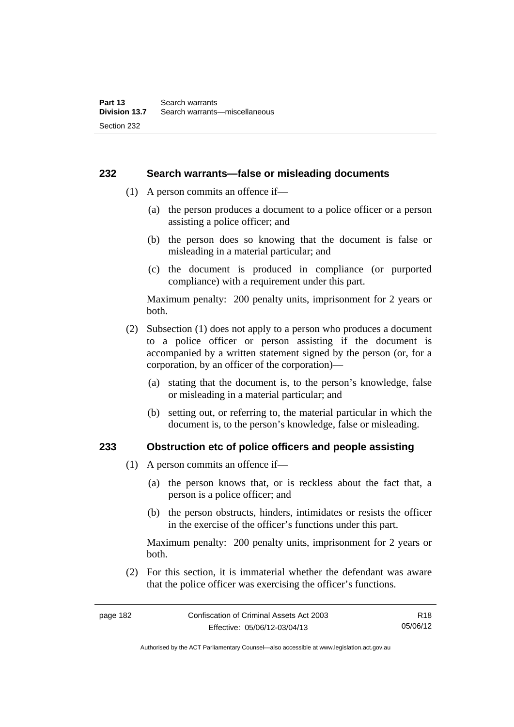### **232 Search warrants—false or misleading documents**

- (1) A person commits an offence if—
	- (a) the person produces a document to a police officer or a person assisting a police officer; and
	- (b) the person does so knowing that the document is false or misleading in a material particular; and
	- (c) the document is produced in compliance (or purported compliance) with a requirement under this part.

Maximum penalty: 200 penalty units, imprisonment for 2 years or both.

- (2) Subsection (1) does not apply to a person who produces a document to a police officer or person assisting if the document is accompanied by a written statement signed by the person (or, for a corporation, by an officer of the corporation)—
	- (a) stating that the document is, to the person's knowledge, false or misleading in a material particular; and
	- (b) setting out, or referring to, the material particular in which the document is, to the person's knowledge, false or misleading.

### **233 Obstruction etc of police officers and people assisting**

- (1) A person commits an offence if—
	- (a) the person knows that, or is reckless about the fact that, a person is a police officer; and
	- (b) the person obstructs, hinders, intimidates or resists the officer in the exercise of the officer's functions under this part.

Maximum penalty: 200 penalty units, imprisonment for 2 years or both.

 (2) For this section, it is immaterial whether the defendant was aware that the police officer was exercising the officer's functions.

Authorised by the ACT Parliamentary Counsel—also accessible at www.legislation.act.gov.au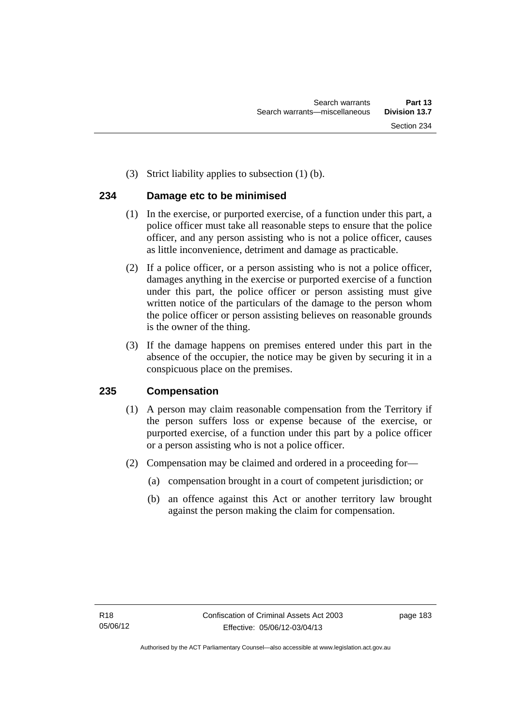(3) Strict liability applies to subsection (1) (b).

## **234 Damage etc to be minimised**

- (1) In the exercise, or purported exercise, of a function under this part, a police officer must take all reasonable steps to ensure that the police officer, and any person assisting who is not a police officer, causes as little inconvenience, detriment and damage as practicable.
- (2) If a police officer, or a person assisting who is not a police officer, damages anything in the exercise or purported exercise of a function under this part, the police officer or person assisting must give written notice of the particulars of the damage to the person whom the police officer or person assisting believes on reasonable grounds is the owner of the thing.
- (3) If the damage happens on premises entered under this part in the absence of the occupier, the notice may be given by securing it in a conspicuous place on the premises.

## **235 Compensation**

- (1) A person may claim reasonable compensation from the Territory if the person suffers loss or expense because of the exercise, or purported exercise, of a function under this part by a police officer or a person assisting who is not a police officer.
- (2) Compensation may be claimed and ordered in a proceeding for—
	- (a) compensation brought in a court of competent jurisdiction; or
	- (b) an offence against this Act or another territory law brought against the person making the claim for compensation.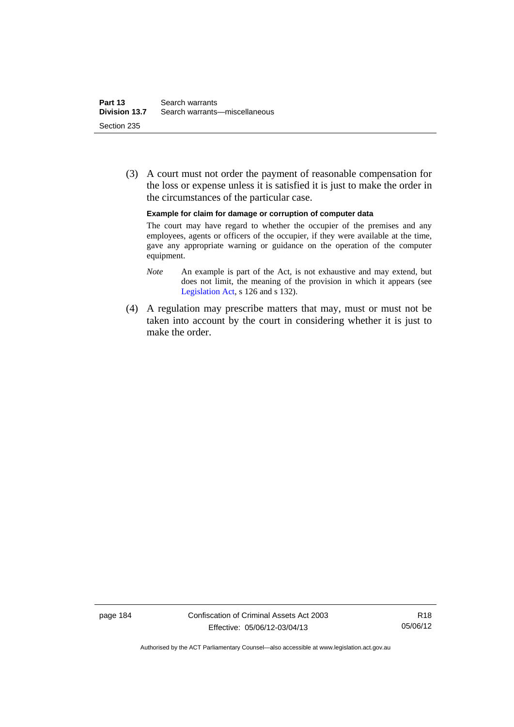(3) A court must not order the payment of reasonable compensation for the loss or expense unless it is satisfied it is just to make the order in the circumstances of the particular case.

#### **Example for claim for damage or corruption of computer data**

The court may have regard to whether the occupier of the premises and any employees, agents or officers of the occupier, if they were available at the time, gave any appropriate warning or guidance on the operation of the computer equipment.

- *Note* An example is part of the Act, is not exhaustive and may extend, but does not limit, the meaning of the provision in which it appears (see [Legislation Act,](http://www.legislation.act.gov.au/a/2001-14) s 126 and s 132).
- (4) A regulation may prescribe matters that may, must or must not be taken into account by the court in considering whether it is just to make the order.

page 184 Confiscation of Criminal Assets Act 2003 Effective: 05/06/12-03/04/13

R18 05/06/12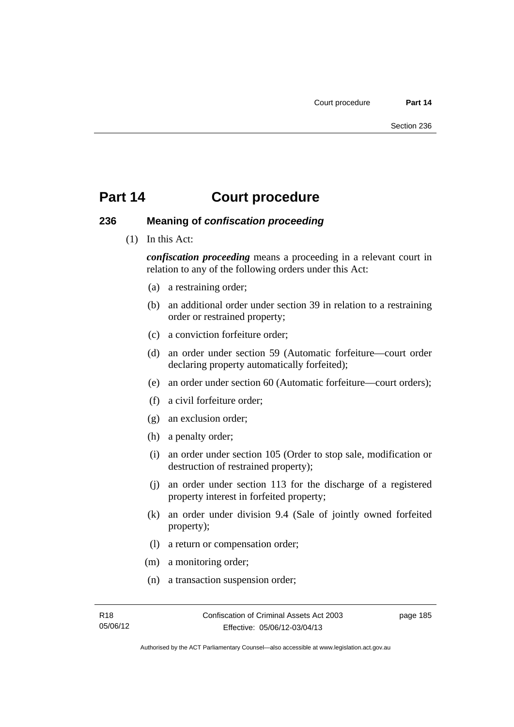### **236 Meaning of** *confiscation proceeding*

(1) In this Act:

*confiscation proceeding* means a proceeding in a relevant court in relation to any of the following orders under this Act:

- (a) a restraining order;
- (b) an additional order under section 39 in relation to a restraining order or restrained property;
- (c) a conviction forfeiture order;
- (d) an order under section 59 (Automatic forfeiture—court order declaring property automatically forfeited);
- (e) an order under section 60 (Automatic forfeiture—court orders);
- (f) a civil forfeiture order;
- (g) an exclusion order;
- (h) a penalty order;
- (i) an order under section 105 (Order to stop sale, modification or destruction of restrained property);
- (j) an order under section 113 for the discharge of a registered property interest in forfeited property;
- (k) an order under division 9.4 (Sale of jointly owned forfeited property);
- (l) a return or compensation order;
- (m) a monitoring order;
- (n) a transaction suspension order;

page 185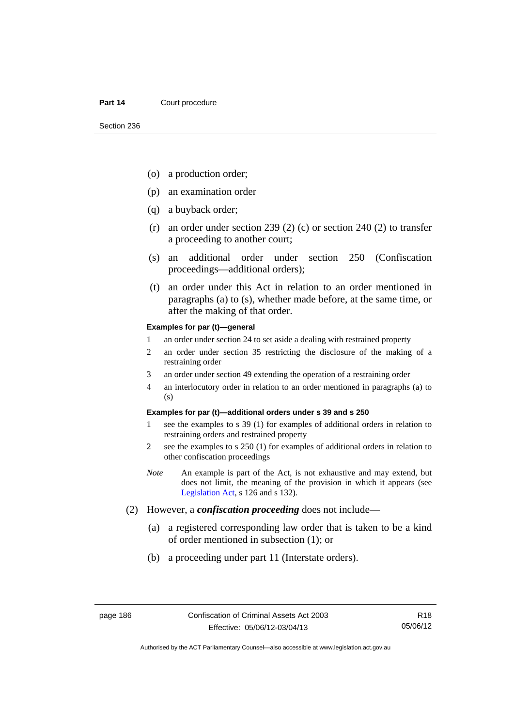- (o) a production order;
- (p) an examination order
- (q) a buyback order;
- (r) an order under section 239 (2) (c) or section 240 (2) to transfer a proceeding to another court;
- (s) an additional order under section 250 (Confiscation proceedings—additional orders);
- (t) an order under this Act in relation to an order mentioned in paragraphs (a) to (s), whether made before, at the same time, or after the making of that order.

### **Examples for par (t)—general**

- 1 an order under section 24 to set aside a dealing with restrained property
- 2 an order under section 35 restricting the disclosure of the making of a restraining order
- 3 an order under section 49 extending the operation of a restraining order
- 4 an interlocutory order in relation to an order mentioned in paragraphs (a) to (s)

### **Examples for par (t)—additional orders under s 39 and s 250**

- 1 see the examples to s 39 (1) for examples of additional orders in relation to restraining orders and restrained property
- 2 see the examples to s 250 (1) for examples of additional orders in relation to other confiscation proceedings
- *Note* An example is part of the Act, is not exhaustive and may extend, but does not limit, the meaning of the provision in which it appears (see [Legislation Act,](http://www.legislation.act.gov.au/a/2001-14) s 126 and s 132).
- (2) However, a *confiscation proceeding* does not include—
	- (a) a registered corresponding law order that is taken to be a kind of order mentioned in subsection (1); or
	- (b) a proceeding under part 11 (Interstate orders).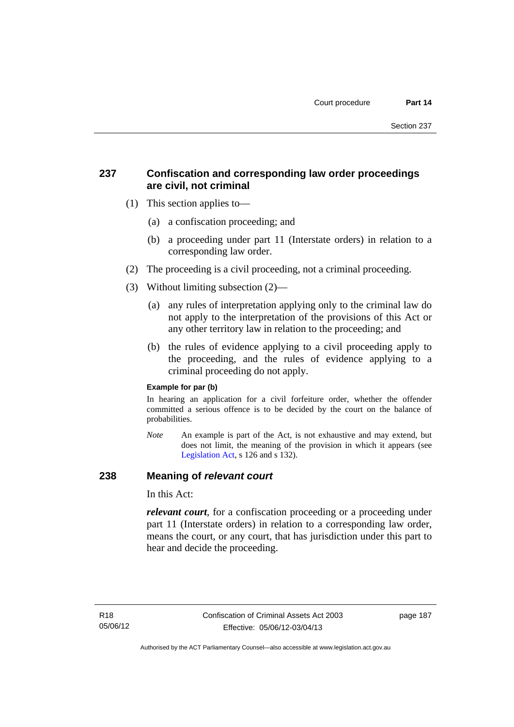## **237 Confiscation and corresponding law order proceedings are civil, not criminal**

- (1) This section applies to—
	- (a) a confiscation proceeding; and
	- (b) a proceeding under part 11 (Interstate orders) in relation to a corresponding law order.
- (2) The proceeding is a civil proceeding, not a criminal proceeding.
- (3) Without limiting subsection (2)—
	- (a) any rules of interpretation applying only to the criminal law do not apply to the interpretation of the provisions of this Act or any other territory law in relation to the proceeding; and
	- (b) the rules of evidence applying to a civil proceeding apply to the proceeding, and the rules of evidence applying to a criminal proceeding do not apply.

### **Example for par (b)**

In hearing an application for a civil forfeiture order, whether the offender committed a serious offence is to be decided by the court on the balance of probabilities.

*Note* An example is part of the Act, is not exhaustive and may extend, but does not limit, the meaning of the provision in which it appears (see [Legislation Act,](http://www.legislation.act.gov.au/a/2001-14) s 126 and s 132).

### **238 Meaning of** *relevant court*

In this Act:

*relevant court*, for a confiscation proceeding or a proceeding under part 11 (Interstate orders) in relation to a corresponding law order, means the court, or any court, that has jurisdiction under this part to hear and decide the proceeding.

page 187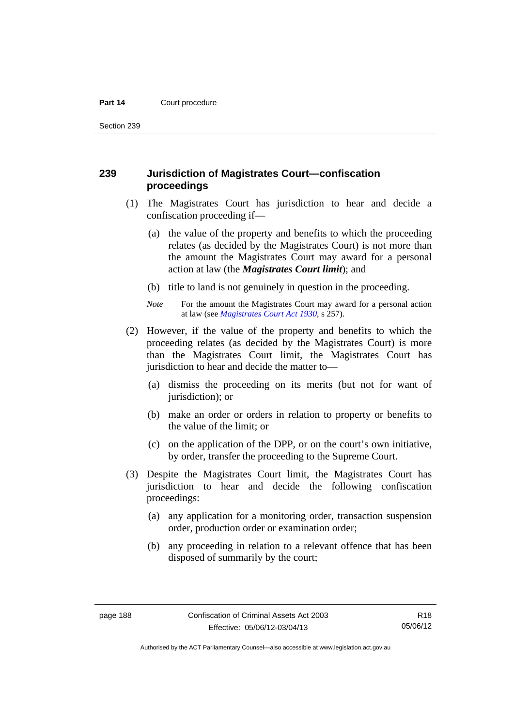Section 239

## **239 Jurisdiction of Magistrates Court—confiscation proceedings**

- (1) The Magistrates Court has jurisdiction to hear and decide a confiscation proceeding if—
	- (a) the value of the property and benefits to which the proceeding relates (as decided by the Magistrates Court) is not more than the amount the Magistrates Court may award for a personal action at law (the *Magistrates Court limit*); and
	- (b) title to land is not genuinely in question in the proceeding.
	- *Note* For the amount the Magistrates Court may award for a personal action at law (see *[Magistrates Court Act 1930](http://www.legislation.act.gov.au/a/1930-21)*, s 257).
- (2) However, if the value of the property and benefits to which the proceeding relates (as decided by the Magistrates Court) is more than the Magistrates Court limit, the Magistrates Court has jurisdiction to hear and decide the matter to—
	- (a) dismiss the proceeding on its merits (but not for want of jurisdiction); or
	- (b) make an order or orders in relation to property or benefits to the value of the limit; or
	- (c) on the application of the DPP, or on the court's own initiative, by order, transfer the proceeding to the Supreme Court.
- (3) Despite the Magistrates Court limit, the Magistrates Court has jurisdiction to hear and decide the following confiscation proceedings:
	- (a) any application for a monitoring order, transaction suspension order, production order or examination order;
	- (b) any proceeding in relation to a relevant offence that has been disposed of summarily by the court;

R18 05/06/12

Authorised by the ACT Parliamentary Counsel—also accessible at www.legislation.act.gov.au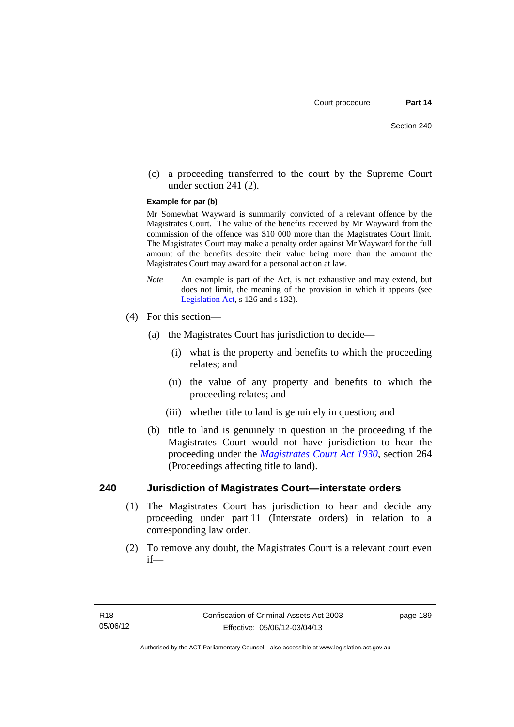(c) a proceeding transferred to the court by the Supreme Court under section 241 (2).

#### **Example for par (b)**

Mr Somewhat Wayward is summarily convicted of a relevant offence by the Magistrates Court. The value of the benefits received by Mr Wayward from the commission of the offence was \$10 000 more than the Magistrates Court limit. The Magistrates Court may make a penalty order against Mr Wayward for the full amount of the benefits despite their value being more than the amount the Magistrates Court may award for a personal action at law.

- *Note* An example is part of the Act, is not exhaustive and may extend, but does not limit, the meaning of the provision in which it appears (see [Legislation Act,](http://www.legislation.act.gov.au/a/2001-14) s 126 and s 132).
- (4) For this section—
	- (a) the Magistrates Court has jurisdiction to decide—
		- (i) what is the property and benefits to which the proceeding relates; and
		- (ii) the value of any property and benefits to which the proceeding relates; and
		- (iii) whether title to land is genuinely in question; and
	- (b) title to land is genuinely in question in the proceeding if the Magistrates Court would not have jurisdiction to hear the proceeding under the *[Magistrates Court Act 1930](http://www.legislation.act.gov.au/a/1930-21)*, section 264 (Proceedings affecting title to land).

### **240 Jurisdiction of Magistrates Court—interstate orders**

- (1) The Magistrates Court has jurisdiction to hear and decide any proceeding under part 11 (Interstate orders) in relation to a corresponding law order.
- (2) To remove any doubt, the Magistrates Court is a relevant court even if—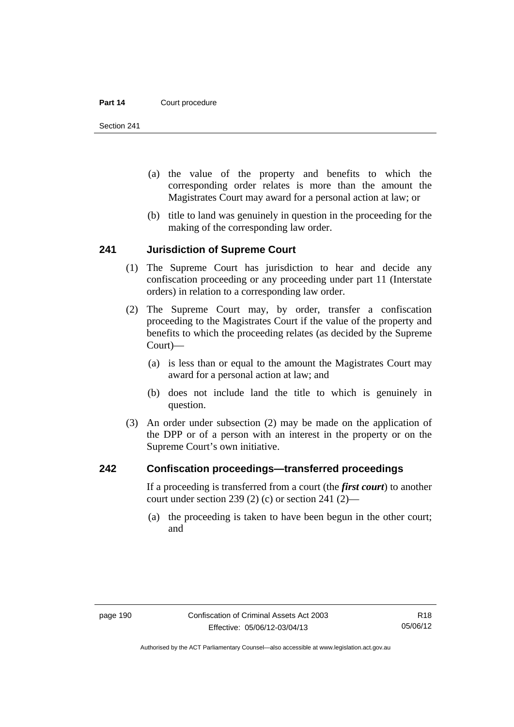Section 241

- (a) the value of the property and benefits to which the corresponding order relates is more than the amount the Magistrates Court may award for a personal action at law; or
- (b) title to land was genuinely in question in the proceeding for the making of the corresponding law order.

### **241 Jurisdiction of Supreme Court**

- (1) The Supreme Court has jurisdiction to hear and decide any confiscation proceeding or any proceeding under part 11 (Interstate orders) in relation to a corresponding law order.
- (2) The Supreme Court may, by order, transfer a confiscation proceeding to the Magistrates Court if the value of the property and benefits to which the proceeding relates (as decided by the Supreme Court)—
	- (a) is less than or equal to the amount the Magistrates Court may award for a personal action at law; and
	- (b) does not include land the title to which is genuinely in question.
- (3) An order under subsection (2) may be made on the application of the DPP or of a person with an interest in the property or on the Supreme Court's own initiative.

### **242 Confiscation proceedings—transferred proceedings**

If a proceeding is transferred from a court (the *first court*) to another court under section 239 (2) (c) or section 241 (2)—

 (a) the proceeding is taken to have been begun in the other court; and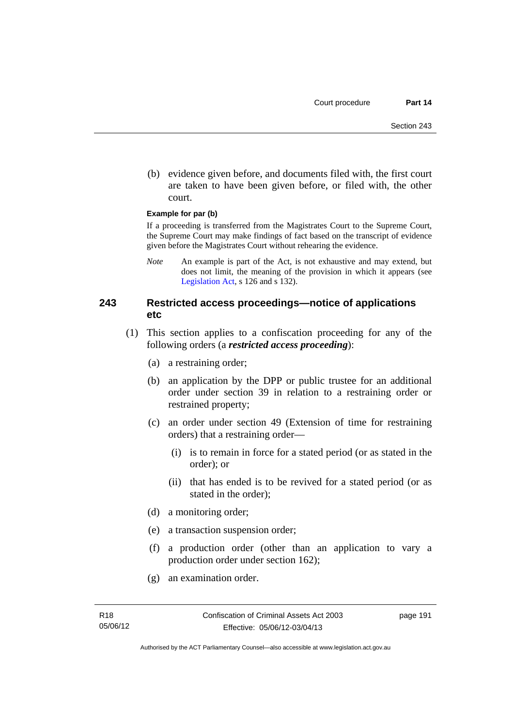(b) evidence given before, and documents filed with, the first court are taken to have been given before, or filed with, the other court.

### **Example for par (b)**

If a proceeding is transferred from the Magistrates Court to the Supreme Court, the Supreme Court may make findings of fact based on the transcript of evidence given before the Magistrates Court without rehearing the evidence.

*Note* An example is part of the Act, is not exhaustive and may extend, but does not limit, the meaning of the provision in which it appears (see [Legislation Act,](http://www.legislation.act.gov.au/a/2001-14) s 126 and s 132).

### **243 Restricted access proceedings—notice of applications etc**

- (1) This section applies to a confiscation proceeding for any of the following orders (a *restricted access proceeding*):
	- (a) a restraining order;
	- (b) an application by the DPP or public trustee for an additional order under section 39 in relation to a restraining order or restrained property;
	- (c) an order under section 49 (Extension of time for restraining orders) that a restraining order—
		- (i) is to remain in force for a stated period (or as stated in the order); or
		- (ii) that has ended is to be revived for a stated period (or as stated in the order);
	- (d) a monitoring order;
	- (e) a transaction suspension order;
	- (f) a production order (other than an application to vary a production order under section 162);
	- (g) an examination order.

page 191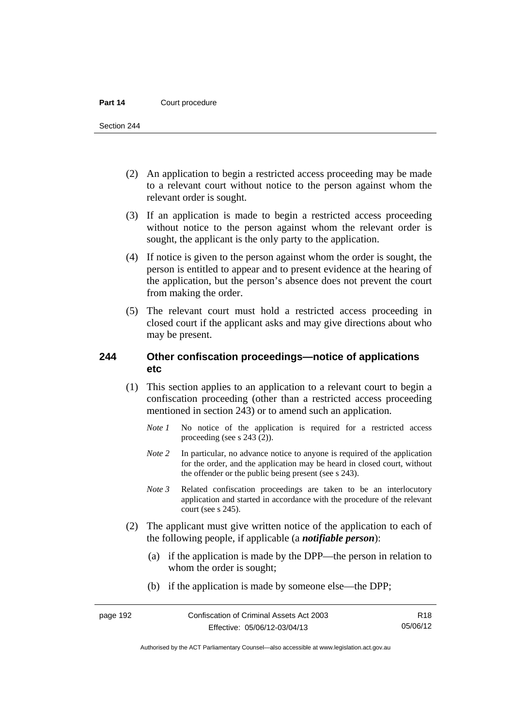Section 244

- (2) An application to begin a restricted access proceeding may be made to a relevant court without notice to the person against whom the relevant order is sought.
- (3) If an application is made to begin a restricted access proceeding without notice to the person against whom the relevant order is sought, the applicant is the only party to the application.
- (4) If notice is given to the person against whom the order is sought, the person is entitled to appear and to present evidence at the hearing of the application, but the person's absence does not prevent the court from making the order.
- (5) The relevant court must hold a restricted access proceeding in closed court if the applicant asks and may give directions about who may be present.

## **244 Other confiscation proceedings—notice of applications etc**

- (1) This section applies to an application to a relevant court to begin a confiscation proceeding (other than a restricted access proceeding mentioned in section 243) or to amend such an application.
	- *Note 1* No notice of the application is required for a restricted access proceeding (see s 243 (2)).
	- *Note 2* In particular, no advance notice to anyone is required of the application for the order, and the application may be heard in closed court, without the offender or the public being present (see s 243).
	- *Note 3* Related confiscation proceedings are taken to be an interlocutory application and started in accordance with the procedure of the relevant court (see s 245).
- (2) The applicant must give written notice of the application to each of the following people, if applicable (a *notifiable person*):
	- (a) if the application is made by the DPP—the person in relation to whom the order is sought;
	- (b) if the application is made by someone else—the DPP;

R18 05/06/12

Authorised by the ACT Parliamentary Counsel—also accessible at www.legislation.act.gov.au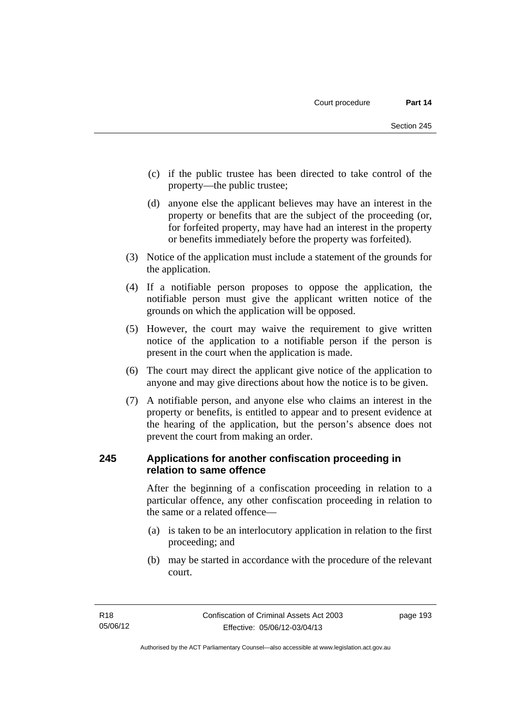- (c) if the public trustee has been directed to take control of the property—the public trustee;
- (d) anyone else the applicant believes may have an interest in the property or benefits that are the subject of the proceeding (or, for forfeited property, may have had an interest in the property or benefits immediately before the property was forfeited).
- (3) Notice of the application must include a statement of the grounds for the application.
- (4) If a notifiable person proposes to oppose the application, the notifiable person must give the applicant written notice of the grounds on which the application will be opposed.
- (5) However, the court may waive the requirement to give written notice of the application to a notifiable person if the person is present in the court when the application is made.
- (6) The court may direct the applicant give notice of the application to anyone and may give directions about how the notice is to be given.
- (7) A notifiable person, and anyone else who claims an interest in the property or benefits, is entitled to appear and to present evidence at the hearing of the application, but the person's absence does not prevent the court from making an order.

## **245 Applications for another confiscation proceeding in relation to same offence**

After the beginning of a confiscation proceeding in relation to a particular offence, any other confiscation proceeding in relation to the same or a related offence—

- (a) is taken to be an interlocutory application in relation to the first proceeding; and
- (b) may be started in accordance with the procedure of the relevant court.

page 193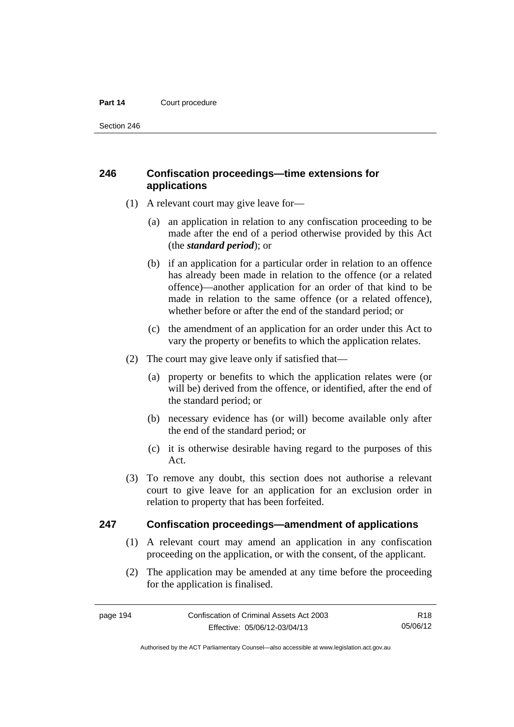Section 246

## **246 Confiscation proceedings—time extensions for applications**

- (1) A relevant court may give leave for—
	- (a) an application in relation to any confiscation proceeding to be made after the end of a period otherwise provided by this Act (the *standard period*); or
	- (b) if an application for a particular order in relation to an offence has already been made in relation to the offence (or a related offence)—another application for an order of that kind to be made in relation to the same offence (or a related offence), whether before or after the end of the standard period; or
	- (c) the amendment of an application for an order under this Act to vary the property or benefits to which the application relates.
- (2) The court may give leave only if satisfied that—
	- (a) property or benefits to which the application relates were (or will be) derived from the offence, or identified, after the end of the standard period; or
	- (b) necessary evidence has (or will) become available only after the end of the standard period; or
	- (c) it is otherwise desirable having regard to the purposes of this Act.
- (3) To remove any doubt, this section does not authorise a relevant court to give leave for an application for an exclusion order in relation to property that has been forfeited.

### **247 Confiscation proceedings—amendment of applications**

- (1) A relevant court may amend an application in any confiscation proceeding on the application, or with the consent, of the applicant.
- (2) The application may be amended at any time before the proceeding for the application is finalised.

R18 05/06/12

Authorised by the ACT Parliamentary Counsel—also accessible at www.legislation.act.gov.au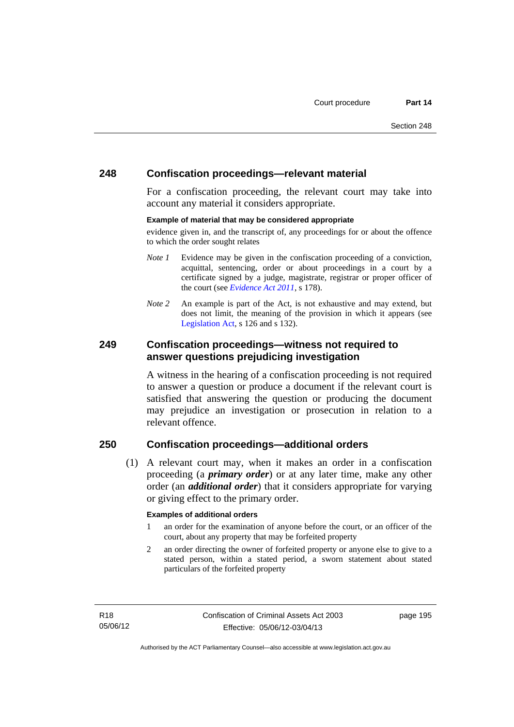## **248 Confiscation proceedings—relevant material**

For a confiscation proceeding, the relevant court may take into account any material it considers appropriate.

### **Example of material that may be considered appropriate**

evidence given in, and the transcript of, any proceedings for or about the offence to which the order sought relates

- *Note 1* Evidence may be given in the confiscation proceeding of a conviction, acquittal, sentencing, order or about proceedings in a court by a certificate signed by a judge, magistrate, registrar or proper officer of the court (see *[Evidence Act 2011](http://www.legislation.act.gov.au/a/2011-12)*, s 178).
- *Note* 2 An example is part of the Act, is not exhaustive and may extend, but does not limit, the meaning of the provision in which it appears (see [Legislation Act,](http://www.legislation.act.gov.au/a/2001-14) s 126 and s 132).

## **249 Confiscation proceedings—witness not required to answer questions prejudicing investigation**

A witness in the hearing of a confiscation proceeding is not required to answer a question or produce a document if the relevant court is satisfied that answering the question or producing the document may prejudice an investigation or prosecution in relation to a relevant offence.

## **250 Confiscation proceedings—additional orders**

 (1) A relevant court may, when it makes an order in a confiscation proceeding (a *primary order*) or at any later time, make any other order (an *additional order*) that it considers appropriate for varying or giving effect to the primary order.

### **Examples of additional orders**

- 1 an order for the examination of anyone before the court, or an officer of the court, about any property that may be forfeited property
- 2 an order directing the owner of forfeited property or anyone else to give to a stated person, within a stated period, a sworn statement about stated particulars of the forfeited property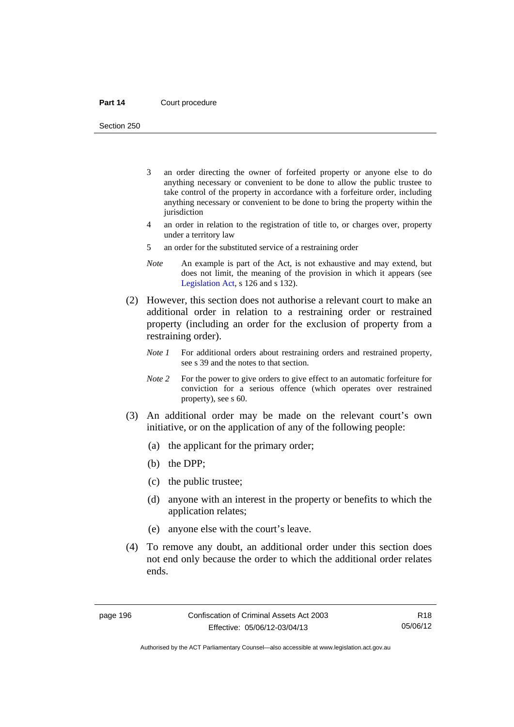Section 250

- 3 an order directing the owner of forfeited property or anyone else to do anything necessary or convenient to be done to allow the public trustee to take control of the property in accordance with a forfeiture order, including anything necessary or convenient to be done to bring the property within the jurisdiction
- 4 an order in relation to the registration of title to, or charges over, property under a territory law
- 5 an order for the substituted service of a restraining order
- *Note* An example is part of the Act, is not exhaustive and may extend, but does not limit, the meaning of the provision in which it appears (see [Legislation Act,](http://www.legislation.act.gov.au/a/2001-14) s 126 and s 132).
- (2) However, this section does not authorise a relevant court to make an additional order in relation to a restraining order or restrained property (including an order for the exclusion of property from a restraining order).
	- *Note 1* For additional orders about restraining orders and restrained property, see s 39 and the notes to that section.
	- *Note 2* For the power to give orders to give effect to an automatic forfeiture for conviction for a serious offence (which operates over restrained property), see s 60.
- (3) An additional order may be made on the relevant court's own initiative, or on the application of any of the following people:
	- (a) the applicant for the primary order;
	- (b) the DPP;
	- (c) the public trustee;
	- (d) anyone with an interest in the property or benefits to which the application relates;
	- (e) anyone else with the court's leave.
- (4) To remove any doubt, an additional order under this section does not end only because the order to which the additional order relates ends.

R18 05/06/12

Authorised by the ACT Parliamentary Counsel—also accessible at www.legislation.act.gov.au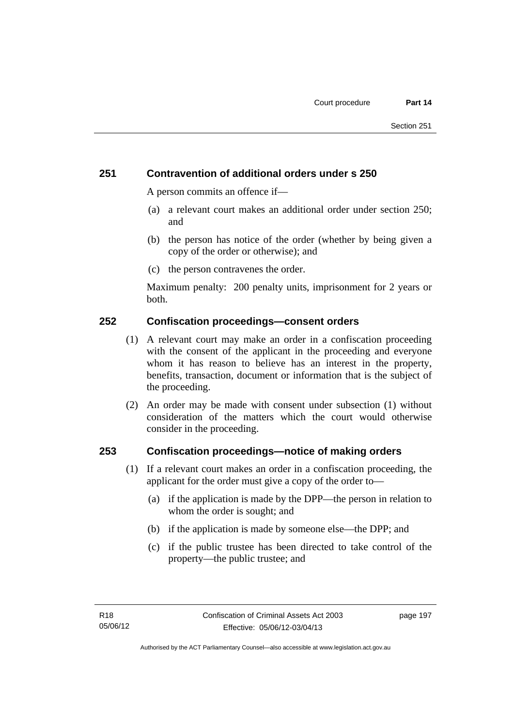## **251 Contravention of additional orders under s 250**

A person commits an offence if—

- (a) a relevant court makes an additional order under section 250; and
- (b) the person has notice of the order (whether by being given a copy of the order or otherwise); and
- (c) the person contravenes the order.

Maximum penalty: 200 penalty units, imprisonment for 2 years or both.

### **252 Confiscation proceedings—consent orders**

- (1) A relevant court may make an order in a confiscation proceeding with the consent of the applicant in the proceeding and everyone whom it has reason to believe has an interest in the property, benefits, transaction, document or information that is the subject of the proceeding.
- (2) An order may be made with consent under subsection (1) without consideration of the matters which the court would otherwise consider in the proceeding.

### **253 Confiscation proceedings—notice of making orders**

- (1) If a relevant court makes an order in a confiscation proceeding, the applicant for the order must give a copy of the order to—
	- (a) if the application is made by the DPP—the person in relation to whom the order is sought; and
	- (b) if the application is made by someone else—the DPP; and
	- (c) if the public trustee has been directed to take control of the property—the public trustee; and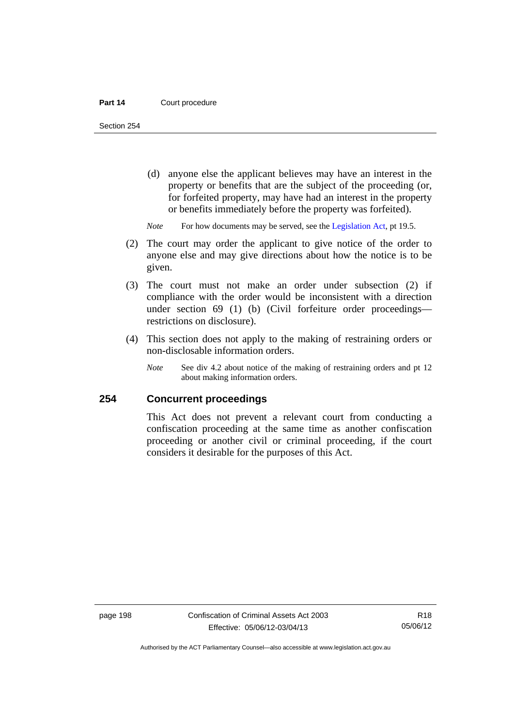Section 254

- (d) anyone else the applicant believes may have an interest in the property or benefits that are the subject of the proceeding (or, for forfeited property, may have had an interest in the property or benefits immediately before the property was forfeited).
- *Note* For how documents may be served, see the [Legislation Act,](http://www.legislation.act.gov.au/a/2001-14) pt 19.5.
- (2) The court may order the applicant to give notice of the order to anyone else and may give directions about how the notice is to be given.
- (3) The court must not make an order under subsection (2) if compliance with the order would be inconsistent with a direction under section 69 (1) (b) (Civil forfeiture order proceedings restrictions on disclosure).
- (4) This section does not apply to the making of restraining orders or non-disclosable information orders.
	- *Note* See div 4.2 about notice of the making of restraining orders and pt 12 about making information orders.

## **254 Concurrent proceedings**

This Act does not prevent a relevant court from conducting a confiscation proceeding at the same time as another confiscation proceeding or another civil or criminal proceeding, if the court considers it desirable for the purposes of this Act.

Authorised by the ACT Parliamentary Counsel—also accessible at www.legislation.act.gov.au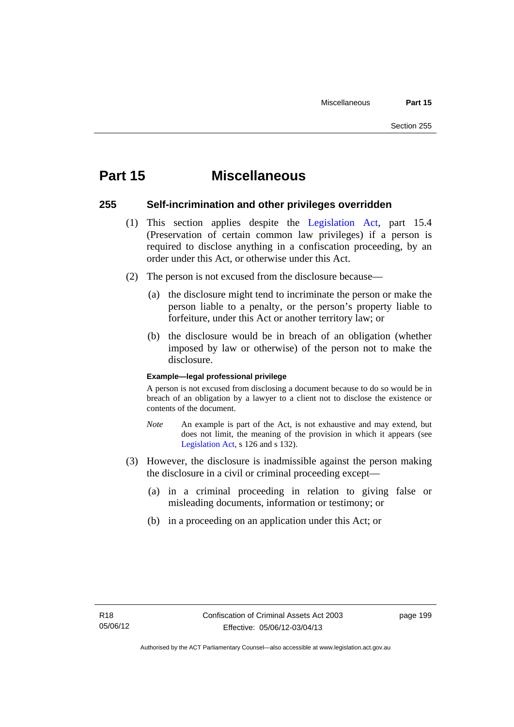# **Part 15 Miscellaneous**

### **255 Self-incrimination and other privileges overridden**

- (1) This section applies despite the [Legislation Act](http://www.legislation.act.gov.au/a/2001-14), part 15.4 (Preservation of certain common law privileges) if a person is required to disclose anything in a confiscation proceeding, by an order under this Act, or otherwise under this Act.
- (2) The person is not excused from the disclosure because—
	- (a) the disclosure might tend to incriminate the person or make the person liable to a penalty, or the person's property liable to forfeiture, under this Act or another territory law; or
	- (b) the disclosure would be in breach of an obligation (whether imposed by law or otherwise) of the person not to make the disclosure.

### **Example—legal professional privilege**

A person is not excused from disclosing a document because to do so would be in breach of an obligation by a lawyer to a client not to disclose the existence or contents of the document.

- *Note* An example is part of the Act, is not exhaustive and may extend, but does not limit, the meaning of the provision in which it appears (see [Legislation Act,](http://www.legislation.act.gov.au/a/2001-14) s 126 and s 132).
- (3) However, the disclosure is inadmissible against the person making the disclosure in a civil or criminal proceeding except—
	- (a) in a criminal proceeding in relation to giving false or misleading documents, information or testimony; or
	- (b) in a proceeding on an application under this Act; or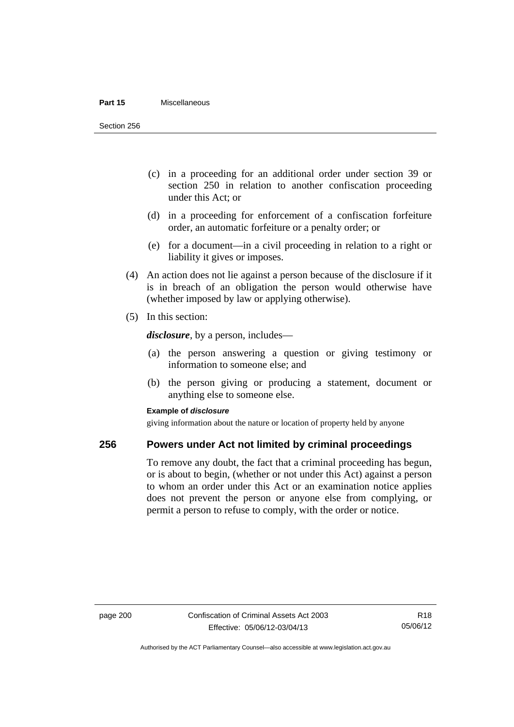#### **Part 15** Miscellaneous

Section 256

- (c) in a proceeding for an additional order under section 39 or section 250 in relation to another confiscation proceeding under this Act; or
- (d) in a proceeding for enforcement of a confiscation forfeiture order, an automatic forfeiture or a penalty order; or
- (e) for a document—in a civil proceeding in relation to a right or liability it gives or imposes.
- (4) An action does not lie against a person because of the disclosure if it is in breach of an obligation the person would otherwise have (whether imposed by law or applying otherwise).
- (5) In this section:

*disclosure*, by a person, includes—

- (a) the person answering a question or giving testimony or information to someone else; and
- (b) the person giving or producing a statement, document or anything else to someone else.

### **Example of** *disclosure*

giving information about the nature or location of property held by anyone

### **256 Powers under Act not limited by criminal proceedings**

To remove any doubt, the fact that a criminal proceeding has begun, or is about to begin, (whether or not under this Act) against a person to whom an order under this Act or an examination notice applies does not prevent the person or anyone else from complying, or permit a person to refuse to comply, with the order or notice.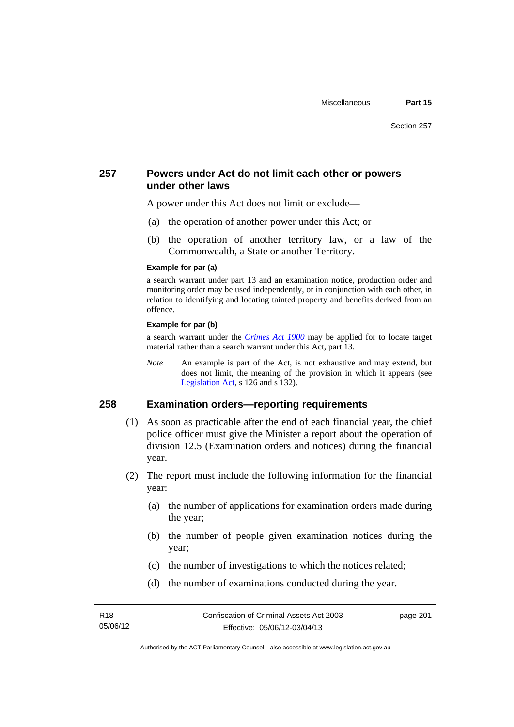### **257 Powers under Act do not limit each other or powers under other laws**

A power under this Act does not limit or exclude—

- (a) the operation of another power under this Act; or
- (b) the operation of another territory law, or a law of the Commonwealth, a State or another Territory.

#### **Example for par (a)**

a search warrant under part 13 and an examination notice, production order and monitoring order may be used independently, or in conjunction with each other, in relation to identifying and locating tainted property and benefits derived from an offence.

### **Example for par (b)**

a search warrant under the *[Crimes Act 1900](http://www.legislation.act.gov.au/a/1900-40)* may be applied for to locate target material rather than a search warrant under this Act, part 13.

*Note* An example is part of the Act, is not exhaustive and may extend, but does not limit, the meaning of the provision in which it appears (see [Legislation Act,](http://www.legislation.act.gov.au/a/2001-14) s 126 and s 132).

## **258 Examination orders—reporting requirements**

- (1) As soon as practicable after the end of each financial year, the chief police officer must give the Minister a report about the operation of division 12.5 (Examination orders and notices) during the financial year.
- (2) The report must include the following information for the financial year:
	- (a) the number of applications for examination orders made during the year;
	- (b) the number of people given examination notices during the year;
	- (c) the number of investigations to which the notices related;
	- (d) the number of examinations conducted during the year.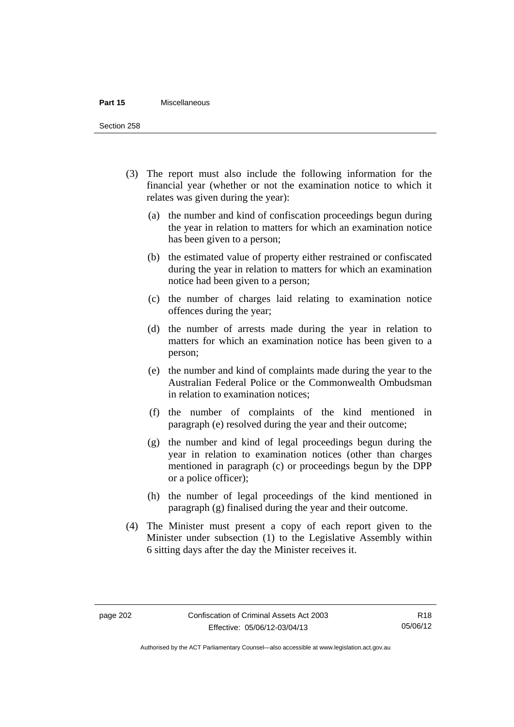#### **Part 15** Miscellaneous

Section 258

- (3) The report must also include the following information for the financial year (whether or not the examination notice to which it relates was given during the year):
	- (a) the number and kind of confiscation proceedings begun during the year in relation to matters for which an examination notice has been given to a person;
	- (b) the estimated value of property either restrained or confiscated during the year in relation to matters for which an examination notice had been given to a person;
	- (c) the number of charges laid relating to examination notice offences during the year;
	- (d) the number of arrests made during the year in relation to matters for which an examination notice has been given to a person;
	- (e) the number and kind of complaints made during the year to the Australian Federal Police or the Commonwealth Ombudsman in relation to examination notices;
	- (f) the number of complaints of the kind mentioned in paragraph (e) resolved during the year and their outcome;
	- (g) the number and kind of legal proceedings begun during the year in relation to examination notices (other than charges mentioned in paragraph (c) or proceedings begun by the DPP or a police officer);
	- (h) the number of legal proceedings of the kind mentioned in paragraph (g) finalised during the year and their outcome.
- (4) The Minister must present a copy of each report given to the Minister under subsection (1) to the Legislative Assembly within 6 sitting days after the day the Minister receives it.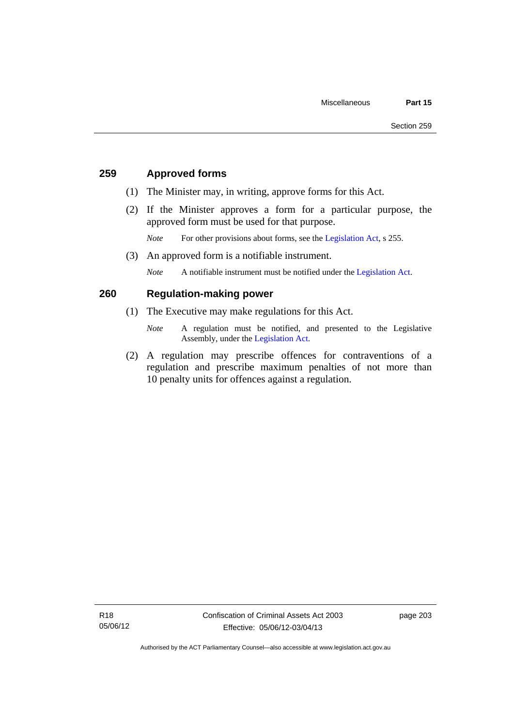## **259 Approved forms**

- (1) The Minister may, in writing, approve forms for this Act.
- (2) If the Minister approves a form for a particular purpose, the approved form must be used for that purpose.

*Note* For other provisions about forms, see the [Legislation Act,](http://www.legislation.act.gov.au/a/2001-14) s 255.

(3) An approved form is a notifiable instrument.

*Note* A notifiable instrument must be notified under the [Legislation Act](http://www.legislation.act.gov.au/a/2001-14).

## **260 Regulation-making power**

- (1) The Executive may make regulations for this Act.
	- *Note* A regulation must be notified, and presented to the Legislative Assembly, under the [Legislation Act](http://www.legislation.act.gov.au/a/2001-14).
- (2) A regulation may prescribe offences for contraventions of a regulation and prescribe maximum penalties of not more than 10 penalty units for offences against a regulation.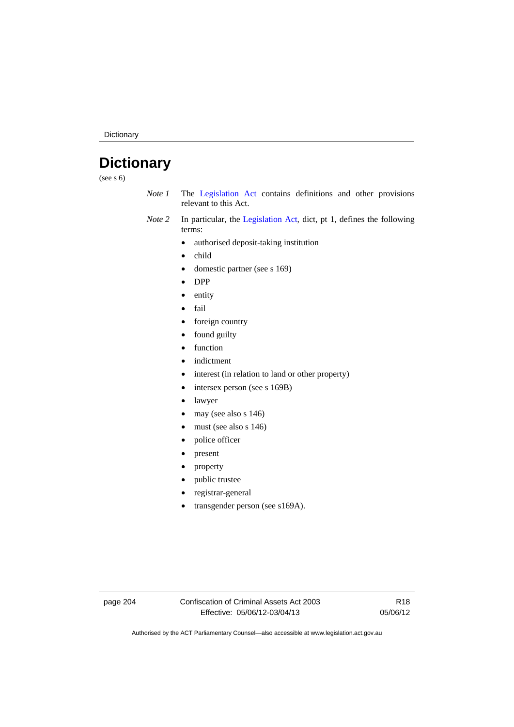Dictionary

# **Dictionary**

(see s 6)

- *Note 1* The [Legislation Act](http://www.legislation.act.gov.au/a/2001-14) contains definitions and other provisions relevant to this Act.
- *Note 2* In particular, the [Legislation Act,](http://www.legislation.act.gov.au/a/2001-14) dict, pt 1, defines the following terms:
	- authorised deposit-taking institution
	- child
	- domestic partner (see s 169)
	- DPP
	- entity
	- fail
	- foreign country
	- found guilty
	- function
	- indictment
	- interest (in relation to land or other property)
	- intersex person (see s 169B)
	- lawyer
	- $\bullet$  may (see also s 146)
	- must (see also s 146)
	- police officer
	- present
	- property
	- public trustee
	- registrar-general
	- transgender person (see s169A).

page 204 Confiscation of Criminal Assets Act 2003 Effective: 05/06/12-03/04/13

R18 05/06/12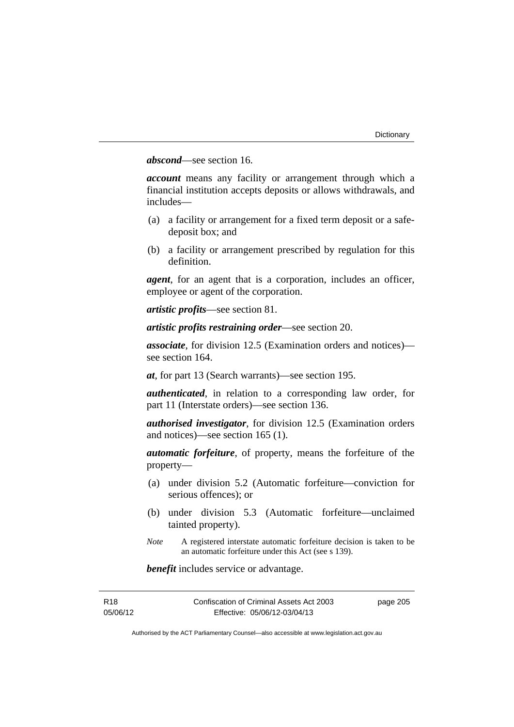## *abscond*—see section 16.

*account* means any facility or arrangement through which a financial institution accepts deposits or allows withdrawals, and includes—

- (a) a facility or arrangement for a fixed term deposit or a safedeposit box; and
- (b) a facility or arrangement prescribed by regulation for this definition.

*agent*, for an agent that is a corporation, includes an officer, employee or agent of the corporation.

*artistic profits*—see section 81.

*artistic profits restraining order*—see section 20.

*associate*, for division 12.5 (Examination orders and notices) see section 164.

*at*, for part 13 (Search warrants)—see section 195.

*authenticated*, in relation to a corresponding law order, for part 11 (Interstate orders)—see section 136.

*authorised investigator*, for division 12.5 (Examination orders and notices)—see section 165 (1).

*automatic forfeiture*, of property, means the forfeiture of the property—

- (a) under division 5.2 (Automatic forfeiture—conviction for serious offences); or
- (b) under division 5.3 (Automatic forfeiture—unclaimed tainted property).
- *Note* A registered interstate automatic forfeiture decision is taken to be an automatic forfeiture under this Act (see s 139).

*benefit* includes service or advantage.

| R18      | Confiscation of Criminal Assets Act 2003 | page 205 |
|----------|------------------------------------------|----------|
| 05/06/12 | Effective: 05/06/12-03/04/13             |          |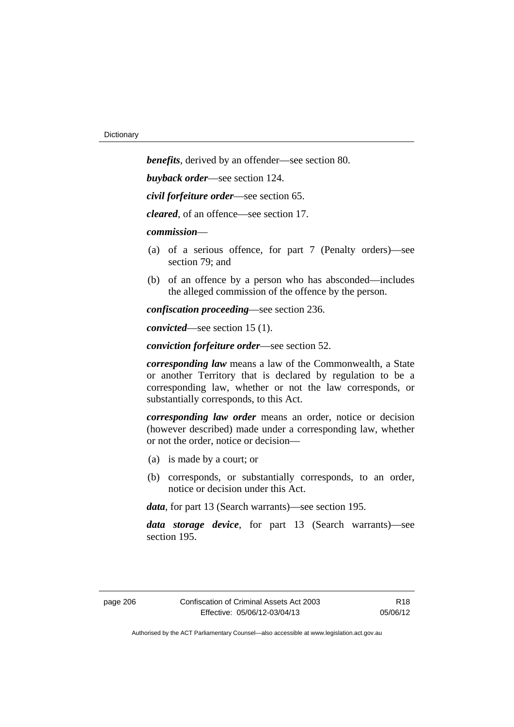*benefits*, derived by an offender—see section 80. *buyback order*—see section 124. *civil forfeiture order*—see section 65. *cleared*, of an offence—see section 17. *commission*— (a) of a serious offence, for part 7 (Penalty orders)—see section 79; and (b) of an offence by a person who has absconded—includes the alleged commission of the offence by the person. *confiscation proceeding*—see section 236.

*convicted*—see section 15 (1).

*conviction forfeiture order*—see section 52.

*corresponding law* means a law of the Commonwealth, a State or another Territory that is declared by regulation to be a corresponding law, whether or not the law corresponds, or substantially corresponds, to this Act.

*corresponding law order* means an order, notice or decision (however described) made under a corresponding law, whether or not the order, notice or decision—

- (a) is made by a court; or
- (b) corresponds, or substantially corresponds, to an order, notice or decision under this Act.

*data*, for part 13 (Search warrants)—see section 195.

*data storage device*, for part 13 (Search warrants)—see section 195.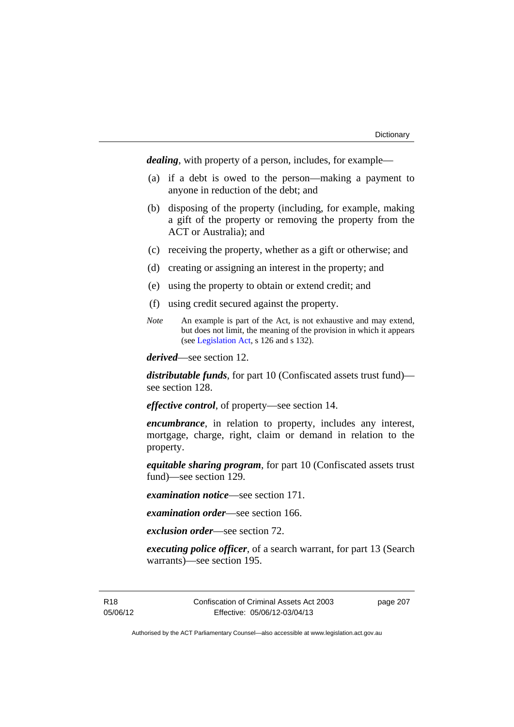*dealing*, with property of a person, includes, for example—

- (a) if a debt is owed to the person—making a payment to anyone in reduction of the debt; and
- (b) disposing of the property (including, for example, making a gift of the property or removing the property from the ACT or Australia); and
- (c) receiving the property, whether as a gift or otherwise; and
- (d) creating or assigning an interest in the property; and
- (e) using the property to obtain or extend credit; and
- (f) using credit secured against the property.
- *Note* An example is part of the Act, is not exhaustive and may extend, but does not limit, the meaning of the provision in which it appears (see [Legislation Act,](http://www.legislation.act.gov.au/a/2001-14) s 126 and s 132).

*derived*—see section 12.

*distributable funds*, for part 10 (Confiscated assets trust fund) see section 128.

*effective control*, of property—see section 14.

*encumbrance*, in relation to property, includes any interest, mortgage, charge, right, claim or demand in relation to the property.

*equitable sharing program*, for part 10 (Confiscated assets trust fund)—see section 129.

*examination notice*—see section 171.

*examination order*—see section 166.

*exclusion order*—see section 72.

*executing police officer*, of a search warrant, for part 13 (Search warrants)—see section 195.

R18 05/06/12 Confiscation of Criminal Assets Act 2003 Effective: 05/06/12-03/04/13

page 207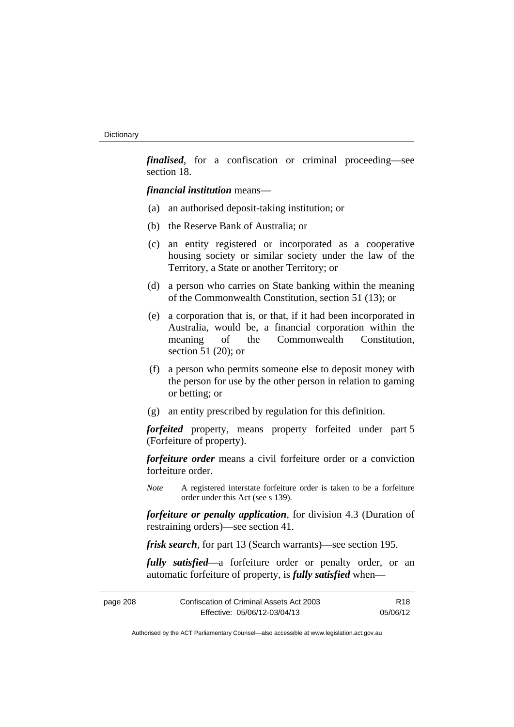*finalised*, for a confiscation or criminal proceeding—see section 18.

*financial institution* means—

- (a) an authorised deposit-taking institution; or
- (b) the Reserve Bank of Australia; or
- (c) an entity registered or incorporated as a cooperative housing society or similar society under the law of the Territory, a State or another Territory; or
- (d) a person who carries on State banking within the meaning of the Commonwealth Constitution, section 51 (13); or
- (e) a corporation that is, or that, if it had been incorporated in Australia, would be, a financial corporation within the meaning of the Commonwealth Constitution, section 51 (20); or
- (f) a person who permits someone else to deposit money with the person for use by the other person in relation to gaming or betting; or
- (g) an entity prescribed by regulation for this definition.

*forfeited* property, means property forfeited under part 5 (Forfeiture of property).

*forfeiture order* means a civil forfeiture order or a conviction forfeiture order.

*Note* A registered interstate forfeiture order is taken to be a forfeiture order under this Act (see s 139).

*forfeiture or penalty application*, for division 4.3 (Duration of restraining orders)—see section 41.

*frisk search*, for part 13 (Search warrants)—see section 195.

*fully satisfied*—a forfeiture order or penalty order, or an automatic forfeiture of property, is *fully satisfied* when—

| page 208 | Confiscation of Criminal Assets Act 2003 | <b>R18</b> |
|----------|------------------------------------------|------------|
|          | Effective: 05/06/12-03/04/13             | 05/06/12   |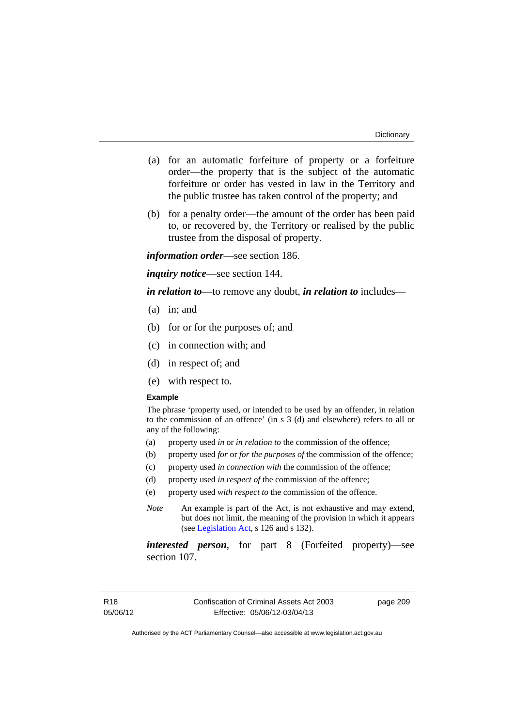- (a) for an automatic forfeiture of property or a forfeiture order—the property that is the subject of the automatic forfeiture or order has vested in law in the Territory and the public trustee has taken control of the property; and
- (b) for a penalty order—the amount of the order has been paid to, or recovered by, the Territory or realised by the public trustee from the disposal of property.

*information order*—see section 186.

*inquiry notice*—see section 144.

*in relation to*—to remove any doubt, *in relation to* includes—

- (a) in; and
- (b) for or for the purposes of; and
- (c) in connection with; and
- (d) in respect of; and
- (e) with respect to.

#### **Example**

The phrase 'property used, or intended to be used by an offender, in relation to the commission of an offence' (in s 3 (d) and elsewhere) refers to all or any of the following:

- (a) property used *in* or *in relation to* the commission of the offence;
- (b) property used *for* or *for the purposes of* the commission of the offence;
- (c) property used *in connection with* the commission of the offence;
- (d) property used *in respect of* the commission of the offence;
- (e) property used *with respect to* the commission of the offence.
- *Note* An example is part of the Act, is not exhaustive and may extend, but does not limit, the meaning of the provision in which it appears (see [Legislation Act,](http://www.legislation.act.gov.au/a/2001-14) s 126 and s 132).

*interested person*, for part 8 (Forfeited property)—see section 107.

page 209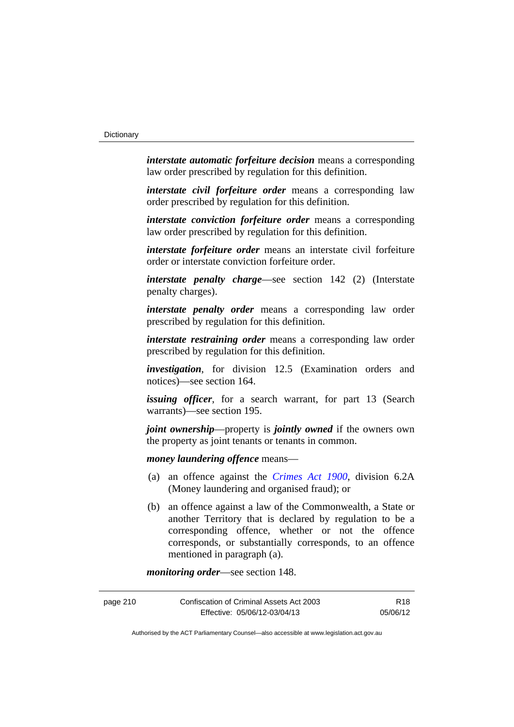*interstate automatic forfeiture decision* means a corresponding law order prescribed by regulation for this definition.

*interstate civil forfeiture order* means a corresponding law order prescribed by regulation for this definition.

*interstate conviction forfeiture order* means a corresponding law order prescribed by regulation for this definition.

*interstate forfeiture order* means an interstate civil forfeiture order or interstate conviction forfeiture order.

*interstate penalty charge*—see section 142 (2) (Interstate penalty charges).

*interstate penalty order* means a corresponding law order prescribed by regulation for this definition.

*interstate restraining order* means a corresponding law order prescribed by regulation for this definition.

*investigation*, for division 12.5 (Examination orders and notices)—see section 164.

*issuing officer*, for a search warrant, for part 13 (Search warrants)—see section 195.

*joint ownership*—property is *jointly owned* if the owners own the property as joint tenants or tenants in common.

*money laundering offence* means—

- (a) an offence against the *[Crimes Act 1900](http://www.legislation.act.gov.au/a/1900-40)*, division 6.2A (Money laundering and organised fraud); or
- (b) an offence against a law of the Commonwealth, a State or another Territory that is declared by regulation to be a corresponding offence, whether or not the offence corresponds, or substantially corresponds, to an offence mentioned in paragraph (a).

*monitoring order*—see section 148.

| page 210 | Confiscation of Criminal Assets Act 2003 | R18      |
|----------|------------------------------------------|----------|
|          | Effective: 05/06/12-03/04/13             | 05/06/12 |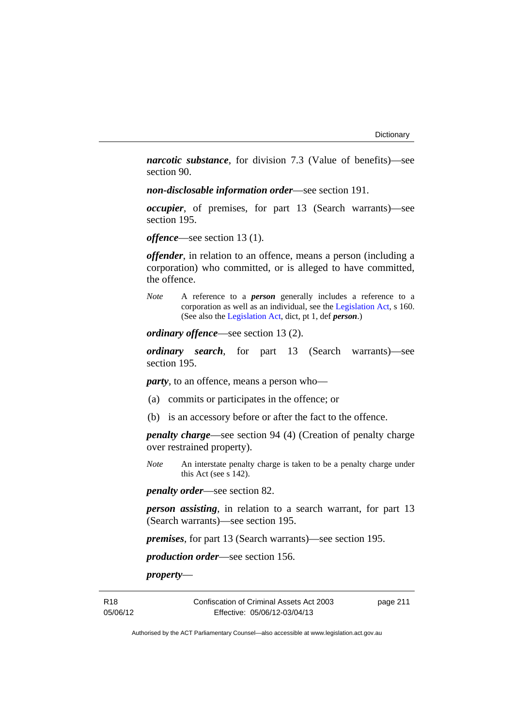*narcotic substance*, for division 7.3 (Value of benefits)—see section 90.

*non-disclosable information order*—see section 191.

*occupier*, of premises, for part 13 (Search warrants)—see section 195.

*offence*—see section 13 (1).

*offender*, in relation to an offence, means a person (including a corporation) who committed, or is alleged to have committed, the offence.

*Note* A reference to a *person* generally includes a reference to a corporation as well as an individual, see the [Legislation Act](http://www.legislation.act.gov.au/a/2001-14), s 160. (See also the [Legislation Act,](http://www.legislation.act.gov.au/a/2001-14) dict, pt 1, def *person*.)

*ordinary offence*—see section 13 (2).

*ordinary search*, for part 13 (Search warrants)—see section 195.

*party*, to an offence, means a person who—

- (a) commits or participates in the offence; or
- (b) is an accessory before or after the fact to the offence.

*penalty charge*—see section 94 (4) (Creation of penalty charge over restrained property).

*Note* An interstate penalty charge is taken to be a penalty charge under this Act (see s 142).

*penalty order*—see section 82.

*person assisting*, in relation to a search warrant, for part 13 (Search warrants)—see section 195.

*premises*, for part 13 (Search warrants)—see section 195.

*production order*—see section 156.

*property*—

R18 05/06/12 Confiscation of Criminal Assets Act 2003 Effective: 05/06/12-03/04/13

page 211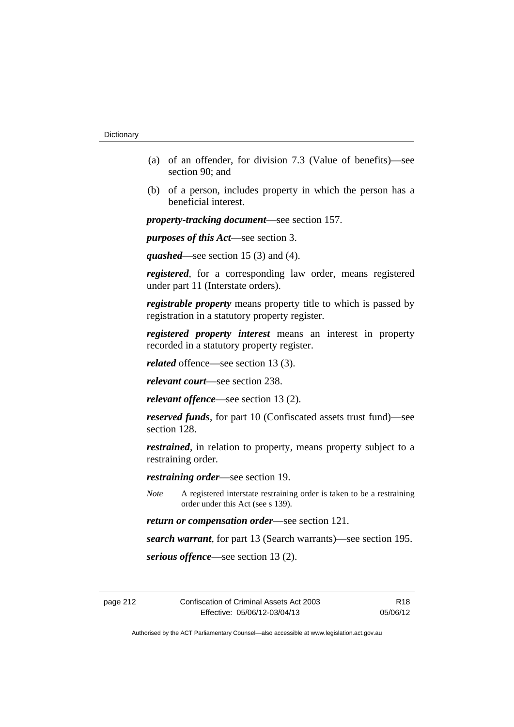- (a) of an offender, for division 7.3 (Value of benefits)—see section 90; and
- (b) of a person, includes property in which the person has a beneficial interest.

*property-tracking document*—see section 157.

*purposes of this Act*—see section 3.

*quashed*—see section 15 (3) and (4).

*registered*, for a corresponding law order, means registered under part 11 (Interstate orders).

*registrable property* means property title to which is passed by registration in a statutory property register.

*registered property interest* means an interest in property recorded in a statutory property register.

*related* offence—see section 13 (3).

*relevant court*—see section 238.

*relevant offence*—see section 13 (2).

*reserved funds*, for part 10 (Confiscated assets trust fund)—see section 128.

*restrained*, in relation to property, means property subject to a restraining order.

*restraining order*—see section 19.

*Note* A registered interstate restraining order is taken to be a restraining order under this Act (see s 139).

*return or compensation order*—see section 121.

*search warrant*, for part 13 (Search warrants)—see section 195.

*serious offence*—see section 13 (2).

page 212 Confiscation of Criminal Assets Act 2003 Effective: 05/06/12-03/04/13

R18 05/06/12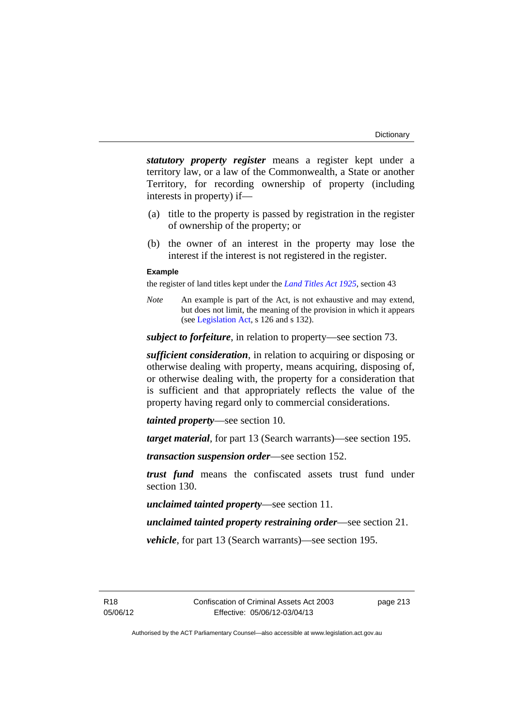*statutory property register* means a register kept under a territory law, or a law of the Commonwealth, a State or another Territory, for recording ownership of property (including interests in property) if—

- (a) title to the property is passed by registration in the register of ownership of the property; or
- (b) the owner of an interest in the property may lose the interest if the interest is not registered in the register.

## **Example**

the register of land titles kept under the *[Land Titles Act 1925](http://www.legislation.act.gov.au/a/1925-1)*, section 43

*Note* An example is part of the Act, is not exhaustive and may extend, but does not limit, the meaning of the provision in which it appears (see [Legislation Act,](http://www.legislation.act.gov.au/a/2001-14) s 126 and s 132).

*subject to forfeiture*, in relation to property—see section 73.

*sufficient consideration*, in relation to acquiring or disposing or otherwise dealing with property, means acquiring, disposing of, or otherwise dealing with, the property for a consideration that is sufficient and that appropriately reflects the value of the property having regard only to commercial considerations.

*tainted property*—see section 10.

*target material*, for part 13 (Search warrants)—see section 195.

*transaction suspension order*—see section 152.

*trust fund* means the confiscated assets trust fund under section 130.

*unclaimed tainted property*—see section 11.

*unclaimed tainted property restraining order*—see section 21.

*vehicle*, for part 13 (Search warrants)—see section 195.

R18 05/06/12 page 213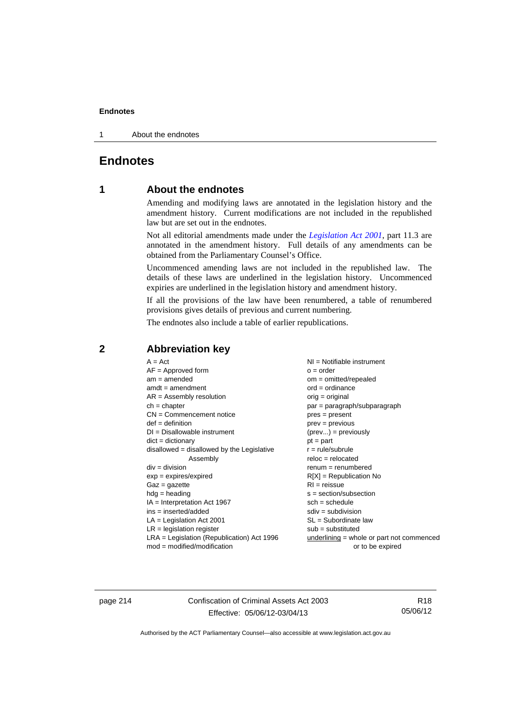1 About the endnotes

## **Endnotes**

## **1 About the endnotes**

Amending and modifying laws are annotated in the legislation history and the amendment history. Current modifications are not included in the republished law but are set out in the endnotes.

Not all editorial amendments made under the *[Legislation Act 2001](http://www.legislation.act.gov.au/a/2001-14)*, part 11.3 are annotated in the amendment history. Full details of any amendments can be obtained from the Parliamentary Counsel's Office.

Uncommenced amending laws are not included in the republished law. The details of these laws are underlined in the legislation history. Uncommenced expiries are underlined in the legislation history and amendment history.

If all the provisions of the law have been renumbered, a table of renumbered provisions gives details of previous and current numbering.

The endnotes also include a table of earlier republications.

## **2 Abbreviation key**

page 214 Confiscation of Criminal Assets Act 2003 Effective: 05/06/12-03/04/13

R18 05/06/12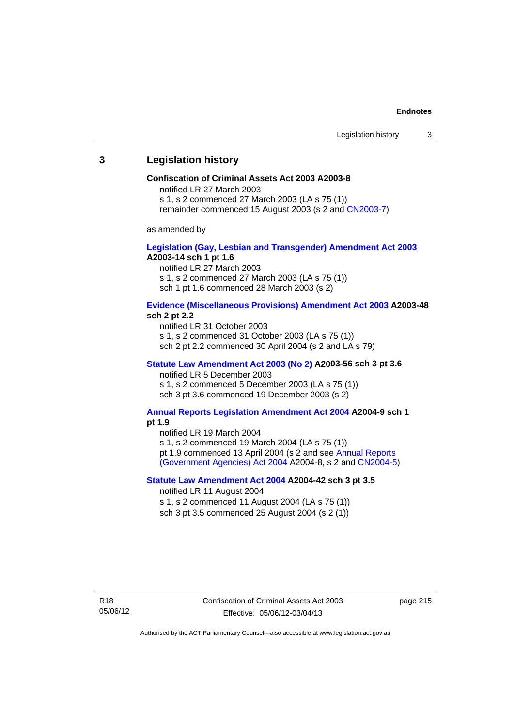## **3 Legislation history**

#### **Confiscation of Criminal Assets Act 2003 A2003-8**

notified LR 27 March 2003

s 1, s 2 commenced 27 March 2003 (LA s 75 (1))

remainder commenced 15 August 2003 (s 2 and [CN2003-7](http://www.legislation.act.gov.au/cn/2003-7/default.asp))

as amended by

#### **[Legislation \(Gay, Lesbian and Transgender\) Amendment Act 2003](http://www.legislation.act.gov.au/a/2003-14) A2003-14 sch 1 pt 1.6**

notified LR 27 March 2003 s 1, s 2 commenced 27 March 2003 (LA s 75 (1)) sch 1 pt 1.6 commenced 28 March 2003 (s 2)

#### **[Evidence \(Miscellaneous Provisions\) Amendment Act 2003](http://www.legislation.act.gov.au/a/2003-48) A2003-48 sch 2 pt 2.2**

notified LR 31 October 2003 s 1, s 2 commenced 31 October 2003 (LA s 75 (1)) sch 2 pt 2.2 commenced 30 April 2004 (s 2 and LA s 79)

#### **[Statute Law Amendment Act 2003 \(No 2\)](http://www.legislation.act.gov.au/a/2003-56) A2003-56 sch 3 pt 3.6**  notified LR 5 December 2003

s 1, s 2 commenced 5 December 2003 (LA s 75 (1)) sch 3 pt 3.6 commenced 19 December 2003 (s 2)

#### **[Annual Reports Legislation Amendment Act 2004](http://www.legislation.act.gov.au/a/2004-9) A2004-9 sch 1 pt 1.9**

notified LR 19 March 2004

s 1, s 2 commenced 19 March 2004 (LA s 75 (1)) pt 1.9 commenced 13 April 2004 (s 2 and see [Annual Reports](http://www.legislation.act.gov.au/a/2004-8) 

[\(Government Agencies\) Act 2004](http://www.legislation.act.gov.au/a/2004-8) A2004-8, s 2 and [CN2004-5](http://www.legislation.act.gov.au/cn/2004-5/default.asp))

#### **[Statute Law Amendment Act 2004](http://www.legislation.act.gov.au/a/2004-42) A2004-42 sch 3 pt 3.5**

notified LR 11 August 2004

s 1, s 2 commenced 11 August 2004 (LA s 75 (1)) sch 3 pt 3.5 commenced 25 August 2004 (s 2 (1))

page 215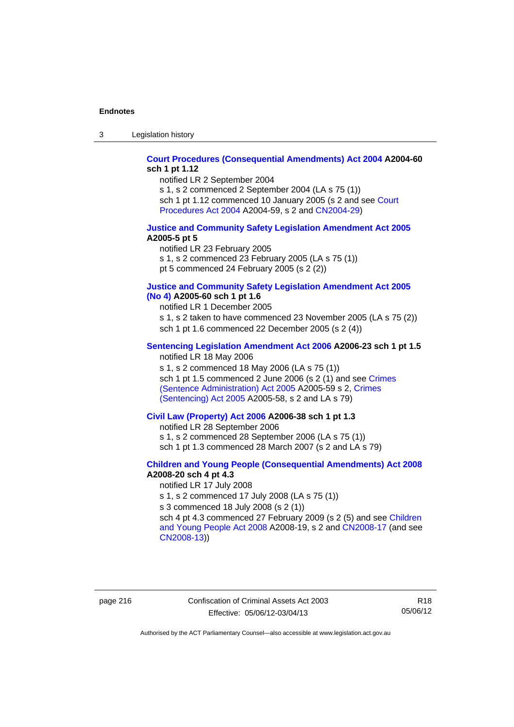3 Legislation history

### **[Court Procedures \(Consequential Amendments\) Act 2004](http://www.legislation.act.gov.au/a/2004-60) A2004-60 sch 1 pt 1.12**

notified LR 2 September 2004

s 1, s 2 commenced 2 September 2004 (LA s 75 (1)) sch 1 pt 1.12 commenced 10 January 2005 (s 2 and see Court [Procedures Act 2004](http://www.legislation.act.gov.au/a/2004-59) A2004-59, s 2 and [CN2004-29\)](http://www.legislation.act.gov.au/cn/2004-29/default.asp)

#### **[Justice and Community Safety Legislation Amendment Act 2005](http://www.legislation.act.gov.au/a/2005-5) A2005-5 pt 5**

notified LR 23 February 2005 s 1, s 2 commenced 23 February 2005 (LA s 75 (1)) pt 5 commenced 24 February 2005 (s 2 (2))

#### **[Justice and Community Safety Legislation Amendment Act 2005](http://www.legislation.act.gov.au/a/2005-60)  [\(No 4\)](http://www.legislation.act.gov.au/a/2005-60) A2005-60 sch 1 pt 1.6**

notified LR 1 December 2005 s 1, s 2 taken to have commenced 23 November 2005 (LA s 75 (2)) sch 1 pt 1.6 commenced 22 December 2005 (s 2 (4))

## **[Sentencing Legislation Amendment Act 2006](http://www.legislation.act.gov.au/a/2006-23) A2006-23 sch 1 pt 1.5**

notified LR 18 May 2006

s 1, s 2 commenced 18 May 2006 (LA s 75 (1)) sch 1 pt 1.5 commenced 2 June 2006 (s 2 (1) and see [Crimes](http://www.legislation.act.gov.au/a/2005-59)  [\(Sentence Administration\) Act 2005](http://www.legislation.act.gov.au/a/2005-59) A2005-59 s 2, [Crimes](http://www.legislation.act.gov.au/a/2005-58)  [\(Sentencing\) Act 2005](http://www.legislation.act.gov.au/a/2005-58) A2005-58, s 2 and LA s 79)

## **[Civil Law \(Property\) Act 2006](http://www.legislation.act.gov.au/a/2006-38) A2006-38 sch 1 pt 1.3**

notified LR 28 September 2006

s 1, s 2 commenced 28 September 2006 (LA s 75 (1))

sch 1 pt 1.3 commenced 28 March 2007 (s 2 and LA s 79)

### **[Children and Young People \(Consequential Amendments\) Act 2008](http://www.legislation.act.gov.au/a/2008-20) A2008-20 sch 4 pt 4.3**

notified LR 17 July 2008

s 1, s 2 commenced 17 July 2008 (LA s 75 (1))

s 3 commenced 18 July 2008 (s 2 (1))

sch 4 pt 4.3 commenced 27 February 2009 (s 2 (5) and see [Children](http://www.legislation.act.gov.au/a/2008-19)  [and Young People Act 2008](http://www.legislation.act.gov.au/a/2008-19) A2008-19, s 2 and [CN2008-17 \(](http://www.legislation.act.gov.au/cn/2008-17/default.asp)and see [CN2008-13](http://www.legislation.act.gov.au/cn/2008-13/default.asp)))

page 216 Confiscation of Criminal Assets Act 2003 Effective: 05/06/12-03/04/13

R18 05/06/12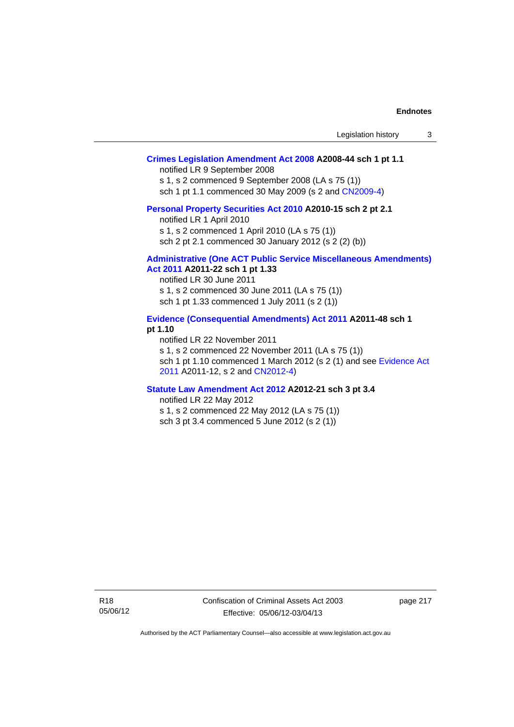| Legislation history |  |  |
|---------------------|--|--|
|---------------------|--|--|

## **[Crimes Legislation Amendment Act 2008](http://www.legislation.act.gov.au/a/2008-44) A2008-44 sch 1 pt 1.1**

notified LR 9 September 2008

s 1, s 2 commenced 9 September 2008 (LA s 75 (1))

sch 1 pt 1.1 commenced 30 May 2009 (s 2 and [CN2009-4\)](http://www.legislation.act.gov.au/cn/2009-4/default.asp)

#### **[Personal Property Securities Act 2010](http://www.legislation.act.gov.au/a/2010-15) A2010-15 sch 2 pt 2.1**

notified LR 1 April 2010

s 1, s 2 commenced 1 April 2010 (LA s 75 (1))

sch 2 pt 2.1 commenced 30 January 2012 (s 2 (2) (b))

## **[Administrative \(One ACT Public Service Miscellaneous Amendments\)](http://www.legislation.act.gov.au/a/2011-22)**

**[Act 2011](http://www.legislation.act.gov.au/a/2011-22) A2011-22 sch 1 pt 1.33**  notified LR 30 June 2011 s 1, s 2 commenced 30 June 2011 (LA s 75 (1)) sch 1 pt 1.33 commenced 1 July 2011 (s 2 (1))

#### **[Evidence \(Consequential Amendments\) Act 2011](http://www.legislation.act.gov.au/a/2011-48) A2011-48 sch 1 pt 1.10**

notified LR 22 November 2011 s 1, s 2 commenced 22 November 2011 (LA s 75 (1)) sch 1 pt 1.10 commenced 1 March 2012 (s 2 (1) and see [Evidence Act](http://www.legislation.act.gov.au/a/2011-12)  [2011](http://www.legislation.act.gov.au/a/2011-12) A2011-12, s 2 and [CN2012-4](http://www.legislation.act.gov.au/cn/2012-4/default.asp))

#### **[Statute Law Amendment Act 2012](http://www.legislation.act.gov.au/a/2012-21) A2012-21 sch 3 pt 3.4**

notified LR 22 May 2012 s 1, s 2 commenced 22 May 2012 (LA s 75 (1))

sch 3 pt 3.4 commenced 5 June 2012 (s 2 (1))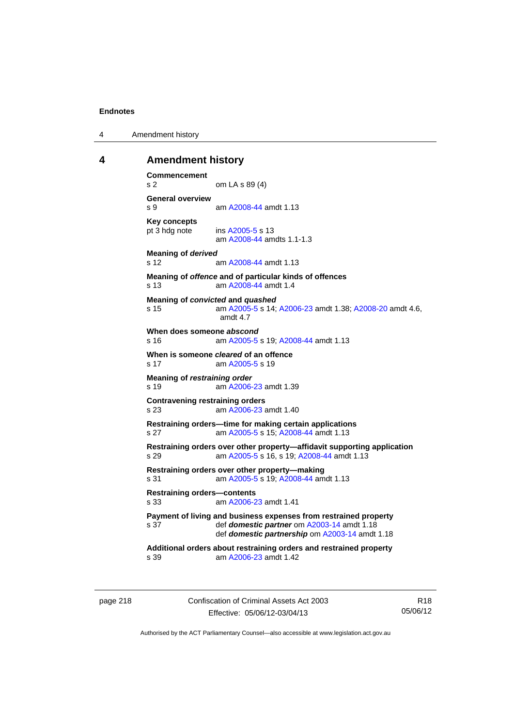4 Amendment history

### **4 Amendment history**

```
Commencement 
s 2 om LA s 89 (4) 
General overview 
s 9 am A2008-44 amdt 1.13
Key concepts 
pt 3 hdg note ins A2005-5 s 13 
                am A2008-44 amdts 1.1-1.3
Meaning of derived 
s 12 am A2008-44 amdt 1.13
Meaning of offence and of particular kinds of offences 
s 13 am A2008-44 amdt 1.4
Meaning of convicted and quashed
s 15 am A2005-5 s 14; A2006-23 amdt 1.38; A2008-20 amdt 4.6, 
                amdt 4.7 
When does someone abscond
s 16 am A2005-5 s 19; A2008-44 amdt 1.13
When is someone cleared of an offence 
 A2005-5 s 19
Meaning of restraining order 
s 19  A2006-23 amdt 1.39
Contravening restraining orders 
s 23 am A2006-23 amdt 1.40
Restraining orders—time for making certain applications 
s 27 am A2005-5 s 15; A2008-44 amdt 1.13
Restraining orders over other property—affidavit supporting application 
s 29 am A2005-5 s 16, s 19; A2008-44 amdt 1.13 
Restraining orders over other property—making 
s 31 am A2005-5 s 19; A2008-44 amdt 1.13
Restraining orders—contents 
s 33 am A2006-23 amdt 1.41
Payment of living and business expenses from restrained property 
s 37 def domestic partner om A2003-14 amdt 1.18 
                def domestic partnership om A2003-14 amdt 1.18 
Additional orders about restraining orders and restrained property 
s 39 am A2006-23 amdt 1.42
```
page 218 Confiscation of Criminal Assets Act 2003 Effective: 05/06/12-03/04/13

R18 05/06/12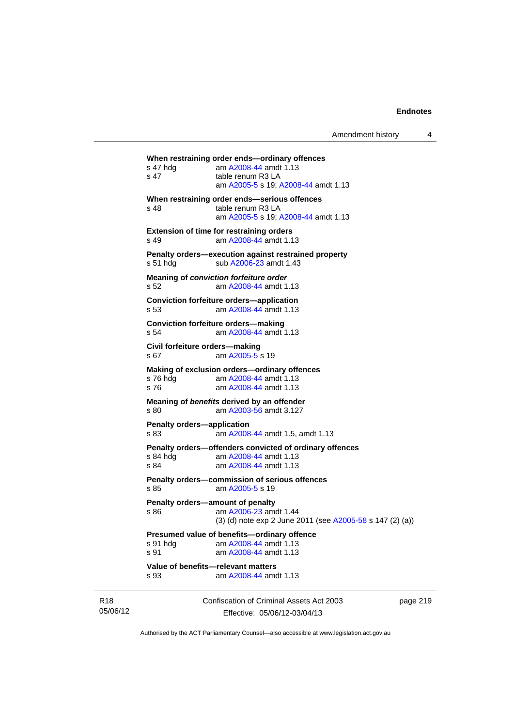| Amendment history |  |
|-------------------|--|
|-------------------|--|

```
Confiscation of Criminal Assets Act 2003 
When restraining order ends—ordinary offences 
s 47 hdg am A2008-44 amdt 1.13
s 47 table renum R3 LA
                 am A2005-5 s 19; A2008-44 amdt 1.13
When restraining order ends—serious offences 
s 48 table renum R3 LA
                 am A2005-5 s 19; A2008-44 amdt 1.13
Extension of time for restraining orders 
s 49 am A2008-44 amdt 1.13
Penalty orders—execution against restrained property 
A2006-23 amdt 1.43
Meaning of conviction forfeiture order 
s 52 am A2008-44 amdt 1.13
Conviction forfeiture orders—application
s 53 am A2008-44 amdt 1.13
Conviction forfeiture orders—making
s 54 am A2008-44 amdt 1.13
Civil forfeiture orders—making 
 A2005-5 s 19
Making of exclusion orders—ordinary offences 
s 76 hdg am A2008-44 amdt 1.13
s 76 am A2008-44 amdt 1.13
Meaning of benefits derived by an offender 
s 80 am A2003-56 amdt 3.127
Penalty orders—application 
s 83 am A2008-44 amdt 1.5, amdt 1.13
Penalty orders—offenders convicted of ordinary offences 
 A2008-44 amdt 1.13<br>s 84 am A2008-44 amdt 1.13
                 A2008-44 amdt 1.13
Penalty orders—commission of serious offences 
 A2005-5 s 19
Penalty orders—amount of penalty 
s 86  A2006-23 amdt 1.44
                (3) (d) note exp 2 June 2011 (see A2005-58 s 147 (2) (a))
Presumed value of benefits—ordinary offence<br>s 91 hdg am A2008-44 amdt 1.13
 A2008-44 amdt 1.13<br>s 91 am A2008-44 amdt 1.13
                 A2008-44 amdt 1.13
Value of benefits—relevant matters 
s 93 am A2008-44 amdt 1.13
```
R18 05/06/12

Effective: 05/06/12-03/04/13

page 219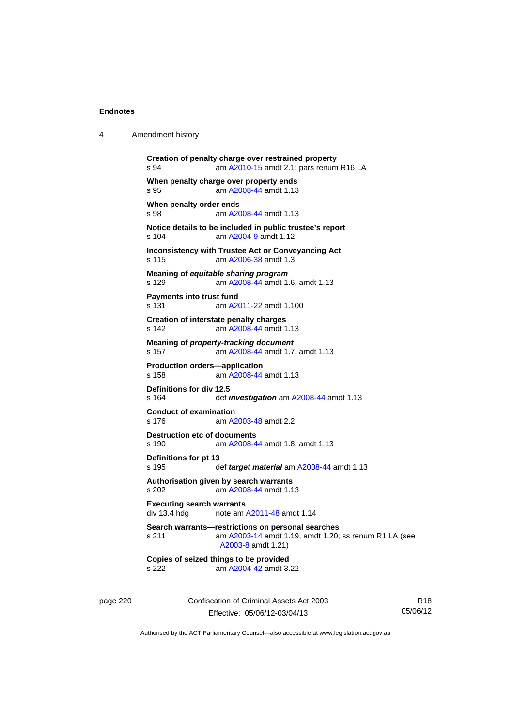4 Amendment history

|                                                  | am A2010-15 amdt 2.1; pars renum R16 LA                                                                                          |
|--------------------------------------------------|----------------------------------------------------------------------------------------------------------------------------------|
| s 95                                             | When penalty charge over property ends<br>am A2008-44 amdt 1.13                                                                  |
| When penalty order ends<br>s 98                  | am A2008-44 amdt 1.13                                                                                                            |
| $s$ 104                                          | Notice details to be included in public trustee's report<br>am A2004-9 amdt 1.12                                                 |
| s 115                                            | Inconsistency with Trustee Act or Conveyancing Act<br>am A2006-38 amdt 1.3                                                       |
| s 129                                            | Meaning of equitable sharing program<br>am A2008-44 amdt 1.6, amdt 1.13                                                          |
| Payments into trust fund<br>s 131                | am A2011-22 amdt 1.100                                                                                                           |
| s 142                                            | <b>Creation of interstate penalty charges</b><br>am A2008-44 amdt 1.13                                                           |
| s 157                                            | Meaning of property-tracking document<br>am A2008-44 amdt 1.7, amdt 1.13                                                         |
| s 158                                            | <b>Production orders-application</b><br>am A2008-44 amdt 1.13                                                                    |
| Definitions for div 12.5<br>s 164                | def <i>investigation</i> am A2008-44 amdt 1.13                                                                                   |
| <b>Conduct of examination</b><br>s 176           | am A2003-48 amdt 2.2                                                                                                             |
| s 190                                            | <b>Destruction etc of documents</b><br>am A2008-44 amdt 1.8, amdt 1.13                                                           |
| Definitions for pt 13<br>s 195                   | def target material am A2008-44 amdt 1.13                                                                                        |
| s 202                                            | Authorisation given by search warrants<br>am A2008-44 amdt 1.13                                                                  |
| <b>Executing search warrants</b><br>div 13.4 hdg | note am A2011-48 amdt 1.14                                                                                                       |
| s 211                                            | Search warrants-restrictions on personal searches<br>am A2003-14 amdt 1.19, amdt 1.20; ss renum R1 LA (see<br>A2003-8 amdt 1.21) |
|                                                  | Copies of seized things to be provided                                                                                           |

page 220 Confiscation of Criminal Assets Act 2003 Effective: 05/06/12-03/04/13

R18 05/06/12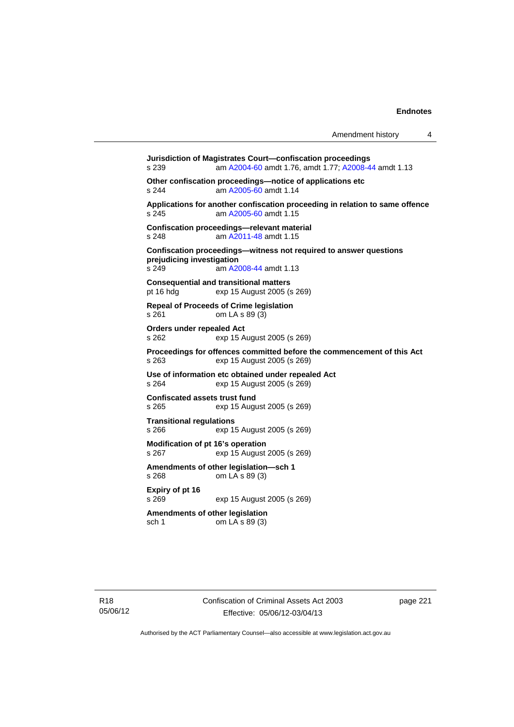**Jurisdiction of Magistrates Court—confiscation proceedings**  s 239 am [A2004-60](http://www.legislation.act.gov.au/a/2004-60) amdt 1.76, amdt 1.77; [A2008-44](http://www.legislation.act.gov.au/a/2008-44) amdt 1.13 **Other confiscation proceedings—notice of applications etc**  s 244 am [A2005-60](http://www.legislation.act.gov.au/a/2005-60) amdt 1.14 **Applications for another confiscation proceeding in relation to same offence**  s 245 am [A2005-60](http://www.legislation.act.gov.au/a/2005-60) amdt 1.15 **Confiscation proceedings—relevant material**  s 248 am [A2011-48](http://www.legislation.act.gov.au/a/2011-48) amdt 1.15 **Confiscation proceedings—witness not required to answer questions prejudicing investigation**  s 249 **am [A2008-44](http://www.legislation.act.gov.au/a/2008-44) amdt 1.13 Consequential and transitional matters**  pt 16 hdg exp 15 August 2005 (s 269) **Repeal of Proceeds of Crime legislation**  s 261 om LA s 89 (3) **Orders under repealed Act**  s 262 exp 15 August 2005 (s 269) **Proceedings for offences committed before the commencement of this Act**  s 263 exp 15 August 2005 (s 269) **Use of information etc obtained under repealed Act**  exp 15 August 2005 (s 269) **Confiscated assets trust fund**  s 265 exp 15 August 2005 (s 269) **Transitional regulations**  exp 15 August 2005 (s 269) **Modification of pt 16's operation**  s 267 exp 15 August 2005 (s 269) **Amendments of other legislation—sch 1**  s 268 om LA s 89 (3) **Expiry of pt 16**  s 269 exp 15 August 2005 (s 269) **Amendments of other legislation**  sch 1 om LA s 89 (3)

page 221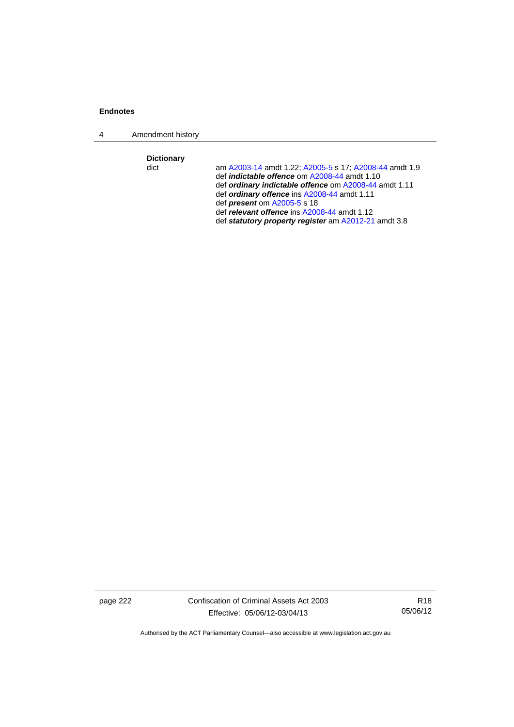4 Amendment history

**Dictionary** 

am [A2003-14](http://www.legislation.act.gov.au/a/2003-14) amdt 1.22; [A2005-5](http://www.legislation.act.gov.au/a/2005-5) s 17; [A2008-44](http://www.legislation.act.gov.au/a/2008-44) amdt 1.9 def *indictable offence* om [A2008-44](http://www.legislation.act.gov.au/a/2008-44) amdt 1.10 def *ordinary indictable offence* om [A2008-44](http://www.legislation.act.gov.au/a/2008-44) amdt 1.11 def *ordinary offence* ins [A2008-44](http://www.legislation.act.gov.au/a/2008-44) amdt 1.11 def *present* om [A2005-5](http://www.legislation.act.gov.au/a/2005-5) s 18 def *relevant offence* ins [A2008-44](http://www.legislation.act.gov.au/a/2008-44) amdt 1.12 def *statutory property register* am [A2012-21](http://www.legislation.act.gov.au/a/2012-21) amdt 3.8

page 222 Confiscation of Criminal Assets Act 2003 Effective: 05/06/12-03/04/13

R18 05/06/12